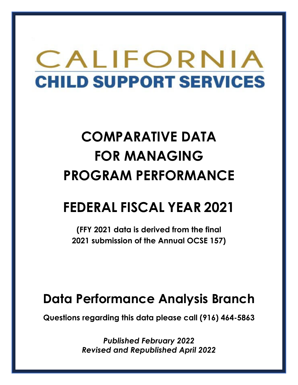# CALIFORNIA **CHILD SUPPORT SERVICES**

# **COMPARATIVE DATA FOR MANAGING PROGRAM PERFORMANCE**

# **FEDERAL FISCAL YEAR 2021**

**(FFY 2021 data is derived from the final 2021 submission of the Annual OCSE 157)** 

### **Data Performance Analysis Branch**

**Questions regarding this data please call (916) 464-5863** 

*Published February 2022 Revised and Republished April 2022*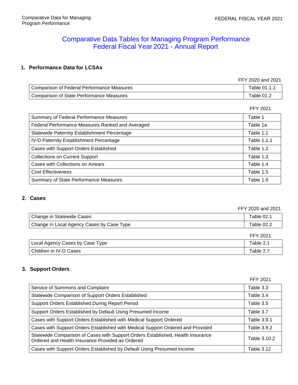### Comparative Data Tables for Managing Program Performance Federal Fiscal Year 2021 - Annual Report

#### **1. Performance Data for LCSAs**

| FFY 2020 and 2021                          |              |
|--------------------------------------------|--------------|
| Comparison of Federal Performance Measures | Table 01.1.1 |
| Comparison of State Performance Measures   | Table 01.2   |

FFY 2021

| Summary of Federal Performance Measures             | Table 1     |
|-----------------------------------------------------|-------------|
| Federal Performance Measures Ranked and Averaged    | Table 1a    |
| <b>Statewide Paternity Establishment Percentage</b> | Table 1.1   |
| IV-D Paternity Establishment Percentage             | Table 1.1.1 |
| Cases with Support Orders Established               | Table 1.2   |
| <b>Collections on Current Support</b>               | Table 1.3   |
| Cases with Collections on Arrears                   | Table 1.4   |
| <b>Cost Effectiveness</b>                           | Table 1.5   |
| <b>Summary of State Performance Measures</b>        | Table 1.6   |

#### **2. Cases**

|                                           | FFY 2020 and 2021 |
|-------------------------------------------|-------------------|
| Change in Statewide Cases                 | Table 02.1        |
| Change in Local Agency Cases by Case Type | Table 02.2        |
|                                           | FFY 2021          |
| Local Agency Cases by Case Type           | Table 2.1         |
| Children in IV-D Cases                    | Table 2.7         |

#### **3. Support Orders**

|                                                                                                                                     | FFY 2021           |
|-------------------------------------------------------------------------------------------------------------------------------------|--------------------|
| Service of Summons and Complaint                                                                                                    | Table 3.3          |
| Statewide Comparison of Support Orders Established                                                                                  | Table 3.4          |
| Support Orders Established During Report Period                                                                                     | Table 3.5          |
| Support Orders Established by Default Using Presumed Income                                                                         | Table 3.7          |
| Cases with Support Orders Established with Medical Support Ordered                                                                  | <b>Table 3.9.1</b> |
| Cases with Support Orders Established with Medical Support Ordered and Provided                                                     | Table 3.9.2        |
| Statewide Comparison of Cases with Support Orders Established, Health Insurance<br>Ordered and Health Insurance Provided as Ordered | Table 3.10.2       |
| Cases with Support Orders Established by Default Using Presumed Income                                                              | Table 3.12         |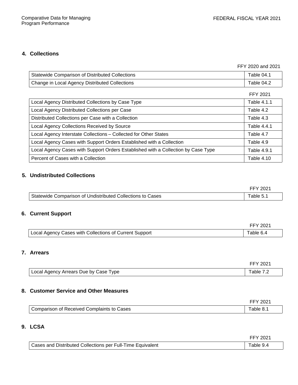#### **4. Collections**

FFY 2020 and 2021

| Statewide Comparison of Distributed Collections | Table $04.1$ |
|-------------------------------------------------|--------------|
| Change in Local Agency Distributed Collections  | Table 04.2   |

|                                                                                   | <b>FFY 2021</b> |
|-----------------------------------------------------------------------------------|-----------------|
| Local Agency Distributed Collections by Case Type                                 | Table 4.1.1     |
| Local Agency Distributed Collections per Case                                     | Table 4.2       |
| Distributed Collections per Case with a Collection                                | Table 4.3       |
| Local Agency Collections Received by Source                                       | Table 4.4.1     |
| Local Agency Interstate Collections - Collected for Other States                  | Table 4.7       |
| Local Agency Cases with Support Orders Established with a Collection              | Table 4.9       |
| Local Agency Cases with Support Orders Established with a Collection by Case Type | Table 4.9.1     |
| Percent of Cases with a Collection                                                | Table 4.10      |

#### **5. Undistributed Collections**

|                                                            | <b>FFY 2021</b> |
|------------------------------------------------------------|-----------------|
| Statewide Comparison of Undistributed Collections to Cases | Table $5.1$     |

#### **6. Current Support**

|                                                        | FFY 2021  |
|--------------------------------------------------------|-----------|
| Local Agency Cases with Collections of Current Support | Table 6.4 |

#### **7. Arrears**

| Local Agency Arrears Due by Case Type | Fable 7.2 |
|---------------------------------------|-----------|

#### **8. Customer Service and Other Measures**

|                                            | FFY 2021              |
|--------------------------------------------|-----------------------|
| Comparison of Received Complaints to Cases | $\mathsf{Table\ 8.1}$ |

#### **9. LCSA**

|                                                            | FFY 2021  |
|------------------------------------------------------------|-----------|
| Cases and Distributed Collections per Full-Time Equivalent | Table 9.4 |

| ◢<br>חכ<br>c<br>∕ |  |
|-------------------|--|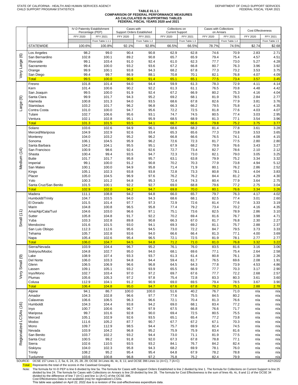#### **TABLE 01.1.1 COMPARISON OF FEDERAL PERFORMANCE MEASURES AS CALCULATED IN SUPPORTING TABLES FEDERAL FISCAL YEARS 2020 and 2021**

|                         |                                       | Percentage (PEP) | IV-D Paternity Establishment | Cases with<br>Support Orders Established |                | Collections on<br><b>Current Support</b> |                | Cases with Collections<br>on Arrears |                | <b>Cost Effectiveness</b> |                |  |
|-------------------------|---------------------------------------|------------------|------------------------------|------------------------------------------|----------------|------------------------------------------|----------------|--------------------------------------|----------------|---------------------------|----------------|--|
|                         |                                       | FFY 2020         | FFY 2021                     | FFY 2020                                 | FFY 2021       | FFY 2020                                 | FFY 2021       | FFY 2020                             | FFY 2021       | FFY 2020                  | FFY 2021       |  |
|                         |                                       |                  | From Table 1.1.1             |                                          | From Table 1.2 |                                          | From Table 1.3 |                                      | From Table 1.4 |                           | From Table 1.5 |  |
|                         | <b>STATEWIDE</b>                      | 100.6%           | 100.8%                       | 92.1%                                    | 92.8%          |                                          | 66.5%          | 78.7%                                |                | \$2.74                    |                |  |
|                         |                                       |                  |                              |                                          |                | 66.5%                                    |                |                                      | 74.5%          |                           | \$2.68         |  |
|                         | Los Angeles                           | 98.2             | 99.0                         | 90.4                                     | 90.8           | 62.9                                     | 62.8           | 74.6                                 | 70.9           | 2.83                      | 2.71           |  |
| ම                       | San Bernardino                        | 102.8            | 100.1                        | 89.2                                     | 90.8           | 65.7                                     | 65.9           | 79.4                                 | 75.4           | 4.57                      | 4.51           |  |
| Very Large              | Riverside                             | 99.1             | 103.4                        | 91.0                                     | 92.4           | 61.0                                     | 62.3           | 77.7                                 | 73.0           | 5.27                      | 4.28           |  |
|                         | Sacramento                            | 99.4             | 100.0                        | 93.2                                     | 93.6           | 67.2                                     | 66.8           | 80.7                                 | 76.3           | 3.96                      | 3.92           |  |
|                         | Orange                                | 99.9             | 100.1                        | 93.8                                     | 94.3           | 68.2                                     | 67.8           | 77.3                                 | 73.2           | 3.53                      | 3.75           |  |
|                         | San Diego                             | 99.4             | 99.7                         | 86.9                                     | 88.1           | 70.8                                     | 70.1           | 82.1                                 | 76.8           | 4.07                      | 4.09           |  |
|                         | <b>Total</b>                          | 99.5             | 100.0                        | 90.6                                     | 91.4           | 65.1                                     | 65.1           | 77.5                                 | 73.4           | 3.57                      | 3.45           |  |
|                         | Fresno                                | 101.8            | 101.4                        | 94.0                                     | 94.4           | 59.9                                     | 61.3           | 78.3                                 | 72.9           | 4.11                      | 4.14           |  |
|                         | Kern                                  | 101.4            | 100.6                        | 90.2                                     | 92.2           | 61.3                                     | 61.1           | 76.5                                 | 70.8           | 4.48                      | 4.42           |  |
|                         | San Joaquin                           | 99.5             | 100.0                        | 91.9                                     | 92.4           | 67.2                                     | 66.9           | 80.2                                 | 75.3           | 4.16                      | 4.04           |  |
| $\circledcirc$          | Santa Clara                           | 99.9             | 101.7                        | 94.3                                     | 95.2           | 69.2                                     | 68.1           | 81.9                                 | 78.5           | 2.84                      | 2.77           |  |
|                         | Alameda                               | 100.8            | 101.3                        | 94.0                                     | 93.5           | 68.6                                     | 67.8           | 82.6                                 | 77.9           | 3.81                      | 3.76           |  |
| Large                   | Stanislaus                            | 103.2            | 101.7                        | 96.2                                     | 96.8           | 66.3                                     | 66.2           | 79.5                                 | 75.8           | 4.12                      | 4.35           |  |
|                         | Contra Costa                          | 101.0            | 100.0                        | 94.7                                     | 95.6           | 72.2                                     | 72.5           | 81.8                                 | 77.6           | 4.03                      | 4.07           |  |
|                         | Tulare                                | 102.7            | 106.6                        | 95.6                                     | 93.1           | 74.7                                     | 74.5           | 80.5                                 | 77.4           | 3.03                      | 2.95           |  |
|                         | Ventura                               | 102.1            | 102.8                        | 95.1                                     | 95.9           | 68.5                                     | 68.9           | 81.3                                 | 77.1           | 3.54                      | 3.96           |  |
|                         | <b>Total</b>                          | 101.3            | 101.5                        | 93.5                                     | 94.1           | 66.7                                     | 66.6           | 79.8                                 | 75.2           | 3.75                      | 3.77           |  |
|                         | Solano                                | 103.6            | 102.6                        | 94.9                                     | 96.1           | 68.6                                     | 68.2           | 81.4                                 | 77.8           | 3.61                      | 3.28           |  |
|                         | Merced/Mariposa                       | 104.9            | 102.9                        | 92.6                                     | 93.4           | 65.3                                     | 65.6           | 77.3                                 | 73.8           | 3.53                      | 3.65           |  |
|                         | Monterey                              | 104.0            | 103.2                        | 95.2                                     | 96.2           | 66.8                                     | 66.6           | 76.5                                 | 74.1           | 4.08                      | 4.15           |  |
|                         | Sonoma                                | 106.1            | 104.5                        | 95.9                                     | 96.2           | 72.6                                     | 72.3           | 81.7                                 | 77.5           | 2.80                      | 2.80           |  |
|                         | Santa Barbara                         | 104.2            | 104.1                        | 95.5                                     | 95.1           | 67.9                                     | 68.2           | 79.9                                 | 76.6           | 3.43                      | 3.27           |  |
|                         | San Francisco                         | 100.9            | 98.6                         | 92.4                                     | 92.6           | 72.7                                     | 73.4           | 82.7                                 | 78.6           | 2.10                      | 2.12           |  |
| Medium (14)             | Shasta                                | 100.4            | 99.4                         | 93.5                                     | 94.7           | 72.3                                     | 73.0           | 82.1                                 | 79.0           | 3.05                      | 3.25           |  |
|                         | <b>Butte</b>                          | 101.7            | 101.7                        | 95.8                                     | 95.7           | 63.1                                     | 63.8           | 79.9                                 | 75.2           | 3.34                      | 3.32           |  |
|                         | Imperial                              | 99.1             | 100.0                        | 91.2                                     | 90.8           | 70.2                                     | 70.3           | 77.9                                 | 73.8           | 4.94                      | 5.12           |  |
|                         | San Mateo                             | 100.1            | 100.0                        | 94.9                                     | 95.8           | 71.4                                     | 71.9           | 80.1                                 | 76.2           | 2.86                      | 2.52           |  |
|                         | Kings                                 | 105.1            | 102.3                        | 93.8                                     | 93.8           | 72.8                                     | 73.3           | 80.8                                 | 78.1           | 4.04                      | 3.83           |  |
|                         | Placer                                | 105.0            | 104.5                        | 96.9                                     | 97.6           | 76.2                                     | 76.2           | 84.4                                 | 81.2           | 4.29                      | 4.30           |  |
|                         | Yolo                                  | 100.3            | 101.2                        | 94.8                                     | 95.3           | 72.4                                     | 74.3           | 80.4                                 | 77.9           | 3.64                      | 2.75           |  |
|                         | Santa Cruz/San Benito<br><b>Total</b> | 101.5<br>102.9   | 100.1<br>102.0               | 92.2<br>94.2                             | 92.7<br>94.7   | 69.0<br>69.8                             | 68.8<br>70.0   | 79.6<br>80.1                         | 77.2<br>76.6   | 2.75<br>3.34              | 3.04<br>3.26   |  |
|                         | Madera                                | 111.1            | 108.8                        | 94.2                                     | 94.8           | 66.0                                     | 65.7           | 79.7                                 | 76.3           | 4.17                      | 4.02           |  |
|                         |                                       | 104.7            | 103.5                        | 94.0                                     | 94.3           | 68.6                                     | 68.1           | 82.5                                 | 77.4           | 3.01                      | 2.60           |  |
|                         | Humboldt/Trinity<br>El Dorado         | 101.5            | 101.4                        | 97.7                                     | 97.3           | 72.9                                     | 72.6           | 81.4                                 | 77.6           | 3.33                      | 3.19           |  |
|                         | Marin                                 | 104.8            | 100.8                        | 96.5                                     | 95.8           | 77.4                                     | 79.2           | 73.4                                 | 70.2           | 4.16                      | 4.35           |  |
|                         | Ama/Alp/Cala/Tuol                     | 104.6            | 103.0                        | 96.6                                     | 97.1           | 75.1                                     | 73.6           | 82.5                                 | 78.9           | 2.86                      | 3.10           |  |
|                         | Sutter                                | 105.8            | 104.8                        | 91.7                                     | 92.2           | 70.2                                     | 69.4           | 81.6                                 | 76.7           | 3.98                      | 4.71           |  |
| Small $(11)$            | Yuba                                  | 103.3            | 102.8                        | 89.8                                     | 90.8           | 66.3                                     | 67.0           | 81.7                                 | 76.8           | 2.30                      | 2.27           |  |
|                         | Mendocino                             | 101.6            | 101.5                        | 93.0                                     | 94.1           | 69.3                                     | 69.2           | 81.1                                 | 75.7           | 2.88                      | 2.37           |  |
|                         | San Luis Obispo                       | 112.3            | 112.6                        | 95.6                                     | 94.5           | 73.0                                     | 72.2           | 84.7                                 | 79.5           | 3.73                      | 3.33           |  |
|                         | Tehama                                | 105.7            | 102.8                        | 93.6                                     | 94.0           | 66.6                                     | 66.4           | 81.3                                 | 77.1           | 4.00                      | 3.69           |  |
|                         | Napa                                  | 105.4            | 102.6                        | 95.4                                     | 96.5           | 72.1                                     | 72.5           | 81.9                                 | 78.1           | 2.77                      | 2.77           |  |
|                         | <b>Total</b>                          | 106.0            | 104.7                        | 94.5                                     | 94.8           | 71.2                                     | 71.0           | 81.0                                 | 76.8           | 3.32                      | 3.22           |  |
|                         | Sierra/Nevada                         | 103.9            | 104.4                        | 96.7                                     | 95.2           | 76.1                                     | 76.0           | 83.5                                 | 81.6           | 3.16                      | 3.06           |  |
|                         | Siskiyou/Modoc                        | 104.8            | 102.7                        | 95.0                                     | 94.0           | 68.1                                     | 69.6           | 77.1                                 | 75.4           | 2.64                      | 2.58           |  |
|                         | Lake                                  | 108.9            | 107.4                        | 93.3                                     | 93.7           | 61.3                                     | 61.4           | 80.8                                 | 76.1           | 2.38                      | 2.26           |  |
| Small <sub>(9)</sub>    | Del Norte                             | 106.0            | 103.3                        | 94.8                                     | 94.4           | 59.4                                     | 61.7           | 76.5                                 | 69.6           | 2.08                      | 1.91           |  |
|                         | Glenn                                 | 106.5            | 106.9                        | 96.6                                     | 96.8           | 64.5                                     | 64.3           | 77.8                                 | 73.9           | 4.53                      | 4.86           |  |
|                         | Lassen                                | 109.1            | 105.1                        | 93.2                                     | 93.9           | 65.5                                     | 66.9           | 77.7                                 | 70.3           | 3.17                      | 2.90           |  |
|                         | Inyo/Mono                             | 102.7            | 103.4                        | 97.0                                     | 97.2           | 69.7                                     | 67.6           | 77.7                                 | 72.2           | 2.68                      | 2.57           |  |
| Very                    | Plumas                                | 105.6            | 105.3                        | 97.2                                     | 97.8           | 75.4                                     | 72.8           | 83.3                                 | 80.3           | 3.61                      | 3.60           |  |
|                         | Colusa                                | 112.9            | 104.1                        | 91.2                                     | 90.9           | 69.0                                     | 69.5           | 79.4                                 | 78.5           | 3.67                      | 3.90           |  |
|                         | <b>Total</b>                          | 106.4            | 104.8                        | 95.0                                     | 94.7           | 67.6                                     | 67.8           | 79.2                                 | 75.1           | 2.88                      | 2.78           |  |
|                         | Alpine                                | 94.1             | 86.7                         | 100.0                                    | 100.0          | 51.6                                     | 40.2           | 76.7                                 | 71.0           | n/a                       | n/a            |  |
|                         | Amador                                | 104.3            | 102.8                        | 96.6                                     | 97.7           | 77.6                                     | 75.5           | 84.5                                 | 80.2           | n/a                       | n/a            |  |
|                         | Calaveras                             | 106.6            | 106.5                        | 96.3                                     | 96.6           | 72.1                                     | 70.4           | 81.3                                 | 76.6           | n/a                       | n/a            |  |
|                         | Humboldt                              | 104.3            | 104.4                        | 93.8                                     | 94.2           | 69.0                                     | 68.1           | 83.4                                 | 77.2           | n/a                       | n/a            |  |
| Regionalized LCSAs (16) | Inyo                                  | 100.7            | 100.6                        | 96.7                                     | 97.9           | 67.5                                     | 66.8           | 76.6                                 | 71.7           | n/a                       | n/a            |  |
|                         | Mariposa                              | 99.7             | 101.6                        | 92.8                                     | 90.0           | 69.4                                     | 72.5           | 80.5                                 | 75.5           | n/a                       | n/a            |  |
|                         | Merced                                | 105.1            | 102.9                        | 92.6                                     | 93.5           | 65.1                                     | 65.4           | 77.2                                 | 73.8           | n/a                       | n/a            |  |
|                         | Modoc                                 | 111.6            | 105.2                        | 87.7                                     | 90.7           | 67.7                                     | 67.2           | 67.1                                 | 70.3           | n/a                       | n/a            |  |
|                         | Mono                                  | 109.7            | 112.9                        | 98.5                                     | 94.4           | 75.7                                     | 69.9           | 82.4                                 | 74.5           | n/a                       | n/a            |  |
|                         | Nevada                                | 103.9            | 104.2                        | 96.8                                     | 95.2           | 75.9                                     | 75.9           | 83.4                                 | 81.6           | n/a                       | n/a            |  |
|                         | San Benito                            | 103.7            | 102.2                        | 93.2                                     | 94.4           | 73.0                                     | 71.1           | 81.9                                 | 77.5           | n/a                       | n/a            |  |
|                         | Santa Cruz                            | 100.5            | 99.2                         | 91.8                                     | 92.0           | 67.3                                     | 67.8           | 78.8                                 | 77.1           | n/a                       | n/a            |  |
|                         | Sierra                                | 102.6            | 110.5                        | 93.5                                     | 93.2           | 84.1                                     | 76.7           | 84.2                                 | 82.4           | n/a                       | n/a            |  |
|                         | Siskiyou                              | 104.0            | 102.3                        | 95.8                                     | 94.3           | 68.2                                     | 69.9           | 78.1                                 | 76.0           | n/a                       | n/a            |  |
|                         | Trinity                               | 108.2            | 95.2                         | 95.4                                     | 95.4           | 64.8                                     | 67.9           | 78.2                                 | 78.8           | n/a                       | n/a            |  |
|                         | Tuolumne                              | 103.6            | 100.8                        | 96.8                                     | 97.2           | 75.8                                     | 75.2           | 82.4                                 | 79.9           | n/a                       | n/a            |  |

SOURCE: OCSE 157 Lines 1, 2, 5a, 6, 24, 25, 28, 29; OCSE 34 Lines 4b, 4c, 8, 11; and OCSE 396 Lines 1c (A+C), 7 (A+C) 4/21/2022

Total: Represents the total of the scores in the Caseload Grouping

Note: The formula for IV-D PEP is line 6 divided by line 5a. The formula for Cases with Support Orders Established is line 2 divided by line 1. The formula for Collections on Current Support is line 25 divided by line 28.

This table was updated on April 22, 2022 due to a revision of the cost-effectiveness expenditure data.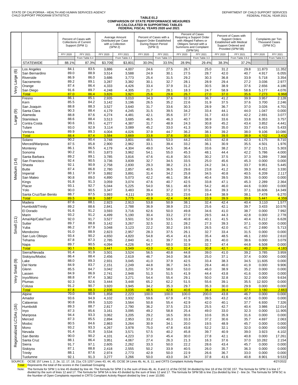#### **TABLE 01.2 COMPARISON OF STATE PERFORMANCE MEASURES AS CALCULATED IN SUPPORTING TABLES FEDERAL FISCAL YEARS 2020 and 2021**

|                    |                               |              |                                                                           |                 |                                                                        |              | I LULINAL I IJUAL TLAINJ 2020 GIIU 2021                                      |              |                                                                                                                                         |              |                                                                                                                               |                 |                                                         |
|--------------------|-------------------------------|--------------|---------------------------------------------------------------------------|-----------------|------------------------------------------------------------------------|--------------|------------------------------------------------------------------------------|--------------|-----------------------------------------------------------------------------------------------------------------------------------------|--------------|-------------------------------------------------------------------------------------------------------------------------------|-----------------|---------------------------------------------------------|
|                    |                               |              | Percent of Cases with<br><b>Collections of Current</b><br>Support (SPM 1) |                 | Average Amount<br>Distributed per Case<br>with a Collection<br>(SPM 2) | (SPM 3)      | Percent of Cases with a<br>Support Order Established<br>During Report Period |              | Percent of Cases<br>Requiring a Support Order<br>with Alleged Fathers or<br>Obligors Served with a<br>Summons and Complaint<br>(SPM 5A) |              | Percent of Cases with<br><b>Support Orders</b><br><b>Established with Medical</b><br>Support Ordered and<br>Provided (SPM 5B) |                 | Complaints per Ten<br><b>Thousand Cases</b><br>(SPM 5C) |
|                    |                               | FFY 2020     | FFY 2021                                                                  | <b>FFY 2020</b> | FFY 2021                                                               | FFY 2020     | <b>FFY 2021</b>                                                              | FFY 2020     | FFY 2021                                                                                                                                | FFY 2020     | FFY 2021                                                                                                                      | <b>FFY 2020</b> | FFY 2021                                                |
|                    |                               |              | From Table 6.4                                                            |                 | From Table 4.3                                                         |              | From Table 3.5                                                               |              | From Table 3.3                                                                                                                          |              | From Table 3.9.2                                                                                                              |                 | From Table 8.1                                          |
|                    | <b>STATEWIDE</b>              | 88.1%        | 87.3%                                                                     | \$3,709         | \$3,801                                                                | 30.0%        | 33.5%                                                                        | 28.9%        | 29.4%                                                                                                                                   | 38.3%        | 37.2%                                                                                                                         |                 |                                                         |
|                    | Los Angeles                   | 84.1         | 83.5                                                                      | 3,886           | 4,007                                                                  | 24.6         | 27.5                                                                         | 26.7         | 25.0                                                                                                                                    | 31.2         | 29.8                                                                                                                          | 11.873          | 11.352                                                  |
| $\circlede$        | San Bernardino                | 89.0         | 88.9                                                                      | 3,514           | 3,588                                                                  | 24.9         | 30.1                                                                         | 27.5         | 28.7                                                                                                                                    | 42.0         | 40.7                                                                                                                          | 4.917           | 6.055                                                   |
|                    | Riverside                     | 86.9         | 86.0                                                                      | 3,686           | 3,773                                                                  | 25.4         | 31.5                                                                         | 29.2         | 30.3                                                                                                                                    | 36.8         | 33.9                                                                                                                          | 5.718           | 3.354                                                   |
|                    | Sacramento                    | 89.2         | 89.1                                                                      | 3,287           | 3,382                                                                  | 30.1         | 32.7                                                                         | 28.1         | 28.9                                                                                                                                    | 29.4         | 27.2                                                                                                                          | 3.036           | 2.977                                                   |
| Very Large         | Orange                        | 87.4         | 86.4                                                                      | 4,333           | 4,426                                                                  | 33.4         | 37.9                                                                         | 31.2         | 30.5                                                                                                                                    | 38.9         | 37.6                                                                                                                          | 2.656           | 4.186                                                   |
|                    | San Diego<br><b>Total</b>     | 91.6<br>87.0 | 89.7<br>86.4                                                              | 4,248<br>3,826  | 4,305<br>3,921                                                         | 21.7<br>25.6 | 28.1<br>29.8                                                                 | 18.3<br>26.7 | 24.7<br>27.0                                                                                                                            | 58.9<br>37.0 | 58.8<br>35.6                                                                                                                  | 5.177<br>7.273  | 4.076<br>6.968                                          |
|                    | Fresno                        | 86.1         | 85.1                                                                      | 2,935           | 3,010                                                                  | 34.3         | 37.6                                                                         | 32.3         | 36.7                                                                                                                                    | 41.2         | 39.9                                                                                                                          | 3.957           | 2.128                                                   |
|                    | Kern                          | 85.5         | 84.2                                                                      | 3,142           | 3,196                                                                  | 26.5         | 35.2                                                                         | 22.6         | 31.9                                                                                                                                    | 37.5         | 37.6                                                                                                                          | 3.700           | 2.246                                                   |
|                    | San Joaquin                   | 88.8         | 88.3                                                                      | 3,527           | 3,640                                                                  | 31.7         | 33.6                                                                         | 30.3         | 28.9                                                                                                                                    | 36.7         | 37.0                                                                                                                          | 3.026           | 4.701                                                   |
| ම                  | Santa Clara                   | 90.3         | 88.4                                                                      | 4,179           | 4,245                                                                  | 31.5         | 39.5                                                                         | 34.2         | 33.4                                                                                                                                    | 44.1         | 44.0                                                                                                                          | 1.047           | 0.000                                                   |
|                    | Alameda                       | 88.8         | 87.6                                                                      | 4,274           | 4,481                                                                  | 42.1         | 35.6                                                                         | 37.7         | 31.7                                                                                                                                    | 43.0         | 42.2                                                                                                                          | 2.691           | 3.077                                                   |
| Large              | <b>Stanislaus</b>             | 88.6         | 88.4                                                                      | 3,513           | 3,685                                                                  | 46.5         | 46.3                                                                         | 40.7         | 38.9                                                                                                                                    | 33.6         | 33.8                                                                                                                          | 6.353           | 3.757                                                   |
|                    | Contra Costa                  | 90.6         | 89.1                                                                      | 4,277           | 4,387                                                                  | 31.7         | 48.9                                                                         | 24.3         | 30.8                                                                                                                                    | 45.2         | 43.4                                                                                                                          | 3.852           | 4.441                                                   |
|                    | Tulare                        | 93.0<br>89.9 | 92.9<br>89.3                                                              | 3,114           | 3,089                                                                  | 45.2         | 33.0                                                                         | 41.3         | 30.9                                                                                                                                    | 35.0         | 33.7                                                                                                                          | 6.415           | 5.433                                                   |
|                    | Ventura<br>Total              | 88.4         | 87.4                                                                      | 4,004<br>3,584  | 4,026<br>3.669                                                         | 37.9<br>33.8 | 44.7<br>37.6                                                                 | 36.2<br>30.8 | 38.1<br>33.1                                                                                                                            | 39.2<br>39.5 | 38.0<br>38.9                                                                                                                  | 9.106<br>4.102  | 10.086<br>3.432                                         |
|                    | Solano                        | 90.2         | 90.4                                                                      | 3,748           | 3,801                                                                  | 48.5         | 53.0                                                                         | 44.2         | 43.5                                                                                                                                    | 42.8         | 42.3                                                                                                                          | 6.175           | 8.710                                                   |
|                    | Merced/Mariposa               | 87.5         | 85.8                                                                      | 2,900           | 2,962                                                                  | 33.1         | 39.4                                                                         | 33.2         | 36.1                                                                                                                                    | 30.9         | 35.5                                                                                                                          | 4.501           | 1.976                                                   |
|                    | Monterey                      | 86.1         | 86.5                                                                      | 4,179           | 4,304                                                                  | 49.0         | 54.5                                                                         | 36.4         | 33.6                                                                                                                                    | 38.2         | 37.2                                                                                                                          | 5.121           | 5.303                                                   |
|                    | Sonoma                        | 90.2         | 90.1                                                                      | 3,873           | 3,962                                                                  | 54.1         | 55.0                                                                         | 45.3         | 48.1                                                                                                                                    | 44.4         | 42.2                                                                                                                          | 5.786           | 4.000                                                   |
|                    | Santa Barbara                 | 89.2         | 89.1                                                                      | 3,785           | 3,816                                                                  | 47.6         | 41.8                                                                         | 30.5         | 30.2                                                                                                                                    | 37.5         | 37.3                                                                                                                          | 5.289           | 7.368                                                   |
|                    | San Francisco                 | 92.4         | 90.5                                                                      | 3,736           | 3,839                                                                  | 32.7         | 34.5                                                                         | 33.5         | 25.0                                                                                                                                    | 45.6         | 45.3                                                                                                                          | 0.000           | 0.000                                                   |
|                    | Shasta                        | 92.1         | 90.9                                                                      | 2,758           | 2,830                                                                  | 29.3         | 38.2                                                                         | 21.3         | 24.2                                                                                                                                    | 34.1         | 33.7                                                                                                                          | 9.951           | 5.445                                                   |
| Medium (14)        | <b>Butte</b>                  | 87.4<br>88.1 | 86.8<br>87.9                                                              | 2,780           | 2,857                                                                  | 40.5         | 36.5                                                                         | 29.6         | 23.8                                                                                                                                    | 41.2         | 39.3                                                                                                                          | 8.452           | 3.330                                                   |
|                    | Imperial<br>San Mateo         | 90.8         | 89.0                                                                      | 3,892<br>4,890  | 3,891<br>5,073                                                         | 31.4<br>42.2 | 34.2<br>46.1                                                                 | 25.8<br>38.4 | 34.5<br>40.4                                                                                                                            | 40.8<br>39.5 | 40.5<br>39.5                                                                                                                  | 6.209<br>0.000  | 2.117<br>0.000                                          |
|                    | Kings                         | 91.8         | 91.3                                                                      | 3,059           | 3,074                                                                  | 47.6         | 40.7                                                                         | 42.5         | 33.8                                                                                                                                    | 47.1         | 45.3                                                                                                                          | 2.289           | 2.364                                                   |
|                    | Placer                        | 93.1         | 92.7                                                                      | 5,044           | 5,225                                                                  | 54.0         | 56.1                                                                         | 46.9         | 54.2                                                                                                                                    | 46.0         | 44.6                                                                                                                          | 0.000           | 0.000                                                   |
|                    | Yolo                          | 90.0         | 90.5                                                                      | 3,347           | 3,483                                                                  | 39.4         | 37.2                                                                         | 37.5         | 33.4                                                                                                                                    | 39.3         | 37.1                                                                                                                          | 16.606          | 14.349                                                  |
|                    | Santa Cruz/San Benito         | 88.7         | 87.5                                                                      | 3,993           | 4,111                                                                  | 29.9         | 31.3                                                                         | 23.6         | 19.4                                                                                                                                    | 38.9         | 38.1                                                                                                                          | 7.478           | 6.270                                                   |
|                    | Total                         | 89.5         | 88.9                                                                      | 3.687           | 3.775                                                                  | 40.9         | 42.4                                                                         | 34.6         | 33.9                                                                                                                                    | 39.9         | 39.6                                                                                                                          | 5.441           | 4.359                                                   |
|                    | Madera                        | 87.6         | 88.1                                                                      | 2,923           | 2,913                                                                  | 53.8         | 50.9                                                                         | 38.1         | 32.4                                                                                                                                    | 42.4         | 40.4                                                                                                                          | 3.110           | 1.577                                                   |
|                    | Humboldt/Trinity              | 89.2<br>91.6 | 88.6<br>91.2                                                              | 2,841           | 2,788                                                                  | 36.9         | 38.9                                                                         | 23.2         | 25.6                                                                                                                                    | 42.1         | 39.7                                                                                                                          | 3.433           | 10.576<br>7.992                                         |
|                    | El Dorado<br>Marin            | 93.2         | 91.2                                                                      | 3,593<br>4,499  | 3,716<br>5,190                                                         | 62.6<br>30.4 | 50.0<br>33.2                                                                 | 49.8<br>27.0 | 34.6<br>29.5                                                                                                                            | 41.0<br>44.3 | 38.7<br>42.8                                                                                                                  | 0.000<br>0.000  | 2.778                                                   |
|                    | Ama/Alp/Cala/Tuol             | 92.0         | 91.7                                                                      | 3,527           | 3,501                                                                  | 52.9         | 53.5                                                                         | 40.8         | 40.1                                                                                                                                    | 41.5         | 40.4                                                                                                                          | 6.212           | 6.628                                                   |
| Small $(11)$       | Sutter                        | 89.7         | 88.8                                                                      | 3,142           | 3,267                                                                  | 32.5         | 32.1                                                                         | 28.2         | 27.3                                                                                                                                    | 39.3         | 37.1                                                                                                                          | 0.000           | 0.000                                                   |
|                    | Yuba                          | 86.2         | 87.9                                                                      | 3,048           | 3,123                                                                  | 22.2         | 30.2                                                                         | 19.5         | 26.5                                                                                                                                    | 42.0         | 41.7                                                                                                                          | 2.690           | 5.713                                                   |
|                    | Mendocino                     | 91.0         | 88.9                                                                      | 2,823           | 2,957                                                                  | 28.3         | 37.5                                                                         | 26.1         | 32.7                                                                                                                                    | 33.4         | 31.5                                                                                                                          | 0.000           | 0.000                                                   |
|                    | San Luis Obispo               | 93.4         | 90.2                                                                      | 4,650           | 4,820                                                                  | 54.8         | 45.4                                                                         | 41.6         | 35.4                                                                                                                                    | 48.5         | 46.1                                                                                                                          | 2.650           | 2.610                                                   |
|                    | Tehama                        | 87.8         | 87.3                                                                      | 2,785           | 2,840                                                                  | 41.1         | 39.7                                                                         | 31.9         | 28.1                                                                                                                                    | 40.0         | 38.6                                                                                                                          | 0.000           | 3.079                                                   |
|                    | Napa                          | 89.7         | 90.5                                                                      | 4,094           | 4,226                                                                  | 54.7         | 58.0                                                                         | 32.9         | 32.7                                                                                                                                    | 47.4         | 44.8                                                                                                                          | 6.508           | 0.000                                                   |
|                    | <b>Total</b><br>Sierra/Nevada | 90.1<br>91.4 | 89.5<br>91.9                                                              | 3,441<br>3,501  | 3,549<br>3,524                                                         | 43.0<br>56.5 | 42.3<br>40.8                                                                 | 32.4<br>44.8 | 30.8<br>39.0                                                                                                                            | 42.1<br>41.0 | 40.2<br>39.2                                                                                                                  | 2.309<br>3.785  | 4.183<br>3.959                                          |
|                    | Siskiyou/Modoc                | 86.4         | 88.4                                                                      | 2,456           | 2,619                                                                  | 46.7         | 34.0                                                                         | 36.8         | 25.0                                                                                                                                    | 37.1         | 37.4                                                                                                                          | 0.000           | 0.000                                                   |
|                    | Lake                          | 88.0         | 89.3                                                                      | 2,931           | 3,045                                                                  | 41.0         | 37.9                                                                         | 42.5         | 33.4                                                                                                                                    | 38.3         | 34.5                                                                                                                          | 11.605          | 0.000                                                   |
| Small (9)          | Del Norte                     | 84.9         | 83.7                                                                      | 2,151           | 2,249                                                                  | 44.8         | 36.7                                                                         | 34.5         | 29.4                                                                                                                                    | 46.0         | 41.9                                                                                                                          | 0.000           | 9.906                                                   |
|                    | Glenn                         | 85.5         | 84.7                                                                      | 3,042           | 3,201                                                                  | 57.9         | 58.0                                                                         | 53.0         | 46.0                                                                                                                                    | 38.9         | 35.2                                                                                                                          | 0.000           | 0.000                                                   |
|                    | Lassen                        | 84.9         | 86.9                                                                      | 2,741           | 2,948                                                                  | 51.3         | 51.5                                                                         | 41.9         | 44.4                                                                                                                                    | 43.8         | 41.6                                                                                                                          | 0.000           | 0.000                                                   |
| Very               | Inyo/Mono                     | 88.8         | 87.4                                                                      | 3,382           | 3,271                                                                  | 54.4         | 55.4                                                                         | 29.1         | 50.0                                                                                                                                    | 32.8         | 32.2                                                                                                                          | 0.000           | 9.634                                                   |
|                    | Plumas                        | 92.3         | 92.6                                                                      | 3,444           | 3,448                                                                  | 65.2         | 62.2                                                                         | 51.5         | 55.6                                                                                                                                    | 39.1         | 35.5                                                                                                                          | 12.920          | 0.000                                                   |
|                    | Colusa<br><b>Total</b>        | 91.2<br>87.8 | 90.7<br>88.3                                                              | 3,920<br>2,936  | 3,945<br>3,035                                                         | 34.2<br>48.5 | 35.3<br>42.6                                                                 | 29.7<br>40.6 | 35.3<br>36.4                                                                                                                            | 30.0<br>39.4 | 29.9<br>37.1                                                                                                                  | 0.000<br>3.180  | 0.000<br>2.663                                          |
|                    | Alpine                        | 70.0         | 90.9                                                                      | 1,858           | 2,223                                                                  | 100.0        | 100.0                                                                        | 100.0        | 200.0                                                                                                                                   | 43.8         | 46.7                                                                                                                          | 0.000           | 0.000                                                   |
|                    | Amador                        | 93.6         | 94.9                                                                      | 4,102           | 3,932                                                                  | 59.6         | 67.9                                                                         | 47.5         | 39.5                                                                                                                                    | 43.2         | 42.8                                                                                                                          | 0.000           | 0.000                                                   |
|                    | Calaveras                     | 90.8         | 89.6                                                                      | 3,520           | 3,564                                                                  | 50.8         | 55.4                                                                         | 42.9         | 42.0                                                                                                                                    | 40.1         | 37.7                                                                                                                          | 6.930           | 7.326                                                   |
| (16)               | Humboldt                      | 89.3         | 88.7                                                                      | 2,817           | 2,790                                                                  | 36.2         | 37.5                                                                         | 23.3         | 25.5                                                                                                                                    | 42.7         | 40.4                                                                                                                          | 3.986           | 12.014                                                  |
|                    | Inyo                          | 87.3         | 85.6                                                                      | 3,161           | 3,095                                                                  | 49.2         | 58.8                                                                         | 25.4         | 49.0                                                                                                                                    | 33.0         | 32.3                                                                                                                          | 0.000           | 11.905                                                  |
|                    | Mariposa                      | 94.4         | 93.3                                                                      | 3,062           | 3,205                                                                  | 29.2         | 16.5                                                                         | 30.6         | 10.6                                                                                                                                    | 35.9         | 31.6                                                                                                                          | 0.000           | 0.000                                                   |
|                    | Merced                        | 87.3         | 85.5                                                                      | 2,894           | 2,953                                                                  | 33.2         | 40.3                                                                         | 33.3         | 37.2                                                                                                                                    | 30.6         | 35.7                                                                                                                          | 4.697           | 2.063                                                   |
|                    | Modoc<br>Mono                 | 80.5<br>93.2 | 84.6<br>93.3                                                              | 2,863           | 3,264                                                                  | 30.9<br>75.0 | 34.1<br>47.8                                                                 | 20.0         | 19.5<br>52.2                                                                                                                            | 48.9<br>32.1 | 45.7<br>32.0                                                                                                                  | 0.000<br>0.000  | 0.000<br>0.000                                          |
|                    | Nevada                        | 91.4         | 91.8                                                                      | 4,267<br>3,534  | 3,978<br>3,571                                                         | 57.5         | 40.2                                                                         | 43.8<br>45.8 | 39.7                                                                                                                                    | 40.9         | 39.0                                                                                                                          | 3.923           | 4.102                                                   |
|                    | San Benito                    | 90.0         | 90.2                                                                      | 4,101           | 4,223                                                                  | 37.0         | 45.4                                                                         | 30.0         | 27.8                                                                                                                                    | 42.1         | 40.8                                                                                                                          | 0.000           | 17.261                                                  |
|                    | Santa Cruz                    | 88.1         | 86.4                                                                      | 3,951           | 4,067                                                                  | 27.4         | 26.3                                                                         | 21.3         | 16.3                                                                                                                                    | 37.6         | 37.0                                                                                                                          | 10.282          | 2.154                                                   |
| Regionalized LCSAs | Sierra                        | 91.7         | 97.1                                                                      | 2,605           | 2,262                                                                  | 33.3         | 50.0                                                                         | 22.2         | 28.6                                                                                                                                    | 43.4         | 45.7                                                                                                                          | 0.000           | 0.000                                                   |
|                    | Siskiyou                      | 87.1         | 88.8                                                                      | 2,418           | 2,555                                                                  | 50.2         | 33.9                                                                         | 40.5         | 26.0                                                                                                                                    | 35.7         | 36.3                                                                                                                          | 0.000           | 0.000                                                   |
|                    | Trinity                       | 88.1         | 87.6                                                                      | 2,974           | 2,773                                                                  | 42.9         | 50.0                                                                         | 22.9         | 26.6                                                                                                                                    | 36.7         | 33.0                                                                                                                          | 0.000           | 0.000                                                   |
|                    | Tuolumne                      | 92.1         | 91.3                                                                      | 3,277           | 3,266                                                                  | 50.0         | 43.0                                                                         | 34.7         | 37.8                                                                                                                                    | 41.6         | 40.8                                                                                                                          | 8.901           | 9.533                                                   |

SOURCE: OCSE 157 Lines 1, 2, 2e, 12, 17, 18, 21a; CS 1257 Lines 43, 44, 45; OCSE 34 Lines 4b, 4c, 8, 11; and CRTS Complaint Activity Report 4/21/2022

Total: Represents the total of the scores in the Caseload Grouping

Note: The formula for SPM 1 is line 45 divided by line 44. The formula for SPM 2 is the sum of lines 4b, 4c, 8 and 11 of the OCSE 34 divided by line 18 of the OCSE 157. The formula for SPM 3 is line 17<br>divided by the sum o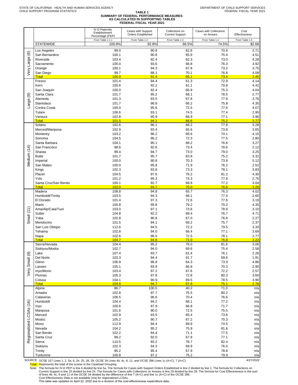| SUMMARY OF FEDERAL PERFORMANCE MEASURES |
|-----------------------------------------|
| AS CALCULATED IN SUPPORTING TABLES      |
| <b>FEDERAL FISCAL YEAR 2021</b>         |

|                         |                               | <b>IV-D Paternity</b><br>Establishment<br>Percentage (PEP) | Cases with Support<br><b>Orders Established</b> | Collections on<br><b>Current Support</b> | Cases with Collections<br>on Arrears | Cost<br>Effectiveness    |
|-------------------------|-------------------------------|------------------------------------------------------------|-------------------------------------------------|------------------------------------------|--------------------------------------|--------------------------|
|                         | <b>STATEWIDE</b>              | From Table 1.1.1<br>100.8%                                 | From Table 1.2<br>92.8%                         | From Table 1.3<br>66.5%                  | From Table 1.4<br>74.5%              | From Table 1.5<br>\$2.68 |
|                         | Los Angeles                   | 99.0                                                       | 90.8                                            | 62.8                                     | 70.9                                 | 2.71                     |
| $\widehat{\circ}$       | San Bernardino                | 100.1                                                      | 90.8                                            | 65.9                                     | 75.4                                 | 4.51                     |
|                         | Riverside<br>Sacramento       | 103.4<br>100.0                                             | 92.4<br>93.6                                    | 62.3<br>66.8                             | 73.0<br>76.3                         | 4.28<br>3.92             |
| Very Large              | Orange                        | 100.1                                                      | 94.3                                            | 67.8                                     | 73.2                                 | 3.75                     |
|                         | San Diego                     | 99.7                                                       | 88.1                                            | 70.1                                     | 76.8                                 | 4.09                     |
|                         | Total<br>Fresno               | 100.0<br>101.4                                             | 91.4<br>94.4                                    | 65.1<br>61.3                             | 73.4<br>72.9                         | 3.45<br>4.14             |
|                         | Kern                          | 100.6                                                      | 92.2                                            | 61.1                                     | 70.8                                 | 4.42                     |
|                         | San Joaquin                   | 100.0                                                      | 92.4                                            | 66.9                                     | 75.3                                 | 4.04                     |
| ම                       | Santa Clara<br>Alameda        | 101.7<br>101.3                                             | 95.2<br>93.5                                    | 68.1<br>67.8                             | 78.5<br>77.9                         | 2.77<br>3.76             |
| Large                   | Stanislaus                    | 101.7                                                      | 96.8                                            | 66.2                                     | 75.8                                 | 4.35                     |
|                         | Contra Costa                  | 100.0                                                      | 95.6                                            | 72.5                                     | 77.6                                 | 4.07                     |
|                         | Tulare<br>Ventura             | 106.6<br>102.8                                             | 93.1<br>95.9                                    | 74.5<br>68.9                             | 77.4<br>77.1                         | 2.95<br>3.96             |
|                         | Total                         | 101.5                                                      | 94.1                                            | 66.6                                     | 75.2                                 | 3.77                     |
|                         | Solano                        | 102.6                                                      | 96.1                                            | 68.2                                     | 77.8                                 | 3.28                     |
|                         | Merced/Mariposa<br>Monterey   | 102.9<br>103.2                                             | 93.4<br>96.2                                    | 65.6<br>66.6                             | 73.8<br>74.1                         | 3.65<br>4.15             |
|                         | Sonoma                        | 104.5                                                      | 96.2                                            | 72.3                                     | 77.5                                 | 2.80                     |
|                         | Santa Barbara                 | 104.1                                                      | 95.1                                            | 68.2                                     | 76.6                                 | 3.27                     |
| Medium (14)             | San Francisco<br>Shasta       | 98.6<br>99.4                                               | 92.6<br>94.7                                    | 73.4<br>73.0                             | 78.6<br>79.0                         | 2.12<br>3.25             |
|                         | <b>Butte</b>                  | 101.7                                                      | 95.7                                            | 63.8                                     | 75.2                                 | 3.32                     |
|                         | Imperial                      | 100.0                                                      | 90.8                                            | 70.3                                     | 73.8                                 | 5.12                     |
|                         | San Mateo                     | 100.0                                                      | 95.8                                            | 71.9                                     | 76.2                                 | 2.52                     |
|                         | Kings<br>Placer               | 102.3<br>104.5                                             | 93.8<br>97.6                                    | 73.3<br>76.2                             | 78.1<br>81.2                         | 3.83<br>4.30             |
|                         | Yolo                          | 101.2                                                      | 95.3                                            | 74.3                                     | 77.9                                 | 2.75                     |
|                         | Santa Cruz/San Benito         | 100.1                                                      | 92.7                                            | 68.8                                     | 77.2                                 | 3.04                     |
|                         | <b>Total</b><br>Madera        | 102.0<br>108.8                                             | 94.7<br>94.8                                    | 70.0<br>65.7                             | 76.6<br>76.3                         | 3.26<br>4.02             |
|                         | Humboldt/Trinity              | 103.5                                                      | 94.3                                            | 68.1                                     | 77.4                                 | 2.60                     |
|                         | El Dorado                     | 101.4                                                      | 97.3                                            | 72.6                                     | 77.6                                 | 3.19                     |
|                         | Marin<br>Ama/Alp/Cala/Tuol    | 100.8<br>103.0                                             | 95.8<br>97.1                                    | 79.2<br>73.6                             | 70.2<br>78.9                         | 4.35<br>3.10             |
| Small (11)              | Sutter                        | 104.8                                                      | 92.2                                            | 69.4                                     | 76.7                                 | 4.71                     |
|                         | Yuba                          | 102.8                                                      | 90.8                                            | 67.0                                     | 76.8                                 | 2.27                     |
|                         | Mendocino<br>San Luis Obispo  | 101.5<br>112.6                                             | 94.1<br>94.5                                    | 69.2<br>72.2                             | 75.7<br>79.5                         | 2.37<br>3.33             |
|                         | Tehama                        | 102.8                                                      | 94.0                                            | 66.4                                     | 77.1                                 | 3.69                     |
|                         | Napa                          | 102.6                                                      | 96.5                                            | 72.5                                     | 78.1                                 | 2.77                     |
|                         | <b>Total</b><br>Sierra/Nevada | 104.7<br>104.4                                             | 94.8<br>95.2                                    | 71.0<br>76.0                             | 76.8<br>81.6                         | 3.22<br>3.06             |
|                         | Siskiyou/Modoc                | 102.7                                                      | 94.0                                            | 69.6                                     | 75.4                                 | 2.58                     |
|                         | Lake                          | 107.4                                                      | 93.7                                            | 61.4                                     | 76.1                                 | 2.26                     |
| Very Small (9)          | Del Norte<br>Glenn            | 103.3<br>106.9                                             | 94.4<br>96.8                                    | 61.7<br>64.3                             | 69.6<br>73.9                         | 1.91<br>4.86             |
|                         | Lassen                        | 105.1                                                      | 93.9                                            | 66.9                                     | 70.3                                 | 2.90                     |
|                         | Inyo/Mono                     | 103.4                                                      | 97.2                                            | 67.6                                     | 72.2                                 | 2.57                     |
|                         | Plumas<br>Colusa              | 105.3<br>104.1                                             | 97.8<br>90.9                                    | 72.8<br>69.5                             | 80.3<br>78.5                         | 3.60<br>3.90             |
|                         | <b>Total</b>                  | 104.8                                                      | 94.7                                            | 67.8                                     | 75.1                                 | 2.78                     |
|                         | Alpine                        | 86.7                                                       | 100.0                                           | 40.2                                     | 71.0                                 | n/a                      |
|                         | Amador<br>Calaveras           | 102.8<br>106.5                                             | 97.7<br>96.6                                    | 75.5<br>70.4                             | 80.2<br>76.6                         | n/a<br>n/a               |
|                         | Humboldt                      | 104.4                                                      | 94.2                                            | 68.1                                     | 77.2                                 | n/a                      |
|                         | Inyo                          | 100.6                                                      | 97.9                                            | 66.8                                     | 71.7                                 | n/a                      |
|                         | Mariposa<br>Merced            | 101.6<br>102.9                                             | 90.0<br>93.5                                    | 72.5<br>65.4                             | 75.5<br>73.8                         | n/a                      |
|                         | Modoc                         | 105.2                                                      | 90.7                                            | 67.2                                     | 70.3                                 | n/a<br>n/a               |
| Regionalized LCSAs (16) | Mono                          | 112.9                                                      | 94.4                                            | 69.9                                     | 74.5                                 | n/a                      |
|                         | Nevada                        | 104.2                                                      | 95.2                                            | 75.9                                     | 81.6                                 | n/a                      |
|                         | San Benito<br>Santa Cruz      | 102.2<br>99.2                                              | 94.4<br>92.0                                    | 71.1<br>67.8                             | 77.5<br>77.1                         | n/a<br>n/a               |
|                         | Sierra                        | 110.5                                                      | 93.2                                            | 76.7                                     | 82.4                                 | n/a                      |
|                         | Siskiyou                      | 102.3                                                      | 94.3                                            | 69.9                                     | 76.0                                 | n/a                      |
|                         | Trinity<br>Tuolumne           | 95.2<br>100.8                                              | 95.4<br>97.2                                    | 67.9<br>75.2                             | 78.8<br>79.9                         | n/a<br>n/a               |
|                         |                               |                                                            |                                                 |                                          |                                      |                          |

SOURCE: OCSE 157 Lines 1, 2, 5a, 6, 24, 25, 28, 29; OCSE 34 Lines 4b, 4c, 8, 11; and OCSE 396 Lines 1c (A+C), 7 (A+C) 4/21/2022

Total: Represents the total of the scores in the Caseload Grouping

Note: The formula for IV-D PEP is line 6 divided by line 5a. The formula for Cases with Support Orders Established is line 2 divided by line 1. The formula for Collections on<br>Current Support is line 25 divided by line 24.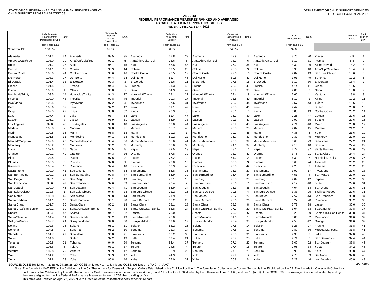#### **TABLE 1a FEDERAL PERFORMANCE MEASURES RANKED AND AVERAGED AS CALCULATED IN SUPPORTING TABLES FEDERAL FISCAL YEAR 2021**

|                       | <b>IV-D Paternity</b><br>Establishment<br>Percentage (PEP) | Rank           |                       | Cases with<br>Support<br>Orders<br>Established | Rank           |                       | Collections<br>on Current<br>Support | Rank           |                       | Cases with<br>Collections on<br>Arrears | Rank           |                       | Cost<br>Effectiveness | Rank           |                         | Average<br>Score | Rank<br>(High to<br>Low) |
|-----------------------|------------------------------------------------------------|----------------|-----------------------|------------------------------------------------|----------------|-----------------------|--------------------------------------|----------------|-----------------------|-----------------------------------------|----------------|-----------------------|-----------------------|----------------|-------------------------|------------------|--------------------------|
|                       | From Table 1.1.1                                           |                |                       | From Table 1.2                                 |                |                       | From Table 1.3                       |                |                       | From Table 1.4                          |                |                       | From Table 1.5        |                |                         |                  |                          |
| <b>STATEWIDE</b>      | 100.8%                                                     |                |                       | 92.8%                                          |                |                       | 66.5%                                |                |                       | 74.5%                                   |                |                       | \$2.68                |                |                         |                  |                          |
| Alameda               | 101.3                                                      | 34             | Alameda               | 93.5                                           | 35             | Alameda               | 67.8                                 | 29             | Alameda               | 77.9                                    | 13             | Alameda               | 3.76                  | 20             | Placer                  | 4.8              | $\overline{1}$           |
| Ama/Alp/Cala/Tuol     | 103.0                                                      | 19             | Ama/Alp/Cala/Tuol     | 97.1                                           | 5              | Ama/Alp/Cala/Tuol     | 73.6                                 | 6              | Ama/Alp/Cala/Tuol     | 78.9                                    | 6              | Ama/Alp/Cala/Tuol     | 3.10                  | 31             | Plumas                  | 8.8              | $\overline{2}$           |
| <b>Butte</b>          | 101.7                                                      | 28             | <b>Butte</b>          | 95.7                                           | 15             | <b>Butte</b>          | 63.8                                 | 43             | <b>Butte</b>          | 75.2                                    | 36             | <b>Butte</b>          | 3.32                  | 26             | Sierra/Nevada           | 13.2             | 3                        |
| Colusa                | 104.1                                                      | 12             | Colusa                | 90.9                                           | 44             | Colusa                | 69.5                                 | 20             | Colusa                | 78.5                                    | 9              | Colusa                | 3.90                  | 18             | Ama/Alp/Cala/Tuol       | 13.4             | $\overline{4}$           |
| Contra Costa          | 100.0                                                      | 44             | Contra Costa          | 95.6                                           | 16             | Contra Costa          | 72.5                                 | 12             | Contra Costa          | 77.6                                    | 16             | Contra Costa          | 4.07                  | 13             | San Luis Obispo         | 13.6             | 5                        |
| Del Norte             | 103.3                                                      | 17             | Del Norte             | 94.4                                           | 24             | Del Norte             | 61.7                                 | 46             | Del Norte             | 69.6                                    | 49             | Del Norte             | 1.91                  | 49             | Sonoma                  | 17.2             | 6                        |
| El Dorado             | 101.4                                                      | 33             | El Dorado             | 97.3                                           | 3              | El Dorado             | 72.6                                 | 11             | El Dorado             | 77.6                                    | 15             | El Dorado             | 3.19                  | 30             | El Dorado               | 18.4             | $\overline{7}$           |
| Fresno                | 101.4                                                      | 32             | Fresno                | 94.4                                           | 25             | Fresno                | 61.3                                 | 48             | Fresno                | 72.9                                    | 43             | Fresno                | 4.14                  | 11             | <b>Glenn</b>            | 18.6             | 8                        |
| Glenn                 | 106.9                                                      | $\overline{4}$ | Glenn                 | 96.8                                           | $\overline{7}$ | Glenn                 | 64.3                                 | 42             | Glenn                 | 73.9                                    | 38             | Glenn                 | 4.86                  | $\overline{2}$ | Vapa                    | 18.8             | 9                        |
| Humboldt/Trinity      | 103.5                                                      | 14             | Humboldt/Trinity      | 94.3                                           | 27             | Humboldt/Trinity      | 68.1                                 | 27             | Humboldt/Trinity      | 77.4                                    | 19             | Humboldt/Trinity      | 2.60                  | 41             | /entura                 | 18.8             | $\overline{9}$           |
| Imperial              | 100.0                                                      | 43             | Imperial              | 90.8                                           | 45             | mperial               | 70.3                                 | 17             | Imperial              | 73.8                                    | 40             | Imperial              | 5.12                  | $\mathbf{1}$   | (ings                   | 19.2             | 11                       |
| Inyo/Mono             | 103.4                                                      | 16             | Inyo/Mono             | 97.2                                           | $\overline{4}$ | nyo/Mono              | 67.6                                 | 31             | Inyo/Mono             | 72.2                                    | 44             | Inyo/Mono             | 2.57                  | 43             | <b>Tulare</b>           | 19.6             | 12                       |
| Kern                  | 100.6                                                      | 37             | Kern                  | 92.2                                           | 42             | Kern                  | 61.1                                 | 49             | Kern                  | 70.8                                    | 46             | Kern                  | 4.42                  | 5              | Sutter                  | 20.0             | 13                       |
| Kings                 | 102.3                                                      | 27             | Kings                 | 93.8                                           | 32             | Kings                 | 73.3                                 | 8              | Kings                 | 78.1                                    | 10             | Kings                 | 3.83                  | 19             | Contra Costa            | 20.2             | 14                       |
| Lake                  | 107.4                                                      | 3              | Lake                  | 93.7                                           | 33             | _ake                  | 61.4                                 | 47             | .ake                  | 76.1                                    | 30             | _ake                  | 2.26                  | 47             | Colusa                  | 20.6             | 15                       |
| Lassen                | 105.1                                                      | $\overline{7}$ | Lassen                | 93.9                                           | 31             | .assen                | 66.9                                 | 33             | Lassen                | 70.3                                    | 47             | _assen                | 2.90                  | 35             | Solano                  | 20.6             | 15                       |
| Los Angeles           | 99.0                                                       | 48             | Los Angeles           | 90.8                                           | 48             | Los Angeles           | 62.8                                 | 44             | Los Angeles           | 70.9                                    | 45             | Los Angeles           | 2.71                  | 40             | Marin                   | 20.8             | 17                       |
| Madera                | 108.8                                                      | $\overline{2}$ | Madera                | 94.8                                           | 21             | Madera                | 65.7                                 | 40             | Madera                | 76.3                                    | 28             | Madera                | 4.02                  | 15             | Aadera                  | 21.2             | 18                       |
| Marin                 | 100.8                                                      | 36             | Marin                 | 95.8                                           | 13             | Marin                 | 79.2                                 | 1              | Marin                 | 70.2                                    | 48             | Marin                 | 4.35                  | 6              | olo/                    | 21.6             | 19                       |
| Mendocino             | 101.5                                                      | 31             | Mendocino             | 94.1                                           | 28             | Mendocino             | 69.2                                 | 22             | Mendocino             | 75.7                                    | 32             | Mendocino             | 2.37                  | 45             | <b>Monterey</b>         | 22.0             | 20                       |
| Merced/Mariposa       | 102.9                                                      | 20             | Merced/Mariposa       | 93.4                                           | 36             | Merced/Mariposa       | 65.6                                 | 41             | Merced/Mariposa       | 73.8                                    | 39             | Merced/Mariposa       | 3.65                  | 23             | <b>Stanislaus</b>       | 22.2             | 21                       |
| Monterey              | 103.2                                                      | 18             | Monterey              | 96.2                                           | 9              | Monterey              | 66.6                                 | 36             | Monterey              | 74.1                                    | 37             | Monterey              | 4.15                  | 10             | Shasta                  | 22.4             | 22                       |
| Napa                  | 102.6                                                      | 25             | Napa                  | 96.5                                           | 8              | Napa                  | 72.5                                 | 13             | Napa                  | 78.1                                    | 11             | Napa                  | 2.77                  | 37             | Santa Barbara           | 22.6             | 23                       |
| Orange                | 100.1                                                      | 40             | Orange                | 94.3                                           | 26             | Orange                | 67.8                                 | 30             | Orange                | 73.2                                    | 41             | Orange                | 3.75                  | 21             | Santa Clara             | 24.4             | 24                       |
| Placer                | 104.5                                                      | 10             | Placer                | 97.6                                           | $\overline{2}$ | Placer                | 76.2                                 | $\overline{2}$ | Placer                | 81.2                                    | $\overline{2}$ | Placer                | 4.30                  | 8              | <b>lumboldt/Trinity</b> | 25.6             | 25                       |
| Plumas                | 105.3                                                      | 6              | Plumas                | 97.8                                           | $\mathbf{1}$   | Plumas                | 72.8                                 | 10             | Plumas                | 80.3                                    | 3              | Plumas                | 3.60                  | 24             | <b>Nameda</b>           | 26.2             | 26                       |
| Riverside             | 103.4                                                      | 15             | Riverside             | 92.4                                           | 40             | Riverside             | 62.3                                 | 45             | Riverside             | 73.0                                    | 42             | Riverside             | 4.28                  | 9              | <b>Tehama</b>           | 26.2             | 26                       |
| Sacramento            | 100.0                                                      | 41             | Sacramento            | 93.6                                           | 34             | Sacramento            | 66.8                                 | 35             | Sacramento            | 76.3                                    | 27             | Sacramento            | 3.92                  | 17             | nyo/Mono                | 27.6             | 28                       |
| San Bernardino        | 100.1                                                      | 38             | San Bernardino        | 90.8                                           | 47             | San Bernardino        | 65.9                                 | 39             | San Bernardino        | 75.4                                    | 34             | San Bernardino        | 4.51                  | $\overline{4}$ | San Mateo               | 29.0             | 29                       |
| San Diego             | 99.7                                                       | 46             | San Diego             | 88.1                                           | 49             | San Diego             | 70.1                                 | 18             | San Diego             | 76.8                                    | 23             | San Diego             | 4.09                  | 12             | mperial                 | 29.2             | 30                       |
| San Francisco         | 98.6                                                       | 49             | San Francisco         | 92.6                                           | 39             | San Francisco         | 73.4                                 | $\overline{7}$ | San Francisco         | 78.6                                    | $\overline{7}$ | San Francisco         | 2.12                  | 48             | Butte                   | 29.6             | 31                       |
| San Joaquin           | 100.0                                                      | 45             | San Joaquin           | 92.4                                           | 41             | San Joaquin           | 66.9                                 | 34             | San Joaquin           | 75.3                                    | 35             | San Joaquin           | 4.04                  | 14             | San Diego               | 29.6             | 31                       |
| San Luis Obispo       | 112.6                                                      | $\overline{1}$ | San Luis Obispo       | 94.5                                           | 23             | San Luis Obispo       | 72.2                                 | 15             | San Luis Obispo       | 79.5                                    | $\overline{4}$ | San Luis Obispo       | 3.33                  | 25             | Siskiyou/Modoc          | 29.6             | 31                       |
| San Mateo             | 100.0                                                      | 42             | San Mateo             | 95.8                                           | 14             | San Mateo             | 71.9                                 | 16             | San Mateo             | 76.2                                    | 29             | San Mateo             | 2.52                  | 44             | San Francisco           | 30.0             | 34                       |
| Santa Barbara         | 104.1                                                      | 13             | Santa Barbara         | 95.1                                           | 20             | Santa Barbara         | 68.2                                 | 26             | Santa Barbara         | 76.6                                    | 26             | Santa Barbara         | 3.27                  | 28             | Riverside               | 30.2             | 35                       |
| Santa Clara           | 101.7                                                      | 30             | Santa Clara           | 95.2                                           | 18             | Santa Clara           | 68.1                                 | 28             | Santa Clara           | 78.5                                    | 8              | Santa Clara           | 2.77                  | 38             | assen                   | 30.6             | 36                       |
| Santa Cruz/San Benito | 100.1                                                      | 39             | Santa Cruz/San Benito | 92.7                                           | 38             | Santa Cruz/San Benito | 68.8                                 | 24             | Santa Cruz/San Benito | 77.2                                    | 20             | Santa Cruz/San Benito | 3.04                  | 33             | Sacramento              | 30.8             | 37                       |
| Shasta                | 99.4                                                       | 47             | Shasta                | 94.7                                           | 22             | Shasta                | 73.0                                 | 9              | Shasta                | 79.0                                    | $\sqrt{5}$     | Shasta                | 3.25                  | 29             | Santa Cruz/San Benito   | 30.8             | 37                       |
| Sierra/Nevada         | 104.4                                                      | 11             | Sierra/Nevada         | 95.2                                           | 19             | Sierra/Nevada         | 76.0                                 | 3              | Sierra/Nevada         | 81.6                                    | $\overline{1}$ | Sierra/Nevada         | 3.06                  | 32             | Mendocino               | 31.6             | 39                       |
| Siskiyou/Modoc        | 102.7                                                      | 24             | Siskivou/Modoc        | 94.0                                           | 30             | Siskiyou/Modoc        | 69.6                                 | 19             | Siskiyou/Modoc        | 75.4                                    | 33             | Siskivou/Modoc        | 2.58                  | 42             | Orange                  | 31.6             | 39                       |
| Solano                | 102.6                                                      | 26             | Solano                | 96.1                                           | 11             | Solano                | 68.2                                 | 25             | Solano                | 77.8                                    | 14             | Solano                | 3.28                  | 27             | Fresno                  | 31.8             | 41                       |
| Sonoma                | 104.5                                                      | 9              | Sonoma                | 96.2                                           | 10             | Sonoma                | 72.3                                 | 14             | Sonoma                | 77.5                                    | 17             | Sonoma                | 2.80                  | 36             | Merced/Mariposa         | 31.8             | 41                       |
| Stanislaus            | 101.7                                                      | 29             | Stanislaus            | 96.8                                           | 6              | <b>Stanislaus</b>     | 66.2                                 | 38             | Stanislaus            | 75.8                                    | 31             | Stanislaus            | 4.35                  | $\overline{7}$ | .ake                    | 32.0             | 43                       |
| Sutter                | 104.8                                                      | 8              | Sutter                | 92.2                                           | 43             | Sutter                | 69.4                                 | 21             | Sutter                | 76.7                                    | 25             | Sutter                | 4.71                  | 3              | San Bernardino          | 32.4             | 44                       |
| Tehama                | 102.8                                                      | 21             | Tehama                | 94.0                                           | 29             | Tehama                | 66.4                                 | 37             | Tehama                | 77.1                                    | 22             | Tehama                | 3.69                  | 22             | San Joaquin             | 33.8             | 45                       |
| Tulare                | 106.6                                                      | 5              | Tulare                | 93.1                                           | 37             | Tulare                | 74.5                                 | $\overline{4}$ | Tulare                | 77.4                                    | 18             | Tulare                | 2.95                  | 34             | ruba                    | 34.2             | 46                       |
| Ventura               | 102.8                                                      | 22             | ∕entura               | 95.9                                           | 12             | /entura               | 68.9                                 | 23             | /entura               | 77.1                                    | 21             | √entura               | 3.96                  | 16             | (ern                    | 35.8             | 47                       |
| Yolo                  | 101.2                                                      | 35             | Yolo                  | 95.3                                           | 17             | Yolo                  | 74.3                                 | 5              | Yolo                  | 77.9                                    | 12             | Yolo                  | 2.75                  | 39             | Del Norte               | 37.0             | 48                       |
| Yuba                  | 102.8                                                      | 23             | Yuba                  | 90.8                                           | 46             | Yuba                  | 67.0                                 | 32             | Yuba                  | 76.8                                    | 24             | Yuba                  | 2.27                  | 46             | Los Angeles             | 45.0             | 49                       |

SOURCE: OCSE 157 Lines 1, 2, 5a, 6, 24, 25, 28, 29; OCSE 34 Lines 4b, 4c, 8, 11; and OCSE 396 Lines 1c (A+C), 7 (A+C)

Note: The formula for IV-D PEP is line 6 divided by line 5a. The formula for Cases with Support Orders Established is line 2 divided by line 1. The formula for Collections on Current Support is line 25 divided by line 24. on Arrears is line 29 divided by line 28. The formula for Cost Effectiveness is the sum of lines 4b, 4c, 8 and 11 of the OCSE 34 divided by the difference of line 7 (A+C) and line 1c (A+C) of the OCSE 396. The Average Scor the rank assigned for the five Federal Performance Measures for each LCSA then dividing by five.

This table was updated on April 22, 2022 due to a revision of the cost-effectiveness expenditure data.

4/21/2022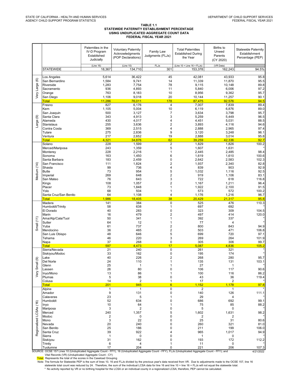#### TABLE 1.1 STATEWIDE PATERNITY ESTABLISHMENT PERCENTAGE USING UNDUPLICATED AGGREGATE COUNT DATA FEDERAL FISCAL YEAR 2021

|                         |                                                                                                                                                                                                                                                                                                                                                                                                                                                                                                                                                                                                                                                         | Paternities in the<br><b>IV-D Program</b><br>Established<br>Judicially | <b>Voluntary Paternity</b><br>Acknowledgments<br>(POP Declarations)            | Family Law<br>Judgments (FLJs)                                            | <b>Total Paternities</b><br><b>Established During</b><br>the Year              | Births to<br>Unwed<br>Parents<br>(CY 2020)                                     | <b>Statewide Paternity</b><br>Establishment<br>Percentage (PEP)      |  |  |  |  |  |
|-------------------------|---------------------------------------------------------------------------------------------------------------------------------------------------------------------------------------------------------------------------------------------------------------------------------------------------------------------------------------------------------------------------------------------------------------------------------------------------------------------------------------------------------------------------------------------------------------------------------------------------------------------------------------------------------|------------------------------------------------------------------------|--------------------------------------------------------------------------------|---------------------------------------------------------------------------|--------------------------------------------------------------------------------|--------------------------------------------------------------------------------|----------------------------------------------------------------------|--|--|--|--|--|
|                         | <b>STATEWIDE</b>                                                                                                                                                                                                                                                                                                                                                                                                                                                                                                                                                                                                                                        | (Line 16)<br>18,367                                                    | (Line 10)<br>134,710                                                           | <b>FLJs</b><br>301                                                        | (Line $10 +$ Line $16 +$ FLJs)<br>153,378                                      | (VR Data)<br>162.243                                                           | 94.5%                                                                |  |  |  |  |  |
| ම<br>Very Large         | Los Angeles<br>San Bernardino<br>Riverside<br>Sacramento<br>Orange<br>San Diego<br><b>Total</b>                                                                                                                                                                                                                                                                                                                                                                                                                                                                                                                                                         | 5,614<br>1,584<br>1,283<br>936<br>763<br>1,106<br>11,286               | 36,422<br>9,741<br>7,754<br>4,893<br>8,183<br>9,018<br>76,011                  | 45<br>14<br>78<br>11<br>10<br>20<br>178                                   | 42,081<br>11,339<br>9,115<br>5,840<br>8,956<br>10,144<br>87,475                | 43,933<br>11,870<br>10,148<br>6,006<br>9,362<br>11,257<br>92,576               | 95.8<br>95.5<br>89.8<br>97.2<br>95.7<br>90.1<br>94.5                 |  |  |  |  |  |
|                         | Fresno<br>Kern                                                                                                                                                                                                                                                                                                                                                                                                                                                                                                                                                                                                                                          | 827                                                                    | 6,176                                                                          | 4                                                                         | 7,007                                                                          | 7,839                                                                          | 89.4                                                                 |  |  |  |  |  |
| ම<br>Large              | San Joaquin<br>Santa Clara<br>Alameda<br>Stanislaus<br>Contra Costa<br>Tulare<br>Ventura<br><b>Total</b>                                                                                                                                                                                                                                                                                                                                                                                                                                                                                                                                                | 1,105<br>500<br>343<br>430<br>255<br>369<br>275<br>217<br>4,321        | 5,004<br>3,127<br>4,913<br>4,017<br>3,636<br>2,515<br>2,836<br>2,652<br>34,876 | 10<br>$\overline{7}$<br>3<br>4<br>$\overline{2}$<br>4<br>9<br>19<br>62    | 6,119<br>3,634<br>5,259<br>4,451<br>3,893<br>2,888<br>3,120<br>2,888<br>39,259 | 6,876<br>3,798<br>5,449<br>5,031<br>4,116<br>2,965<br>3,248<br>3,014<br>42,336 | 89.0<br>95.7<br>96.5<br>88.5<br>94.6<br>97.4<br>96.1<br>95.8<br>92.7 |  |  |  |  |  |
|                         | Solano<br>Merced/Mariposa                                                                                                                                                                                                                                                                                                                                                                                                                                                                                                                                                                                                                               | 228<br>243                                                             | 1,599<br>1,359                                                                 | $\overline{2}$<br>5                                                       | 1,829<br>1,607                                                                 | 1,826<br>1,631                                                                 | 100.2                                                                |  |  |  |  |  |
| Vledium (14)            | Monterey<br>Sonoma<br>Santa Barbara<br>San Francisco<br>Shasta<br><b>Butte</b>                                                                                                                                                                                                                                                                                                                                                                                                                                                                                                                                                                          | 228<br>163<br>183<br>111<br>99<br>73                                   | 2,216<br>1,450<br>2,459<br>1,824<br>736<br>954                                 | $\mathbf{1}$<br>6<br>0<br>$\overline{\mathbf{c}}$<br>4<br>5               | 2,445<br>1,619<br>2,642<br>1,937<br>839<br>1,032                               | 2,485<br>1,610<br>2,583<br>2,340<br>903<br>1,116                               | 98.4<br>100.6<br>102.3<br>82.8<br>92.9<br>92.5                       |  |  |  |  |  |
|                         | Imperial<br>San Mateo                                                                                                                                                                                                                                                                                                                                                                                                                                                                                                                                                                                                                                   | 269<br>76                                                              | 648<br>643                                                                     | $\overline{\mathbf{c}}$<br>3                                              | 919<br>722                                                                     | 1,106<br>618                                                                   | 83.1<br>116.8                                                        |  |  |  |  |  |
|                         | Kings<br>Placer<br>Yolo<br>Santa Cruz/San Benito<br><b>Total</b>                                                                                                                                                                                                                                                                                                                                                                                                                                                                                                                                                                                        | 108<br>73<br>68<br>64<br>1.986                                         | 1,057<br>1,848<br>504<br>1,108<br>18.405                                       | $\overline{\mathbf{c}}$<br>1<br>1<br>4<br>38                              | 1,167<br>1,922<br>573<br>1,176<br>20,429                                       | 1,211<br>2,100<br>572<br>1,216<br>21,317                                       | 96.4<br>91.5<br>100.2<br>96.7<br>95.8                                |  |  |  |  |  |
|                         | Madera<br>Humboldt/Trinity                                                                                                                                                                                                                                                                                                                                                                                                                                                                                                                                                                                                                              | 141<br>58                                                              | 384<br>638                                                                     | $\mathbf 0$<br>1                                                          | 525<br>697                                                                     | 476<br>692                                                                     | 110.3                                                                |  |  |  |  |  |
|                         | El Dorado<br>Marin<br>Ama/Alp/Cala/Tuol<br>Sutter                                                                                                                                                                                                                                                                                                                                                                                                                                                                                                                                                                                                       | 40<br>16<br>50<br>64                                                   | 283<br>479<br>341<br>12                                                        | $\mathbf 0$<br>$\overline{\mathbf{c}}$<br>1<br>1                          | 323<br>497<br>392<br>77                                                        | 309<br>414<br>337<br>$\overline{4}$                                            | 104.5<br>120.0                                                       |  |  |  |  |  |
| Small $(11)$            | Yuba<br>Mendocino<br>San Luis Obispo<br>Tehama<br>Napa                                                                                                                                                                                                                                                                                                                                                                                                                                                                                                                                                                                                  | 61<br>36<br>48<br>46<br>37                                             | 737<br>465<br>646<br>220<br>268                                                | $\overline{\mathbf{c}}$<br>$\overline{\mathbf{c}}$<br>5<br>3<br>$\pmb{0}$ | 800<br>503<br>699<br>269<br>305                                                | 843<br>471<br>720<br>264<br>306                                                | 94.9<br>106.8<br>97.1<br>101.9<br>99.7                               |  |  |  |  |  |
|                         | <b>Total</b><br>Sierra/Nevada                                                                                                                                                                                                                                                                                                                                                                                                                                                                                                                                                                                                                           | 597<br>21                                                              | 4,473<br>240                                                                   | 17<br>$\pmb{0}$                                                           | 5,087<br>261                                                                   | 4,836<br>321                                                                   | 105.2                                                                |  |  |  |  |  |
| ම<br>Small              | Siskiyou/Modoc<br>Lake<br>Del Norte<br>Glenn                                                                                                                                                                                                                                                                                                                                                                                                                                                                                                                                                                                                            | 33<br>40<br>24<br>25                                                   | 162<br>226<br>110<br>1                                                         | $\pmb{0}$<br>$\overline{2}$<br>1                                          | 195<br>268<br>135<br>27                                                        | 174<br>280<br>131<br>1                                                         | 95.7<br>103.1                                                        |  |  |  |  |  |
| Very                    | Lassen<br>Inyo/Mono                                                                                                                                                                                                                                                                                                                                                                                                                                                                                                                                                                                                                                     | 26<br>13                                                               | 80<br>86                                                                       | 0<br>1                                                                    | 106<br>100                                                                     | 117<br>116                                                                     | 90.6<br>86.2                                                         |  |  |  |  |  |
|                         | Plumas<br>Colusa<br><b>Total</b>                                                                                                                                                                                                                                                                                                                                                                                                                                                                                                                                                                                                                        | 5<br>14<br><u> 201</u>                                                 | 38<br>$\overline{2}$<br>945                                                    | 0<br>1<br>$6\phantom{1}6$                                                 | 43<br>17<br>1,152                                                              | 36<br>2<br>1,178                                                               | 119.4<br>97.8                                                        |  |  |  |  |  |
|                         | Alpine<br>Amador<br>Calaveras                                                                                                                                                                                                                                                                                                                                                                                                                                                                                                                                                                                                                           | $\mathbf{1}$<br>9<br>23                                                | 1<br>131<br>5                                                                  | $\pmb{0}$<br>0<br>1                                                       | $\boldsymbol{2}$<br>140<br>29                                                  | 1<br>126<br>4                                                                  | 111.1                                                                |  |  |  |  |  |
|                         | Humboldt<br>Inyo                                                                                                                                                                                                                                                                                                                                                                                                                                                                                                                                                                                                                                        | 52<br>10                                                               | 634<br>64                                                                      | 0<br>1                                                                    | 686<br>75                                                                      | 692<br>85                                                                      | 99.1<br>88.2                                                         |  |  |  |  |  |
| Regionalized LCSAs (16) | Mariposa<br>Merced<br>Modoc                                                                                                                                                                                                                                                                                                                                                                                                                                                                                                                                                                                                                             | 3<br>240<br>2                                                          | $\overline{2}$<br>1,357<br>0                                                   | 0<br>5<br>0                                                               | 5<br>1,602<br>$\overline{\mathbf{c}}$                                          | 0<br>1,631<br>2                                                                | 98.2                                                                 |  |  |  |  |  |
|                         | Mono<br>Nevada                                                                                                                                                                                                                                                                                                                                                                                                                                                                                                                                                                                                                                          | 3<br>20                                                                | 22<br>240                                                                      | 0<br>0                                                                    | 25<br>260                                                                      | 31<br>321                                                                      | 80.6<br>81.0                                                         |  |  |  |  |  |
|                         | San Benito<br>Santa Cruz                                                                                                                                                                                                                                                                                                                                                                                                                                                                                                                                                                                                                                | 25<br>39                                                               | 186<br>922                                                                     | 0<br>4                                                                    | 211<br>965                                                                     | 199<br>1,017                                                                   | 106.0<br>94.9                                                        |  |  |  |  |  |
|                         | Sierra<br>Siskiyou                                                                                                                                                                                                                                                                                                                                                                                                                                                                                                                                                                                                                                      | 1<br>31                                                                | 0<br>162                                                                       | 0<br>0                                                                    | 1<br>193                                                                       | 0<br>172                                                                       | 112.2                                                                |  |  |  |  |  |
|                         | <b>Trinity</b><br>6<br>4<br>1<br>11<br>0<br>204<br>221<br>206<br>Tuolumne<br>17<br>0<br>107.3<br>SOURCE: OCSE 157 Lines 10 (Unduplicated Aggregate Count - FFY), 16 (Unduplicated Aggregate Count - FFY), FLJs (Unduplicated Aggregate Count - FFY); and                                                                                                                                                                                                                                                                                                                                                                                                |                                                                        |                                                                                |                                                                           |                                                                                |                                                                                |                                                                      |  |  |  |  |  |
|                         | Vital Records (VR) (Unduplicated Aggregate Count - CY)<br><b>Total:</b> Represents the total of the scores in the Caseload Grouping<br>Note: The formula for Statewide PEP is the sum of lines 10, 16 and FLJs divided by the previous year's data received from VR. Due to adjustments made to the OCSE 157, line 16<br>statewide total count was reduced by 24. Therefore, the sum of the individual LCSA data for line 16 and line 10 + line 16 + FLJs will not equal the statewide total.<br>* No activity reported by VR or no birthing hospital for the LCSA or an individual county in a regionalized LCSA; therefore, PEP cannot be calculated. |                                                                        |                                                                                |                                                                           |                                                                                |                                                                                | 4/21/2022                                                            |  |  |  |  |  |

Note: The formula for Statewide PEP is the sum of lines 10, 16 and FLJs divided by the previous year's data received from VR. Due to adjustments made to the OCSE 157, line 16 statewide total count was reduced by 24. Theref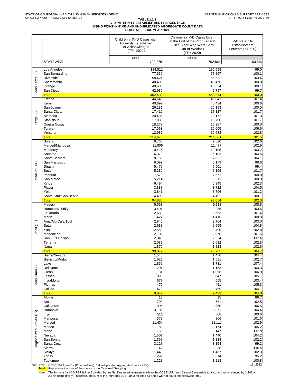### **TABLE 1.1.1 IV-D PATERNITY ESTABLISHMENT PERCENTAGE USING POINT-IN-TIME AND UNDUPLICATED AGGREGATE COUNT DATA FEDERAL FISCAL YEAR 2021**

| (Line 6)<br>(Line 5a)<br><b>STATEWIDE</b><br>799,276<br>792,864<br>100.8%<br>Los Angeles<br>184,811<br>186,598<br>99.0<br>Very Large (6)<br>San Bernardino<br>77,339<br>77,267<br>100.1<br>Riverside<br>58,421<br>56,522<br>103.4<br>48,499<br>48,476<br>100.0<br>Sacramento<br>Orange<br>40,688<br>40,654<br>100.1<br>42,797<br>99.7<br>San Diego<br>42,680<br><b>Total</b><br>452,438<br>452,314<br>100.0<br>44,545<br>43,941<br>101.4<br>Fresno<br>40,692<br>40,434<br>100.6<br>Kern<br>San Joaquin<br>26,181<br>26,193<br>100.0<br>Santa Clara<br>17,416<br>17,127<br>101.7<br>ම<br>Alameda<br>101.3<br>20,435<br>20,171<br>Large<br>17,080<br>16,790<br>Stanislaus<br>101.7<br>Contra Costa<br>18,279<br>18,287<br>100.0<br>17,063<br>16,005<br>Tulare<br>106.6<br>Ventura<br>12,987<br>12,633<br>102.8<br><b>Total</b><br>214,678<br>211,581<br>101.5<br>Solano<br>9,765<br>9,520<br>102.6<br>Merced/Mariposa<br>11,806<br>11,477<br>102.9<br>10,426<br>10,105<br>103.2<br>Monterey<br>Sonoma<br>6,379<br>6,103<br>104.5<br>Santa Barbara<br>8,155<br>7,832<br>104.1<br>San Francisco<br>6,092<br>6,179<br>98.6<br>Medium (14)<br>5,501<br>99.4<br>Shasta<br>5,470<br><b>Butte</b><br>5,289<br>5,199<br>101.7<br>7,571<br>100.0<br>Imperial<br>7,570<br>San Mateo<br>5,212<br>5,214<br>100.0<br>6,494<br>6,345<br>Kings<br>102.3<br>Placer<br>3,888<br>3,722<br>104.5<br>Yolo<br>3,841<br>3,796<br>101.2<br>Santa Cruz/San Benito<br>4,496<br>4,492<br>100.1<br><b>Total</b><br>94,885<br>93,054<br>102.0<br>Madera<br>5,563<br>5,113<br>108.8<br>Humboldt/Trinity<br>3,401<br>3,285<br>103.5<br>El Dorado<br>2,689<br>2,653<br>101.4<br>Marin<br>1,427<br>1,416<br>100.8<br>Ama/Alp/Cala/Tuol<br>2,764<br>2,846<br>103.0<br>Small $(11)$<br>Sutter<br>2,688<br>2,565<br>104.8<br>Yuba<br>2,559<br>2,490<br>102.8<br>2,102<br>2,070<br>Mendocino<br>101.5<br>2,843<br>2,524<br>San Luis Obispo<br>112.6<br>Tehama<br>2,089<br>2,032<br>102.8<br>1,870<br>1,823<br>102.6<br>Napa<br><b>Total</b><br>30,077<br>104.7<br>28,735<br>104.4<br>1,543<br>1,478<br>Sierra/Nevada<br>1,623<br>1,581<br>102.7<br>Siskiyou/Modoc<br>1,859<br>1,731<br>107.4<br>Lake<br>Very Small (9)<br>Del Norte<br>1,201<br>1,163<br>103.3<br>Glenn<br>1,131<br>1,058<br>106.9<br>890<br>847<br>105.1<br>Lassen<br>677<br>655<br>103.4<br>Inyo/Mono<br>475<br>451<br>105.3<br>Plumas<br>478<br>459<br>104.1<br>Colusa<br>104.8<br><b>Total</b><br>9,877<br>9,423<br>13<br>15<br>86.7<br>Alpine<br>700<br>681<br>102.8<br>Amador<br>905<br>850<br>106.5<br>Calaveras<br>3,102<br>2,971<br>104.4<br>Humboldt<br>Regionalized LCSAs (16)<br>511<br>508<br>100.6<br>Inyo<br>372<br>366<br>101.6<br>Mariposa<br>11,434<br>11,111<br>102.9<br>Merced<br>174<br>Modoc<br>183<br>105.2<br>147<br>166<br>Mono<br>112.9<br>1,501<br>1,440<br>104.2<br>Nevada<br>1,368<br>1,338<br>102.2<br>San Benito<br>3,128<br>99.2<br>Santa Cruz<br>3,154<br>42<br>38<br>110.5<br>Sierra<br>1,440<br>1,407<br>102.3<br>Siskiyou<br>299<br>314<br>95.2<br>Trinity<br>1,228<br>1,218<br>Tuolumne<br>100.8 |  | Children in IV-D Cases with<br><b>Paternity Established</b><br>or Acknowledged<br>(FFY 2021) | Children in IV-D Cases Open<br>at the End of the Prior Federal<br>Fiscal Year Who Were Born<br>Out-of-Wedlock<br>(FFY 2020) | <b>IV-D Paternity</b><br>Establishment<br>Percentage (PEP) |
|-----------------------------------------------------------------------------------------------------------------------------------------------------------------------------------------------------------------------------------------------------------------------------------------------------------------------------------------------------------------------------------------------------------------------------------------------------------------------------------------------------------------------------------------------------------------------------------------------------------------------------------------------------------------------------------------------------------------------------------------------------------------------------------------------------------------------------------------------------------------------------------------------------------------------------------------------------------------------------------------------------------------------------------------------------------------------------------------------------------------------------------------------------------------------------------------------------------------------------------------------------------------------------------------------------------------------------------------------------------------------------------------------------------------------------------------------------------------------------------------------------------------------------------------------------------------------------------------------------------------------------------------------------------------------------------------------------------------------------------------------------------------------------------------------------------------------------------------------------------------------------------------------------------------------------------------------------------------------------------------------------------------------------------------------------------------------------------------------------------------------------------------------------------------------------------------------------------------------------------------------------------------------------------------------------------------------------------------------------------------------------------------------------------------------------------------------------------------------------------------------------------------------------------------------------------------------------------------------------------------------------------------------------------------------------------------------------------------------------------------------------------------------------------------------------------------------------------------------------------------------------------------------------------------------------------------------------------------------------------------------------------------------------------------------------------------|--|----------------------------------------------------------------------------------------------|-----------------------------------------------------------------------------------------------------------------------------|------------------------------------------------------------|
|                                                                                                                                                                                                                                                                                                                                                                                                                                                                                                                                                                                                                                                                                                                                                                                                                                                                                                                                                                                                                                                                                                                                                                                                                                                                                                                                                                                                                                                                                                                                                                                                                                                                                                                                                                                                                                                                                                                                                                                                                                                                                                                                                                                                                                                                                                                                                                                                                                                                                                                                                                                                                                                                                                                                                                                                                                                                                                                                                                                                                                                                 |  |                                                                                              |                                                                                                                             |                                                            |
|                                                                                                                                                                                                                                                                                                                                                                                                                                                                                                                                                                                                                                                                                                                                                                                                                                                                                                                                                                                                                                                                                                                                                                                                                                                                                                                                                                                                                                                                                                                                                                                                                                                                                                                                                                                                                                                                                                                                                                                                                                                                                                                                                                                                                                                                                                                                                                                                                                                                                                                                                                                                                                                                                                                                                                                                                                                                                                                                                                                                                                                                 |  |                                                                                              |                                                                                                                             |                                                            |
|                                                                                                                                                                                                                                                                                                                                                                                                                                                                                                                                                                                                                                                                                                                                                                                                                                                                                                                                                                                                                                                                                                                                                                                                                                                                                                                                                                                                                                                                                                                                                                                                                                                                                                                                                                                                                                                                                                                                                                                                                                                                                                                                                                                                                                                                                                                                                                                                                                                                                                                                                                                                                                                                                                                                                                                                                                                                                                                                                                                                                                                                 |  |                                                                                              |                                                                                                                             |                                                            |
|                                                                                                                                                                                                                                                                                                                                                                                                                                                                                                                                                                                                                                                                                                                                                                                                                                                                                                                                                                                                                                                                                                                                                                                                                                                                                                                                                                                                                                                                                                                                                                                                                                                                                                                                                                                                                                                                                                                                                                                                                                                                                                                                                                                                                                                                                                                                                                                                                                                                                                                                                                                                                                                                                                                                                                                                                                                                                                                                                                                                                                                                 |  |                                                                                              |                                                                                                                             |                                                            |
|                                                                                                                                                                                                                                                                                                                                                                                                                                                                                                                                                                                                                                                                                                                                                                                                                                                                                                                                                                                                                                                                                                                                                                                                                                                                                                                                                                                                                                                                                                                                                                                                                                                                                                                                                                                                                                                                                                                                                                                                                                                                                                                                                                                                                                                                                                                                                                                                                                                                                                                                                                                                                                                                                                                                                                                                                                                                                                                                                                                                                                                                 |  |                                                                                              |                                                                                                                             |                                                            |
|                                                                                                                                                                                                                                                                                                                                                                                                                                                                                                                                                                                                                                                                                                                                                                                                                                                                                                                                                                                                                                                                                                                                                                                                                                                                                                                                                                                                                                                                                                                                                                                                                                                                                                                                                                                                                                                                                                                                                                                                                                                                                                                                                                                                                                                                                                                                                                                                                                                                                                                                                                                                                                                                                                                                                                                                                                                                                                                                                                                                                                                                 |  |                                                                                              |                                                                                                                             |                                                            |
|                                                                                                                                                                                                                                                                                                                                                                                                                                                                                                                                                                                                                                                                                                                                                                                                                                                                                                                                                                                                                                                                                                                                                                                                                                                                                                                                                                                                                                                                                                                                                                                                                                                                                                                                                                                                                                                                                                                                                                                                                                                                                                                                                                                                                                                                                                                                                                                                                                                                                                                                                                                                                                                                                                                                                                                                                                                                                                                                                                                                                                                                 |  |                                                                                              |                                                                                                                             |                                                            |
|                                                                                                                                                                                                                                                                                                                                                                                                                                                                                                                                                                                                                                                                                                                                                                                                                                                                                                                                                                                                                                                                                                                                                                                                                                                                                                                                                                                                                                                                                                                                                                                                                                                                                                                                                                                                                                                                                                                                                                                                                                                                                                                                                                                                                                                                                                                                                                                                                                                                                                                                                                                                                                                                                                                                                                                                                                                                                                                                                                                                                                                                 |  |                                                                                              |                                                                                                                             |                                                            |
|                                                                                                                                                                                                                                                                                                                                                                                                                                                                                                                                                                                                                                                                                                                                                                                                                                                                                                                                                                                                                                                                                                                                                                                                                                                                                                                                                                                                                                                                                                                                                                                                                                                                                                                                                                                                                                                                                                                                                                                                                                                                                                                                                                                                                                                                                                                                                                                                                                                                                                                                                                                                                                                                                                                                                                                                                                                                                                                                                                                                                                                                 |  |                                                                                              |                                                                                                                             |                                                            |
|                                                                                                                                                                                                                                                                                                                                                                                                                                                                                                                                                                                                                                                                                                                                                                                                                                                                                                                                                                                                                                                                                                                                                                                                                                                                                                                                                                                                                                                                                                                                                                                                                                                                                                                                                                                                                                                                                                                                                                                                                                                                                                                                                                                                                                                                                                                                                                                                                                                                                                                                                                                                                                                                                                                                                                                                                                                                                                                                                                                                                                                                 |  |                                                                                              |                                                                                                                             |                                                            |
|                                                                                                                                                                                                                                                                                                                                                                                                                                                                                                                                                                                                                                                                                                                                                                                                                                                                                                                                                                                                                                                                                                                                                                                                                                                                                                                                                                                                                                                                                                                                                                                                                                                                                                                                                                                                                                                                                                                                                                                                                                                                                                                                                                                                                                                                                                                                                                                                                                                                                                                                                                                                                                                                                                                                                                                                                                                                                                                                                                                                                                                                 |  |                                                                                              |                                                                                                                             |                                                            |
|                                                                                                                                                                                                                                                                                                                                                                                                                                                                                                                                                                                                                                                                                                                                                                                                                                                                                                                                                                                                                                                                                                                                                                                                                                                                                                                                                                                                                                                                                                                                                                                                                                                                                                                                                                                                                                                                                                                                                                                                                                                                                                                                                                                                                                                                                                                                                                                                                                                                                                                                                                                                                                                                                                                                                                                                                                                                                                                                                                                                                                                                 |  |                                                                                              |                                                                                                                             |                                                            |
|                                                                                                                                                                                                                                                                                                                                                                                                                                                                                                                                                                                                                                                                                                                                                                                                                                                                                                                                                                                                                                                                                                                                                                                                                                                                                                                                                                                                                                                                                                                                                                                                                                                                                                                                                                                                                                                                                                                                                                                                                                                                                                                                                                                                                                                                                                                                                                                                                                                                                                                                                                                                                                                                                                                                                                                                                                                                                                                                                                                                                                                                 |  |                                                                                              |                                                                                                                             |                                                            |
|                                                                                                                                                                                                                                                                                                                                                                                                                                                                                                                                                                                                                                                                                                                                                                                                                                                                                                                                                                                                                                                                                                                                                                                                                                                                                                                                                                                                                                                                                                                                                                                                                                                                                                                                                                                                                                                                                                                                                                                                                                                                                                                                                                                                                                                                                                                                                                                                                                                                                                                                                                                                                                                                                                                                                                                                                                                                                                                                                                                                                                                                 |  |                                                                                              |                                                                                                                             |                                                            |
|                                                                                                                                                                                                                                                                                                                                                                                                                                                                                                                                                                                                                                                                                                                                                                                                                                                                                                                                                                                                                                                                                                                                                                                                                                                                                                                                                                                                                                                                                                                                                                                                                                                                                                                                                                                                                                                                                                                                                                                                                                                                                                                                                                                                                                                                                                                                                                                                                                                                                                                                                                                                                                                                                                                                                                                                                                                                                                                                                                                                                                                                 |  |                                                                                              |                                                                                                                             |                                                            |
|                                                                                                                                                                                                                                                                                                                                                                                                                                                                                                                                                                                                                                                                                                                                                                                                                                                                                                                                                                                                                                                                                                                                                                                                                                                                                                                                                                                                                                                                                                                                                                                                                                                                                                                                                                                                                                                                                                                                                                                                                                                                                                                                                                                                                                                                                                                                                                                                                                                                                                                                                                                                                                                                                                                                                                                                                                                                                                                                                                                                                                                                 |  |                                                                                              |                                                                                                                             |                                                            |
|                                                                                                                                                                                                                                                                                                                                                                                                                                                                                                                                                                                                                                                                                                                                                                                                                                                                                                                                                                                                                                                                                                                                                                                                                                                                                                                                                                                                                                                                                                                                                                                                                                                                                                                                                                                                                                                                                                                                                                                                                                                                                                                                                                                                                                                                                                                                                                                                                                                                                                                                                                                                                                                                                                                                                                                                                                                                                                                                                                                                                                                                 |  |                                                                                              |                                                                                                                             |                                                            |
|                                                                                                                                                                                                                                                                                                                                                                                                                                                                                                                                                                                                                                                                                                                                                                                                                                                                                                                                                                                                                                                                                                                                                                                                                                                                                                                                                                                                                                                                                                                                                                                                                                                                                                                                                                                                                                                                                                                                                                                                                                                                                                                                                                                                                                                                                                                                                                                                                                                                                                                                                                                                                                                                                                                                                                                                                                                                                                                                                                                                                                                                 |  |                                                                                              |                                                                                                                             |                                                            |
|                                                                                                                                                                                                                                                                                                                                                                                                                                                                                                                                                                                                                                                                                                                                                                                                                                                                                                                                                                                                                                                                                                                                                                                                                                                                                                                                                                                                                                                                                                                                                                                                                                                                                                                                                                                                                                                                                                                                                                                                                                                                                                                                                                                                                                                                                                                                                                                                                                                                                                                                                                                                                                                                                                                                                                                                                                                                                                                                                                                                                                                                 |  |                                                                                              |                                                                                                                             |                                                            |
|                                                                                                                                                                                                                                                                                                                                                                                                                                                                                                                                                                                                                                                                                                                                                                                                                                                                                                                                                                                                                                                                                                                                                                                                                                                                                                                                                                                                                                                                                                                                                                                                                                                                                                                                                                                                                                                                                                                                                                                                                                                                                                                                                                                                                                                                                                                                                                                                                                                                                                                                                                                                                                                                                                                                                                                                                                                                                                                                                                                                                                                                 |  |                                                                                              |                                                                                                                             |                                                            |
|                                                                                                                                                                                                                                                                                                                                                                                                                                                                                                                                                                                                                                                                                                                                                                                                                                                                                                                                                                                                                                                                                                                                                                                                                                                                                                                                                                                                                                                                                                                                                                                                                                                                                                                                                                                                                                                                                                                                                                                                                                                                                                                                                                                                                                                                                                                                                                                                                                                                                                                                                                                                                                                                                                                                                                                                                                                                                                                                                                                                                                                                 |  |                                                                                              |                                                                                                                             |                                                            |
|                                                                                                                                                                                                                                                                                                                                                                                                                                                                                                                                                                                                                                                                                                                                                                                                                                                                                                                                                                                                                                                                                                                                                                                                                                                                                                                                                                                                                                                                                                                                                                                                                                                                                                                                                                                                                                                                                                                                                                                                                                                                                                                                                                                                                                                                                                                                                                                                                                                                                                                                                                                                                                                                                                                                                                                                                                                                                                                                                                                                                                                                 |  |                                                                                              |                                                                                                                             |                                                            |
|                                                                                                                                                                                                                                                                                                                                                                                                                                                                                                                                                                                                                                                                                                                                                                                                                                                                                                                                                                                                                                                                                                                                                                                                                                                                                                                                                                                                                                                                                                                                                                                                                                                                                                                                                                                                                                                                                                                                                                                                                                                                                                                                                                                                                                                                                                                                                                                                                                                                                                                                                                                                                                                                                                                                                                                                                                                                                                                                                                                                                                                                 |  |                                                                                              |                                                                                                                             |                                                            |
|                                                                                                                                                                                                                                                                                                                                                                                                                                                                                                                                                                                                                                                                                                                                                                                                                                                                                                                                                                                                                                                                                                                                                                                                                                                                                                                                                                                                                                                                                                                                                                                                                                                                                                                                                                                                                                                                                                                                                                                                                                                                                                                                                                                                                                                                                                                                                                                                                                                                                                                                                                                                                                                                                                                                                                                                                                                                                                                                                                                                                                                                 |  |                                                                                              |                                                                                                                             |                                                            |
|                                                                                                                                                                                                                                                                                                                                                                                                                                                                                                                                                                                                                                                                                                                                                                                                                                                                                                                                                                                                                                                                                                                                                                                                                                                                                                                                                                                                                                                                                                                                                                                                                                                                                                                                                                                                                                                                                                                                                                                                                                                                                                                                                                                                                                                                                                                                                                                                                                                                                                                                                                                                                                                                                                                                                                                                                                                                                                                                                                                                                                                                 |  |                                                                                              |                                                                                                                             |                                                            |
|                                                                                                                                                                                                                                                                                                                                                                                                                                                                                                                                                                                                                                                                                                                                                                                                                                                                                                                                                                                                                                                                                                                                                                                                                                                                                                                                                                                                                                                                                                                                                                                                                                                                                                                                                                                                                                                                                                                                                                                                                                                                                                                                                                                                                                                                                                                                                                                                                                                                                                                                                                                                                                                                                                                                                                                                                                                                                                                                                                                                                                                                 |  |                                                                                              |                                                                                                                             |                                                            |
|                                                                                                                                                                                                                                                                                                                                                                                                                                                                                                                                                                                                                                                                                                                                                                                                                                                                                                                                                                                                                                                                                                                                                                                                                                                                                                                                                                                                                                                                                                                                                                                                                                                                                                                                                                                                                                                                                                                                                                                                                                                                                                                                                                                                                                                                                                                                                                                                                                                                                                                                                                                                                                                                                                                                                                                                                                                                                                                                                                                                                                                                 |  |                                                                                              |                                                                                                                             |                                                            |
|                                                                                                                                                                                                                                                                                                                                                                                                                                                                                                                                                                                                                                                                                                                                                                                                                                                                                                                                                                                                                                                                                                                                                                                                                                                                                                                                                                                                                                                                                                                                                                                                                                                                                                                                                                                                                                                                                                                                                                                                                                                                                                                                                                                                                                                                                                                                                                                                                                                                                                                                                                                                                                                                                                                                                                                                                                                                                                                                                                                                                                                                 |  |                                                                                              |                                                                                                                             |                                                            |
|                                                                                                                                                                                                                                                                                                                                                                                                                                                                                                                                                                                                                                                                                                                                                                                                                                                                                                                                                                                                                                                                                                                                                                                                                                                                                                                                                                                                                                                                                                                                                                                                                                                                                                                                                                                                                                                                                                                                                                                                                                                                                                                                                                                                                                                                                                                                                                                                                                                                                                                                                                                                                                                                                                                                                                                                                                                                                                                                                                                                                                                                 |  |                                                                                              |                                                                                                                             |                                                            |
|                                                                                                                                                                                                                                                                                                                                                                                                                                                                                                                                                                                                                                                                                                                                                                                                                                                                                                                                                                                                                                                                                                                                                                                                                                                                                                                                                                                                                                                                                                                                                                                                                                                                                                                                                                                                                                                                                                                                                                                                                                                                                                                                                                                                                                                                                                                                                                                                                                                                                                                                                                                                                                                                                                                                                                                                                                                                                                                                                                                                                                                                 |  |                                                                                              |                                                                                                                             |                                                            |
|                                                                                                                                                                                                                                                                                                                                                                                                                                                                                                                                                                                                                                                                                                                                                                                                                                                                                                                                                                                                                                                                                                                                                                                                                                                                                                                                                                                                                                                                                                                                                                                                                                                                                                                                                                                                                                                                                                                                                                                                                                                                                                                                                                                                                                                                                                                                                                                                                                                                                                                                                                                                                                                                                                                                                                                                                                                                                                                                                                                                                                                                 |  |                                                                                              |                                                                                                                             |                                                            |
|                                                                                                                                                                                                                                                                                                                                                                                                                                                                                                                                                                                                                                                                                                                                                                                                                                                                                                                                                                                                                                                                                                                                                                                                                                                                                                                                                                                                                                                                                                                                                                                                                                                                                                                                                                                                                                                                                                                                                                                                                                                                                                                                                                                                                                                                                                                                                                                                                                                                                                                                                                                                                                                                                                                                                                                                                                                                                                                                                                                                                                                                 |  |                                                                                              |                                                                                                                             |                                                            |
|                                                                                                                                                                                                                                                                                                                                                                                                                                                                                                                                                                                                                                                                                                                                                                                                                                                                                                                                                                                                                                                                                                                                                                                                                                                                                                                                                                                                                                                                                                                                                                                                                                                                                                                                                                                                                                                                                                                                                                                                                                                                                                                                                                                                                                                                                                                                                                                                                                                                                                                                                                                                                                                                                                                                                                                                                                                                                                                                                                                                                                                                 |  |                                                                                              |                                                                                                                             |                                                            |
|                                                                                                                                                                                                                                                                                                                                                                                                                                                                                                                                                                                                                                                                                                                                                                                                                                                                                                                                                                                                                                                                                                                                                                                                                                                                                                                                                                                                                                                                                                                                                                                                                                                                                                                                                                                                                                                                                                                                                                                                                                                                                                                                                                                                                                                                                                                                                                                                                                                                                                                                                                                                                                                                                                                                                                                                                                                                                                                                                                                                                                                                 |  |                                                                                              |                                                                                                                             |                                                            |
|                                                                                                                                                                                                                                                                                                                                                                                                                                                                                                                                                                                                                                                                                                                                                                                                                                                                                                                                                                                                                                                                                                                                                                                                                                                                                                                                                                                                                                                                                                                                                                                                                                                                                                                                                                                                                                                                                                                                                                                                                                                                                                                                                                                                                                                                                                                                                                                                                                                                                                                                                                                                                                                                                                                                                                                                                                                                                                                                                                                                                                                                 |  |                                                                                              |                                                                                                                             |                                                            |
|                                                                                                                                                                                                                                                                                                                                                                                                                                                                                                                                                                                                                                                                                                                                                                                                                                                                                                                                                                                                                                                                                                                                                                                                                                                                                                                                                                                                                                                                                                                                                                                                                                                                                                                                                                                                                                                                                                                                                                                                                                                                                                                                                                                                                                                                                                                                                                                                                                                                                                                                                                                                                                                                                                                                                                                                                                                                                                                                                                                                                                                                 |  |                                                                                              |                                                                                                                             |                                                            |
|                                                                                                                                                                                                                                                                                                                                                                                                                                                                                                                                                                                                                                                                                                                                                                                                                                                                                                                                                                                                                                                                                                                                                                                                                                                                                                                                                                                                                                                                                                                                                                                                                                                                                                                                                                                                                                                                                                                                                                                                                                                                                                                                                                                                                                                                                                                                                                                                                                                                                                                                                                                                                                                                                                                                                                                                                                                                                                                                                                                                                                                                 |  |                                                                                              |                                                                                                                             |                                                            |
|                                                                                                                                                                                                                                                                                                                                                                                                                                                                                                                                                                                                                                                                                                                                                                                                                                                                                                                                                                                                                                                                                                                                                                                                                                                                                                                                                                                                                                                                                                                                                                                                                                                                                                                                                                                                                                                                                                                                                                                                                                                                                                                                                                                                                                                                                                                                                                                                                                                                                                                                                                                                                                                                                                                                                                                                                                                                                                                                                                                                                                                                 |  |                                                                                              |                                                                                                                             |                                                            |
|                                                                                                                                                                                                                                                                                                                                                                                                                                                                                                                                                                                                                                                                                                                                                                                                                                                                                                                                                                                                                                                                                                                                                                                                                                                                                                                                                                                                                                                                                                                                                                                                                                                                                                                                                                                                                                                                                                                                                                                                                                                                                                                                                                                                                                                                                                                                                                                                                                                                                                                                                                                                                                                                                                                                                                                                                                                                                                                                                                                                                                                                 |  |                                                                                              |                                                                                                                             |                                                            |
|                                                                                                                                                                                                                                                                                                                                                                                                                                                                                                                                                                                                                                                                                                                                                                                                                                                                                                                                                                                                                                                                                                                                                                                                                                                                                                                                                                                                                                                                                                                                                                                                                                                                                                                                                                                                                                                                                                                                                                                                                                                                                                                                                                                                                                                                                                                                                                                                                                                                                                                                                                                                                                                                                                                                                                                                                                                                                                                                                                                                                                                                 |  |                                                                                              |                                                                                                                             |                                                            |
|                                                                                                                                                                                                                                                                                                                                                                                                                                                                                                                                                                                                                                                                                                                                                                                                                                                                                                                                                                                                                                                                                                                                                                                                                                                                                                                                                                                                                                                                                                                                                                                                                                                                                                                                                                                                                                                                                                                                                                                                                                                                                                                                                                                                                                                                                                                                                                                                                                                                                                                                                                                                                                                                                                                                                                                                                                                                                                                                                                                                                                                                 |  |                                                                                              |                                                                                                                             |                                                            |
|                                                                                                                                                                                                                                                                                                                                                                                                                                                                                                                                                                                                                                                                                                                                                                                                                                                                                                                                                                                                                                                                                                                                                                                                                                                                                                                                                                                                                                                                                                                                                                                                                                                                                                                                                                                                                                                                                                                                                                                                                                                                                                                                                                                                                                                                                                                                                                                                                                                                                                                                                                                                                                                                                                                                                                                                                                                                                                                                                                                                                                                                 |  |                                                                                              |                                                                                                                             |                                                            |
|                                                                                                                                                                                                                                                                                                                                                                                                                                                                                                                                                                                                                                                                                                                                                                                                                                                                                                                                                                                                                                                                                                                                                                                                                                                                                                                                                                                                                                                                                                                                                                                                                                                                                                                                                                                                                                                                                                                                                                                                                                                                                                                                                                                                                                                                                                                                                                                                                                                                                                                                                                                                                                                                                                                                                                                                                                                                                                                                                                                                                                                                 |  |                                                                                              |                                                                                                                             |                                                            |
|                                                                                                                                                                                                                                                                                                                                                                                                                                                                                                                                                                                                                                                                                                                                                                                                                                                                                                                                                                                                                                                                                                                                                                                                                                                                                                                                                                                                                                                                                                                                                                                                                                                                                                                                                                                                                                                                                                                                                                                                                                                                                                                                                                                                                                                                                                                                                                                                                                                                                                                                                                                                                                                                                                                                                                                                                                                                                                                                                                                                                                                                 |  |                                                                                              |                                                                                                                             |                                                            |
|                                                                                                                                                                                                                                                                                                                                                                                                                                                                                                                                                                                                                                                                                                                                                                                                                                                                                                                                                                                                                                                                                                                                                                                                                                                                                                                                                                                                                                                                                                                                                                                                                                                                                                                                                                                                                                                                                                                                                                                                                                                                                                                                                                                                                                                                                                                                                                                                                                                                                                                                                                                                                                                                                                                                                                                                                                                                                                                                                                                                                                                                 |  |                                                                                              |                                                                                                                             |                                                            |
|                                                                                                                                                                                                                                                                                                                                                                                                                                                                                                                                                                                                                                                                                                                                                                                                                                                                                                                                                                                                                                                                                                                                                                                                                                                                                                                                                                                                                                                                                                                                                                                                                                                                                                                                                                                                                                                                                                                                                                                                                                                                                                                                                                                                                                                                                                                                                                                                                                                                                                                                                                                                                                                                                                                                                                                                                                                                                                                                                                                                                                                                 |  |                                                                                              |                                                                                                                             |                                                            |
|                                                                                                                                                                                                                                                                                                                                                                                                                                                                                                                                                                                                                                                                                                                                                                                                                                                                                                                                                                                                                                                                                                                                                                                                                                                                                                                                                                                                                                                                                                                                                                                                                                                                                                                                                                                                                                                                                                                                                                                                                                                                                                                                                                                                                                                                                                                                                                                                                                                                                                                                                                                                                                                                                                                                                                                                                                                                                                                                                                                                                                                                 |  |                                                                                              |                                                                                                                             |                                                            |
|                                                                                                                                                                                                                                                                                                                                                                                                                                                                                                                                                                                                                                                                                                                                                                                                                                                                                                                                                                                                                                                                                                                                                                                                                                                                                                                                                                                                                                                                                                                                                                                                                                                                                                                                                                                                                                                                                                                                                                                                                                                                                                                                                                                                                                                                                                                                                                                                                                                                                                                                                                                                                                                                                                                                                                                                                                                                                                                                                                                                                                                                 |  |                                                                                              |                                                                                                                             |                                                            |
|                                                                                                                                                                                                                                                                                                                                                                                                                                                                                                                                                                                                                                                                                                                                                                                                                                                                                                                                                                                                                                                                                                                                                                                                                                                                                                                                                                                                                                                                                                                                                                                                                                                                                                                                                                                                                                                                                                                                                                                                                                                                                                                                                                                                                                                                                                                                                                                                                                                                                                                                                                                                                                                                                                                                                                                                                                                                                                                                                                                                                                                                 |  |                                                                                              |                                                                                                                             |                                                            |
|                                                                                                                                                                                                                                                                                                                                                                                                                                                                                                                                                                                                                                                                                                                                                                                                                                                                                                                                                                                                                                                                                                                                                                                                                                                                                                                                                                                                                                                                                                                                                                                                                                                                                                                                                                                                                                                                                                                                                                                                                                                                                                                                                                                                                                                                                                                                                                                                                                                                                                                                                                                                                                                                                                                                                                                                                                                                                                                                                                                                                                                                 |  |                                                                                              |                                                                                                                             |                                                            |
|                                                                                                                                                                                                                                                                                                                                                                                                                                                                                                                                                                                                                                                                                                                                                                                                                                                                                                                                                                                                                                                                                                                                                                                                                                                                                                                                                                                                                                                                                                                                                                                                                                                                                                                                                                                                                                                                                                                                                                                                                                                                                                                                                                                                                                                                                                                                                                                                                                                                                                                                                                                                                                                                                                                                                                                                                                                                                                                                                                                                                                                                 |  |                                                                                              |                                                                                                                             |                                                            |
|                                                                                                                                                                                                                                                                                                                                                                                                                                                                                                                                                                                                                                                                                                                                                                                                                                                                                                                                                                                                                                                                                                                                                                                                                                                                                                                                                                                                                                                                                                                                                                                                                                                                                                                                                                                                                                                                                                                                                                                                                                                                                                                                                                                                                                                                                                                                                                                                                                                                                                                                                                                                                                                                                                                                                                                                                                                                                                                                                                                                                                                                 |  |                                                                                              |                                                                                                                             |                                                            |
|                                                                                                                                                                                                                                                                                                                                                                                                                                                                                                                                                                                                                                                                                                                                                                                                                                                                                                                                                                                                                                                                                                                                                                                                                                                                                                                                                                                                                                                                                                                                                                                                                                                                                                                                                                                                                                                                                                                                                                                                                                                                                                                                                                                                                                                                                                                                                                                                                                                                                                                                                                                                                                                                                                                                                                                                                                                                                                                                                                                                                                                                 |  |                                                                                              |                                                                                                                             |                                                            |

SOURCE: OCSE 157 Lines 5a (Point-in-Time), 6 (Unduplicated Aggregate Count - FFY)<br>Total: Represents the total of the scores in the Caseload Grouping (Total Count - Terminal of the scores in the Caseload Grouping

Note: The formula for IV-D PEP is line 6 divided by line 5a. Due to adjustments made to the OCSE 157, lines 5a and 6 statewide total counts were reduced by 2,243 and<br>2,679, respectively. Therefore, the sum of the individua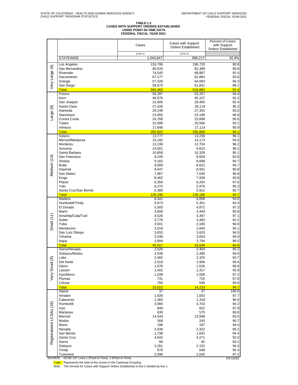# **TABLE 1.2 CASES WITH SUPPORT ORDERS ESTABLISHED USING POINT-IN-TIME DATA FEDERAL FISCAL YEAR 2021**

|                         |                                                     | Cases                 | Cases with Support<br><b>Orders Established</b> | Percent of Cases<br>with Support<br><b>Orders Established</b> |  |
|-------------------------|-----------------------------------------------------|-----------------------|-------------------------------------------------|---------------------------------------------------------------|--|
|                         | <b>STATEWIDE</b>                                    | (Line 1)<br>1,043,847 | (Line 2)<br>968,217                             | 92.8%                                                         |  |
|                         |                                                     |                       |                                                 |                                                               |  |
|                         | Los Angeles<br>San Bernardino                       | 216,706<br>90,833     | 196,720<br>82,489                               | 90.8<br>90.8                                                  |  |
|                         | Riverside                                           | 74,545                | 68,887                                          | 92.4                                                          |  |
|                         | Sacramento                                          | 67,177                | 62,864                                          | 93.6                                                          |  |
| Very Large (6)          | Orange<br>San Diego                                 | 57,329<br>58,875      | 54,083<br>51,841                                | 94.3<br>88.1                                                  |  |
|                         | <b>Total</b>                                        | 565,465               | 516,884                                         | 91.4                                                          |  |
|                         | Fresno                                              | 56,387                | 53,207                                          | 94.4                                                          |  |
|                         | Kern<br>San Joaquin                                 | 48,978<br>31,905      | 45,157<br>29,465                                | 92.2<br>92.4                                                  |  |
|                         | Santa Clara                                         | 27,426                | 26,119                                          | 95.2                                                          |  |
|                         | Alameda                                             | 29,249                | 27,352                                          | 93.5                                                          |  |
| -arge (9)               | Stanislaus<br>Contra Costa                          | 23,955<br>24,768      | 23,198<br>23,688                                | 96.8<br>95.6                                                  |  |
|                         | Tulare                                              | 22,088                | 20,566                                          | 93.1                                                          |  |
|                         | Ventura                                             | 17,846                | 17,114                                          | 95.9                                                          |  |
|                         | <b>Total</b>                                        | 282,602               | 265,866                                         | 94.1                                                          |  |
|                         | Solano<br>Merced/Mariposa                           | 13,777<br>15,182      | 13,236<br>14,173                                | 96.1<br>93.4                                                  |  |
|                         | Monterey                                            | 13,199                | 12,704                                          | 96.2                                                          |  |
|                         | Sonoma                                              | 10,001                | 9,622                                           | 96.2                                                          |  |
|                         | Santa Barbara<br>San Francisco                      | 10,858                | 10,329                                          | 95.1                                                          |  |
| Medium (14)             | Shasta                                              | 9,245<br>9,182        | 8,559<br>8,699                                  | 92.6<br>94.7                                                  |  |
|                         | <b>Butte</b>                                        | 9,009                 | 8,622                                           | 95.7                                                          |  |
|                         | Imperial                                            | 9,447                 | 8,581                                           | 90.8                                                          |  |
|                         | San Mateo<br>Kings                                  | 7,967<br>8,462        | 7,630<br>7,939                                  | 95.8<br>93.8                                                  |  |
|                         | Placer                                              | 6,359                 | 6,204                                           | 97.6                                                          |  |
|                         | Yolo                                                | 6,272                 | 5,976                                           | 95.3                                                          |  |
|                         | Santa Cruz/San Benito                               | 6,380                 | 5,912                                           | 92.7                                                          |  |
|                         | <b>Total</b><br>Madera                              | 135,340<br>6,341      | 128,186<br>6,009                                | 94.7<br>94.8                                                  |  |
|                         | Humboldt/Trinity                                    | 5,673                 | 5,351                                           | 94.3                                                          |  |
|                         | El Dorado                                           | 5,005                 | 4,872                                           | 97.3                                                          |  |
|                         | Marin<br>Ama/Alp/Cala/Tuol                          | 3,600<br>4,526        | 3,449<br>4,397                                  | 95.8<br>97.1                                                  |  |
| Small $(11)$            | Sutter                                              | 3,778                 | 3,482                                           | 92.2                                                          |  |
|                         | Yuba                                                | 3,501                 | 3,180                                           | 90.8                                                          |  |
|                         | Mendocino                                           | 3,019                 | 2,840                                           | 94.1                                                          |  |
|                         | San Luis Obispo<br>Tehama                           | 3,832<br>3,248        | 3,620<br>3,054                                  | 94.5<br>94.0                                                  |  |
|                         | Napa                                                | 2,894                 | 2,794                                           | 96.5                                                          |  |
|                         | <b>Total</b>                                        | 45,417                | 43,048                                          | 94.8                                                          |  |
|                         | Sierra/Nevada<br>Siskiyou/Modoc                     | 2,526<br>2,549        | 2,404<br>2,395                                  | 95.2<br>94.0                                                  |  |
|                         | Lake                                                | 2,482                 | 2,325                                           | 93.7                                                          |  |
|                         | Del Norte                                           | 2,019                 | 1,906                                           | 94.4                                                          |  |
|                         | Glenn                                               | 1,576                 | 1,526                                           | 96.8                                                          |  |
| Very Small (9)          | Lassen<br>Inyo/Mono                                 | 1,402<br>1,038        | 1,317<br>1,009                                  | 93.9<br>97.2                                                  |  |
|                         | Plumas                                              | 731                   | 715                                             | 97.8                                                          |  |
|                         | Colusa                                              | 700                   | 636                                             | 90.9                                                          |  |
|                         | <b>Total</b><br>Alpine                              | 15,023<br>37          | 14,233<br>37                                    | 94.7<br>100.0                                                 |  |
|                         | Amador                                              | 1,026                 | 1,002                                           | 97.7                                                          |  |
|                         | Calaveras                                           | 1,365                 | 1,318                                           | 96.6                                                          |  |
|                         | Humboldt                                            | 4,994                 | 4,703                                           | 94.2                                                          |  |
|                         | Inyo<br>Mariposa                                    | 840<br>639            | 822<br>575                                      | 97.9<br>90.0                                                  |  |
|                         | Merced                                              | 14,543                | 13,598                                          | 93.5                                                          |  |
|                         | Modoc                                               | 268                   | 243                                             | 90.7                                                          |  |
| Regionalized LCSAs (16) | Mono<br>Nevada                                      | 198<br>2,438          | 187<br>2,322                                    | 94.4<br>95.2                                                  |  |
|                         | San Benito                                          | 1,738                 | 1,641                                           | 94.4                                                          |  |
|                         | Santa Cruz                                          | 4,642                 | 4,271                                           | 92.0                                                          |  |
|                         | Sierra                                              | 88                    | 82                                              | 93.2                                                          |  |
|                         | Siskiyou<br>Trinity                                 | 2,281<br>679          | 2,152<br>648                                    | 94.3<br>95.4                                                  |  |
|                         | Tuolumne                                            | 2,098                 | 2,040                                           | 97.2                                                          |  |
| SOURCE:                 | OCSE 157 Lines 1 (Point-in-Time), 2 (Point-in-Time) |                       |                                                 | 4/21/2022                                                     |  |

<mark>Total: </mark>Represents the total of the scores in the Caseload Grouping<br>Note: The formula for Cases with Support Orders Established is line 2 divided by line 1.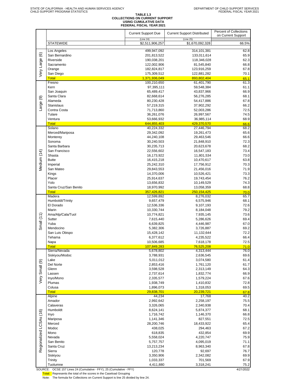# TABLE 1.3<br>COLLECTIONS ON CURRENT SUPPORT<br>USING CUMULATIVE DATA<br>FEDERAL FISCAL YEAR 2021

|                         |                                | <b>Current Support Due</b>      | <b>Current Support Distributed</b> | <b>Percent of Collections</b><br>on Current Support |
|-------------------------|--------------------------------|---------------------------------|------------------------------------|-----------------------------------------------------|
|                         | <b>STATEWIDE</b>               | (Line 24)<br>\$2,511,906,257    | (Line 25)<br>\$1,670,092,328       | 66.5%                                               |
|                         | Los Angeles                    | 499,947,092                     | 314,101,381                        | 62.8                                                |
| Very Large (6)          | San Bernardino                 | 201,813,522                     | 133,011,614                        | 65.9                                                |
|                         | Riverside                      | 190,038,201                     | 118,346,028                        | 62.3                                                |
|                         | Sacramento                     | 122,002,906                     | 81,545,840                         | 66.8                                                |
|                         | Orange<br>San Diego            | 182,824,817<br>175,309,512      | 123,916,259<br>122,881,282         | 67.8<br>70.1                                        |
|                         | <b>Total</b>                   | 1,371,936,049                   | 893,802,404                        | 65.1                                                |
|                         | Fresno                         | 100,210,650                     | 61,401,790                         | 61.3                                                |
|                         | Kern                           | 97,395,111                      | 59,548,384                         | 61.1                                                |
|                         | San Joaquin                    | 65,489,417                      | 43,837,966                         | 66.9                                                |
| $\circledcirc$          | Santa Clara                    | 82,668,614                      | 56,276,285                         | 68.1                                                |
| Large                   | Alameda<br><b>Stanislaus</b>   | 80,230,428                      | 54,417,886<br>37,902,292           | 67.8<br>66.2                                        |
|                         | Contra Costa                   | 57,219,315<br>71,713,860        | 52,003,286                         | 72.5                                                |
|                         | Tulare                         | 36,261,076                      | 26,997,567                         | 74.5                                                |
|                         | Ventura                        | 53,666,932                      | 36,985,114                         | 68.9                                                |
|                         | <b>Total</b>                   | 644,855,403                     | 429,370,570                        | 66.6                                                |
|                         | Solano                         | 40,224,332                      | 27,446,794                         | 68.2                                                |
|                         | Merced/Mariposa                | 29,342,092                      | 19,261,473                         | 65.6                                                |
|                         | Monterey<br>Sonoma             | 44,240,108<br>30,240,503        | 29,463,546<br>21,848,910           | 66.6<br>72.3                                        |
|                         | Santa Barbara                  | 30,235,713                      | 20,623,678                         | 68.2                                                |
|                         | San Francisco                  | 22,556,602                      | 16,547,183                         | 73.4                                                |
| Medium (14)             | Shasta                         | 16,173,922                      | 11,801,534                         | 73.0                                                |
|                         | <b>Butte</b>                   | 16,415,218                      | 10,470,617                         | 63.8                                                |
|                         | Imperial                       | 25,242,310                      | 17,756,912                         | 70.3                                                |
|                         | San Mateo                      | 29,843,553                      | 21,456,016                         | 71.9                                                |
|                         | Kings<br>Placer                | 14,370,006                      | 10,526,421                         | 73.3<br>76.2                                        |
|                         | Yolo                           | 25,914,637<br>13,656,832        | 19,743,454<br>10,149,529           | 74.3                                                |
|                         | Santa Cruz/San Benito          | 18,970,992                      | 13,058,359                         | 68.8                                                |
|                         | <b>Total</b>                   | 357,426,821                     | 250,154,425                        | 70.0                                                |
|                         | Madera                         | 12,599,892                      | 8,276,032                          | 65.7                                                |
|                         | Humboldt/Trinity               | 9,657,479                       | 6,575,946                          | 68.1                                                |
|                         | El Dorado<br>Marin             | 12,536,336                      | 9,107,193                          | 72.6                                                |
|                         | Ama/Alp/Cala/Tuol              | 10,330,744<br>10,774,821        | 8,184,048<br>7,935,145             | 79.2<br>73.6                                        |
| Small $(11)$            | Sutter                         | 7,615,440                       | 5,286,626                          | 69.4                                                |
|                         | Yuba                           | 6,639,825                       | 4,446,987                          | 67.0                                                |
|                         | Mendocino                      | 5,382,306                       | 3,726,887                          | 69.2                                                |
|                         | San Luis Obispo                | 15,428,142                      | 11,132,644                         | 72.2                                                |
|                         | Tehama                         | 6,377,612                       | 4,235,522                          | 66.4                                                |
|                         | Napa                           | 10,506,685                      | 7,618,178                          | 72.5                                                |
|                         | <u>l</u> otal<br>Sierra/Nevada | <u>107,849,283</u><br>5,678,802 | <u>76,525,208</u><br>4,313,444     | <u>71.0</u><br>76.0                                 |
|                         | Siskiyou/Modoc                 | 3,788,931                       | 2,636,545                          | 69.6                                                |
|                         | Lake                           | 5,011,012                       | 3,074,580                          | 61.4                                                |
| Very Small (9)          | Del Norte                      | 2,853,416                       | 1,761,120                          | 61.7                                                |
|                         | Glenn                          | 3,598,528                       | 2,313,149                          | 64.3                                                |
|                         | Lassen                         | 2,737,614                       | 1,832,774                          | 66.9<br>67.6                                        |
|                         | Inyo/Mono<br>Plumas            | 2,335,577<br>1,938,749          | 1,579,224<br>1,410,832             | 72.8                                                |
|                         | Colusa                         | 1,896,073                       | 1,318,053                          | 69.5                                                |
|                         | <b>Total</b>                   | 29,838,701                      | 20,239,721                         | 67.8                                                |
|                         | Alpine                         | 44,234                          | 17,768                             | 40.2                                                |
|                         | Amador                         | 2,992,642                       | 2,258,197                          | 75.5                                                |
|                         | Calaveras                      | 3,326,065                       | 2,340,938                          | 70.4                                                |
|                         | Humboldt<br>Inyo               | 8,624,141<br>1,716,742          | 5,874,377<br>1,146,370             | 68.1<br>66.8                                        |
|                         | Mariposa                       | 1,141,346                       | 827,551                            | 72.5                                                |
| Regionalized LCSAs (16) | Merced                         | 28,200,746                      | 18,433,922                         | 65.4                                                |
|                         | Modoc                          | 438,025                         | 294,463                            | 67.2                                                |
|                         | Mono                           | 618,835                         | 432,854                            | 69.9                                                |
|                         | Nevada                         | 5,558,024                       | 4,220,747                          | 75.9                                                |
|                         | San Benito                     | 5,757,757                       | 4,095,019                          | 71.1                                                |
|                         | Santa Cruz<br>Sierra           | 13,213,234<br>120,778           | 8,963,340<br>92,697                | 67.8<br>76.7                                        |
|                         | Siskiyou                       | 3,350,906                       | 2,342,082                          | 69.9                                                |
|                         | Trinity                        | 1,033,337                       | 701,569                            | 67.9                                                |
|                         | Tuolumne                       | 4,411,880                       | 3,318,241                          | 75.2                                                |

SOURCE: OCSE 157 Lines 24 (Cumulative - FFY), 25 (Cumulative - FFY) 4/21/2022

Total: Represents the total of the scores in the Caseload Grouping

Note: The formula for Collections on Current Support is line 25 divided by line 24.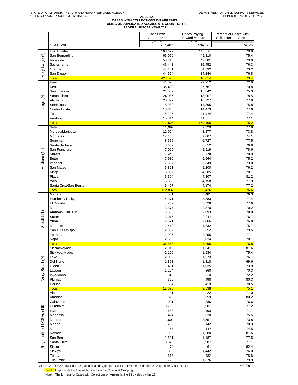### **TABLE 1.4 CASES WITH COLLECTIONS ON ARREARS USING UNDUPLICATED AGGREGATE COUNT DATA FEDERAL FISCAL YEAR 2021**

|                         |                               | Cases with<br><b>Arrears Due</b> | <b>Cases Paying</b>                | Percent of Cases with         |
|-------------------------|-------------------------------|----------------------------------|------------------------------------|-------------------------------|
|                         |                               | (Line 28)                        | <b>Toward Arrears</b><br>(Line 29) | <b>Collections on Arrears</b> |
|                         | <b>STATEWIDE</b>              | 797,487                          | 594,178                            | 74.5%                         |
|                         | Los Angeles                   | 160,622                          | 113,895                            | 70.9                          |
| Very Large (6)          | San Bernardino                | 66,070                           | 49,810                             | 75.4                          |
|                         | Riverside                     | 58,715                           | 42,881                             | 73.0                          |
|                         | Sacramento                    | 46,443                           | 35,452                             | 76.3                          |
|                         | Orange                        | 47,151                           | 34,532                             | 73.2                          |
|                         | San Diego<br><b>Total</b>     | 44,574<br>423,575                | 34,244<br>310,814                  | 76.8<br>73.4                  |
|                         | Fresno                        | 41,026                           | 29,912                             | 72.9                          |
|                         | Kern                          | 36,400                           | 25,767                             | 70.8                          |
|                         | San Joaquin                   | 21,039                           | 15,842                             | 75.3                          |
|                         | Santa Clara                   | 24,086                           | 18,907                             | 78.5                          |
|                         | Alameda                       | 20,829                           | 16,227                             | 77.9                          |
| Large (9)               | <b>Stanislaus</b>             | 18,980                           | 14,395                             | 75.8                          |
|                         | Contra Costa                  | 18,645                           | 14,473                             | 77.6                          |
|                         | Tulare                        | 15,205                           | 11,775                             | 77.4                          |
|                         | Ventura                       | 15,314                           | 11,807                             | 77.1                          |
|                         | <b>Total</b>                  | 211,524                          | 159,105                            | 75.2                          |
|                         | Solano<br>Merced/Mariposa     | 11,992<br>12,024                 | 9,329<br>8,877                     | 77.8<br>73.8                  |
|                         | Monterey                      | 12,153                           | 9,007                              | 74.1                          |
|                         | Sonoma                        | 8,679                            | 6,727                              | 77.5                          |
|                         | Santa Barbara                 | 8,687                            | 6,652                              | 76.6                          |
|                         | San Francisco                 | 7,026                            | 5,519                              | 78.6                          |
| Medium (14)             | Shasta                        | 7,943                            | 6,278                              | 79.0                          |
|                         | <b>Butte</b>                  | 7,936                            | 5,964                              | 75.2                          |
|                         | Imperial                      | 7,657                            | 5,649                              | 73.8                          |
|                         | San Mateo                     | 6,821                            | 5,200                              | 76.2                          |
|                         | Kings                         | 5,867                            | 4,585                              | 78.1                          |
|                         | Placer                        | 5,304                            | 4,307                              | 81.2                          |
|                         | Yolo                          | 5,336                            | 4,158                              | 77.9                          |
|                         | Santa Cruz/San Benito         | 5,407                            | 4,174                              | 77.2                          |
|                         | <b>Total</b><br>Madera        | 112,832<br>4,561                 | 86,426<br>3,481                    | 76.6<br>76.3                  |
|                         | Humboldt/Trinity              | 4,371                            | 3,383                              | 77.4                          |
|                         | El Dorado                     | 4,287                            | 3,328                              | 77.6                          |
|                         | Marin                         | 3,377                            | 2,370                              | 70.2                          |
|                         | Ama/Alp/Cala/Tuol             | 3,666                            | 2,893                              | 78.9                          |
| Small(11)               | Sutter                        | 3,015                            | 2,311                              | 76.7                          |
|                         | Yuba                          | 2,691                            | 2,066                              | 76.8                          |
|                         | Mendocino                     | 2,419                            | 1,832                              | 75.7                          |
|                         | San Luis Obispo               | 2,957                            | 2,352                              | 79.5                          |
|                         | Tehama                        | 2,926                            | 2,255                              | 77.1                          |
|                         | Napa                          | 2,593                            | 2,024                              | 78.1                          |
|                         | <b>Total</b><br>Sierra/Nevada | 36,863                           | 28,295<br>1,641                    | 76.8<br>81.6                  |
|                         | Siskiyou/Modoc                | 2,010<br>2,100                   | 1,584                              | 75.4                          |
|                         | Lake                          | 2,066                            | 1,573                              | 76.1                          |
|                         | Del Norte                     | 1,893                            | 1,318                              | 69.6                          |
|                         | Glenn                         | 1,401                            | 1,035                              | 73.9                          |
| Very Small (9)          | Lassen                        | 1,224                            | 860                                | 70.3                          |
|                         | Inyo/Mono                     | 845                              | 610                                | 72.2                          |
|                         | Plumas                        | 620                              | 498                                | 80.3                          |
|                         | Colusa                        | 534                              | 419                                | 78.5                          |
|                         | <b>Total</b>                  | 12,693                           | 9,538                              | 75.1                          |
|                         | Alpine                        | 31                               | 22                                 | 71.0                          |
|                         | Amador<br>Calaveras           | 822<br>1,091                     | 659<br>836                         | 80.2<br>76.6                  |
|                         | Humboldt                      | 3,759                            | 2,901                              | 77.2                          |
|                         | Inyo                          | 688                              | 493                                | 71.7                          |
|                         | Mariposa                      | 424                              | 320                                | 75.5                          |
|                         | Merced                        | 11,600                           | 8,557                              | 73.8                          |
|                         | Modoc                         | 202                              | 142                                | 70.3                          |
|                         | Mono                          | 157                              | 117                                | 74.5                          |
|                         | Nevada                        | 1,936                            | 1,580                              | 81.6                          |
|                         | San Benito                    | 1,531                            | 1,187                              | 77.5                          |
| Regionalized LCSAs (16) | Santa Cruz                    | 3,876                            | 2,987                              | 77.1                          |
|                         | Sierra                        | 74                               | 61                                 | 82.4                          |
|                         | Siskiyou                      | 1,898                            | 1,442                              | 76.0                          |
|                         | Trinity<br>Tuolumne           | 612<br>1,722                     | 482                                | 78.8<br>79.9                  |
|                         |                               |                                  | 1,376                              |                               |

SOURCE: OCSE 157 Lines 28 (Unduplicated Aggregate Count - FFY), 29 (Unduplicated Aggregate Count - FFY) 4/21/2022

Total: Represents the total of the scores in the Caseload Grouping

Note: The formula for Cases with Collections on Arrears is line 29 divided by line 28.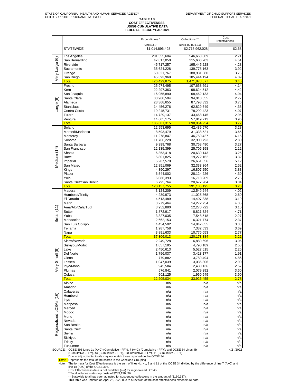### **TABLE 1.5 COST EFFECTIVENESS USING CUMULATIVE DATA FEDERAL FISCAL YEAR 2021**

|                         |                                                                                                                                                                                                                     | Expenditures *                   | Collections **                         | Cost<br>Effectiveness |
|-------------------------|---------------------------------------------------------------------------------------------------------------------------------------------------------------------------------------------------------------------|----------------------------------|----------------------------------------|-----------------------|
|                         | <b>STATEWIDE</b>                                                                                                                                                                                                    | (Lines 1c, 7)<br>\$1,014,896,498 | (Lines 4b, 4c, 8, 11)                  | \$2.68                |
|                         |                                                                                                                                                                                                                     |                                  | \$2,715,962,028                        |                       |
|                         | Los Angeles                                                                                                                                                                                                         | 201,555,604                      | 546,668,309                            | 2.71                  |
|                         | San Bernardino<br>Riverside                                                                                                                                                                                         | 47,817,050<br>45,717,257         | 215,606,203<br>195,445,228             | 4.51<br>4.28          |
|                         | Sacramento                                                                                                                                                                                                          | 35,624,228                       | 139,778,163                            | 3.92                  |
|                         | Orange                                                                                                                                                                                                              | 50,321,767                       | 188,931,580                            | 3.75                  |
| Very Large (6)          | San Diego                                                                                                                                                                                                           | 45,393,969                       | 185,444,194                            | 4.09                  |
|                         | <b>Total</b><br>Fresno                                                                                                                                                                                              | 426,429,875<br>25,974,495        | 1,471,873,677<br>107,658,691           | 3.45<br>4.14          |
|                         | Kern                                                                                                                                                                                                                | 22,297,363                       | 98,624,512                             | 4.42                  |
|                         | San Joaquin                                                                                                                                                                                                         | 16,955,890                       | 68,462,133                             | 4.04                  |
|                         | Santa Clara<br>Alameda                                                                                                                                                                                              | 33,968,594                       | 94,010,655                             | 2.77<br>3.76          |
| Large (9)               | Stanislaus                                                                                                                                                                                                          | 23,368,655<br>14,456,276         | 87,798,332<br>62,829,649               | 4.35                  |
|                         | Contra Costa                                                                                                                                                                                                        | 19,245,731                       | 78,292,423                             | 4.07                  |
|                         | Tulare                                                                                                                                                                                                              | 14,729,137                       | 43,468,145                             | 2.95                  |
|                         | Ventura<br><b>Total</b>                                                                                                                                                                                             | 14,605,175<br>185,601,315        | 57,819,713<br><mark>698,964,254</mark> | 3.96<br>3.77          |
|                         | Solano                                                                                                                                                                                                              | 12,953,695                       | 42,489,570                             | 3.28                  |
|                         | Merced/Mariposa                                                                                                                                                                                                     | 8,593,479                        | 31,338,521                             | 3.65                  |
|                         | Monterey                                                                                                                                                                                                            | 11,278,847                       | 46,759,427                             | 4.15                  |
|                         | Sonoma<br>Santa Barbara                                                                                                                                                                                             | 11,766,228<br>9,399,768          | 32,900,793<br>30,768,490               | 2.80<br>3.27          |
|                         | San Francisco                                                                                                                                                                                                       | 12,135,399                       | 25,705,198                             | 2.12                  |
|                         | Shasta                                                                                                                                                                                                              | 6,353,418                        | 20,639,143                             | 3.25                  |
| Medium (14)             | <b>Butte</b>                                                                                                                                                                                                        | 5,801,825                        | 19,272,162                             | 3.32                  |
|                         | Imperial<br>San Mateo                                                                                                                                                                                               | 5,207,570<br>12,851,069          | 26,651,556<br>32,333,364               | 5.12<br>2.52          |
|                         | Kings                                                                                                                                                                                                               | 4,390,297                        | 16,807,250                             | 3.83                  |
|                         | Placer                                                                                                                                                                                                              | 6,544,002                        | 28,124,226                             | 4.30                  |
|                         | Yolo                                                                                                                                                                                                                | 6,086,393                        | 16,718,209                             | 2.75                  |
|                         | Santa Cruz/San Benito<br><b>Total</b>                                                                                                                                                                               | 6,795,764<br>120, 157, 755       | 20,677,284<br><u>391,185,195</u>       | 3.04<br>3.26          |
|                         | Madera                                                                                                                                                                                                              | 3,124,209                        | 12,549,244                             | 4.02                  |
|                         | Humboldt/Trinity                                                                                                                                                                                                    | 4,239,973                        | 11,025,368                             | 2.60                  |
|                         | El Dorado<br>Marin                                                                                                                                                                                                  | 4,513,489                        | 14,407,338                             | 3.19                  |
|                         | Ama/Alp/Cala/Tuol                                                                                                                                                                                                   | 3,279,464<br>3,952,880           | 14,272,754<br>12,270,722               | 4.35<br>3.10          |
|                         | Sutter                                                                                                                                                                                                              | 1,872,917                        | 8,821,324                              | 4.71                  |
| Small $(11)$            | Yuba                                                                                                                                                                                                                | 3,327,035                        | 7,548,518                              | 2.27                  |
|                         | Mendocino<br>San Luis Obispo                                                                                                                                                                                        | 2,662,153<br>4,454,502           | 6,321,774<br>14,847,055                | 2.37<br>3.33          |
|                         | Tehama                                                                                                                                                                                                              | 1,987,758                        | 7,332,633                              | 3.69                  |
|                         | Napa                                                                                                                                                                                                                | 3,891,633                        | 10,776,653                             | 2.77                  |
|                         | <b>Total</b>                                                                                                                                                                                                        | 37,306,013                       | 120,173,384                            | 3.22                  |
|                         | Sierra/Nevada<br>Siskiyou/Modoc                                                                                                                                                                                     | 2,249,728<br>1,857,185           | 6,889,696<br>4,790,189                 | 3.06<br>2.58          |
| ெ                       | Lake                                                                                                                                                                                                                | 2,450,613                        | 5,527,515                              | 2.26                  |
|                         | Del Norte                                                                                                                                                                                                           | 1,796,037                        | 3,423,177                              | 1.91                  |
| Very Small              | Glenn                                                                                                                                                                                                               | 779,882                          | 3,789,494                              | 4.86                  |
|                         | Lassen<br>Inyo/Mono                                                                                                                                                                                                 | 1,047,039<br>945,584             | 3,036,306<br>2,430,136                 | 2.90<br>2.57          |
|                         | Plumas                                                                                                                                                                                                              | 576,841                          | 2,079,392                              | 3.60                  |
|                         | Colusa                                                                                                                                                                                                              | 502,125                          | 1,960,549                              | 3.90                  |
|                         | <b>Total</b><br>Alpine                                                                                                                                                                                              | 12,205,034<br>n/a                | 33,926,455<br>n/a                      | 2.78<br>n/a           |
|                         | Amador                                                                                                                                                                                                              | n/a                              | n/a                                    | n/a                   |
|                         | Calaveras                                                                                                                                                                                                           | n/a                              | n/a                                    | n/a                   |
|                         | Humboldt                                                                                                                                                                                                            | n/a                              | n/a                                    | n/a                   |
|                         | Inyo<br>Mariposa                                                                                                                                                                                                    | n/a<br>n/a                       | n/a<br>n/a                             | n/a<br>n/a            |
|                         | Merced                                                                                                                                                                                                              | n/a                              | n/a                                    | n/a                   |
| Regionalized LCSAs (16) | Modoc                                                                                                                                                                                                               | n/a                              | n/a                                    | n/a                   |
|                         | Mono                                                                                                                                                                                                                | n/a                              | n/a                                    | n/a                   |
|                         | Nevada<br>San Benito                                                                                                                                                                                                | n/a<br>n/a                       | n/a<br>n/a                             | n/a<br>n/a            |
|                         | Santa Cruz                                                                                                                                                                                                          | n/a                              | n/a                                    | n/a                   |
|                         | Sierra                                                                                                                                                                                                              | n/a                              | n/a                                    | n/a                   |
|                         | Siskiyou                                                                                                                                                                                                            | n/a                              | n/a                                    | n/a                   |
|                         | Trinity<br>Tuolumne                                                                                                                                                                                                 | n/a<br>n/a                       | n/a<br>n/a                             | n/a<br>n/a            |
|                         | SOURCE: OCSE 396 Lines 1c (A+C) (Cumulative - FFY), 7 (A+C) (Cumulative - FFY); and OCSE 34 Lines 4b                                                                                                                |                                  |                                        | 4/21/2022             |
|                         | (Cumulative - FFY), 4c (Cumulative - FFY), 8 (Cumulative - FFY), 11 (Cumulative - FFY)<br>Due to adjustments, totals may not match those reported on the OCSE 34.                                                   |                                  |                                        |                       |
|                         | Total: Represents the total of the scores in the Caseload Grouping<br>The formula for Cost Effectiveness is the sum of lines 4b, 4c, 8 and 11 of the OCSE 34 divided by the difference of line 7 (A+C) and<br>Note: |                                  |                                        |                       |

line 1c (A+C) of the OCSE 396.<br>Cost Effectiveness data is not available (n/a) for regionalized LCSAs.<br>\* Total includes state-only costs of \$233,196,507.<br>\*\* Statewide total has been adjusted for suspended collections in the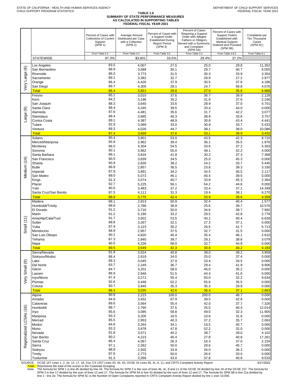|                         |                               | Percent of Cases with<br><b>Collections of Current</b><br>Support<br>(SPM 1)<br>From Table 6.4 | Average Amount<br>Distributed per Case<br>with a Collection<br>(SPM 2)<br>From Table 4.3 | Percent of Cases with<br>a Support Order<br><b>Established During</b><br><b>Report Period</b><br>(SPM 3)<br>From Table 3.5 | Percent of Cases<br>Requiring a Support<br>Order with Alleged<br>Fathers or Obligors<br>Served with a Summons<br>and Complaint<br>(SPM 5A)<br>From Table 3.3 | Percent of Cases with<br><b>Support Orders</b><br>Established with<br><b>Medical Support</b><br>Ordered and Provided<br>(SPM 5B)<br>From Table 3.9.2 | Complaints per<br>Ten Thousand<br>Cases<br>(SPM 5C)<br>From Table 8.1 |
|-------------------------|-------------------------------|------------------------------------------------------------------------------------------------|------------------------------------------------------------------------------------------|----------------------------------------------------------------------------------------------------------------------------|--------------------------------------------------------------------------------------------------------------------------------------------------------------|------------------------------------------------------------------------------------------------------------------------------------------------------|-----------------------------------------------------------------------|
|                         | <b>STATEWIDE</b>              | 87.3%                                                                                          | \$3,801                                                                                  | 33.5%                                                                                                                      | 29.4%                                                                                                                                                        | 37.2%                                                                                                                                                |                                                                       |
|                         | Los Angeles                   | 83.5                                                                                           | 4,007                                                                                    | 27.5                                                                                                                       | 25.0                                                                                                                                                         | 29.8                                                                                                                                                 | 11.352                                                                |
|                         | San Bernardino                | 88.9                                                                                           | 3,588                                                                                    | 30.1                                                                                                                       | 28.7                                                                                                                                                         | 40.7                                                                                                                                                 | 6.055                                                                 |
|                         | Riverside                     | 86.0                                                                                           | 3,773                                                                                    | 31.5                                                                                                                       | 30.3                                                                                                                                                         | 33.9                                                                                                                                                 | 3.354                                                                 |
|                         | Sacramento                    | 89.1                                                                                           | 3,382                                                                                    | 32.7                                                                                                                       | 28.9                                                                                                                                                         | 27.2                                                                                                                                                 | 2.977                                                                 |
| ery Large (6)           | Orange<br>San Diego           | 86.4<br>89.7                                                                                   | 4,426                                                                                    | 37.9                                                                                                                       | 30.5                                                                                                                                                         | 37.6                                                                                                                                                 | 4.186                                                                 |
|                         | <b>Total</b>                  | 86.4                                                                                           | 4,305<br>3,921                                                                           | 28.1<br>29.8                                                                                                               | 24.7<br>27.0                                                                                                                                                 | 58.8<br>35.6                                                                                                                                         | 4.076<br>6.968                                                        |
|                         | Fresno                        | 85.1                                                                                           | 3,010                                                                                    | 37.6                                                                                                                       | 36.7                                                                                                                                                         | 39.9                                                                                                                                                 | 2.128                                                                 |
|                         | Kern                          | 84.2                                                                                           | 3,196                                                                                    | 35.2                                                                                                                       | 31.9                                                                                                                                                         | 37.6                                                                                                                                                 | 2.246                                                                 |
|                         | San Joaquin                   | 88.3                                                                                           | 3,640                                                                                    | 33.6                                                                                                                       | 28.9                                                                                                                                                         | 37.0                                                                                                                                                 | 4.701                                                                 |
| ම                       | Santa Clara                   | 88.4                                                                                           | 4,245                                                                                    | 39.5                                                                                                                       | 33.4                                                                                                                                                         | 44.0                                                                                                                                                 | 0.000                                                                 |
|                         | Alameda<br>Stanislaus         | 87.6<br>88.4                                                                                   | 4,481<br>3,685                                                                           | 35.6<br>46.3                                                                                                               | 31.7<br>38.9                                                                                                                                                 | 42.2<br>33.8                                                                                                                                         | 3.077<br>3.757                                                        |
| Large                   | Contra Costa                  | 89.1                                                                                           | 4,387                                                                                    | 48.9                                                                                                                       | 30.8                                                                                                                                                         | 43.4                                                                                                                                                 | 4.441                                                                 |
|                         | Tulare                        | 92.9                                                                                           | 3,089                                                                                    | 33.0                                                                                                                       | 30.9                                                                                                                                                         | 33.7                                                                                                                                                 | 5.433                                                                 |
|                         | Ventura                       | 89.3                                                                                           | 4,026                                                                                    | 44.7                                                                                                                       | 38.1                                                                                                                                                         | 38.0                                                                                                                                                 | 10.086                                                                |
|                         | <b>Total</b>                  | 87.4                                                                                           | 3,669                                                                                    | 37.6                                                                                                                       | 33.1                                                                                                                                                         | 38.9                                                                                                                                                 | 3.432                                                                 |
|                         | Solano<br>Merced/Mariposa     | 90.4<br>85.8                                                                                   | 3,801<br>2,962                                                                           | 53.0<br>39.4                                                                                                               | 43.5<br>36.1                                                                                                                                                 | 42.3<br>35.5                                                                                                                                         | 8.710<br>1.976                                                        |
|                         | Monterey                      | 86.5                                                                                           | 4,304                                                                                    | 54.5                                                                                                                       | 33.6                                                                                                                                                         | 37.2                                                                                                                                                 | 5.303                                                                 |
|                         | Sonoma                        | 90.1                                                                                           | 3,962                                                                                    | 55.0                                                                                                                       | 48.1                                                                                                                                                         | 42.2                                                                                                                                                 | 4.000                                                                 |
|                         | Santa Barbara                 | 89.1                                                                                           | 3,816                                                                                    | 41.8                                                                                                                       | 30.2                                                                                                                                                         | 37.3                                                                                                                                                 | 7.368                                                                 |
| Medium (14)             | San Francisco                 | 90.5                                                                                           | 3,839                                                                                    | 34.5                                                                                                                       | 25.0                                                                                                                                                         | 45.3                                                                                                                                                 | 0.000                                                                 |
|                         | Shasta<br><b>Butte</b>        | 90.9<br>86.8                                                                                   | 2,830<br>2,857                                                                           | 38.2<br>36.5                                                                                                               | 24.2<br>23.8                                                                                                                                                 | 33.7<br>39.3                                                                                                                                         | 5.445<br>3.330                                                        |
|                         | Imperial                      | 87.9                                                                                           | 3,891                                                                                    | 34.2                                                                                                                       | 34.5                                                                                                                                                         | 40.5                                                                                                                                                 | 2.117                                                                 |
|                         | San Mateo                     | 89.0                                                                                           | 5,073                                                                                    | 46.1                                                                                                                       | 40.4                                                                                                                                                         | 39.5                                                                                                                                                 | 0.000                                                                 |
|                         | Kings                         | 91.3                                                                                           | 3,074                                                                                    | 40.7                                                                                                                       | 33.8                                                                                                                                                         | 45.3                                                                                                                                                 | 2.364                                                                 |
|                         | Placer                        | 92.7                                                                                           | 5,225                                                                                    | 56.1                                                                                                                       | 54.2                                                                                                                                                         | 44.6                                                                                                                                                 | 0.000                                                                 |
|                         | Yolo<br>Santa Cruz/San Benito | 90.5<br>87.5                                                                                   | 3,483<br>4,111                                                                           | 37.2<br>31.3                                                                                                               | 33.4<br>19.4                                                                                                                                                 | 37.1<br>38.1                                                                                                                                         | 14.349<br>6.270                                                       |
|                         | <b>Total</b>                  | 88.9                                                                                           | 3,775                                                                                    | 42.4                                                                                                                       | 33.9                                                                                                                                                         | 39.6                                                                                                                                                 | 4.359                                                                 |
|                         | Madera                        | 88.1                                                                                           | 2,913                                                                                    | 50.9                                                                                                                       | 32.4                                                                                                                                                         | 40.4                                                                                                                                                 | 1.577                                                                 |
|                         | Humboldt/Trinity              | 88.6                                                                                           | 2,788                                                                                    | 38.9                                                                                                                       | 25.6                                                                                                                                                         | 39.7                                                                                                                                                 | 10.576                                                                |
|                         | El Dorado                     | 91.2<br>91.2                                                                                   | 3,716                                                                                    | 50.0                                                                                                                       | 34.6                                                                                                                                                         | 38.7                                                                                                                                                 | 7.992                                                                 |
|                         | Marin<br>Ama/Alp/Cala/Tuol    | 91.7                                                                                           | 5,190<br>3,501                                                                           | 33.2<br>53.5                                                                                                               | 29.5<br>40.1                                                                                                                                                 | 42.8<br>40.4                                                                                                                                         | 2.778<br>6.628                                                        |
| Small $(11)$            | Sutter                        | 88.8                                                                                           | 3,267                                                                                    | 32.1                                                                                                                       | 27.3                                                                                                                                                         | 37.1                                                                                                                                                 | 0.000                                                                 |
|                         | Yuba                          | 87.9                                                                                           | 3,123                                                                                    | 30.2                                                                                                                       | 26.5                                                                                                                                                         | 41.7                                                                                                                                                 | 5.713                                                                 |
|                         | Mendocino                     | 88.9                                                                                           | 2,957                                                                                    | 37.5                                                                                                                       | 32.7                                                                                                                                                         | 31.5                                                                                                                                                 | 0.000                                                                 |
|                         | San Luis Obispo<br>Tehama     | 90.2<br>87.3                                                                                   | 4,820<br>2,840                                                                           | 45.4<br>39.7                                                                                                               | 35.4<br>28.1                                                                                                                                                 | 46.1<br>38.6                                                                                                                                         | 2.610<br>3.079                                                        |
|                         | Napa                          | 90.5                                                                                           | 4,226                                                                                    | 58.0                                                                                                                       | 32.7                                                                                                                                                         | 44.8                                                                                                                                                 | 0.000                                                                 |
|                         | <b>Total</b>                  | 89.5                                                                                           | 3,549                                                                                    | 42.3                                                                                                                       | 30.8                                                                                                                                                         | 40.2                                                                                                                                                 | 4.183                                                                 |
|                         | Sierra/Nevada                 | 91.9                                                                                           | 3,524                                                                                    | 40.8                                                                                                                       | 39.0                                                                                                                                                         | 39.2                                                                                                                                                 | 3.959                                                                 |
|                         | Siskiyou/Modoc                | 88.4                                                                                           | 2,619                                                                                    | 34.0                                                                                                                       | 25.0                                                                                                                                                         | 37.4                                                                                                                                                 | 0.000                                                                 |
|                         | Lake<br>Del Norte             | 89.3<br>83.7                                                                                   | 3,045<br>2,249                                                                           | 37.9                                                                                                                       | 33.4<br>29.4                                                                                                                                                 | 34.5<br>41.9                                                                                                                                         | 0.000<br>9.906                                                        |
| Small <sub>(9)</sub>    | Glenn                         | 84.7                                                                                           | 3,201                                                                                    | 36.7<br>58.0                                                                                                               | 46.0                                                                                                                                                         | 35.2                                                                                                                                                 | 0.000                                                                 |
|                         | Lassen                        | 86.9                                                                                           | 2,948                                                                                    | 51.5                                                                                                                       | 44.4                                                                                                                                                         | 41.6                                                                                                                                                 | 0.000                                                                 |
| Very                    | Inyo/Mono                     | 87.4                                                                                           | 3,271                                                                                    | 55.4                                                                                                                       | 50.0                                                                                                                                                         | 32.2                                                                                                                                                 | 9.634                                                                 |
|                         | Plumas                        | 92.6                                                                                           | 3,448                                                                                    | 62.2                                                                                                                       | 55.6                                                                                                                                                         | 35.5                                                                                                                                                 | 0.000                                                                 |
|                         | Colusa<br><b>Total</b>        | 90.7<br>88.3                                                                                   | 3,945<br>3,035                                                                           | 35.3<br>42.6                                                                                                               | 35.3<br>36.4                                                                                                                                                 | 29.9<br>37.1                                                                                                                                         | 0.000<br>2.663                                                        |
|                         | Alpine                        | 90.9                                                                                           | 2,223                                                                                    | 100.0                                                                                                                      | 200.0                                                                                                                                                        | 46.7                                                                                                                                                 | 0.000                                                                 |
|                         | Amador                        | 94.9                                                                                           | 3,932                                                                                    | 67.9                                                                                                                       | 39.5                                                                                                                                                         | 42.8                                                                                                                                                 | 0.000                                                                 |
|                         | Calaveras                     | 89.6                                                                                           | 3,564                                                                                    | 55.4                                                                                                                       | 42.0                                                                                                                                                         | 37.7                                                                                                                                                 | 7.326                                                                 |
|                         | Humboldt                      | 88.7                                                                                           | 2,790                                                                                    | 37.5                                                                                                                       | 25.5                                                                                                                                                         | 40.4                                                                                                                                                 | 12.014                                                                |
|                         | Inyo<br>Mariposa              | 85.6<br>93.3                                                                                   | 3,095<br>3,205                                                                           | 58.8<br>16.5                                                                                                               | 49.0<br>10.6                                                                                                                                                 | 32.3<br>31.6                                                                                                                                         | 11.905<br>0.000                                                       |
|                         | Merced                        | 85.5                                                                                           | 2,953                                                                                    | 40.3                                                                                                                       | 37.2                                                                                                                                                         | 35.7                                                                                                                                                 | 2.063                                                                 |
|                         | Modoc                         | 84.6                                                                                           | 3,264                                                                                    | 34.1                                                                                                                       | 19.5                                                                                                                                                         | 45.7                                                                                                                                                 | 0.000                                                                 |
|                         | Mono                          | 93.3                                                                                           | 3,978                                                                                    | 47.8                                                                                                                       | 52.2                                                                                                                                                         | 32.0                                                                                                                                                 | 0.000                                                                 |
|                         | Nevada                        | 91.8                                                                                           | 3,571                                                                                    | 40.2                                                                                                                       | 39.7                                                                                                                                                         | 39.0                                                                                                                                                 | 4.102                                                                 |
|                         | San Benito<br>Santa Cruz      | 90.2<br>86.4                                                                                   | 4,223<br>4,067                                                                           | 45.4<br>26.3                                                                                                               | 27.8<br>16.3                                                                                                                                                 | 40.8<br>37.0                                                                                                                                         | 17.261<br>2.154                                                       |
| Regionalized LCSAs (16) | Sierra                        | 97.1                                                                                           | 2,262                                                                                    | 50.0                                                                                                                       | 28.6                                                                                                                                                         | 45.7                                                                                                                                                 | 0.000                                                                 |
|                         | Siskiyou                      | 88.8                                                                                           | 2,555                                                                                    | 33.9                                                                                                                       | 26.0                                                                                                                                                         | 36.3                                                                                                                                                 | 0.000                                                                 |
|                         | Trinity                       | 87.6                                                                                           | 2,773                                                                                    | 50.0                                                                                                                       | 26.6                                                                                                                                                         | 33.0                                                                                                                                                 | 0.000                                                                 |
|                         | Tuolumne                      | 91.3                                                                                           | 3,266                                                                                    | 43.0                                                                                                                       | 37.8                                                                                                                                                         | 40.8                                                                                                                                                 | 9.533                                                                 |

SOURCE: OCSE 157 Lines 1, 2, 2e, 12, 17, 18, 21a; CS 1257 Lines 43, 44, 45; OCSE 34 Lines 4b, 4c, 8, 11; and CRTS Complaint Activity Report 4/21/2022<br> **Total:** Represents the total of the scores in the Caseload Grouping<br>
N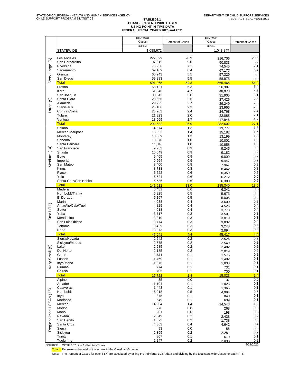### **TABLE 02.1 CHANGE IN STATEWIDE CASES USING POINT-IN-TIME DATA FEDERAL FISCAL YEARS 2020 and 2021**

|                         |                               | FFY 2020<br>Cases | Percent of Cases | FFY 2021<br>Cases | Percent of Cases |
|-------------------------|-------------------------------|-------------------|------------------|-------------------|------------------|
|                         |                               | (Line 1)          |                  | (Line 1)          |                  |
|                         | <b>STATEWIDE</b>              | 1,088,672         |                  | 1,043,847         |                  |
|                         | Los Angeles                   | 227,399           | 20.9             |                   | 20.8             |
| Very Large (6)          | San Bernardino                | 97,615            | 9.0              | 216,706<br>90,833 | 8.7              |
|                         | Riverside                     | 76,956            | 7.1              | 74.545            | 7.1              |
|                         | Sacramento                    | 69,169            | 6.4              | 67,177            | 6.4              |
|                         | Orange                        | 60,243            | 5.5              | 57,329            | 5.5              |
|                         | San Diego<br><b>Total</b>     | 59,883<br>591,265 | 5.5<br>54.3      | 58.875<br>565,465 | 5.6<br>54.2      |
|                         | Fresno                        | 58,121            | 5.3              | 56,387            | 5.4              |
|                         | Kern                          | 51,346            | 4.7              | 48.978            | 4.7              |
|                         | San Joaquin                   | 33,043            | 3.0              | 31,905            | 3.1              |
| $\circledcirc$          | Santa Clara<br>Alameda        | 28,656            | 2.6<br>2.7       | 27,426            | 2.6<br>2.8       |
| Large                   | <b>Stanislaus</b>             | 29,725<br>25,186  | 2.3              | 29.249<br>23,955  | 2.3              |
|                         | Contra Costa                  | 25,963            | 2.4              | 24,768            | 2.4              |
|                         | Tulare                        | 21,823            | 2.0              | 22.088            | 2.1              |
|                         | Ventura                       | 18,669            | 1.7              | 17.846            | 1.7              |
|                         | <b>Total</b><br>Solano        | 292,532<br>14,574 | 26.9<br>1.3      | 282,602<br>13.777 | 27.1<br>1.3      |
|                         | Merced/Mariposa               | 15,553            | 1.4              | 15,182            | 1.5              |
|                         | Monterey                      | 13,669            | 1.3              | 13,199            | 1.3              |
|                         | Sonoma                        | 10,370            | 1.0              | 10.001            | 1.0              |
|                         | Santa Barbara                 | 11,345            | 1.0              | 10.858            | 1.0              |
|                         | San Francisco<br>Shasta       | 9,753<br>10,049   | 0.9<br>0.9       | 9,245<br>9,182    | 0.9<br>0.9       |
| Medium (14)             | <b>Butte</b>                  | 9,465             | 0.9              | 9.009             | 0.9              |
|                         | Imperial                      | 9,664             | 0.9              | 9,447             | 0.9              |
|                         | San Mateo                     | 8,400             | 0.8              | 7,967             | 0.8              |
|                         | Kings<br>Placer               | 8,738             | 0.8              | 8.462             | 0.8<br>0.6       |
|                         | Yolo                          | 6,622<br>6,624    | 0.6<br>0.6       | 6,359<br>6,272    | 0.6              |
|                         | Santa Cruz/San Benito         | 6,686             | 0.6              | 6.380             | 0.6              |
|                         | <b>Total</b>                  | 141,512           | 13.0             | 135,340           | 13.0             |
|                         | Madera                        | 6,431             | 0.6              | 6,341             | 0.6              |
|                         | Humboldt/Trinity<br>El Dorado | 5,825<br>5,197    | 0.5<br>0.5       | 5.673<br>5,005    | 0.5<br>0.5       |
|                         | Marin                         | 4,038             | 0.4              | 3,600             | 0.3              |
|                         | Ama/Alp/Cala/Tuol             | 4,829             | 0.4              | 4.526             | 0.4              |
| Small $(11)$            | Sutter                        | 4,018             | 0.4              | 3.778             | 0.4              |
|                         | Yuba                          | 3,717             | 0.3              | 3,501             | 0.3<br>0.3       |
|                         | Mendocino<br>San Luis Obispo  | 3,310<br>3,774    | 0.3<br>0.3       | 3,019<br>3.832    | 0.4              |
|                         | Tehama                        | 3,429             | 0.3              | 3,248             | 0.3              |
|                         | Napa                          | 3,073             | 0.3              | 2,894             | 0.3              |
|                         | <b>Total</b><br>Sierra/Nevada | 47,641            | 4.4<br>0.2       | 45,417            | 4.4<br>0.2       |
|                         | Siskiyou/Modoc                | 2,642<br>2,675    | 0.2              | 2,526<br>2.549    | 0.2              |
| ම                       | Lake                          | 2,585             | 0.2              | 2.482             | 0.2              |
|                         | Del Norte                     | 2,185             | 0.2              | 2,019             | 0.2              |
| Very Small              | Glenn                         | 1,611             | 0.1              | 1,576             | 0.2<br>0.1       |
|                         | Lassen<br>Inyo/Mono           | 1,469<br>1,076    | 0.1<br>0.1       | 1.402<br>1,038    | 0.1              |
|                         | Plumas                        | 774               | 0.1              | 731               | 0.1              |
|                         | Colusa                        | 705               | 0.1              | 700               | 0.1              |
|                         | <b>Total</b>                  | 15,722            | 1.4              | 15,023            | 1.4              |
|                         | Alpine<br>Amador              | 35<br>1,104       | 0.0<br>0.1       | 37                | 0.0<br>0.1       |
|                         | Calaveras                     | 1,443             | 0.1              | 1.026<br>1,365    | 0.1              |
|                         | Humboldt                      | 5,018             | 0.5              | 4,994             | 0.5              |
|                         | Inyo                          | 875               | 0.1              | 840               | 0.1              |
| Regionalized LCSAs (16) | Mariposa<br>Merced            | 649               | 0.1<br>1.4       | 639               | 0.1<br>1.4       |
|                         | Modoc                         | 14,904<br>276     | 0.0              | 14,543<br>268     | 0.0              |
|                         | Mono                          | 201               | $0.0\,$          | 198               | 0.0              |
|                         | Nevada                        | 2,549             | 0.2              | 2,438             | 0.2              |
|                         | San Benito                    | 1,823             | 0.2              | 1,738             | 0.2              |
|                         | Santa Cruz<br>Sierra          | 4,863             | 0.4              | 4.642             | 0.4<br>0.0       |
|                         | Siskiyou                      | 93<br>2,399       | 0.0<br>0.2       | 88<br>2,281       | 0.2              |
|                         | Trinity                       | 807               | 0.1              | 679               | 0.1              |
|                         | Tuolumne                      | 2,247             | 0.2              | 2,098             | 0.2              |

SOURCE: OCSE 157 Line 1 (Point-in-Time) 4/21/2022

Total: Represents the total of the scores in the Caseload Grouping

Note: The Percent of Cases for each FFY are calculated by taking the individual LCSA data and dividing by the total statewide Cases for each FFY.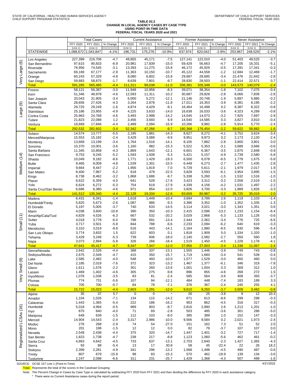# **TABLE 02.2 CHANGE IN LOCAL AGENCY CASES BY CASE TYPE USING POINT-IN-TIME DATA FEDERAL FISCAL YEARS 2020 and 2021**

|                         |                            |                  | <b>Total Cases</b> |                  |                 | <b>Current Assistance</b> |                    |                  | Former Assistance |                   |                 | <b>Never Assistance</b> |                  |
|-------------------------|----------------------------|------------------|--------------------|------------------|-----------------|---------------------------|--------------------|------------------|-------------------|-------------------|-----------------|-------------------------|------------------|
|                         |                            | FFY 2020         | FFY 2021           | % Change         | FFY 2020        | FFY 2021                  | $%$ Change         | FFY 2020         | FFY 2021          | % Change          | FFY 2020        | FFY 2021                | % Change         |
|                         |                            | (Line 1)         | (Line 1)           |                  | (Line 1)        | (Line 1)                  |                    | (Line 1)         | (Line 1)          |                   | (Line 1)        | (Line 1)                |                  |
|                         | <b>STATEWIDE</b>           | 1,088,672        | 1,043,847          | $-4.1%$          | 196,731         | 175,276                   | $-10.9%$           | 637,974          | 620,042           | $-2.8%$           | 253,967         | 248,529                 | $-2.1%$          |
|                         | Los Angeles                | 227,399          | 216,706            | $-4.7$           | 48,855          | 45,171                    | $-7.5$             | 127,141          | 122,010           | $-4.0$            | 51,403          | 49,525                  | $-3.7$           |
| $\circlede$             | San Bernardino             | 97,615           | 90,833             | $-6.9$           | 20,981          | 17,839                    | $-15.0$            | 59,429           | 56,663            | $-4.7$            | 17,205          | 16,331                  | $-5.1$           |
|                         | Riverside                  | 76,956           | 74,545             | $-3.1$           | 13,393          | 11,275                    | $-15.8$            | 46,172           | 45,929            | $-0.5$            | 17,391          | 17,341                  | $-0.3$           |
|                         | Sacramento                 | 69,169           | 67,177             | $-2.9$           | 11,363          | 10,150                    | $-10.7$            | 45,122           | 44,558            | $-1.2$            | 12,684          | 12,469                  | $-1.7$           |
|                         | Orange                     | 60,243           | 57,329             | $-4.8$           | 8,080           | 6,802                     | $-15.8$            | 29,687           | 28,685            | $-3.4$            | 22,476          | 21,842                  | $-2.8$           |
| Very Large              | San Diego                  | 59,883           | 58,875             | $-1.7$           | 8,639           | 7,801                     | $-9.7$             | 28,830           | 28,503            | $-1.1$            | 22,414          | 22,571                  | 0.7              |
|                         | <b>Total</b>               | 591,265          | 565,465            | $-4.4$           | 111,311         | 99,038                    | $-11.0$            | 336,381          | 326,348           | $-3.0$            | 143,573         | 140,079                 | $-2.4$           |
|                         | Fresno                     | 58,121           | 56,387             | $-3.0$           | 11,948          | 10,958                    | $-8.3$             | 39,071           | 38,354            | $-1.8$            | 7,102           | 7,075                   | $-0.4$           |
|                         | Kern                       | 51,346           | 48,978             | $-4.6$           | 12,593          | 11,311                    | $-10.2$            | 30,687           | 29,828            | $-2.8$            | 8,066           | 7,839                   | $-2.8$           |
|                         | San Joaquin                | 33,043<br>28,656 | 31,905             | $-3.4$           | 6,000           | 5,272                     | $-12.1$<br>$-11.8$ | 21,146           | 20,748<br>16,353  | $-1.9$<br>$-3.9$  | 5,897           | 5,885                   | $-0.2$<br>$-2.2$ |
| ම                       | Santa Clara<br>Alameda     | 29,725           | 27,426<br>29,249   | $-4.3$<br>$-1.6$ | 3,264<br>4,874  | 2,878<br>4,429            | $-9.1$             | 17,011<br>16,464 | 16,498            | 0.2               | 8,381<br>8,387  | 8,195<br>8,322          | $-0.8$           |
| Large                   | Stanislaus                 | 25,186           | 23,955             | $-4.9$           | 4,225           | 3,633                     | $-14.0$            | 16,638           | 16,033            | $-3.6$            | 4,323           | 4,289                   | $-0.8$           |
|                         | Contra Costa               | 25,963           | 24,768             | $-4.6$           | 3,493           | 2,998                     | $-14.2$            | 14,545           | 14,073            | $-3.2$            | 7,925           | 7,697                   | $-2.9$           |
|                         | Tulare                     | 21,823           | 22,088             | $1.2$            | 3,456           | 3,693                     | 6.9                | 14,540           | 14,585            | 0.3               | 3,827           | 3,810                   | $-0.4$           |
|                         | Ventura                    | 18,669           | 17,846             | $-4.4$           | 2,489           | 2,094                     | $-15.9$            | 10,266           | 9,982             | $-2.8$            | 5,914           | 5,770                   | $-2.4$           |
|                         | <b>Total</b>               | 292,532          | 282,602            | $-3.4$           | 52,342          | 47,266                    | $-9.7$             | 180,368          | 176,454           | $-2.2$            | 59,822          | 58,882                  | $-1.6$           |
|                         | Solano                     | 14,574           | 13,777             | $-5.5$           | 2,195           | 1,881                     | $-14.3$            | 8,627            | 8,272             | $-4.1$            | 3,752           | 3,624                   | $-3.4$           |
|                         | Merced/Mariposa            | 15,553           | 15,182             | $-2.4$           | 3,429           | 3,089                     | $-9.9$             | 9,951            | 9,973             | 0.2               | 2,173           | 2,120                   | $-2.4$           |
|                         | Monterey                   | 13,669           | 13,199             | $-3.4$           | 1,764           | 1,516                     | $-14.1$            | 8,105            | 7,882             | $-2.8$            | 3,800           | 3,801                   | 0.0              |
|                         | Sonoma                     | 10,370           | 10,001             | $-3.6$           | 1,160           | 982                       | $-15.3$            | 5,522            | 5,353             | $-3.1$            | 3,688           | 3,666                   | $-0.6$           |
|                         | Santa Barbara              | 11,345<br>9,753  | 10,858             | $-4.3$           | 1,869           | 1,643                     | $-12.1$            | 6,601            | 6,367             | $-3.5$<br>$-4.9$  | 2,875           | 2,848                   | $-0.9$           |
|                         | San Francisco<br>Shasta    | 10,049           | 9,245<br>9,182     | $-5.2$<br>$-8.6$ | 1,593<br>1,771  | 1,508<br>1,429            | $-5.3$<br>$-19.3$  | 5,421<br>6,500   | 5,157<br>6,078    | $-6.5$            | 2,739<br>1,778  | 2,580<br>1,675          | $-5.8$<br>$-5.8$ |
| Medium (14)             | <b>Butte</b>               | 9,465            | 9,009              | $-4.8$           | 1,539           | 1,301                     | $-15.5$            | 6,449            | 6,273             | $-2.7$            | 1,477           | 1,435                   | $-2.8$           |
|                         | Imperial                   | 9,664            | 9,447              | $-2.2$           | 1,956           | 1,819                     | $-7.0$             | 5,729            | 5,611             | $-2.1$            | 1,979           | 2,017                   | 1.9              |
|                         | San Mateo                  | 8,400            | 7,967              | $-5.2$           | 618             | 479                       | $-22.5$            | 3,828            | 3,593             | $-6.1$            | 3,954           | 3,895                   | $-1.5$           |
|                         | Kings                      | 8,738            | 8,462              | $-3.2$           | 1,868           | 1,686                     | $-9.7$             | 5,338            | 5,260             | $-1.5$            | 1,532           | 1,516                   | $-1.0$           |
|                         | Placer                     | 6,622            | 6,359              | $-4.0$           | 641             | 528                       | $-17.6$            | 3,423            | 3,312             | $-3.2$            | 2,558           | 2,519                   | $-1.5$           |
|                         | Yolo                       | 6,624            | 6,272              | $-5.3$           | 754             | 619                       | $-17.9$            | 4,339            | 4,156             | $-4.2$            | 1,531           | 1,497                   | $-2.2$           |
|                         | Santa Cruz/San Benito      | 6,686            | 6,380              | $-4.6$           | 971             | 854                       | $-12.0$            | 3,826            | 3,700             | $-3.3$            | 1,889           | 1,826                   | $-3.3$           |
|                         | <b>Total</b>               | 141,512<br>6,431 | 135,340<br>6,341   | $-4.4$<br>$-1.4$ | 22,128<br>1,618 | 19,334<br>1,449           | $-12.6$<br>$-10.4$ | 83,659<br>3,694  | 80,987<br>3,789   | $-3.2$<br>2.6     | 35,725<br>1,119 | 35,019<br>1,103         | $-2.0$<br>$-1.4$ |
|                         | Madera<br>Humboldt/Trinity | 5,825            | 5,673              | $-2.6$           | 1,087           | 986                       | $-9.3$             | 3,386            | 3,352             | $-1.0$            | 1,352           | 1,335                   | $-1.3$           |
|                         | El Dorado                  | 5,197            | 5,005              | $-3.7$           | 740             | 633                       | $-14.5$            | 3,114            | 3,021             | $-3.0$            | 1,343           | 1,351                   | 0.6              |
|                         | Marin                      | 4,038            | 3,600              | $-10.8$          | 390             | 350                       | $-10.3$            | 2,415            | 2,096             | $-13.2$           | 1,233           | 1,154                   | $-6.4$           |
|                         | Ama/Alp/Cala/Tuol          | 4,829            | 4,526              | $-6.3$           | 667             | 532                       | $-20.2$            | 3,029            | 2,868             | $-5.3$            | 1,133           | 1,126                   | $-0.6$           |
|                         | Sutter                     | 4,018            | 3,778              | $-6.0$           | 798             | 691                       | $-13.4$            | 2,444            | 2,362             | $-3.4$            | 776             | 725                     | $-6.6$           |
| Small(11)               | Yuba                       | 3,717            | 3,501              | $-5.8$           | 844             | 788                       | $-6.6$             | 2,233            | 2,094             | $-6.2$            | 640             | 619                     | $-3.3$           |
|                         | Mendocino                  | 3,310<br>3,774   | 3,019<br>3,832     | $-8.8$<br>1.5    | 516<br>622      | 443<br>603                | $-14.1$<br>$-3.1$  | 2,164<br>1,818   | 1,980<br>1,909    | $-8.5$<br>5.0     | 630<br>1,334    | 596<br>1,320            | $-5.4$<br>$-1.0$ |
|                         | San Luis Obispo<br>Tehama  | 3,429            | 3,248              | $-5.3$           | 739             | 606                       | $-18.0$            | 2,140            | 2,082             | $-2.7$            | 550             | 560                     | 1.8              |
|                         | Napa                       | 3,073            | 2,894              | $-5.8$           | 326             | 266                       | $-18.4$            | 1,519            | 1,450             | $-4.5$            | 1,228           | 1,178                   | $-4.1$           |
|                         | <b>Total</b>               | 47,641           | 45,417             | $-4.7$           | 8,347           | 7,347                     | $-12.0$            | 27,956           | 27,003            | $-3.4$            | 11,338          | 11,067                  | $-2.4$           |
|                         | Sierra/Nevada              | 2,642            | 2,526              | $-4.4$           | 388             | 337                       | $-13.1$            | 1,505            | 1,446             | $-3.9$            | 749             | 743                     | $-0.8$           |
|                         | Siskiyou/Modoc             | 2,675            | 2,549              | -4.7             | 415             | 350                       | $-15.7$            | 1,719            | 1,660             | $-3.4$            | 541             | 539                     | $-0.4$           |
| $\circledcirc$          | Lake                       | 2,585<br>2,185   | 2,482<br>2,019     | $-4.0$<br>$-7.6$ | 548<br>372      | 493<br>323                | $-10.0$<br>$-13.2$ | 1,577<br>1,467   | 1,529<br>1,377    | $-3.0$            | 460             | 460<br>319              | 0.0<br>$-7.8$    |
| Very Small              | Del Norte<br>Glenn         | 1,611            | 1,576              | $-2.2$           | 301             | 260                       | $-13.6$            | 1,001            | 1,004             | $-6.1$<br>0.3     | 346<br>309      | 312                     | 1.0              |
|                         | Lassen                     | 1,469            | 1,402              | $-4.6$           | 305             | 275                       | $-9.8$             | 896              | 855               | $-4.6$            | 268             | 272                     | $1.5$            |
|                         | Inyo/Mono                  | 1,076            | 1,038              | $-3.5$           | 83              | 81                        | $-2.4$             | 585              | 564               | $-3.6$            | 408             | 393                     | $-3.7$           |
|                         | Plumas                     | 774              | 731                | $-5.6$           | 107             | 94                        | $-12.1$            | 484              | 448               | $-7.4$            | 183             | 189                     | $3.3\,$          |
|                         | Colusa                     | 705              | 700                | $-0.7$           | 84              | 78                        | $-7.1$             | 376              | 367               | $-2.4$            | 245             | 255                     | 4.1              |
|                         | <b>Total</b>               | 15,722           | 15,023             | $-4.4$           | 2,603           | 2,291                     | $-12.0$            | 9,610            | 9,250             | $-3.7$            | 3,509           | 3,482                   | $-0.8$           |
|                         | Alpine                     | $\overline{35}$  | $\overline{37}$    | 5.7              | $\pmb{0}$       | $\pmb{0}$                 | $\star$            | $\overline{26}$  | 25                | $-3.8$            | 9               | 12                      | 33.3             |
|                         | Amador                     | 1,104            | 1,026              | $-7.1$           | 134             | 115                       | $-14.2$            | 671              | 613               | $-8.6$            | 299             | 298                     | $-0.3$           |
|                         | Calaveras                  | 1,443            | 1,365<br>4,994     | $-5.4$<br>$-0.5$ | 222<br>989      | 186<br>903                | $-16.2$<br>$-8.7$  | 903<br>2,816     | 862               | $-4.5$<br>2.6     | 318             | 317                     | $-0.3$<br>$-1.0$ |
|                         | Humboldt                   | 5,018<br>875     | 840                | $-4.0$           | 71              | 69                        | $-2.8$             | 503              | 2,890<br>485      | $-3.6$            | 1,213<br>301    | 1,201<br>286            | $-5.0$           |
|                         | Inyo<br>Mariposa           | 649              | 639                | $-1.5$           | 112             | 103                       | $-8.0$             | 385              | 389               | 1.0               | 152             | 147                     | $-3.3$           |
|                         | Merced                     | 14,904           | 14,543             | $-2.4$           | 3,317           | 2,986                     | $-10.0$            | 9,566            | 9,584             | 0.2               | 2,021           | 1,973                   | $-2.4$           |
|                         | Modoc                      | 276              | 268                | $-2.9$           | 74              | 54                        | $-27.0$            | 151              | 162               | 7.3               | 51              | 52                      | 2.0              |
|                         | Mono                       | 201              | 198                | $-1.5$           | 12              | 12                        | 0.0                | 82               | 79                | $-3.7$            | 107             | 107                     | 0.0              |
|                         | Nevada                     | 2,549            | 2,438              | $-4.4$           | 375             | 320                       | $-14.7$            | 1,447            | 1,401             | $-3.2$            | 727             | 717                     | $-1.4$           |
|                         | San Benito                 | 1,823            | 1,738              | $-4.7$           | 238             | 217                       | $-8.8$             | 1,123            | 1,060             | $-5.6$            | 462             | 461                     | $-0.2$           |
| Regionalized LCSAs (16) | Santa Cruz                 | 4,863            | 4,642              | $-4.5$           | 733             | 637                       | $-13.1$            | 2,703            | 2,640             | $-2.3$<br>$-22.4$ | 1,427           | 1,365                   | $-4.3$           |
|                         | Sierra<br>Siskiyou         | 93<br>2,399      | 88<br>2,281        | $-5.4$<br>$-4.9$ | 13<br>341       | 17<br>296                 | 30.8<br>$-13.2$    | 58<br>1,568      | 45<br>1,498       | $-4.5$            | 22<br>490       | 26<br>487               | 18.2<br>$-0.6$   |
|                         | Trinity                    | 807              | 679                | $-15.9$          | 98              | 83                        | $-15.3$            | 570              | 462               | $-18.9$           | 139             | 134                     | $-3.6$           |
|                         | Tuolumne                   | 2,247            | 2,098              | $-6.6$           | 311             | 231                       | $-25.7$            | 1,429            | 1,368             | $-4.3$            | 507             | 499                     | $-1.6$           |

SOURCE: OCSE 157 Line 1 (Point-in-Time) 4/21/2022

Total: Represents the total of the scores in the Caseload Grouping

Note: The Percent Change in Cases by Case Type is calculated by subtracting FFY 2020 from FFY 2021 and then dividing the difference by FFY 2020 in each assistance category.

\* There were no Current Assistance cases during the report period.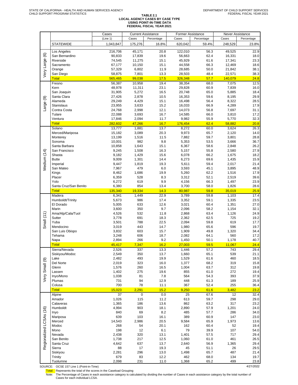|                         |                                         | Cases             | <b>Current Assistance</b> |              | Former Assistance        |              | Never Assistance |              |
|-------------------------|-----------------------------------------|-------------------|---------------------------|--------------|--------------------------|--------------|------------------|--------------|
|                         |                                         | (Line 1)          | Cases                     | Percentage   | Cases                    | Percentage   | Cases            | Percentage   |
|                         | <b>STATEWIDE</b>                        | 1,043,847         | 175,276                   | 16.8%        | 620,042                  | 59.4%        | 248,529          | 23.8%        |
|                         |                                         |                   |                           |              |                          |              |                  |              |
|                         | Los Angeles<br>San Bernardino           | 216,706<br>90,833 | 45,171<br>17,839          | 20.8<br>19.6 | 122,010<br>56,663        | 56.3<br>62.4 | 49,525<br>16,331 | 22.9<br>18.0 |
|                         | Riverside                               | 74,545            | 11,275                    | 15.1         | 45,929                   | 61.6         | 17,341           | 23.3         |
|                         | Sacramento                              | 67,177            | 10,150                    | 15.1         | 44,558                   | 66.3         | 12,469           | 18.6         |
|                         | Orange                                  | 57,329            | 6,802                     | 11.9         | 28,685                   | 50.0         | 21,842           | 38.1         |
| Very Large (6)          | San Diego                               | 58,875            | 7,801                     | 13.3         | 28,503                   | 48.4         | 22,571           | 38.3         |
|                         | <b>Total</b>                            | 565,465           | 99,038                    | 17.5         | 326,348                  | 57.7         | 140,079          | 24.8         |
|                         | Fresno                                  | 56,387            | 10,958                    | 19.4         | 38,354                   | 68.0         | 7,075            | 12.5         |
|                         | Kern                                    | 48,978            | 11,311                    | 23.1         | 29,828                   | 60.9         | 7,839            | 16.0         |
|                         | San Joaquin                             | 31,905            | 5,272                     | 16.5         | 20,748                   | 65.0         | 5,885            | 18.4         |
|                         | Santa Clara                             | 27,426            | 2,878                     | 10.5         | 16,353                   | 59.6         | 8,195            | 29.9         |
|                         | Alameda<br><b>Stanislaus</b>            | 29,249<br>23,955  | 4,429<br>3,633            | 15.1<br>15.2 | 16,498<br>16,033         | 56.4<br>66.9 | 8,322<br>4,289   | 28.5<br>17.9 |
| Large (9)               | Contra Costa                            | 24,768            | 2,998                     | 12.1         | 14,073                   | 56.8         | 7,697            | 31.1         |
|                         | Tulare                                  | 22,088            | 3,693                     | 16.7         | 14,585                   | 66.0         | 3,810            | 17.2         |
|                         | Ventura                                 | 17,846            | 2,094                     | 11.7         | 9,982                    | 55.9         | 5,770            | 32.3         |
|                         | <b>Total</b>                            | 282,602           | 47,266                    | 16.7         | 176,454                  | 62.4         | 58,882           | 20.8         |
|                         | Solano                                  | 13,777            | 1,881                     | 13.7         | 8,272                    | 60.0         | 3,624            | 26.3         |
|                         | Merced/Mariposa                         | 15,182            | 3,089                     | 20.3         | 9,973                    | 65.7         | 2,120            | 14.0         |
|                         | Monterey                                | 13,199            | 1,516                     | 11.5         | 7,882                    | 59.7         | 3,801            | 28.8         |
|                         | Sonoma                                  | 10,001            | 982                       | 9.8          | 5,353                    | 53.5         | 3,666            | 36.7         |
|                         | Santa Barbara                           | 10,858            | 1,643                     | 15.1         | 6,367                    | 58.6         | 2,848            | 26.2         |
|                         | San Francisco                           | 9,245             | 1,508                     | 16.3         | 5,157                    | 55.8         | 2,580            | 27.9         |
|                         | Shasta<br><b>Butte</b>                  | 9,182<br>9,009    | 1,429<br>1,301            | 15.6<br>14.4 | 6,078<br>6,273           | 66.2<br>69.6 | 1,675            | 18.2<br>15.9 |
|                         | Imperial                                | 9,447             | 1,819                     | 19.3         | 5,611                    | 59.4         | 1,435<br>2,017   | 21.4         |
| Medium (14)             | San Mateo                               | 7,967             | 479                       | 6.0          | 3,593                    | 45.1         | 3,895            | 48.9         |
|                         | Kings                                   | 8,462             | 1,686                     | 19.9         | 5,260                    | 62.2         | 1,516            | 17.9         |
|                         | Placer                                  | 6,359             | 528                       | 8.3          | 3,312                    | 52.1         | 2,519            | 39.6         |
|                         | Yolo                                    | 6,272             | 619                       | 9.9          | 4,156                    | 66.3         | 1,497            | 23.9         |
|                         | Santa Cruz/San Benito                   | 6,380             | 854                       | 13.4         | 3,700                    | 58.0         | 1,826            | 28.6         |
|                         | <b>Total</b>                            | 135,340           | 19,334                    | 14.3         | 80,987                   | 59.8         | 35,019           | 25.9         |
|                         | Madera                                  | 6,341             | 1,449                     | 22.9         | 3,789                    | 59.8         | 1,103            | 17.4         |
|                         | Humboldt/Trinity                        | 5,673             | 986                       | 17.4         | 3,352                    | 59.1         | 1,335            | 23.5         |
|                         | El Dorado<br>Marin                      | 5,005<br>3,600    | 633<br>350                | 12.6<br>9.7  | 3,021<br>2,096           | 60.4<br>58.2 | 1,351<br>1,154   | 27.0<br>32.1 |
|                         | Ama/Alp/Cala/Tuol                       | 4,526             | 532                       | 11.8         | 2,868                    | 63.4         | 1,126            | 24.9         |
| Small $(11)$            | <b>Sutter</b>                           | 3,778             | 691                       | 18.3         | 2,362                    | 62.5         | 725              | 19.2         |
|                         | Yuba                                    | 3,501             | 788                       | 22.5         | 2,094                    | 59.8         | 619              | 17.7         |
|                         | Mendocino                               | 3,019             | 443                       | 14.7         | 1,980                    | 65.6         | 596              | 19.7         |
|                         | San Luis Obispo                         | 3,832             | 603                       | 15.7         | 1,909                    | 49.8         | 1,320            | 34.4         |
|                         | Tehama                                  | 3,248             | 606                       | 18.7         | 2,082                    | 64.1         | 560              | 17.2         |
|                         | Napa                                    | 2,894             | 266                       | 9.2          | 1,450                    | 50.1         | 1,178            | 40.7         |
|                         | <b>Total</b>                            | 45,417            | 7,347                     | 16.2         | 27,003                   | 59.5         | 11,067           | 24.4         |
|                         | Sierra/Nevada<br>Siskiyou/Modoc         | 2,526<br>2,549    | 337<br>350                | 13.3<br>13.7 | 1,446<br>1,660           | 57.2<br>65.1 | 743<br>539       | 29.4<br>21.1 |
|                         | Lake                                    | 2,482             | 493                       | 19.9         | 1,529                    | 61.6         | 460              | 18.5         |
|                         | Del Norte                               | 2,019             | 323                       | 16.0         | 1,377                    | 68.2         | 319              | 15.8         |
|                         | Glenn                                   | 1,576             | 260                       | 16.5         | 1,004                    | 63.7         | 312              | 19.8         |
|                         | Lassen                                  | 1,402             | 275                       | 19.6         | 855                      | 61.0         | 272              | 19.4         |
| Very Small (9)          | Inyo/Mono                               | 1,038             | 81                        | 7.8          | 564                      | 54.3         | 393              | 37.9         |
|                         | Plumas                                  | 731               | 94                        | 12.9         | 448                      | 61.3         | 189              | 25.9         |
|                         | Colusa                                  | 700               | 78                        | 11.1         | 367                      | 52.4         | 255              | 36.4         |
|                         | <b>Total</b>                            | 15,023<br>37      | 2,291<br>$\mathsf 0$      | 15.2<br>0.0  | 9,250<br>$\overline{25}$ | 61.6         | 3,482            | 23.2         |
|                         | Alpine<br>Amador                        | 1,026             | 115                       | 11.2         | 613                      | 67.6<br>59.7 | 12<br>298        | 32.4<br>29.0 |
|                         | Calaveras                               | 1,365             | 186                       | 13.6         | 862                      | 63.2         | 317              | 23.2         |
|                         | Humboldt                                | 4,994             | 903                       | 18.1         | 2,890                    | 57.9         | 1,201            | 24.0         |
|                         | Inyo                                    | 840               | 69                        | 8.2          | 485                      | 57.7         | 286              | 34.0         |
|                         | Mariposa                                | 639               | 103                       | 16.1         | 389                      | 60.9         | 147              | 23.0         |
|                         | Merced                                  | 14,543            | 2,986                     | 20.5         | 9,584                    | 65.9         | 1,973            | 13.6         |
|                         | Modoc                                   | 268               | 54                        | 20.1         | 162                      | 60.4         | 52               | 19.4         |
|                         | Mono                                    | 198               | 12                        | 6.1          | 79                       | 39.9         | 107              | 54.0         |
| Regionalized LCSAs (16) | Nevada<br>San Benito                    | 2,438<br>1,738    | 320<br>217                | 13.1<br>12.5 | 1,401<br>1,060           | 57.5<br>61.0 | 717<br>461       | 29.4<br>26.5 |
|                         | Santa Cruz                              | 4,642             | 637                       | 13.7         | 2,640                    | 56.9         | 1,365            | 29.4         |
|                         | Sierra                                  | 88                | 17                        | 19.3         | 45                       | 51.1         | 26               | 29.5         |
|                         | Siskiyou                                | 2,281             | 296                       | 13.0         | 1,498                    | 65.7         | 487              | 21.4         |
|                         | Trinity                                 | 679               | 83                        | 12.2         | 462                      | 68.0         | 134              | 19.7         |
|                         | Tuolumne                                | 2,098             | 231                       | 11.0         | 1,368                    | 65.2         | 499              | 23.8         |
|                         | SOURCE: OCSE 157 Line 1 (Point-in-Time) |                   |                           |              |                          |              |                  | 4/21/2022    |

Total: Represents the total of the scores in the Caseload Grouping

Note: The Percentage of Cases in each assistance category is calculated by dividing the number of Cases in each assistance category by the total number of Cases for each individual LCSA.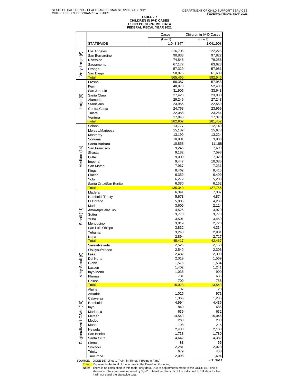# **TABLE 2.7 CHILDREN IN IV-D CASES USING POINT-IN-TIME DATA FEDERAL FISCAL YEAR 2021**

|                         |                                                    | Cases                 | Children in IV-D Cases |
|-------------------------|----------------------------------------------------|-----------------------|------------------------|
|                         | <b>STATEWIDE</b>                                   | (Line 1)<br>1,043,847 | (Line 4)<br>1,041,908  |
|                         | Los Angeles                                        | 216,706               | 222,225                |
|                         | San Bernardino                                     | 90,833                | 97,822                 |
|                         | Riverside                                          | 74,545                | 79,286                 |
|                         | Sacramento                                         | 67,177                | 63,623                 |
| Very Large (6)          | Orange                                             | 57,329                | 57,981                 |
|                         | San Diego<br><b>Total</b>                          | 58,875<br>565,465     | 61,609<br>582,546      |
|                         | Fresno                                             | 56,387                | 57,958                 |
|                         | Kern                                               | 48,978                | 52,403                 |
|                         | San Joaquin                                        | 31,905                | 33,648                 |
|                         | Santa Clara<br>Alameda                             | 27,426<br>29,249      | 23,038<br>27,243       |
| Large (9)               | <b>Stanislaus</b>                                  | 23,955                | 22,559                 |
|                         | Contra Costa                                       | 24,768                | 23,969                 |
|                         | Tulare                                             | 22,088                | 23,264                 |
|                         | Ventura                                            | 17,846                | 17,370                 |
|                         | <b>Total</b><br>Solano                             | 282,602<br>13,777     | 281,452<br>12,149      |
|                         | Merced/Mariposa                                    | 15,182                | 15,678                 |
|                         | Monterey                                           | 13,199                | 13,224                 |
|                         | Sonoma                                             | 10,001                | 9,088                  |
|                         | Santa Barbara                                      | 10,858                | 11,188                 |
| Medium (14)             | San Francisco<br>Shasta                            | 9,245<br>9,182        | 7,699<br>7,598         |
|                         | <b>Butte</b>                                       | 9,009                 | 7,320                  |
|                         | Imperial                                           | 9,447                 | 10,385                 |
|                         | San Mateo                                          | 7,967                 | 7,231                  |
|                         | Kings                                              | 8,462                 | 8,415                  |
|                         | Placer<br>Yolo                                     | 6,359<br>6,272        | 6,409<br>5,209         |
|                         | Santa Cruz/San Benito                              | 6,380                 | 6,162                  |
|                         | <b>Total</b>                                       | <b>135,340</b>        | 127,755                |
|                         | Madera                                             | 6,341                 | 7,307                  |
|                         | Humboldt/Trinity<br>El Dorado                      | 5,673<br>5,005        | 4,874<br>4,288         |
|                         | Marin                                              | 3,600                 | 2,124                  |
|                         | Ama/Alp/Cala/Tuol                                  | 4,526                 | 3,970                  |
| Small $(11)$            | Sutter                                             | 3,778                 | 3,773                  |
|                         | Yuba                                               | 3,501                 | 3,459                  |
|                         | Mendocino                                          | 3,019<br>3,832        | 2,720<br>4,334         |
|                         | San Luis Obispo<br>Tehama                          | 3,248                 | 2,901                  |
|                         | Napa                                               | 2,894                 | 2,717                  |
|                         | <u>Total</u>                                       | 45,417                | 42,467                 |
|                         | Sierra/Nevada                                      | 2,526                 | 2,168                  |
|                         | Siskiyou/Modoc<br>Lake                             | 2,549<br>2,482        | 2,303<br>2,390         |
|                         | Del Norte                                          | 2,019                 | 1,569                  |
|                         | Glenn                                              | 1,576                 | 1,534                  |
|                         | Lassen                                             | 1,402                 | 1,241                  |
| Very Small (9)          | Inyo/Mono<br>Plumas                                | 1,038<br>731          | 900<br>686             |
|                         | Colusa                                             | 700                   | 758                    |
|                         | <u>Total</u>                                       | 15,023                | 13,549                 |
|                         | Alpine                                             | 37                    | 20                     |
|                         | Amador<br>Calaveras                                | 1,026<br>1,365        | 971<br>1,285           |
|                         | Humboldt                                           | 4,994                 | 4,436                  |
|                         | Inyo                                               | 840                   | 685                    |
|                         | Mariposa                                           | 639                   | 632                    |
|                         | Merced                                             | 14,543                | 15,046                 |
|                         | Modoc<br>Mono                                      | 268<br>198            | 283<br>215             |
|                         | Nevada                                             | 2,438                 | 2,103                  |
|                         | San Benito                                         | 1,738                 | 1,780                  |
| Regionalized LCSAs (16) | Santa Cruz                                         | 4,642                 | 4,382                  |
|                         | Sierra                                             | 88                    | 65                     |
|                         | Siskiyou<br>Trinity                                | 2,281<br>679          | 2,020<br>438           |
|                         | Tuolumne                                           | 2,098                 | 1,694                  |
| SOLIDOE:                | OCSE 157 Lines 1 (Doint-in-Time) A (Doint-in-Time) |                       | 1/21/2022              |

SOURCE: OCSE 157 Lines 1 (Point-in-Time), 4 (Point-in-Time)<br> **Total:** Represents the total of the scores in the Caseload Grouping<br>
Note: There is no calculation in this table, only data. Due to adjustments made to the OCSE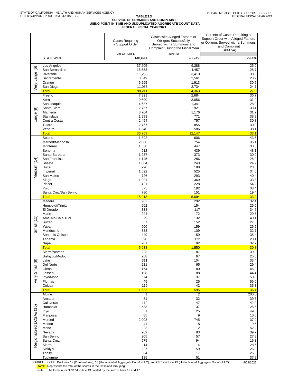# TABLE 3.3<br>SERVICE OF SUMMONS AND COMPLAINT<br>FEDERAL FISCAL YEAR 2021<br>FEDERAL FISCAL YEAR 2021

|                         |                               | <b>Cases Requiring</b><br>a Support Order | Cases with Alleged Fathers or<br><b>Obligors Successfully</b><br>Served with a Summons and<br>Complaint During the Fiscal Year | Percent of Cases Requiring a<br>Support Order with Alleged Fathers<br>or Obligors Served with a Summons<br>and Complaint<br>(SPM 5A) |
|-------------------------|-------------------------------|-------------------------------------------|--------------------------------------------------------------------------------------------------------------------------------|--------------------------------------------------------------------------------------------------------------------------------------|
|                         | <b>STATEWIDE</b>              | (Line 12 + Line 17)<br>148,643            | (Line 43)<br>43,749                                                                                                            | 29.4%                                                                                                                                |
|                         |                               |                                           |                                                                                                                                |                                                                                                                                      |
|                         | Los Angeles<br>San Bernardino | 37,205<br>15,553                          | 9,288<br>4,457                                                                                                                 | 25.0<br>28.7                                                                                                                         |
|                         | Riverside                     | 11,256                                    | 3,410                                                                                                                          | 30.3                                                                                                                                 |
|                         | Sacramento                    | 8,849                                     | 2,561                                                                                                                          | 28.9                                                                                                                                 |
| Very Large (6)          | Orange                        | 6,265<br>11,083                           | 1,913<br>2,734                                                                                                                 | 30.5<br>24.7                                                                                                                         |
|                         | San Diego<br><b>Total</b>     | 90,211                                    | 24,363                                                                                                                         | 27.0                                                                                                                                 |
|                         | Fresno                        | 7,321                                     | 2,684                                                                                                                          | 36.7                                                                                                                                 |
|                         | Kern                          | 9,590                                     | 3,056                                                                                                                          | 31.9                                                                                                                                 |
|                         | San Joaquin<br>Santa Clara    | 4,637<br>2,757                            | 1,341<br>921                                                                                                                   | 28.9<br>33.4                                                                                                                         |
| Large (9)               | Alameda                       | 3,704                                     | 1,176                                                                                                                          | 31.7                                                                                                                                 |
|                         | <b>Stanislaus</b>             | 1,983                                     | 771                                                                                                                            | 38.9                                                                                                                                 |
|                         | Contra Costa                  | 2,454                                     | 757                                                                                                                            | 30.8                                                                                                                                 |
|                         | Tulare<br>Ventura             | 2,767<br>1,540                            | 855<br>586                                                                                                                     | 30.9<br>38.1                                                                                                                         |
|                         | <b>Total</b>                  | 36,753                                    | 12,147                                                                                                                         | 33.1                                                                                                                                 |
|                         | Solano                        | 1,392                                     | 606                                                                                                                            | 43.5                                                                                                                                 |
|                         | Merced/Mariposa               | 2,088                                     | 754                                                                                                                            | 36.1                                                                                                                                 |
|                         | Monterey<br>Sonoma            | 1,330<br>912                              | 447<br>439                                                                                                                     | 33.6<br>48.1                                                                                                                         |
|                         | Santa Barbara                 | 1,237                                     | 373                                                                                                                            | 30.2                                                                                                                                 |
|                         | San Francisco                 | 1,145                                     | 286                                                                                                                            | 25.0                                                                                                                                 |
| Medium (14)             | Shasta                        | 1,004                                     | 243                                                                                                                            | 24.2                                                                                                                                 |
|                         | <b>Butte</b><br>Imperial      | 790<br>1,522                              | 188<br>525                                                                                                                     | 23.8<br>34.5                                                                                                                         |
|                         | San Mateo                     | 726                                       | 293                                                                                                                            | 40.4                                                                                                                                 |
|                         | Kings                         | 1,091                                     | 369                                                                                                                            | 33.8                                                                                                                                 |
|                         | Placer                        | 421                                       | 228                                                                                                                            | 54.2                                                                                                                                 |
|                         | Yolo<br>Santa Cruz/San Benito | 575<br>780                                | 192<br>151                                                                                                                     | 33.4<br>19.4                                                                                                                         |
|                         | <b>Total</b>                  | 15,013                                    | 5,094                                                                                                                          | 33.9                                                                                                                                 |
|                         | Madera                        | 902                                       | 292                                                                                                                            | 32.4                                                                                                                                 |
|                         | Humboldt/Trinity<br>El Dorado | 602<br>338                                | 154<br>117                                                                                                                     | 25.6<br>34.6                                                                                                                         |
|                         | Marin                         | 244                                       | 72                                                                                                                             | 29.5                                                                                                                                 |
|                         | Ama/Alp/Cala/Tuol             | 329                                       | 132                                                                                                                            | 40.1                                                                                                                                 |
| Small $(11)$            | Sutter                        | 557                                       | 152                                                                                                                            | 27.3                                                                                                                                 |
|                         | Yuba<br>Mendocino             | 600<br>333                                | 159<br>109                                                                                                                     | 26.5<br>32.7                                                                                                                         |
|                         | San Luis Obispo               | 449                                       | 159                                                                                                                            | 35.4                                                                                                                                 |
|                         | Tehama                        | 398                                       | 112                                                                                                                            | 28.1                                                                                                                                 |
|                         | Napa<br><b>Total</b>          | 281<br>5,033                              | 92<br>1,550                                                                                                                    | 32.7<br>30.8                                                                                                                         |
|                         | Sierra/Nevada                 | 223                                       | 87                                                                                                                             | 39.0                                                                                                                                 |
|                         | Siskiyou/Modoc                | 268                                       | 67                                                                                                                             | 25.0                                                                                                                                 |
|                         | Lake                          | 311                                       | 104                                                                                                                            | 33.4                                                                                                                                 |
|                         | Del Norte<br>Glenn            | 221<br>174                                | 65<br>80                                                                                                                       | 29.4<br>46.0                                                                                                                         |
| Very Small (9)          | Lassen                        | 198                                       | 88                                                                                                                             | 44.4                                                                                                                                 |
|                         | Inyo/Mono                     | 74                                        | 37                                                                                                                             | 50.0                                                                                                                                 |
|                         | Plumas                        | 45                                        | 25                                                                                                                             | 55.6                                                                                                                                 |
|                         | Colusa<br><b>Total</b>        | 119<br>1,633                              | 42<br>595                                                                                                                      | 35.3<br>36.4                                                                                                                         |
|                         | Alpine                        | $\mathbf{1}$                              | $\overline{2}$                                                                                                                 | 200.0                                                                                                                                |
|                         | Amador                        | 81                                        | 32                                                                                                                             | 39.5                                                                                                                                 |
|                         | Calaveras<br>Humboldt         | 112<br>538                                | 47<br>137                                                                                                                      | 42.0<br>25.5                                                                                                                         |
|                         | Inyo                          | 51                                        | 25                                                                                                                             | 49.0                                                                                                                                 |
|                         | Mariposa                      | 85                                        | 9                                                                                                                              | 10.6                                                                                                                                 |
| Regionalized LCSAs (16) | Merced                        | 2,003                                     | 745                                                                                                                            | 37.2                                                                                                                                 |
|                         | Modoc<br>Mono                 | 41<br>23                                  | 8<br>12                                                                                                                        | 19.5<br>52.2                                                                                                                         |
|                         | Nevada                        | 209                                       | 83                                                                                                                             | 39.7                                                                                                                                 |
|                         | San Benito                    | 205                                       | 57                                                                                                                             | 27.8                                                                                                                                 |
|                         | Santa Cruz<br>Sierra          | 575                                       | 94<br>4                                                                                                                        | 16.3                                                                                                                                 |
|                         | Siskiyou                      | 14<br>227                                 | 59                                                                                                                             | 28.6<br>26.0                                                                                                                         |
|                         | Trinity                       | 64                                        | 17                                                                                                                             | 26.6                                                                                                                                 |
|                         | Tuolumne                      | 135                                       | 51                                                                                                                             | 37.8                                                                                                                                 |

SOURCE: OCSE 157 Lines 12 (Point-in-Time), 17 (Unduplicated Aggregate Count - FFY); and CS 1257 Line 43 (Unduplicated Aggregate Count - FFY) 4/21/2022<br>T<mark>otal: </mark>Represents the total of the scores in the Caseload Gro

Note: The formula for SPM 5A is line 43 divided by the sum of lines 12 and 17.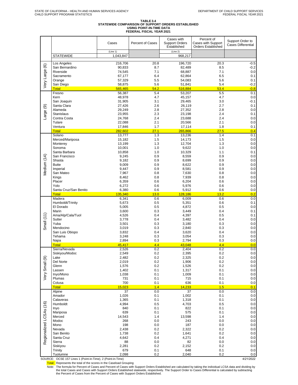# TABLE 3.4<br>STATEWIDE COMPARISON OF SUPPORT ORDERS ESTABLISHED<br>ISING POINT-IN-TIME DATA<br>FEDERAL FISCAL YEAR 2021

|                         |                                                             | Cases            | Percent of Cases | Cases with<br><b>Support Orders</b><br>Established | Percent of<br>Cases with Support<br><b>Orders Established</b> | Support Order to<br><b>Cases Differential</b> |
|-------------------------|-------------------------------------------------------------|------------------|------------------|----------------------------------------------------|---------------------------------------------------------------|-----------------------------------------------|
|                         |                                                             | (Line 1)         |                  | (Line 2)                                           |                                                               |                                               |
|                         | <b>STATEWIDE</b>                                            | 1,043,847        |                  | 968,217                                            |                                                               |                                               |
|                         | Los Angeles                                                 | 216,706          | 20.8             | 196,720                                            | 20.3                                                          | $-0.5$                                        |
| Very Large (6)          | San Bernardino                                              | 90,833           | 8.7              | 82,489                                             | 8.5                                                           | $-0.2$                                        |
|                         | Riverside                                                   | 74,545           | 7.1              | 68,887                                             | 7.1                                                           | 0.0                                           |
|                         | Sacramento<br>Orange                                        | 67,177<br>57,329 | 6.4<br>5.5       | 62,864<br>54,083                                   | 6.5<br>5.6                                                    | 0.1<br>0.1                                    |
|                         | San Diego                                                   | 58,875           | 5.6              | 51,841                                             | 5.4                                                           | $-0.2$                                        |
|                         | <b>Total</b>                                                | 565,465          | 54.2             | 516,884                                            | 53.4                                                          | $-0.8$                                        |
|                         | Fresno                                                      | 56,387           | 5.4              | 53,207                                             | 5.5                                                           | 0.1                                           |
|                         | Kern                                                        | 48,978           | 4.7              | 45,157                                             | 4.7                                                           | 0.0                                           |
|                         | San Joaquin                                                 | 31,905           | 3.1              | 29,465                                             | 3.0                                                           | $-0.1$                                        |
|                         | Santa Clara<br>Alameda                                      | 27,426<br>29,249 | 2.6<br>2.8       | 26,119<br>27,352                                   | 2.7<br>2.8                                                    | 0.1<br>0.0                                    |
| Large (9)               | Stanislaus                                                  | 23,955           | 2.3              | 23,198                                             | 2.4                                                           | 0.1                                           |
|                         | Contra Costa                                                | 24,768           | 2.4              | 23,688                                             | 2.4                                                           | 0.0                                           |
|                         | Tulare                                                      | 22,088           | 2.1              | 20,566                                             | 2.1                                                           | 0.0                                           |
|                         | Ventura                                                     | 17,846           | 1.7              | 17,114                                             | 1.8                                                           | 0.1                                           |
|                         | <b>Total</b>                                                | 282,602          | 27.1             | 265,866                                            | 27.5                                                          | 0.4                                           |
|                         | Solano                                                      | 13,777           | 1.3              | 13,236                                             | 1.4                                                           | 0.1                                           |
|                         | Merced/Mariposa                                             | 15,182           | 1.5<br>1.3       | 14,173                                             | 1.5                                                           | 0.0                                           |
|                         | Monterey<br>Sonoma                                          | 13,199<br>10,001 | 1.0              | 12,704<br>9,622                                    | 1.3<br>1.0                                                    | 0.0<br>0.0                                    |
|                         | Santa Barbara                                               | 10,858           | 1.0              | 10,329                                             | 1.1                                                           | 0.1                                           |
|                         | San Francisco                                               | 9,245            | 0.9              | 8,559                                              | 0.9                                                           | 0.0                                           |
| Medium (14)             | Shasta                                                      | 9,182            | 0.9              | 8,699                                              | 0.9                                                           | 0.0                                           |
|                         | <b>Butte</b>                                                | 9,009            | 0.9              | 8,622                                              | 0.9                                                           | 0.0                                           |
|                         | Imperial                                                    | 9,447            | 0.9              | 8,581                                              | 0.9                                                           | 0.0                                           |
|                         | San Mateo                                                   | 7,967            | 0.8              | 7,630                                              | 0.8                                                           | 0.0                                           |
|                         | Kings<br>Placer                                             | 8,462<br>6,359   | 0.8<br>0.6       | 7,939<br>6,204                                     | 0.8<br>0.6                                                    | 0.0<br>0.0                                    |
|                         | Yolo                                                        | 6,272            | 0.6              | 5,976                                              | 0.6                                                           | 0.0                                           |
|                         | Santa Cruz/San Benito                                       | 6,380            | 0.6              | 5,912                                              | 0.6                                                           | 0.0                                           |
|                         | <b>Total</b>                                                | 135,340          | 13.0             | 128,186                                            | 13.2                                                          | 0.2                                           |
|                         | Madera                                                      | 6,341            | 0.6              | 6,009                                              | 0.6                                                           | 0.0                                           |
|                         | Humboldt/Trinity                                            | 5,673            | 0.5              | 5,351                                              | 0.6                                                           | 0.1                                           |
|                         | El Dorado                                                   | 5,005            | 0.5              | 4,872                                              | 0.5                                                           | 0.0                                           |
|                         | Marin<br>Ama/Alp/Cala/Tuol                                  | 3,600<br>4,526   | 0.3<br>0.4       | 3,449<br>4,397                                     | 0.4<br>0.5                                                    | 0.1<br>0.1                                    |
| Small $(11)$            | Sutter                                                      | 3,778            | 0.4              | 3,482                                              | 0.4                                                           | 0.0                                           |
|                         | Yuba                                                        | 3,501            | 0.3              | 3,180                                              | 0.3                                                           | 0.0                                           |
|                         | Mendocino                                                   | 3,019            | 0.3              | 2,840                                              | 0.3                                                           | 0.0                                           |
|                         | San Luis Obispo                                             | 3,832            | 0.4              | 3,620                                              | 0.4                                                           | 0.0                                           |
|                         | Tehama                                                      | 3,248            | 0.3              | 3,054                                              | 0.3                                                           | 0.0                                           |
|                         | Napa<br><b>Total</b>                                        | 2,894<br>45,417  | 0.3<br>4.4       | 2,794<br>43.048                                    | 0.3<br>4.4                                                    | 0.0<br>0.0                                    |
|                         | Sierra/Nevada                                               | 2,526            | 0.2              | 2,404                                              | 0.2                                                           | 0.0                                           |
|                         | Siskiyou/Modoc                                              | 2,549            | 0.2              | 2,395                                              | 0.2                                                           | 0.0                                           |
|                         | Lake                                                        | 2,482            | 0.2              | 2,325                                              | 0.2                                                           | 0.0                                           |
| Very Small (9)          | Del Norte                                                   | 2,019            | 0.2              | 1,906                                              | 0.2                                                           | 0.0                                           |
|                         | Glenn                                                       | 1,576            | 0.2              | 1,526                                              | 0.2                                                           | 0.0                                           |
|                         | Lassen                                                      | 1,402            | 0.1              | 1,317                                              | 0.1                                                           | 0.0                                           |
|                         | Inyo/Mono<br>Plumas                                         | 1,038<br>731     | 0.1<br>0.1       | 1,009<br>715                                       | 0.1<br>0.1                                                    | 0.0<br>0.0                                    |
|                         | Colusa                                                      | 700              | 0.1              | 636                                                | 0.1                                                           | 0.0                                           |
|                         | <b>Total</b>                                                | 15,023           | 1.4              | 14,233                                             | 1.5                                                           | 0.1                                           |
|                         | Alpine                                                      | $\overline{37}$  | 0.0              | 37                                                 | 0.0                                                           | 0.0                                           |
|                         | Amador                                                      | 1,026            | 0.1              | 1,002                                              | 0.1                                                           | 0.0                                           |
|                         | Calaveras                                                   | 1,365            | 0.1              | 1,318                                              | 0.1                                                           | 0.0                                           |
|                         | Humboldt<br>Inyo                                            | 4,994<br>840     | 0.5<br>0.1       | 4,703<br>822                                       | 0.5<br>0.1                                                    | 0.0<br>0.0                                    |
|                         | Mariposa                                                    | 639              | 0.1              | 575                                                | 0.1                                                           | 0.0                                           |
| Regionalized LCSAs (16) | Merced                                                      | 14,543           | 1.4              | 13,598                                             | 1.4                                                           | 0.0                                           |
|                         | Modoc                                                       | 268              | 0.0              | 243                                                | 0.0                                                           | 0.0                                           |
|                         | Mono                                                        | 198              | 0.0              | 187                                                | 0.0                                                           | 0.0                                           |
|                         | Nevada                                                      | 2,438            | 0.2              | 2,322                                              | 0.2                                                           | 0.0                                           |
|                         | San Benito                                                  | 1,738            | 0.2              | 1,641                                              | 0.2                                                           | 0.0                                           |
|                         | Santa Cruz<br>Sierra                                        | 4,642<br>88      | 0.4<br>0.0       | 4,271<br>82                                        | 0.4<br>0.0                                                    | 0.0<br>0.0                                    |
|                         | Siskiyou                                                    | 2,281            | 0.2              | 2,152                                              | 0.2                                                           | 0.0                                           |
|                         | Trinity                                                     | 679              | 0.1              | 648                                                | 0.1                                                           | 0.0                                           |
|                         | Tuolumne                                                    | 2,098            | 0.2              | 2,040                                              | 0.2                                                           | 0.0                                           |
|                         | SOURCE: OCSE 157 Lines 1 (Point-in-Time), 2 (Point-in-Time) |                  |                  |                                                    |                                                               | 4/21/2022                                     |

Total: Represents the total of the scores in the Caseload Grouping

Note: The formula for Percent of Cases and Percent of Cases with Support Orders Established are calculated by taking the individual LCSA data and dividing by<br>the total Cases and Cases with Support Orders Established statew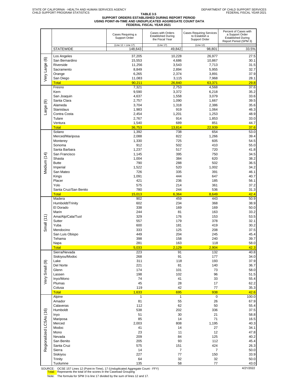# TABLE 3.5<br>SUPPORT ORDERS ESTABLISHED DURING REPORT PERIOD<br>ISING POINT-IN-TIME AND UNDUPLICATED AGGREGATE COUNT DATA<br>FEDERAL FISCAL YEAR 2021

|                         |                                 | Cases Requiring a<br>Support Order | Cases with Orders<br><b>Established During</b><br>the Fiscal Year | <b>Cases Requiring Services</b><br>to Establish a<br>Support Order | Percent of Cases with<br>a Support Order<br><b>Established During</b><br>Report Period (SPM 3) |
|-------------------------|---------------------------------|------------------------------------|-------------------------------------------------------------------|--------------------------------------------------------------------|------------------------------------------------------------------------------------------------|
|                         | <b>STATEWIDE</b>                | (Line 12 + Line 17)<br>148,643     | (Line 17)<br>49,842                                               | (Line 12)<br>98,801                                                | 33.5%                                                                                          |
|                         |                                 |                                    |                                                                   |                                                                    |                                                                                                |
|                         | Los Angeles<br>San Bernardino   | 37,205<br>15,553                   | 10,228<br>4,686                                                   | 26,977<br>10,867                                                   | 27.5<br>30.1                                                                                   |
| Very Large (6)          | Riverside                       | 11,256                             | 3,543                                                             | 7,713                                                              | 31.5                                                                                           |
|                         | Sacramento                      | 8,849                              | 2,894                                                             | 5,955                                                              | 32.7                                                                                           |
|                         | Orange                          | 6,265                              | 2,374                                                             | 3,891                                                              | 37.9                                                                                           |
|                         | San Diego<br><b>Total</b>       | 11,083<br>90,211                   | 3,115<br>26,840                                                   | 7,968<br>63,371                                                    | 28.1<br>29.8                                                                                   |
|                         | Fresno                          | 7,321                              | 2,753                                                             | 4,568                                                              | 37.6                                                                                           |
|                         | Kern                            | 9,590                              | 3,372                                                             | 6,218                                                              | 35.2                                                                                           |
|                         | San Joaquin                     | 4,637                              | 1,558                                                             | 3,079                                                              | 33.6                                                                                           |
|                         | Santa Clara<br>Alameda          | 2,757<br>3,704                     | 1,090                                                             | 1,667                                                              | 39.5<br>35.6                                                                                   |
| Large (9)               | <b>Stanislaus</b>               | 1,983                              | 1,318<br>919                                                      | 2,386<br>1,064                                                     | 46.3                                                                                           |
|                         | Contra Costa                    | 2,454                              | 1,201                                                             | 1,253                                                              | 48.9                                                                                           |
|                         | Tulare                          | 2,767                              | 914                                                               | 1,853                                                              | 33.0                                                                                           |
|                         | Ventura                         | 1,540                              | 689                                                               | 851                                                                | 44.7                                                                                           |
|                         | <b>Total</b><br>Solano          | 36,753<br>1,392                    | 13,814<br>738                                                     | 22,939<br>654                                                      | 37.6<br>53.0                                                                                   |
|                         | Merced/Mariposa                 | 2,088                              | 822                                                               | 1.266                                                              | 39.4                                                                                           |
|                         | Monterey                        | 1,330                              | 725                                                               | 605                                                                | 54.5                                                                                           |
|                         | Sonoma                          | 912                                | 502                                                               | 410                                                                | 55.0                                                                                           |
|                         | Santa Barbara                   | 1,237                              | 517                                                               | 720                                                                | 41.8                                                                                           |
| Medium (14)             | San Francisco<br>Shasta         | 1,145<br>1,004                     | 395<br>384                                                        | 750<br>620                                                         | 34.5<br>38.2                                                                                   |
|                         | <b>Butte</b>                    | 790                                | 288                                                               | 502                                                                | 36.5                                                                                           |
|                         | Imperial                        | 1,522                              | 520                                                               | 1,002                                                              | 34.2                                                                                           |
|                         | San Mateo                       | 726                                | 335                                                               | 391                                                                | 46.1                                                                                           |
|                         | Kings                           | 1,091                              | 444                                                               | 647                                                                | 40.7                                                                                           |
|                         | Placer<br>Yolo                  | 421<br>575                         | 236<br>214                                                        | 185<br>361                                                         | 56.1<br>37.2                                                                                   |
|                         | Santa Cruz/San Benito           | 780                                | 244                                                               | 536                                                                | 31.3                                                                                           |
|                         | <b>Total</b>                    | 15,013                             | 6,364                                                             | 8,649                                                              | 42.4                                                                                           |
|                         | Madera                          | 902                                | 459                                                               | 443                                                                | 50.9                                                                                           |
|                         | Humboldt/Trinity<br>El Dorado   | 602<br>338                         | 234<br>169                                                        | 368<br>169                                                         | 38.9<br>50.0                                                                                   |
|                         | Marin                           | 244                                | 81                                                                | 163                                                                | 33.2                                                                                           |
|                         | Ama/Alp/Cala/Tuol               | 329                                | 176                                                               | 153                                                                | 53.5                                                                                           |
| Small(11)               | Sutter                          | 557                                | 179                                                               | 378                                                                | 32.1                                                                                           |
|                         | Yuba                            | 600                                | 181                                                               | 419                                                                | 30.2                                                                                           |
|                         | Mendocino<br>San Luis Obispo    | 333<br>449                         | 125<br>204                                                        | 208<br>245                                                         | 37.5<br>45.4                                                                                   |
|                         | Tehama                          | 398                                | 158                                                               | 240                                                                | 39.7                                                                                           |
|                         | Napa                            | 281                                | 163                                                               | 118                                                                | 58.0                                                                                           |
|                         | <b>Total</b>                    | 5,033                              | 2,129                                                             | 2,904                                                              | 42.3                                                                                           |
|                         | Sierra/Nevada<br>Siskiyou/Modoc | 223<br>268                         | 91<br>91                                                          | 132<br>177                                                         | 40.8<br>34.0                                                                                   |
|                         | Lake                            | 311                                | 118                                                               | 193                                                                | 37.9                                                                                           |
|                         | Del Norte                       | 221                                | 81                                                                | 140                                                                | 36.7                                                                                           |
| Very Small (9)          | Glenn                           | 174                                | 101                                                               | 73                                                                 | 58.0                                                                                           |
|                         | Lassen                          | 198                                | 102                                                               | 96                                                                 | 51.5                                                                                           |
|                         | Inyo/Mono<br>Plumas             | 74<br>45                           | 41<br>28                                                          | 33<br>17                                                           | 55.4<br>62.2                                                                                   |
|                         | Colusa                          | 119                                | 42                                                                | $77 \,$                                                            | 35.3                                                                                           |
|                         | <b>Total</b>                    | 1,633                              | 695                                                               | 938                                                                | 42.6                                                                                           |
|                         | Alpine                          | $\overline{1}$                     | $\overline{1}$                                                    | $\overline{0}$                                                     | 100.0                                                                                          |
|                         | Amador                          | 81                                 | 55                                                                | 26                                                                 | 67.9                                                                                           |
|                         | Calaveras<br>Humboldt           | 112<br>538                         | 62<br>202                                                         | 50<br>336                                                          | 55.4<br>37.5                                                                                   |
|                         | Inyo                            | 51                                 | 30                                                                | 21                                                                 | 58.8                                                                                           |
| Regionalized LCSAs (16) | Mariposa                        | 85                                 | 14                                                                | 71                                                                 | 16.5                                                                                           |
|                         | Merced                          | 2,003                              | 808                                                               | 1,195                                                              | 40.3                                                                                           |
|                         | Modoc<br>Mono                   | 41<br>23                           | 14<br>11                                                          | 27<br>12                                                           | 34.1<br>47.8                                                                                   |
|                         | Nevada                          | 209                                | 84                                                                | 125                                                                | 40.2                                                                                           |
|                         | San Benito                      | 205                                | 93                                                                | 112                                                                | 45.4                                                                                           |
|                         | Santa Cruz                      | 575                                | 151                                                               | 424                                                                | 26.3                                                                                           |
|                         | Sierra                          | 14                                 | $\boldsymbol{7}$                                                  | $\overline{7}$                                                     | 50.0                                                                                           |
|                         | Siskiyou<br>Trinity             | 227<br>64                          | 77<br>32                                                          | 150<br>32                                                          | 33.9<br>50.0                                                                                   |
|                         | Tuolumne                        | 135                                | 58                                                                | 77                                                                 | 43.0                                                                                           |

SOURCE: OCSE 157 Lines 12 (Point-in-Time), 17 (Unduplicated Aggregate Count - FFY)<br>Total: Represents the total of the scores in the Caseload Grouping

Note: The formula for SPM 3 is line 17 divided by the sum of lines 12 and 17.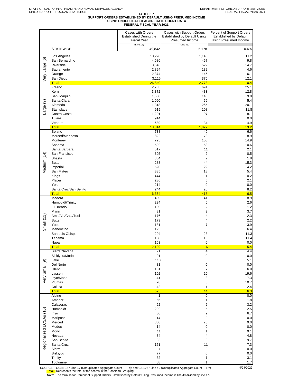# TABLE 3.7<br>SUPPORT ORDERS ESTABLISHED BY DEFAULT USING PRESUMED INCOME<br>FEDERAL FISCAL YEAR 2021<br>FEDERAL FISCAL YEAR 2021

| Established by Default Using<br><b>Established During the</b><br>Presumed Income<br><b>Fiscal Year</b> | Percent of Support Orders<br><b>Established by Default</b><br>Using Presumed Income |
|--------------------------------------------------------------------------------------------------------|-------------------------------------------------------------------------------------|
| (Line 49)<br>(Line 17)<br><b>STATEWIDE</b><br>5,178<br>49,842                                          | 10.4%                                                                               |
| 10,228<br>1,146<br>Los Angeles                                                                         | 11.2                                                                                |
| Very Large (6)<br>San Bernardino<br>4,686<br>457                                                       | 9.8                                                                                 |
| Riverside<br>3,543<br>522                                                                              | 14.7                                                                                |
| Sacramento<br>2,894<br>132<br>2,374<br>Orange<br>145                                                   | 4.6<br>6.1                                                                          |
| San Diego<br>3,115<br>376                                                                              | 12.1                                                                                |
| <b>Total</b><br>26,840<br>2,778                                                                        | 10.4                                                                                |
| Fresno<br>2,753<br>691<br>Kern<br>3,372<br>433                                                         | 25.1<br>12.8                                                                        |
| San Joaquin<br>1,558<br>140                                                                            | 9.0                                                                                 |
| Santa Clara<br>1,090<br>59<br>$\circledcirc$                                                           | 5.4                                                                                 |
| Alameda<br>265<br>1,318<br>Large<br><b>Stanislaus</b><br>919<br>108                                    | 20.1                                                                                |
| Contra Costa<br>97<br>1,201                                                                            | 11.8<br>8.1                                                                         |
| Tulare<br>914<br>$\mathbf 0$                                                                           | 0.0                                                                                 |
| Ventura<br>689<br>34                                                                                   | 4.9                                                                                 |
| <b>Total</b><br>13,814<br>1,827<br>Solano<br>738<br>49                                                 | 13.2<br>6.6                                                                         |
| Merced/Mariposa<br>822<br>73                                                                           | 8.9                                                                                 |
| 725<br>108<br>Monterey                                                                                 | 14.9                                                                                |
| Sonoma<br>502<br>53<br>Santa Barbara<br>517<br>11                                                      | 10.6<br>2.1                                                                         |
| San Francisco<br>395<br>$\overline{2}$                                                                 | 0.5                                                                                 |
| $\overline{7}$<br>Shasta<br>384                                                                        | 1.8                                                                                 |
| <b>Butte</b><br>288<br>44                                                                              | 15.3                                                                                |
| Medium (14)<br>520<br>22<br>Imperial<br>San Mateo<br>335<br>18                                         | 4.2<br>5.4                                                                          |
| 444<br>Kings<br>1                                                                                      | 0.2                                                                                 |
| 5<br>Placer<br>236                                                                                     | 2.1                                                                                 |
| Yolo<br>214<br>$\pmb{0}$                                                                               | 0.0                                                                                 |
| Santa Cruz/San Benito<br>244<br>20<br>6,364<br><b>Total</b><br>413                                     | 8.2<br>6.5                                                                          |
| Madera<br>459<br>41                                                                                    | 8.9                                                                                 |
| Humboldt/Trinity<br>234<br>6                                                                           | 2.6                                                                                 |
| El Dorado<br>169<br>$\overline{2}$<br>Marin<br>81<br>3                                                 | 1.2<br>3.7                                                                          |
| Ama/Alp/Cala/Tuol<br>4<br>176                                                                          | 2.3                                                                                 |
| Small $(11)$<br>Sutter<br>4<br>179                                                                     | 2.2                                                                                 |
| Yuba<br>181<br>$\overline{7}$<br>Mendocino<br>125<br>8                                                 | 3.9<br>6.4                                                                          |
| San Luis Obispo<br>204<br>23                                                                           | 11.3                                                                                |
| Tehama<br>158<br>18                                                                                    | 11.4                                                                                |
| Napa<br>163<br>0                                                                                       | 0.0                                                                                 |
| 116<br><b>Total</b><br>2,129<br>Sierra/Nevada<br>91<br>4                                               | 5.4<br>4.4                                                                          |
| 91<br>$\pmb{0}$<br>Siskiyou/Modoc                                                                      | $0.0\,$                                                                             |
| 118<br>6<br>Lake                                                                                       | 5.1                                                                                 |
| Very Small (9)<br>Del Norte<br>81<br>$\pmb{0}$<br>$\overline{7}$<br>Glenn<br>101                       | $0.0\,$<br>6.9                                                                      |
| 102<br>20<br>Lassen                                                                                    | 19.6                                                                                |
| 3<br>Inyo/Mono<br>41                                                                                   | $7.3\,$                                                                             |
| Plumas<br>28<br>3<br>Colusa<br>42<br>1                                                                 | 10.7<br>2.4                                                                         |
| 44<br><b>Total</b><br>695                                                                              | 6.3                                                                                 |
| $\overline{1}$<br>$\overline{0}$<br>Alpine                                                             | 0.0                                                                                 |
| Amador<br>55<br>$\mathbf{1}$<br>Calaveras<br>62<br>$\overline{c}$                                      | 1.8<br>3.2                                                                          |
| 5<br>Humboldt<br>202                                                                                   | 2.5                                                                                 |
| 30<br>$\overline{\mathbf{c}}$<br>Inyo                                                                  | 6.7                                                                                 |
| 14<br>Mariposa<br>$\pmb{0}$                                                                            | $0.0\,$                                                                             |
| Merced<br>808<br>73<br>$\pmb{0}$<br>Modoc<br>14                                                        | 9.0<br>$0.0\,$                                                                      |
| Regionalized LCSAs (16)<br>Mono<br>11<br>$\mathbf{1}$                                                  | 9.1                                                                                 |
| 84<br>Nevada<br>4                                                                                      | 4.8                                                                                 |
| 93<br>9<br>San Benito<br>Santa Cruz<br>151<br>11                                                       | 9.7<br>7.3                                                                          |
| Sierra<br>$\boldsymbol{7}$<br>$\pmb{0}$                                                                | 0.0                                                                                 |
| Siskiyou<br>77<br>0                                                                                    | $0.0\,$                                                                             |
| 32<br>Trinity<br>1<br>Tuolumne<br>58<br>1                                                              | 3.1<br>1.7                                                                          |

SOURCE: OCSE 157 Line 17 (Unduplicated Aggregate Count - FFY); and CS 1257 Line 49 (Unduplicated Aggregate Count - FFY) 4/21/2022 Total: Represents the total of the scores in the Caseload Grouping

Note: The formula for Percent of Support Orders Established by Default Using Presumed Income is line 49 divided by line 17.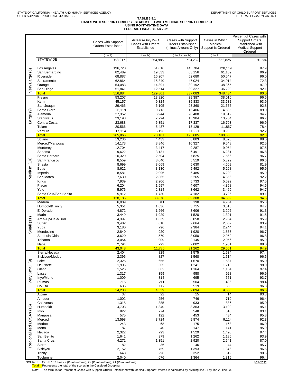# TABLE 3.9.1<br>CASES WITH SUPPORT ORDERS ESTABLISHED WITH MEDICAL SUPPORT ORDERED<br>ISING POINT-IN-TIME DATA<br>FEDERAL FISCAL YEAR 2021

|                         |                                       |                           |                                        |                                                 |                           | Percent of Cases with                     |
|-------------------------|---------------------------------------|---------------------------|----------------------------------------|-------------------------------------------------|---------------------------|-------------------------------------------|
|                         |                                       | Cases with Support        | Arrears-Only IV-D<br>Cases with Orders | Cases with Support<br><b>Orders Established</b> | Cases in Which<br>Medical | <b>Support Orders</b><br>Established with |
|                         |                                       | <b>Orders Established</b> | Established                            | (minus Arrears-Only)                            | Support is Ordered        | <b>Medical Support</b>                    |
|                         |                                       | (Line 2)                  | (Line 2e)                              | (Line 2 - Line 2e)                              | (Line 21)                 | Ordered                                   |
|                         | <b>STATEWIDE</b>                      | 968.217                   | 254,985                                | 713,232                                         | 652,825                   | 91.5%                                     |
|                         |                                       |                           |                                        |                                                 |                           |                                           |
| ම                       | Los Angeles                           | 196,720                   | 51,016                                 | 145,704                                         | 128,119                   | 87.9                                      |
|                         | San Bernardino<br>Riverside           | 82,489<br>68,887          | 19,333<br>16,207                       | 63,156<br>52,680                                | 61,169<br>50,547          | 96.9<br>96.0                              |
|                         | Sacramento                            | 62,864                    | 15,840                                 | 47,024                                          | 34,014                    | 72.3                                      |
| Very Large              | Orange                                | 54,083                    | 14,891                                 | 39.192                                          | 38,365                    | 97.9                                      |
|                         | San Diego                             | 51,841                    | 12,514                                 | 39,327                                          | 36,220                    | 92.1                                      |
|                         | <b>Total</b><br>Fresno                | 516,884<br>53,207         | 129,801<br>13,820                      | 387,083<br>39,387                               | 348,434<br>38,016         | 90.0<br>96.5                              |
|                         | Kern                                  | 45,157                    | 9,324                                  | 35,833                                          | 33,632                    | 93.9                                      |
|                         | San Joaquin                           | 29,465                    | 6,105                                  | 23,360                                          | 21,676                    | 92.8                                      |
| ම                       | Santa Clara                           | 26,119                    | 9,713                                  | 16,406                                          | 14,595                    | 89.0                                      |
| Large                   | Alameda<br><b>Stanislaus</b>          | 27,352<br>23,198          | 6,944<br>7,294                         | 20,408<br>15,904                                | 19,319<br>13,784          | 94.7<br>86.7                              |
|                         | Contra Costa                          | 23,688                    | 6,351                                  | 17,337                                          | 16,793                    | 96.9                                      |
|                         | Tulare                                | 20,566                    | 5,437                                  | 15,129                                          | 11,867                    | 78.4                                      |
|                         | Ventura                               | 17,114                    | 5,193                                  | 11,921                                          | 10,986                    | 92.2                                      |
|                         | <b>Total</b><br>Solano                | 265,866<br>13,236         | 70,181<br>4,433                        | 195,685<br>8,803                                | 180,668<br>8,626          | 92.3<br>98.0                              |
|                         | Merced/Mariposa                       | 14,173                    | 3,846                                  | 10,327                                          | 9,548                     | 92.5                                      |
|                         | Monterey                              | 12,704                    | 3,417                                  | 9,287                                           | 9,054                     | 97.5                                      |
|                         | Sonoma<br>Santa Barbara               | 9,622                     | 3,131                                  | 6,491<br>7,825                                  | 6,281                     | 96.8<br>96.7                              |
|                         | San Francisco                         | 10,329<br>8,559           | 2,504<br>3,040                         | 5,519                                           | 7,566<br>5,329            | 96.6                                      |
| Medium (14)             | Shasta                                | 8,699                     | 3,069                                  | 5,630                                           | 4,609                     | 81.9                                      |
|                         | <b>Butte</b>                          | 8,622                     | 3,130                                  | 5,492                                           | 5,268                     | 95.9                                      |
|                         | Imperial                              | 8,581                     | 2,096                                  | 6,485                                           | 6,220                     | 95.9<br>92.2                              |
|                         | San Mateo<br>Kings                    | 7,630<br>7,939            | 2,365<br>2,206                         | 5,265<br>5,733                                  | 4,856<br>5,592            | 97.5                                      |
|                         | Placer                                | 6,204                     | 1,597                                  | 4,607                                           | 4,358                     | 94.6                                      |
|                         | Yolo                                  | 5,976                     | 2,314                                  | 3,662                                           | 3,469                     | 94.7                                      |
|                         | Santa Cruz/San Benito<br><b>Total</b> | 5,912<br>128,186          | 1,730<br>38,878                        | 4,182<br>89,308                                 | 3,726<br>84,502           | 89.1<br>94.6                              |
|                         | Madera                                | 6,009                     | 811                                    | 5,198                                           | 4,954                     | 95.3                                      |
|                         | Humboldt/Trinity                      | 5,351                     | 1,636                                  | 3,715                                           | 3,518                     | 94.7                                      |
|                         | El Dorado                             | 4,872                     | 1,266                                  | 3,606                                           | 3,292                     | 91.3                                      |
|                         | Marin<br>Ama/Alp/Cala/Tuol            | 3,449<br>4,397            | 1,929<br>1,339                         | 1,520<br>3,058                                  | 1,391<br>2,934            | 91.5<br>95.9                              |
| Small $(11)$            | Sutter                                | 3,482                     | 818                                    | 2,664                                           | 2,502                     | 93.9                                      |
|                         | Yuba                                  | 3,180                     | 796                                    | 2,384                                           | 2,244                     | 94.1                                      |
|                         | Mendocino                             | 2,840                     | 920                                    | 1,920                                           | 1,857                     | 96.7                                      |
|                         | San Luis Obispo<br>Tehama             | 3,620<br>3,054            | 570<br>909                             | 3,050<br>2,145                                  | 2,952<br>2,056            | 96.8<br>95.9                              |
|                         | Napa                                  | 2,794                     | 792                                    | 2,002                                           | 1,961                     | 98.0                                      |
|                         | Total                                 | 43,048                    | 11,786                                 | 31,262                                          | 29,661                    | 94.9                                      |
|                         | Sierra/Nevada                         | 2,404                     | 829                                    | 1,575                                           | 1,534                     | 97.4                                      |
| ම                       | Siskiyou/Modoc<br>Lake                | 2,395<br>2,325            | 827<br>655                             | 1,568<br>1,670                                  | 1,514<br>1,587            | 96.6<br>95.0                              |
|                         | Del Norte                             | 1,906                     | 665                                    | 1,241                                           | 1,216                     | 98.0                                      |
| Small                   | Glenn                                 | 1,526                     | 362                                    | 1,164                                           | 1,134                     | 97.4                                      |
|                         | Lassen<br>Inyo/Mono                   | 1,317<br>1,009            | 359<br>314                             | 958<br>695                                      | 928<br>651                | 96.9<br>93.7                              |
| Very                    | Plumas                                | 715                       | 211                                    | 504                                             | 496                       | 98.4                                      |
|                         | Colusa                                | 636                       | 117                                    | 519                                             | 500                       | 96.3                                      |
|                         | <b>Total</b>                          | 14,233                    | 4,339                                  | 9,894                                           | 9,560                     | 96.6                                      |
|                         | Alpine<br>Amador                      | $\overline{37}$<br>1,002  | 22<br>256                              | 15<br>746                                       | 14<br>719                 | 93.3<br>96.4                              |
|                         | Calaveras                             | 1,318                     | 385                                    | 933                                             | 886                       | 95.0                                      |
|                         | Humboldt                              | 4,703                     | 1,340                                  | 3,363                                           | 3,199                     | 95.1                                      |
|                         | Inyo                                  | 822                       | 274                                    | 548                                             | 510                       | 93.1                                      |
| Regionalized LCSAs (16) | Mariposa<br>Merced                    | 575<br>13,598             | 122<br>3,724                           | 453<br>9,874                                    | 434<br>9,114              | 95.8<br>92.3                              |
|                         | Modoc                                 | 243                       | 68                                     | 175                                             | 168                       | 96.0                                      |
|                         | Mono                                  | 187                       | 40                                     | 147                                             | 141                       | 95.9                                      |
|                         | Nevada                                | 2,322                     | 793                                    | 1,529                                           | 1,490                     | 97.4                                      |
|                         | San Benito<br>Santa Cruz              | 1,641<br>4,271            | 379<br>1,351                           | 1,262<br>2,920                                  | 1,185<br>2,541            | 93.9<br>87.0                              |
|                         | Sierra                                | 82                        | 36                                     | 46                                              | 44                        | 95.7                                      |
|                         | Siskiyou                              | 2,152                     | 759                                    | 1,393                                           | 1,346                     | 96.6                                      |
|                         | Trinity                               | 648                       | 296                                    | 352                                             | 319                       | 90.6                                      |
|                         | Tuolumne                              | 2,040                     | 676                                    | 1,364                                           | 1,315                     | 96.4                                      |

SOURCE: OCSE 157 Lines 2 (Point-in-Time), 2e (Point-in-Time), 21 (Point-in-Time) 4/21/2022 Total: Represents the total of the scores in the Caseload Grouping

Note: The formula for Percent of Cases with Support Orders Established with Medical Support Ordered is calculated by dividing line 21 by line 2 - line 2e.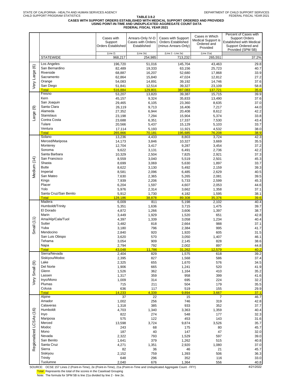# **TABLE 3.9.2 CASES WITH SUPPORT ORDERS ESTABLISHED WITH MEDICAL SUPPORT ORDERED AND PROVIDED USING POINT-IN-TIME AND UNDUPLICATED AGGREGATE COUNT DATA FEDERAL FISCAL YEAR 2021**

|                         |                       | Cases with                | Arrears-Only IV-D | Cases with Support        | Cases in Which     | Percent of Cases with<br><b>Support Orders</b> |
|-------------------------|-----------------------|---------------------------|-------------------|---------------------------|--------------------|------------------------------------------------|
|                         |                       | Support                   | Cases with Orders | <b>Orders Established</b> | Medical Support is | Established with Medical                       |
|                         |                       | <b>Orders Established</b> | Established       | (minus Arrears-Only)      | Ordered and        | Support Ordered and                            |
|                         |                       |                           |                   |                           | Provided           | Provided (SPM 5B)                              |
|                         |                       | (Line 2)                  | (Line 2e)         | (Line 2 - Line 2e)        | (Line 21a)         |                                                |
|                         | <b>STATEWIDE</b>      | 968,217                   | 254,985           | 713,232                   | 265,551            | 37.2%                                          |
|                         | Los Angeles           | 196,720                   | 51,016            | 145,704                   | 43,463             | 29.8                                           |
| $\circledcirc$          | San Bernardino        |                           |                   |                           |                    |                                                |
|                         | Riverside             | 82,489                    | 19,333            | 63,156                    | 25,723             | 40.7                                           |
|                         |                       | 68,887                    | 16,207            | 52,680                    | 17,868             | 33.9                                           |
| Very Large              | Sacramento            | 62,864                    | 15,840            | 47,024                    | 12,812             | 27.2                                           |
|                         | Orange                | 54,083                    | 14,891            | 39,192                    | 14,746             | 37.6                                           |
|                         | San Diego             | 51,841                    | 12,514            | 39,327                    | 23,109             | 58.8                                           |
|                         | <b>Total</b>          | 516,884                   | 129,801           | 387,083                   | 137,721            | 35.6                                           |
|                         | Fresno                | 53,207                    | 13,820            | 39,387                    | 15,715             | 39.9                                           |
|                         | Kern                  | 45,157                    | 9,324             | 35,833                    | 13,490             | 37.6                                           |
|                         | San Joaquin           | 29,465                    | 6,105             | 23,360                    | 8,635              | 37.0                                           |
| Le) arge                | Santa Clara           | 26,119                    | 9,713             | 16,406                    | 7,217              | 44.0                                           |
|                         | Alameda               | 27,352                    | 6,944             | 20,408                    | 8,612              | 42.2                                           |
|                         | <b>Stanislaus</b>     | 23,198                    | 7,294             | 15,904                    | 5,374              | 33.8                                           |
|                         | Contra Costa          | 23,688                    | 6,351             | 17,337                    | 7,530              | 43.4                                           |
|                         | Tulare                | 20,566                    | 5,437             | 15,129                    | 5,103              | 33.7                                           |
|                         | Ventura               | 17,114                    | 5,193             | 11,921                    | 4,532              | 38.0                                           |
|                         | <b>Total</b>          | 265,866                   | 70,181            | 195,685                   | 76,208             | 38.9                                           |
|                         | Solano                | 13,236                    | 4,433             | 8,803                     | 3,724              | 42.3                                           |
|                         | Merced/Mariposa       | 14,173                    | 3,846             | 10,327                    | 3,669              | 35.5                                           |
|                         | Monterey              | 12,704                    | 3,417             | 9,287                     | 3,454              | 37.2                                           |
|                         | Sonoma                | 9,622                     | 3,131             | 6,491                     | 2,736              | 42.2                                           |
|                         | Santa Barbara         | 10,329                    | 2,504             | 7,825                     | 2,921              | 37.3                                           |
|                         | San Francisco         | 8,559                     | 3,040             | 5,519                     | 2,501              | 45.3                                           |
| Medium (14)             | Shasta                | 8,699                     | 3,069             | 5,630                     | 1,897              | 33.7                                           |
|                         | <b>Butte</b>          |                           |                   |                           |                    |                                                |
|                         |                       | 8,622                     | 3,130             | 5,492                     | 2,159              | 39.3                                           |
|                         | Imperial              | 8,581                     | 2,096             | 6,485                     | 2,629              | 40.5                                           |
|                         | San Mateo             | 7,630                     | 2,365             | 5,265                     | 2,081              | 39.5                                           |
|                         | Kings                 | 7,939                     | 2,206             | 5,733                     | 2,599              | 45.3                                           |
|                         | Placer                | 6,204                     | 1,597             | 4,607                     | 2,053              | 44.6                                           |
|                         | Yolo                  | 5,976                     | 2,314             | 3,662                     | 1,358              | 37.1                                           |
|                         | Santa Cruz/San Benito | 5,912                     | 1,730             | 4,182                     | 1,595              | 38.1                                           |
|                         | <b>Total</b>          | 128,186                   | 38,878            | 89,308                    | 35,376             | 39.6                                           |
|                         | Madera                | 6,009                     | 811               | 5,198                     | 2,102              | 40.4                                           |
|                         | Humboldt/Trinity      | 5,351                     | 1,636             | 3,715                     | 1,475              | 39.7                                           |
|                         | El Dorado             | 4,872                     | 1,266             | 3,606                     | 1,397              | 38.7                                           |
|                         | Marin                 | 3,449                     | 1,929             | 1,520                     | 651                | 42.8                                           |
|                         | Ama/Alp/Cala/Tuol     | 4,397                     | 1,339             | 3,058                     | 1,234              | 40.4                                           |
|                         | Sutter                | 3,482                     | 818               | 2,664                     | 988                | 37.1                                           |
| Small $(11)$            | Yuba                  | 3,180                     | 796               | 2,384                     | 995                | 41.7                                           |
|                         | Mendocino             | 2,840                     | 920               | 1,920                     | 605                | 31.5                                           |
|                         | San Luis Obispo       | 3,620                     | 570               | 3,050                     | 1,407              | 46.1                                           |
|                         | Tehama                | 3,054                     | 909               | 2,145                     | 828                | 38.6                                           |
|                         | Napa                  | 2,794                     | 792               | 2,002                     | 897                | 44.8                                           |
|                         | <b>Total</b>          | 43,048                    | 11,786            | 31,262                    | 12,579             | 40.2                                           |
|                         | Sierra/Nevada         | 2,404                     | 829               | 1,575                     | 618                | 39.2                                           |
|                         | Siskiyou/Modoc        | 2,395                     | 827               | 1,568                     | 586                | 37.4                                           |
|                         | Lake                  | 2,325                     | 655               | 1,670                     | 576                | 34.5                                           |
| Very Small (9)          | Del Norte             | 1,906                     | 665               | 1,241                     | 520                | 41.9                                           |
|                         | Glenn                 | 1,526                     | 362               | 1,164                     | 410                | 35.2                                           |
|                         | Lassen                | 1,317                     | 359               | 958                       | 399                | 41.6                                           |
|                         | Inyo/Mono             | 1,009                     | 314               | 695                       | 224                | 32.2                                           |
|                         | Plumas                | 715                       | 211               | 504                       | 179                | 35.5                                           |
|                         | Colusa                | 636                       | 117               | 519                       | 155                | 29.9                                           |
|                         | <b>Total</b>          | 14,233                    | 4,339             | 9,894                     | 3,667              | 37.1                                           |
|                         | Alpine                | 37                        | 22                | 15                        | $\overline{7}$     | 46.7                                           |
|                         | Amador                | 1,002                     | 256               | 746                       | 319                | 42.8                                           |
|                         | Calaveras             | 1,318                     | 385               | 933                       | 352                | 37.7                                           |
|                         | Humboldt              | 4,703                     | 1,340             | 3,363                     | 1,359              | 40.4                                           |
|                         | Inyo                  | 822                       | 274               | 548                       | 177                | 32.3                                           |
|                         | Mariposa              | 575                       | 122               | 453                       | 143                | 31.6                                           |
|                         | Merced                | 13,598                    | 3,724             | 9,874                     | 3,526              | 35.7                                           |
|                         | Modoc                 | 243                       | 68                | 175                       | 80                 | 45.7                                           |
|                         | Mono                  | 187                       | 40                | 147                       | 47                 | 32.0                                           |
|                         | Nevada                | 2,322                     | 793               | 1,529                     | 597                | 39.0                                           |
|                         |                       |                           |                   |                           |                    |                                                |
|                         | San Benito            | 1,641                     | 379               | 1,262                     | 515                | 40.8                                           |
| Regionalized LCSAs (16) | Santa Cruz            | 4,271                     | 1,351             | 2,920                     | 1,080              | 37.0                                           |
|                         | Sierra                | 82                        | 36                | 46                        | 21                 | 45.7                                           |
|                         | Siskiyou              | 2,152                     | 759               | 1,393                     | 506                | 36.3                                           |
|                         | Trinity               | 648                       | 296               | 352                       | 116                | 33.0                                           |
|                         | Tuolumne              | 2,040                     | 676               | 1,364                     | 556                | 40.8                                           |

SOURCE: OCSE 157 Lines 2 (Point-in-Time), 2e (Point-in-Time), 21a (Point-in-Time and Unduplicated Aggregate Count - FFY) 4/21/2022

Total: Represents the total of the scores in the Caseload Grouping

Note: The formula for SPM 5B is line 21a divided by line 2 - line 2e.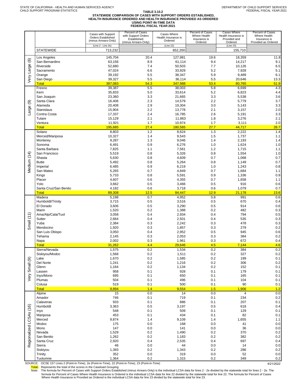# TABLE 3.10.2<br>STATEWIDE COMPARISON OF CASES WITH SUPPORT ORDERS ESTABLISHED,<br>HEALTH INSURANCE ORDERED AND HEALTH INSURANCE PROVIDED AS ORDERED<br>FEDERAL FISCAL YEAR 2021<br>FEDERAL FISCAL YEAR 2021

| (Line 2 - Line 2e)<br>(Line 22)<br>(Line 23)<br><b>STATEWIDE</b><br>713,232<br>652,200<br>155,710<br>19.6<br>Los Angeles<br>145,704<br>20.4<br>127,981<br>18,359<br>$\circledcirc$<br>8.9<br>San Bernardino<br>63,156<br>61,114<br>9.4<br>14,217<br>Very Large<br>Riverside<br>52,680<br>7.4<br>50,503<br>7.7<br>10,126<br>Sacramento<br>47,024<br>6.6<br>33,929<br>5.2<br>7,928<br>39,192<br>5.5<br>38,347<br>5.9<br>9,489<br>Orange<br>San Diego<br>39,327<br>5.5<br>20,646<br>5.5<br>36,114<br>387,083<br>54.3<br>347,988<br>53.4<br>80,765<br><b>Total</b><br>39,387<br>5.5<br>38,003<br>5.8<br>Fresno<br>6,699<br>35,833<br>5.0<br>33,614<br>5.2<br>6,823<br>Kern<br>23,360<br>3.3<br>21,665<br>3.3<br>5,538<br>San Joaquin<br>2.2<br>Santa Clara<br>16,406<br>2.3<br>14,579<br>5,779<br>$\circledcirc$<br>Alameda<br>20,408<br>2.9<br>19,304<br>3.0<br>5,143<br>Large<br><b>Stanislaus</b><br>15,904<br>2.2<br>2.1<br>13,778<br>3,157<br>Contra Costa<br>17,337<br>2.4<br>16,785<br>2.6<br>5,191<br>15,129<br>2.1<br>11,863<br>1.8<br>Tulare<br>3,276<br>Ventura<br>11,921<br>1.7<br>10,974<br>1.7<br>3,111<br><b>Total</b><br>195,685<br>27.4<br>180,565<br>27.7<br>44,717<br>8,803<br>1.2<br>8,624<br>1.3<br>2,222<br>Solano<br>Merced/Mariposa<br>10,327<br>1.4<br>9,543<br>1.5<br>1,737<br>9,287<br>1.3<br>9,046<br>1.4<br>2,193<br>Monterey<br>6,491<br>0.9<br>6,276<br>1.0<br>1,624<br>Sonoma<br>Santa Barbara<br>7,561<br>7,825<br>1.1<br>1.2<br>1,715<br>Vledium (14)<br>San Francisco<br>5,519<br>0.8<br>5,326<br>0.8<br>1,554<br>Shasta<br>0.8<br>4,609<br>0.7<br>5,630<br>1,068<br><b>Butte</b><br>5,492<br>5,264<br>0.8<br>0.8<br>1,149<br>0.9<br>6,219<br>1.0<br>Imperial<br>6,485<br>1,243<br>San Mateo<br>5,265<br>0.7<br>4,849<br>0.7<br>1,684<br>5,733<br>0.8<br>5,591<br>0.9<br>Kings<br>1,336<br>Placer<br>4,607<br>0.6<br>4,355<br>0.7<br>1,658<br>Yolo<br>3,662<br>0.5<br>3,466<br>0.5<br>916 | Percent of Cases<br>Where Health<br>Insurance is<br>Provided as Ordered |
|--------------------------------------------------------------------------------------------------------------------------------------------------------------------------------------------------------------------------------------------------------------------------------------------------------------------------------------------------------------------------------------------------------------------------------------------------------------------------------------------------------------------------------------------------------------------------------------------------------------------------------------------------------------------------------------------------------------------------------------------------------------------------------------------------------------------------------------------------------------------------------------------------------------------------------------------------------------------------------------------------------------------------------------------------------------------------------------------------------------------------------------------------------------------------------------------------------------------------------------------------------------------------------------------------------------------------------------------------------------------------------------------------------------------------------------------------------------------------------------------------------------------------------------------------------------------------------------------------------------------------------------------------------------------------------------------------------------------------------------------------------------------------------------------------------------------------------------------------------------------------------------------------------------------------|-------------------------------------------------------------------------|
|                                                                                                                                                                                                                                                                                                                                                                                                                                                                                                                                                                                                                                                                                                                                                                                                                                                                                                                                                                                                                                                                                                                                                                                                                                                                                                                                                                                                                                                                                                                                                                                                                                                                                                                                                                                                                                                                                                                          |                                                                         |
|                                                                                                                                                                                                                                                                                                                                                                                                                                                                                                                                                                                                                                                                                                                                                                                                                                                                                                                                                                                                                                                                                                                                                                                                                                                                                                                                                                                                                                                                                                                                                                                                                                                                                                                                                                                                                                                                                                                          | 11.8<br>9.1                                                             |
|                                                                                                                                                                                                                                                                                                                                                                                                                                                                                                                                                                                                                                                                                                                                                                                                                                                                                                                                                                                                                                                                                                                                                                                                                                                                                                                                                                                                                                                                                                                                                                                                                                                                                                                                                                                                                                                                                                                          | 6.5<br>5.1                                                              |
|                                                                                                                                                                                                                                                                                                                                                                                                                                                                                                                                                                                                                                                                                                                                                                                                                                                                                                                                                                                                                                                                                                                                                                                                                                                                                                                                                                                                                                                                                                                                                                                                                                                                                                                                                                                                                                                                                                                          | 6.1                                                                     |
|                                                                                                                                                                                                                                                                                                                                                                                                                                                                                                                                                                                                                                                                                                                                                                                                                                                                                                                                                                                                                                                                                                                                                                                                                                                                                                                                                                                                                                                                                                                                                                                                                                                                                                                                                                                                                                                                                                                          | 13.3<br>51.9                                                            |
|                                                                                                                                                                                                                                                                                                                                                                                                                                                                                                                                                                                                                                                                                                                                                                                                                                                                                                                                                                                                                                                                                                                                                                                                                                                                                                                                                                                                                                                                                                                                                                                                                                                                                                                                                                                                                                                                                                                          | 4.3                                                                     |
|                                                                                                                                                                                                                                                                                                                                                                                                                                                                                                                                                                                                                                                                                                                                                                                                                                                                                                                                                                                                                                                                                                                                                                                                                                                                                                                                                                                                                                                                                                                                                                                                                                                                                                                                                                                                                                                                                                                          | 4.4<br>3.6                                                              |
|                                                                                                                                                                                                                                                                                                                                                                                                                                                                                                                                                                                                                                                                                                                                                                                                                                                                                                                                                                                                                                                                                                                                                                                                                                                                                                                                                                                                                                                                                                                                                                                                                                                                                                                                                                                                                                                                                                                          | 3.7                                                                     |
|                                                                                                                                                                                                                                                                                                                                                                                                                                                                                                                                                                                                                                                                                                                                                                                                                                                                                                                                                                                                                                                                                                                                                                                                                                                                                                                                                                                                                                                                                                                                                                                                                                                                                                                                                                                                                                                                                                                          | 3.3<br>2.0                                                              |
|                                                                                                                                                                                                                                                                                                                                                                                                                                                                                                                                                                                                                                                                                                                                                                                                                                                                                                                                                                                                                                                                                                                                                                                                                                                                                                                                                                                                                                                                                                                                                                                                                                                                                                                                                                                                                                                                                                                          | 3.3                                                                     |
|                                                                                                                                                                                                                                                                                                                                                                                                                                                                                                                                                                                                                                                                                                                                                                                                                                                                                                                                                                                                                                                                                                                                                                                                                                                                                                                                                                                                                                                                                                                                                                                                                                                                                                                                                                                                                                                                                                                          | 2.1<br>2.0                                                              |
|                                                                                                                                                                                                                                                                                                                                                                                                                                                                                                                                                                                                                                                                                                                                                                                                                                                                                                                                                                                                                                                                                                                                                                                                                                                                                                                                                                                                                                                                                                                                                                                                                                                                                                                                                                                                                                                                                                                          | 28.7                                                                    |
|                                                                                                                                                                                                                                                                                                                                                                                                                                                                                                                                                                                                                                                                                                                                                                                                                                                                                                                                                                                                                                                                                                                                                                                                                                                                                                                                                                                                                                                                                                                                                                                                                                                                                                                                                                                                                                                                                                                          | 1.4<br>1.1                                                              |
|                                                                                                                                                                                                                                                                                                                                                                                                                                                                                                                                                                                                                                                                                                                                                                                                                                                                                                                                                                                                                                                                                                                                                                                                                                                                                                                                                                                                                                                                                                                                                                                                                                                                                                                                                                                                                                                                                                                          | 1.4                                                                     |
|                                                                                                                                                                                                                                                                                                                                                                                                                                                                                                                                                                                                                                                                                                                                                                                                                                                                                                                                                                                                                                                                                                                                                                                                                                                                                                                                                                                                                                                                                                                                                                                                                                                                                                                                                                                                                                                                                                                          | 1.0<br>1.1                                                              |
|                                                                                                                                                                                                                                                                                                                                                                                                                                                                                                                                                                                                                                                                                                                                                                                                                                                                                                                                                                                                                                                                                                                                                                                                                                                                                                                                                                                                                                                                                                                                                                                                                                                                                                                                                                                                                                                                                                                          | 1.0                                                                     |
|                                                                                                                                                                                                                                                                                                                                                                                                                                                                                                                                                                                                                                                                                                                                                                                                                                                                                                                                                                                                                                                                                                                                                                                                                                                                                                                                                                                                                                                                                                                                                                                                                                                                                                                                                                                                                                                                                                                          | 0.7                                                                     |
|                                                                                                                                                                                                                                                                                                                                                                                                                                                                                                                                                                                                                                                                                                                                                                                                                                                                                                                                                                                                                                                                                                                                                                                                                                                                                                                                                                                                                                                                                                                                                                                                                                                                                                                                                                                                                                                                                                                          | 0.7<br>0.8                                                              |
|                                                                                                                                                                                                                                                                                                                                                                                                                                                                                                                                                                                                                                                                                                                                                                                                                                                                                                                                                                                                                                                                                                                                                                                                                                                                                                                                                                                                                                                                                                                                                                                                                                                                                                                                                                                                                                                                                                                          | 1.1                                                                     |
|                                                                                                                                                                                                                                                                                                                                                                                                                                                                                                                                                                                                                                                                                                                                                                                                                                                                                                                                                                                                                                                                                                                                                                                                                                                                                                                                                                                                                                                                                                                                                                                                                                                                                                                                                                                                                                                                                                                          | 0.9<br>1.1                                                              |
|                                                                                                                                                                                                                                                                                                                                                                                                                                                                                                                                                                                                                                                                                                                                                                                                                                                                                                                                                                                                                                                                                                                                                                                                                                                                                                                                                                                                                                                                                                                                                                                                                                                                                                                                                                                                                                                                                                                          | 0.6                                                                     |
| 4,182<br>Santa Cruz/San Benito<br>0.6<br>3,718<br>0.6<br>1,079<br>89,308<br>84,447<br><b>Total</b><br>12.5<br>12.9<br>21,178                                                                                                                                                                                                                                                                                                                                                                                                                                                                                                                                                                                                                                                                                                                                                                                                                                                                                                                                                                                                                                                                                                                                                                                                                                                                                                                                                                                                                                                                                                                                                                                                                                                                                                                                                                                             | 0.7<br>13.6                                                             |
| 0.7<br>4,952<br>991<br>5,198<br>0.8<br>Madera                                                                                                                                                                                                                                                                                                                                                                                                                                                                                                                                                                                                                                                                                                                                                                                                                                                                                                                                                                                                                                                                                                                                                                                                                                                                                                                                                                                                                                                                                                                                                                                                                                                                                                                                                                                                                                                                            | 0.6                                                                     |
| Humboldt/Trinity<br>3,715<br>0.5<br>3,516<br>0.5<br>670<br>El Dorado<br>3,606<br>0.5<br>3,290<br>0.5<br>914                                                                                                                                                                                                                                                                                                                                                                                                                                                                                                                                                                                                                                                                                                                                                                                                                                                                                                                                                                                                                                                                                                                                                                                                                                                                                                                                                                                                                                                                                                                                                                                                                                                                                                                                                                                                              | 0.4<br>0.6                                                              |
| Marin<br>1,520<br>0.2<br>1,388<br>0.2<br>482                                                                                                                                                                                                                                                                                                                                                                                                                                                                                                                                                                                                                                                                                                                                                                                                                                                                                                                                                                                                                                                                                                                                                                                                                                                                                                                                                                                                                                                                                                                                                                                                                                                                                                                                                                                                                                                                             | 0.3                                                                     |
| (11)<br>Ama/Alp/Cala/Tuol<br>3,058<br>2,934<br>0.4<br>794<br>0.4<br>Sutter<br>2,664<br>0.4<br>2,501<br>0.4<br>535                                                                                                                                                                                                                                                                                                                                                                                                                                                                                                                                                                                                                                                                                                                                                                                                                                                                                                                                                                                                                                                                                                                                                                                                                                                                                                                                                                                                                                                                                                                                                                                                                                                                                                                                                                                                        | 0.5<br>0.3                                                              |
| Small<br>Yuba<br>2,384<br>0.3<br>2,242<br>0.3<br>478                                                                                                                                                                                                                                                                                                                                                                                                                                                                                                                                                                                                                                                                                                                                                                                                                                                                                                                                                                                                                                                                                                                                                                                                                                                                                                                                                                                                                                                                                                                                                                                                                                                                                                                                                                                                                                                                     | 0.3                                                                     |
| 0.3<br>1,857<br>0.3<br>279<br>Mendocino<br>1,920<br>San Luis Obispo<br>3,050<br>2,952<br>0.5<br>945<br>0.4                                                                                                                                                                                                                                                                                                                                                                                                                                                                                                                                                                                                                                                                                                                                                                                                                                                                                                                                                                                                                                                                                                                                                                                                                                                                                                                                                                                                                                                                                                                                                                                                                                                                                                                                                                                                               | 0.2<br>0.6                                                              |
| 2,145<br>0.3<br>2,053<br>0.3<br>384<br>Tehama                                                                                                                                                                                                                                                                                                                                                                                                                                                                                                                                                                                                                                                                                                                                                                                                                                                                                                                                                                                                                                                                                                                                                                                                                                                                                                                                                                                                                                                                                                                                                                                                                                                                                                                                                                                                                                                                            | 0.2                                                                     |
| 2,002<br>0.3<br>1,961<br>0.3<br>672<br>Napa<br>31,262<br>4.4<br>4.5<br><u>Total</u><br>29,646<br>7,144                                                                                                                                                                                                                                                                                                                                                                                                                                                                                                                                                                                                                                                                                                                                                                                                                                                                                                                                                                                                                                                                                                                                                                                                                                                                                                                                                                                                                                                                                                                                                                                                                                                                                                                                                                                                                   | 0.4<br>4.6                                                              |
| 1,534<br>Sierra/Nevada<br>1,575<br>0.2<br>0.2<br>384                                                                                                                                                                                                                                                                                                                                                                                                                                                                                                                                                                                                                                                                                                                                                                                                                                                                                                                                                                                                                                                                                                                                                                                                                                                                                                                                                                                                                                                                                                                                                                                                                                                                                                                                                                                                                                                                     | 0.2                                                                     |
| $0.2\,$<br>1,568<br>1,511<br>0.2<br>327<br>Siskiyou/Modoc<br>1,670<br>0.2<br>1,585<br>0.2<br>199<br>Lake                                                                                                                                                                                                                                                                                                                                                                                                                                                                                                                                                                                                                                                                                                                                                                                                                                                                                                                                                                                                                                                                                                                                                                                                                                                                                                                                                                                                                                                                                                                                                                                                                                                                                                                                                                                                                 | $0.2\,$<br>0.1                                                          |
| Del Norte<br>1,241<br>0.2<br>1,216<br>0.2<br>306                                                                                                                                                                                                                                                                                                                                                                                                                                                                                                                                                                                                                                                                                                                                                                                                                                                                                                                                                                                                                                                                                                                                                                                                                                                                                                                                                                                                                                                                                                                                                                                                                                                                                                                                                                                                                                                                         | 0.2                                                                     |
| Small <sub>(9)</sub><br>1,164<br>0.2<br>1,134<br>0.2<br>152<br>Glenn<br>958<br>0.1<br>928<br>0.1<br>179<br>Lassen                                                                                                                                                                                                                                                                                                                                                                                                                                                                                                                                                                                                                                                                                                                                                                                                                                                                                                                                                                                                                                                                                                                                                                                                                                                                                                                                                                                                                                                                                                                                                                                                                                                                                                                                                                                                        | 0.1<br>0.1                                                              |
| Very<br>Invo/Mono<br>695<br>0.1<br>650<br>0.1<br>165                                                                                                                                                                                                                                                                                                                                                                                                                                                                                                                                                                                                                                                                                                                                                                                                                                                                                                                                                                                                                                                                                                                                                                                                                                                                                                                                                                                                                                                                                                                                                                                                                                                                                                                                                                                                                                                                     | 0.1                                                                     |
| 504<br>0.1<br>496<br>0.1<br>104<br>Plumas<br>519<br>90<br>0.1<br>500<br>0.1<br>Colusa                                                                                                                                                                                                                                                                                                                                                                                                                                                                                                                                                                                                                                                                                                                                                                                                                                                                                                                                                                                                                                                                                                                                                                                                                                                                                                                                                                                                                                                                                                                                                                                                                                                                                                                                                                                                                                    | 0.1<br>0.1                                                              |
| 9,894<br>1.4<br>1.5<br>1,906<br><b>Total</b><br>9,554                                                                                                                                                                                                                                                                                                                                                                                                                                                                                                                                                                                                                                                                                                                                                                                                                                                                                                                                                                                                                                                                                                                                                                                                                                                                                                                                                                                                                                                                                                                                                                                                                                                                                                                                                                                                                                                                    | 1.2                                                                     |
| 15<br>0.0<br>14<br>0.0<br>4<br>Alpine<br>0.1<br>719<br>0.1<br>234<br>Amador<br>746                                                                                                                                                                                                                                                                                                                                                                                                                                                                                                                                                                                                                                                                                                                                                                                                                                                                                                                                                                                                                                                                                                                                                                                                                                                                                                                                                                                                                                                                                                                                                                                                                                                                                                                                                                                                                                       | 0.0<br>0.2                                                              |
| 933<br>0.1<br>886<br>0.1<br>207<br>Calaveras                                                                                                                                                                                                                                                                                                                                                                                                                                                                                                                                                                                                                                                                                                                                                                                                                                                                                                                                                                                                                                                                                                                                                                                                                                                                                                                                                                                                                                                                                                                                                                                                                                                                                                                                                                                                                                                                             | 0.1                                                                     |
| 3,363<br>0.5<br>0.5<br>618<br>Humboldt<br>3,197                                                                                                                                                                                                                                                                                                                                                                                                                                                                                                                                                                                                                                                                                                                                                                                                                                                                                                                                                                                                                                                                                                                                                                                                                                                                                                                                                                                                                                                                                                                                                                                                                                                                                                                                                                                                                                                                          | 0.4                                                                     |
| 548<br>0.1<br>509<br>0.1<br>129<br>Inyo<br>453<br>0.1<br>434<br>0.1<br>82<br>Mariposa                                                                                                                                                                                                                                                                                                                                                                                                                                                                                                                                                                                                                                                                                                                                                                                                                                                                                                                                                                                                                                                                                                                                                                                                                                                                                                                                                                                                                                                                                                                                                                                                                                                                                                                                                                                                                                    | 0.1<br>0.1                                                              |
| 9,874<br>1.4<br>9,109<br>Merced<br>1.4<br>1,655                                                                                                                                                                                                                                                                                                                                                                                                                                                                                                                                                                                                                                                                                                                                                                                                                                                                                                                                                                                                                                                                                                                                                                                                                                                                                                                                                                                                                                                                                                                                                                                                                                                                                                                                                                                                                                                                          | 1.1                                                                     |
| 175<br>0.0<br>0.0<br>Modoc<br>168<br>41<br>147<br>0.0<br>141<br>0.0<br>36<br>Mono                                                                                                                                                                                                                                                                                                                                                                                                                                                                                                                                                                                                                                                                                                                                                                                                                                                                                                                                                                                                                                                                                                                                                                                                                                                                                                                                                                                                                                                                                                                                                                                                                                                                                                                                                                                                                                        | 0.0<br>$0.0\,$                                                          |
| Regionalized LCSAs (16)<br>1,529<br>0.2<br>1,490<br>Nevada<br>0.2<br>370                                                                                                                                                                                                                                                                                                                                                                                                                                                                                                                                                                                                                                                                                                                                                                                                                                                                                                                                                                                                                                                                                                                                                                                                                                                                                                                                                                                                                                                                                                                                                                                                                                                                                                                                                                                                                                                 | 0.2                                                                     |
| 1,262<br>0.2<br>1,183<br>0.2<br>382<br>San Benito<br>2,920<br>0.4<br>2,535<br>0.4<br>697<br>Santa Cruz                                                                                                                                                                                                                                                                                                                                                                                                                                                                                                                                                                                                                                                                                                                                                                                                                                                                                                                                                                                                                                                                                                                                                                                                                                                                                                                                                                                                                                                                                                                                                                                                                                                                                                                                                                                                                   | 0.2<br>0.4                                                              |
| 46<br>0.0<br>44<br>0.0<br>14<br>Sierra                                                                                                                                                                                                                                                                                                                                                                                                                                                                                                                                                                                                                                                                                                                                                                                                                                                                                                                                                                                                                                                                                                                                                                                                                                                                                                                                                                                                                                                                                                                                                                                                                                                                                                                                                                                                                                                                                   | $0.0\,$                                                                 |
| 1,393<br>0.2<br>1,343<br>0.2<br>Siskiyou<br>286<br>352<br>0.0<br>319<br>0.0<br>52<br>Trinity                                                                                                                                                                                                                                                                                                                                                                                                                                                                                                                                                                                                                                                                                                                                                                                                                                                                                                                                                                                                                                                                                                                                                                                                                                                                                                                                                                                                                                                                                                                                                                                                                                                                                                                                                                                                                             | 0.2<br>$0.0\,$                                                          |
| 1,364<br>0.2<br>0.2<br>349<br>Tuolumne<br>1,315<br>SOURCE: OCSE 157 Lines 2 (Point-in-Time), 2e (Point-in-Time), 22 (Point-in-Time), 23 (Point-in-Time)                                                                                                                                                                                                                                                                                                                                                                                                                                                                                                                                                                                                                                                                                                                                                                                                                                                                                                                                                                                                                                                                                                                                                                                                                                                                                                                                                                                                                                                                                                                                                                                                                                                                                                                                                                  | 0.2                                                                     |

formula for Percent of Cases Where Health Insurance is Ordered is the individual LCSA data for line 22 divided by the statewide total for line 22. The formula for Percent of Cases<br>Where Health Insurance is Provided as Orde <mark>Total:</mark> Represents the total of the scores in the Caseload Grouping<br>Note: The formula for Percent of Cases with Support Orders Established (minus Arrears-Only) is the individual LCSA data for lines 2 - 2e divided by the s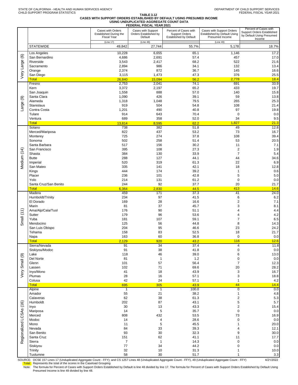#### **TABLE 3.12 CASES WITH SUPPORT ORDERS ESTABLISHED BY DEFAULT USING PRESUMED INCOME USING UNDUPLICATED AGGREGATE COUNT DATA**

| FEDERAL FISCAL YEAR 2021                                                                                                                                                                                              |                                                                                                                                                                                   |
|-----------------------------------------------------------------------------------------------------------------------------------------------------------------------------------------------------------------------|-----------------------------------------------------------------------------------------------------------------------------------------------------------------------------------|
| Cases with Orders<br>Cases with Support<br>Percent of Cases with<br><b>Support Orders</b><br><b>Established During the</b><br>Orders Established by<br><b>Fiscal Year</b><br>Default<br><b>Established by Default</b> | Percent of Cases with<br>Cases with Support Orders<br>Support Orders Established<br><b>Established by Default Using</b><br>by Default Using Presumed<br>Presumed Income<br>Income |
| (Line 17)<br>(Line 48)<br><b>STATEWIDE</b><br>27,744<br>49,842                                                                                                                                                        | (Line 49)<br>55.7%<br>5,178<br>18.7%                                                                                                                                              |
| Los Angeles                                                                                                                                                                                                           | 17.2                                                                                                                                                                              |
| 10,228                                                                                                                                                                                                                | 65.1                                                                                                                                                                              |
| 6,655                                                                                                                                                                                                                 | 1,146                                                                                                                                                                             |
| $\circlede$<br>San Bernardino<br>4,686<br>2,691                                                                                                                                                                       | 57.4<br>457<br>17.0                                                                                                                                                               |
| Riverside                                                                                                                                                                                                             | 68.2                                                                                                                                                                              |
| 3,543                                                                                                                                                                                                                 | 522                                                                                                                                                                               |
| 2,417                                                                                                                                                                                                                 | 21.6                                                                                                                                                                              |
| 2,894                                                                                                                                                                                                                 | 34.1                                                                                                                                                                              |
| 986                                                                                                                                                                                                                   | 132                                                                                                                                                                               |
| Sacramento                                                                                                                                                                                                            | 13.4                                                                                                                                                                              |
| Very Large<br>2,374<br>872<br>Orange                                                                                                                                                                                  | 36.7<br>145<br>16.6                                                                                                                                                               |
| 1,473                                                                                                                                                                                                                 | 47.3                                                                                                                                                                              |
| San Diego                                                                                                                                                                                                             | 376                                                                                                                                                                               |
| 3,115                                                                                                                                                                                                                 | 25.5                                                                                                                                                                              |
| <b>Total</b>                                                                                                                                                                                                          | 2,778                                                                                                                                                                             |
| 26,840                                                                                                                                                                                                                | 18.4                                                                                                                                                                              |
| 15,094                                                                                                                                                                                                                | 56.2                                                                                                                                                                              |
| 2,753                                                                                                                                                                                                                 | 74.1                                                                                                                                                                              |
| 2,041                                                                                                                                                                                                                 | 691                                                                                                                                                                               |
| Fresno                                                                                                                                                                                                                | 33.9                                                                                                                                                                              |
| 3,372                                                                                                                                                                                                                 | 65.2                                                                                                                                                                              |
| 2,197                                                                                                                                                                                                                 | 433                                                                                                                                                                               |
| Kern                                                                                                                                                                                                                  | 19.7                                                                                                                                                                              |
| San Joaquin                                                                                                                                                                                                           | 57.0                                                                                                                                                                              |
| 1,558                                                                                                                                                                                                                 | 140                                                                                                                                                                               |
| 888                                                                                                                                                                                                                   | 15.8                                                                                                                                                                              |
| Santa Clara<br>1,090<br>426<br>$\circledcirc$                                                                                                                                                                         | 39.1<br>59<br>13.8                                                                                                                                                                |
| 1,318<br>1,048<br>Alameda<br>arge                                                                                                                                                                                     | 79.5<br>265<br>25.3                                                                                                                                                               |
| Stanislaus                                                                                                                                                                                                            | 54.8                                                                                                                                                                              |
| 919                                                                                                                                                                                                                   | 108                                                                                                                                                                               |
| 504                                                                                                                                                                                                                   | 21.4                                                                                                                                                                              |
| Contra Costa                                                                                                                                                                                                          | 40.8                                                                                                                                                                              |
| 1,201                                                                                                                                                                                                                 | 97                                                                                                                                                                                |
| 490                                                                                                                                                                                                                   | 19.8                                                                                                                                                                              |
| Tulare                                                                                                                                                                                                                | 70.4                                                                                                                                                                              |
| 914                                                                                                                                                                                                                   | $\mathbf 0$                                                                                                                                                                       |
| 643                                                                                                                                                                                                                   | 0.0                                                                                                                                                                               |
| 689                                                                                                                                                                                                                   | 52.0                                                                                                                                                                              |
| 358                                                                                                                                                                                                                   | 34                                                                                                                                                                                |
| Ventura                                                                                                                                                                                                               | 9.5                                                                                                                                                                               |
| <b>Total</b>                                                                                                                                                                                                          | 1,827                                                                                                                                                                             |
| 13,814                                                                                                                                                                                                                | 21.3                                                                                                                                                                              |
| 8,595                                                                                                                                                                                                                 | 62.2                                                                                                                                                                              |
| 738                                                                                                                                                                                                                   | 49                                                                                                                                                                                |
| 382                                                                                                                                                                                                                   | 12.8                                                                                                                                                                              |
| Solano                                                                                                                                                                                                                | 51.8                                                                                                                                                                              |
| 822                                                                                                                                                                                                                   | 73                                                                                                                                                                                |
| 437                                                                                                                                                                                                                   | 53.2                                                                                                                                                                              |
| Merced/Mariposa                                                                                                                                                                                                       | 16.7                                                                                                                                                                              |
| 725                                                                                                                                                                                                                   | 37.8                                                                                                                                                                              |
| 274                                                                                                                                                                                                                   | 39.4                                                                                                                                                                              |
| Monterey                                                                                                                                                                                                              | 108                                                                                                                                                                               |
| 502                                                                                                                                                                                                                   | 20.5                                                                                                                                                                              |
| 258                                                                                                                                                                                                                   | 51.4                                                                                                                                                                              |
| Sonoma                                                                                                                                                                                                                | 53                                                                                                                                                                                |
| Santa Barbara                                                                                                                                                                                                         | 30.2                                                                                                                                                                              |
| 517                                                                                                                                                                                                                   | 11                                                                                                                                                                                |
| 156                                                                                                                                                                                                                   | 7.1                                                                                                                                                                               |
| San Francisco                                                                                                                                                                                                         | 27.3                                                                                                                                                                              |
| 395                                                                                                                                                                                                                   | 2                                                                                                                                                                                 |
| 108                                                                                                                                                                                                                   | 1.9                                                                                                                                                                               |
| Shasta                                                                                                                                                                                                                | 33.9                                                                                                                                                                              |
| 384                                                                                                                                                                                                                   | $\overline{7}$                                                                                                                                                                    |
| 130                                                                                                                                                                                                                   | 5.4                                                                                                                                                                               |
| Medium (14)<br><b>Butte</b><br>288<br>127                                                                                                                                                                             | 44.1<br>44<br>34.6                                                                                                                                                                |
| 520                                                                                                                                                                                                                   | 61.3                                                                                                                                                                              |
| 319                                                                                                                                                                                                                   | 22                                                                                                                                                                                |
| Imperial                                                                                                                                                                                                              | 6.9                                                                                                                                                                               |
| San Mateo                                                                                                                                                                                                             | 42.1                                                                                                                                                                              |
| 335                                                                                                                                                                                                                   | 18                                                                                                                                                                                |
| 141                                                                                                                                                                                                                   | 12.8                                                                                                                                                                              |
| 174                                                                                                                                                                                                                   | 39.2                                                                                                                                                                              |
| Kings                                                                                                                                                                                                                 | 0.6                                                                                                                                                                               |
| 444                                                                                                                                                                                                                   | 1                                                                                                                                                                                 |
| Placer                                                                                                                                                                                                                | 42.8                                                                                                                                                                              |
| 236                                                                                                                                                                                                                   | 5                                                                                                                                                                                 |
| 101                                                                                                                                                                                                                   | 5.0                                                                                                                                                                               |
| Yolo                                                                                                                                                                                                                  | 61.2                                                                                                                                                                              |
| 214                                                                                                                                                                                                                   | $\mathbf 0$                                                                                                                                                                       |
| 131                                                                                                                                                                                                                   | 0.0                                                                                                                                                                               |
| Santa Cruz/San Benito                                                                                                                                                                                                 | 37.7                                                                                                                                                                              |
| 244                                                                                                                                                                                                                   | 20                                                                                                                                                                                |
| 92                                                                                                                                                                                                                    | 21.7                                                                                                                                                                              |
| <b>Total</b>                                                                                                                                                                                                          | 413                                                                                                                                                                               |
| 6,364                                                                                                                                                                                                                 | 14.6                                                                                                                                                                              |
| 2,830                                                                                                                                                                                                                 | 44.5                                                                                                                                                                              |
| 459                                                                                                                                                                                                                   | 24.0                                                                                                                                                                              |
| 171                                                                                                                                                                                                                   | 37.3                                                                                                                                                                              |
| Madera                                                                                                                                                                                                                | 41                                                                                                                                                                                |
| Humboldt/Trinity                                                                                                                                                                                                      | 41.5                                                                                                                                                                              |
| 234                                                                                                                                                                                                                   | 6                                                                                                                                                                                 |
| 97                                                                                                                                                                                                                    | 6.2                                                                                                                                                                               |
| El Dorado                                                                                                                                                                                                             | 7.1                                                                                                                                                                               |
| 169                                                                                                                                                                                                                   | 16.6                                                                                                                                                                              |
| 28                                                                                                                                                                                                                    | $\overline{2}$                                                                                                                                                                    |
| 81                                                                                                                                                                                                                    | 45.7                                                                                                                                                                              |
| 37                                                                                                                                                                                                                    | 3                                                                                                                                                                                 |
| Marin                                                                                                                                                                                                                 | 8.1                                                                                                                                                                               |
| Ama/Alp/Cala/Tuol                                                                                                                                                                                                     | 51.1                                                                                                                                                                              |
| 176                                                                                                                                                                                                                   | 4.4                                                                                                                                                                               |
| 90                                                                                                                                                                                                                    | 4                                                                                                                                                                                 |
| (11)<br>Sutter<br>179<br>96                                                                                                                                                                                           | 53.6<br>4.2<br>4                                                                                                                                                                  |
| Small<br>Yuba<br>181<br>107<br>125<br>56<br>Mendocino                                                                                                                                                                 | 59.1<br>$\overline{7}$<br>6.5<br>44.8<br>8<br>14.3                                                                                                                                |
| San Luis Obispo                                                                                                                                                                                                       | 46.6                                                                                                                                                                              |
| 204                                                                                                                                                                                                                   | 23                                                                                                                                                                                |
| 95                                                                                                                                                                                                                    | 24.2                                                                                                                                                                              |
| 158                                                                                                                                                                                                                   | 52.5                                                                                                                                                                              |
| 83                                                                                                                                                                                                                    | 18                                                                                                                                                                                |
| Tehama                                                                                                                                                                                                                | 21.7                                                                                                                                                                              |
| 163                                                                                                                                                                                                                   | 0.0                                                                                                                                                                               |
| 60                                                                                                                                                                                                                    | 36.8                                                                                                                                                                              |
| Napa                                                                                                                                                                                                                  | $\mathbf 0$                                                                                                                                                                       |
| <b>Total</b>                                                                                                                                                                                                          | 12.6                                                                                                                                                                              |
| 2,129                                                                                                                                                                                                                 | 116                                                                                                                                                                               |
| 920                                                                                                                                                                                                                   | 43.2                                                                                                                                                                              |
| Sierra/Nevada                                                                                                                                                                                                         | 37.4                                                                                                                                                                              |
| 91                                                                                                                                                                                                                    | 11.8                                                                                                                                                                              |
| 34                                                                                                                                                                                                                    | $\overline{4}$                                                                                                                                                                    |
| 91                                                                                                                                                                                                                    | $0.0\,$                                                                                                                                                                           |
| 38                                                                                                                                                                                                                    | 41.8                                                                                                                                                                              |
| Siskiyou/Modoc                                                                                                                                                                                                        | $\mathbf 0$                                                                                                                                                                       |
| 118                                                                                                                                                                                                                   | 39.0                                                                                                                                                                              |
| 46                                                                                                                                                                                                                    | 6                                                                                                                                                                                 |
| Lake                                                                                                                                                                                                                  | 13.0                                                                                                                                                                              |
| Del Norte                                                                                                                                                                                                             | $0.0\,$                                                                                                                                                                           |
| 81                                                                                                                                                                                                                    | 1.2                                                                                                                                                                               |
| $\mathbf{1}$                                                                                                                                                                                                          | 0                                                                                                                                                                                 |
| Small (9)<br>Glenn<br>101<br>57<br>102<br>71<br>Lassen                                                                                                                                                                | $\overline{7}$<br>12.3<br>56.4<br>$20\,$<br>28.2<br>69.6                                                                                                                          |
| ery<br>Inyo/Mono<br>41<br>18                                                                                                                                                                                          | 43.9<br>3<br>16.7                                                                                                                                                                 |
| Plumas<br>28<br>16<br>><br>42                                                                                                                                                                                         | 18.8<br>57.1<br>3<br>$\mathbf{1}$                                                                                                                                                 |
| Colusa                                                                                                                                                                                                                | $4.2\,$                                                                                                                                                                           |
| 24                                                                                                                                                                                                                    | 57.1                                                                                                                                                                              |
| <b>Total</b>                                                                                                                                                                                                          | 44                                                                                                                                                                                |
| 695                                                                                                                                                                                                                   | $14.4$                                                                                                                                                                            |
| 305                                                                                                                                                                                                                   | 43.9                                                                                                                                                                              |
| $\mathbf{1}$                                                                                                                                                                                                          | $\overline{0}$                                                                                                                                                                    |
| Alpine                                                                                                                                                                                                                | 0.0                                                                                                                                                                               |
| $\mathbf{1}$                                                                                                                                                                                                          | 100.0                                                                                                                                                                             |
| 55                                                                                                                                                                                                                    | $4.8\,$                                                                                                                                                                           |
| 21                                                                                                                                                                                                                    | 38.2                                                                                                                                                                              |
| Amador                                                                                                                                                                                                                | $\mathbf{1}$                                                                                                                                                                      |
| 62                                                                                                                                                                                                                    | $\overline{\mathbf{c}}$                                                                                                                                                           |
| Calaveras                                                                                                                                                                                                             | 5.3                                                                                                                                                                               |
| 38                                                                                                                                                                                                                    | 61.3                                                                                                                                                                              |
| 202                                                                                                                                                                                                                   | 5.7                                                                                                                                                                               |
| Humboldt                                                                                                                                                                                                              | 5                                                                                                                                                                                 |
| 87                                                                                                                                                                                                                    | 43.1                                                                                                                                                                              |
| 30                                                                                                                                                                                                                    | $\overline{c}$                                                                                                                                                                    |
| 13                                                                                                                                                                                                                    | 43.3                                                                                                                                                                              |
| Inyo                                                                                                                                                                                                                  | 15.4                                                                                                                                                                              |
| Mariposa                                                                                                                                                                                                              | $\pmb{0}$                                                                                                                                                                         |
| 14                                                                                                                                                                                                                    | $0.0\,$                                                                                                                                                                           |
| 5                                                                                                                                                                                                                     | 35.7                                                                                                                                                                              |
| Merced                                                                                                                                                                                                                | 53.5                                                                                                                                                                              |
| 808                                                                                                                                                                                                                   | 73                                                                                                                                                                                |
| 432                                                                                                                                                                                                                   | 16.9                                                                                                                                                                              |
| Modoc                                                                                                                                                                                                                 | $0.0\,$                                                                                                                                                                           |
| 14                                                                                                                                                                                                                    | 28.6                                                                                                                                                                              |
| 4                                                                                                                                                                                                                     | $\mathbf 0$                                                                                                                                                                       |
| Regionalized LCSAs (16)<br>Mono<br>11<br>5<br>Nevada<br>84<br>33                                                                                                                                                      | 45.5<br>20.0<br>1<br>12.1<br>39.3<br>4                                                                                                                                            |
| 93                                                                                                                                                                                                                    | 32.3                                                                                                                                                                              |
| 30                                                                                                                                                                                                                    | 9                                                                                                                                                                                 |
| San Benito                                                                                                                                                                                                            | 30.0                                                                                                                                                                              |
| Santa Cruz                                                                                                                                                                                                            | 17.7                                                                                                                                                                              |
| 151                                                                                                                                                                                                                   | 41.1                                                                                                                                                                              |
| 62                                                                                                                                                                                                                    | 11                                                                                                                                                                                |
| $\overline{7}$                                                                                                                                                                                                        | $0.0\,$                                                                                                                                                                           |
| $\mathbf{1}$                                                                                                                                                                                                          | 14.3                                                                                                                                                                              |
| Sierra                                                                                                                                                                                                                | $\mathbf 0$                                                                                                                                                                       |
| 77                                                                                                                                                                                                                    | $0.0\,$                                                                                                                                                                           |
| Siskiyou                                                                                                                                                                                                              | 44.2                                                                                                                                                                              |
| 34                                                                                                                                                                                                                    | $\mathbf 0$                                                                                                                                                                       |
| 32                                                                                                                                                                                                                    | $10.0\,$                                                                                                                                                                          |
| 10                                                                                                                                                                                                                    | 31.3                                                                                                                                                                              |
| Trinity                                                                                                                                                                                                               | 1                                                                                                                                                                                 |
| 58                                                                                                                                                                                                                    | $3.3\,$                                                                                                                                                                           |
| 30                                                                                                                                                                                                                    | 51.7                                                                                                                                                                              |
| Tuolumne                                                                                                                                                                                                              | 1                                                                                                                                                                                 |

<mark>Total:</mark> Represents the total of the scores in the Caseload Grouping<br>Note: The formula for Percent of Cases with Support Orders Established by Default is line 48 divided by line 17. The formula for Percent of Cases with Su SOURCE: OCSE 157 Lines 17 (Unduplicated Aggregate Count - FFY); and CS 1257 Lines 48 (Unduplicated Aggregate Count - FFY), 49 (Unduplicated Aggregate Count - FFY) 4/21/2022

Presumed Income is line 49 divided by line 48.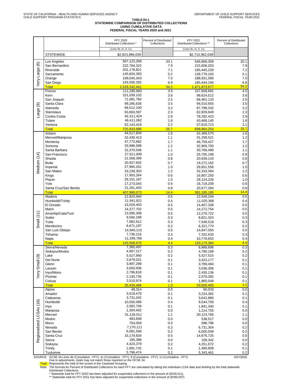#### **TABLE 04.1 STATEWIDE COMPARISON OF DISTRIBUTED COLLECTIONS USING CUMULATIVE DATA FEDERAL FISCAL YEARS 2020 and 2021**

|                         |                                                                                                                 | <b>FFY 2020</b><br>Distributed Collections * | Percent of Distributed<br>Collections | FFY 2021<br>Distributed Collections ** | Percent of Distributed<br>Collections |
|-------------------------|-----------------------------------------------------------------------------------------------------------------|----------------------------------------------|---------------------------------------|----------------------------------------|---------------------------------------|
|                         |                                                                                                                 | (Lines 4b, 4c, 8, 11)                        |                                       | (Lines 4b, 4c, 8, 11)                  |                                       |
|                         | <b>STATEWIDE</b>                                                                                                | \$2,823,986,035                              |                                       | \$2,715,962,028                        |                                       |
|                         | Los Angeles                                                                                                     | 567,123,269                                  | 20.1                                  | 546,668,309                            | 20.1                                  |
|                         | San Bernardino                                                                                                  | 222,784,322                                  | 7.9                                   | 215,606,203                            | 7.9                                   |
|                         | Riverside                                                                                                       | 201,178,821                                  | 7.1                                   | 195,445,228                            | 7.2                                   |
|                         | Sacramento<br>Orange                                                                                            | 145,604,393<br>199,045,343                   | 5.2<br>7.0                            | 139,778,163                            | 5.1<br>7.0                            |
| Very Large (6)          | San Diego                                                                                                       | 193,506,292                                  | 6.9                                   | 188,931,580<br>185,444,194             | 6.8                                   |
|                         | <b>Total</b>                                                                                                    | 1,529,242,441                                | 54.2                                  | 1,471,873,677                          | 54.2                                  |
|                         | Fresno                                                                                                          | 111,285,883                                  | 3.9                                   | 107,658,691                            | 4.0                                   |
|                         | Kern                                                                                                            | 101,039,102                                  | 3.6                                   | 98,624,512                             | 3.6                                   |
|                         | San Joaquin<br>Santa Clara                                                                                      | 71,081,784<br>99,285,626                     | 2.5<br>3.5                            | 68,462,133<br>94,010,655               | 2.5<br>3.5                            |
|                         | Alameda                                                                                                         | 89,512,100                                   | 3.2                                   | 87,798,332                             | 3.2                                   |
| Large (9)               | Stanislaus                                                                                                      | 63,663,597                                   | 2.3                                   | 62,829,649                             | 2.3                                   |
|                         | Contra Costa                                                                                                    | 81,511,424                                   | 2.9                                   | 78,292,423                             | 2.9                                   |
|                         | Tulare                                                                                                          | 46,411,062                                   | 1.6<br>2.2                            | 43,468,145                             | 1.6                                   |
|                         | Ventura<br><b>Total</b>                                                                                         | 62,143,419<br>725,933,996                    | 25.7                                  | 57,819,713<br>698,964,254              | 2.1<br>25.7                           |
|                         | Solano                                                                                                          | 44,517,604                                   | 1.6                                   | 42,489,570                             | 1.6                                   |
|                         | Merced/Mariposa                                                                                                 | 32,430,413                                   | 1.1                                   | 31,338,521                             | 1.2                                   |
|                         | Monterey                                                                                                        | 47,773,682                                   | 1.7                                   | 46,759,427                             | 1.7                                   |
|                         | Sonoma                                                                                                          | 33,986,588                                   | 1.2                                   | 32,900,793                             | 1.2                                   |
|                         | Santa Barbara<br>San Francisco                                                                                  | 32,370,546<br>27,611,836                     | 1.1<br>1.0                            | 30,768,490<br>25,705,198               | 1.1<br>0.9                            |
|                         | Shasta                                                                                                          | 21,568,399                                   | 0.8                                   | 20,639,143                             | 0.8                                   |
|                         | <b>Butte</b>                                                                                                    | 20,927,602                                   | 0.7                                   | 19,272,162                             | 0.7                                   |
| Medium (14)             | Imperial                                                                                                        | 27,965,201                                   | 1.0                                   | 26,651,556                             | 1.0                                   |
|                         | San Mateo                                                                                                       | 33,239,303                                   | 1.2                                   | 32,333,364                             | 1.2                                   |
|                         | Kings<br>Placer                                                                                                 | 17,903,264<br>29,151,187                     | 0.6<br>1.0                            | 16,807,250<br>28,124,226               | 0.6<br>1.0                            |
|                         | Yolo                                                                                                            | 17,273,043                                   | 0.6                                   | 16,718,209                             | 0.6                                   |
|                         | Santa Cruz/San Benito                                                                                           | 21,261,403                                   | 0.8                                   | 20,677,284                             | 0.8                                   |
|                         | <b>Total</b>                                                                                                    | 407,980,073                                  | 14.4                                  | <u>391,185,195</u>                     | 14.4                                  |
|                         | Madera                                                                                                          | 12,923,940<br>11,941,821                     | 0.5                                   | 12,549,244                             | 0.5                                   |
|                         | Humboldt/Trinity<br>El Dorado                                                                                   | 15,029,403                                   | 0.4<br>0.5                            | 11,025,368<br>14,407,338               | 0.4<br>0.5                            |
|                         | Marin                                                                                                           | 14,377,702                                   | 0.5                                   | 14,272,754                             | 0.5                                   |
|                         | Ama/Alp/Cala/Tuol                                                                                               | 13,095,308                                   | 0.5                                   | 12,270,722                             | 0.5                                   |
| Small $(11)$            | Sutter                                                                                                          | 9,560,189                                    | 0.3                                   | 8,821,324                              | 0.3                                   |
|                         | Yuba<br>Mendocino                                                                                               | 7,982,912<br>6,671,197                       | 0.3<br>0.2                            | 7,548,518<br>6,321,774                 | 0.3<br>0.2                            |
|                         | San Luis Obispo                                                                                                 | 14,940,115                                   | 0.5                                   | 14,847,055                             | 0.5                                   |
|                         | Tehama                                                                                                          | 7,736,216                                    | 0.3                                   | 7,332,633                              | 0.3                                   |
|                         | Napa                                                                                                            | 11,299,766                                   | 0.4                                   | 10,776,653                             | 0.4                                   |
|                         | <b>Total</b><br>Sierra/Nevada                                                                                   | 125,558,570                                  | 4.4                                   | 120,173,384                            | 4.4<br>0.3                            |
|                         | Siskiyou/Modoc                                                                                                  | 7,365,497<br>4,907,217                       | 0.3<br>0.2                            | 6,889,696<br>4,790,189                 | 0.2                                   |
| ಲ                       | Lake                                                                                                            | 5,527,980                                    | 0.2                                   | 5,527,515                              | $0.2\,$                               |
|                         | Del Norte                                                                                                       | 3,679,021                                    | 0.1                                   | 3,423,177                              | 0.1                                   |
|                         | Glenn                                                                                                           | 3,897,289                                    | 0.1                                   | 3,789,494                              | 0.1                                   |
|                         | Lassen<br>Inyo/Mono                                                                                             | 3,050,936<br>2,796,818                       | 0.1<br>0.1                            | 3,036,306<br>2,430,136                 | 0.1<br>0.1                            |
| Very Small              | Plumas                                                                                                          | 2,193,735                                    | 0.1                                   | 2,079,392                              | 0.1                                   |
|                         | Colusa                                                                                                          | 2,010,974                                    | 0.1                                   | 1,960,549                              | 0.1                                   |
|                         | <b>Total</b>                                                                                                    | 35,429,466                                   | 1.3                                   | 33,926,455                             | 1.2                                   |
|                         | Alpine                                                                                                          | 48,314                                       | 0.0                                   | 60,033                                 | 0.0                                   |
|                         | Amador<br>Calaveras                                                                                             | 3,519,479<br>3,731,042                       | 0.1<br>0.1                            | 3,224,362<br>3,642,866                 | 0.1<br>0.1                            |
|                         | Humboldt                                                                                                        | 10,050,089                                   | 0.4                                   | 9,544,759                              | 0.4                                   |
|                         | Inyo                                                                                                            | 2,092,759                                    | 0.1                                   | 1,841,340                              | 0.1                                   |
| Regionalized LCSAs (16) | Mariposa                                                                                                        | 1,304,402                                    | 0.0                                   | 1,214,755                              | 0.0                                   |
|                         | Merced                                                                                                          | 31,126,011                                   | 1.1                                   | 30,123,766                             | 1.1                                   |
|                         | Modoc<br>Mono                                                                                                   | 483,838<br>704,059                           | 0.0<br>0.0                            | 538,517<br>588,796                     | 0.0<br>0.0                            |
|                         | Nevada                                                                                                          | 7,170,111                                    | 0.3                                   | 6,731,354                              | 0.2                                   |
|                         | San Benito                                                                                                      | 6,081,569                                    | 0.2                                   | 6,000,559                              | 0.2                                   |
|                         | Santa Cruz                                                                                                      | 15,179,834                                   | 0.5                                   | 14,676,725                             | 0.5                                   |
|                         | Sierra                                                                                                          | 195,386                                      | 0.0                                   | 158,342                                | 0.0                                   |
|                         | Siskiyou<br>Trinity                                                                                             | 4,423,379<br>1,891,732                       | 0.2<br>0.1                            | 4,251,672<br>1,480,609                 | 0.2<br>0.1                            |
|                         | Tuolumne                                                                                                        | 5,796,474                                    | 0.2                                   | 5,343,461                              | 0.2                                   |
|                         | SOURCE: OCSE 34 Lines 4b (Cumulative - FFY), 4c (Cumulative - FFY), 8 (Cumulative - FFY), 11 (Cumulative - FFY) |                                              |                                       |                                        | 4/21/2022                             |

SOURCE: OCSE 34 Lines 4b (Cumulative - FFY), 4c (Cumulative - FFY), 8 (Cumulative - FFY), 11 (Cumulative - FFY)<br>Due to adjustments, totals may not match those reported on the OCSE 34.<br>Total: Represents the total of the sco

Distributed Collections.<br>\* Statewide total for FFY 2020 has been adjusted for suspended collections in the amount of (\$158,511).<br>\*\* Statewide total for FFY 2021 has been adjusted for suspended collections in the amount of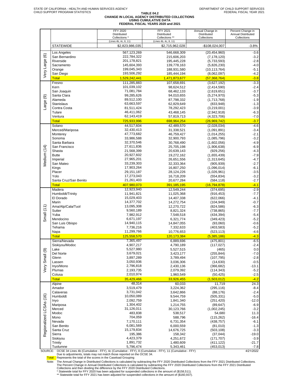#### **TABLE 04.2 CHANGE IN LOCAL AGENCY DISTRIBUTED COLLECTIONS USING CUMULATIVE DATA**

**FEDERAL FISCAL YEARS 2020 and 2021**

|                         |                                                                                                                 | FFY 2020<br>Distributed<br>Collections * | FFY 2021<br>Distributed<br>Collections ** | Annual Change in<br>Distributed<br>Collections | Percent Change in<br>Annual Distributed<br>Collections |
|-------------------------|-----------------------------------------------------------------------------------------------------------------|------------------------------------------|-------------------------------------------|------------------------------------------------|--------------------------------------------------------|
|                         | <b>STATEWIDE</b>                                                                                                | (Lines 4b, 4c, 8, 11)<br>\$2,823,986,035 | (Lines 4b, 4c, 8, 11)<br>\$2,715,962,028  | -\$108,024,007                                 | $-3.8%$                                                |
|                         | Los Angeles                                                                                                     | 567,123,269                              | 546,668,309                               | (20, 454, 960)                                 | $-3.6$                                                 |
| Very Large (6)          | San Bernardino                                                                                                  | 222,784,322                              | 215,606,203                               | (7, 178, 120)                                  | $-3.2$                                                 |
|                         | Riverside                                                                                                       | 201,178,821                              | 195,445,228                               | (5,733,593)                                    | $-2.8$                                                 |
|                         | Sacramento                                                                                                      | 145,604,393                              | 139,778,163                               | (5,826,230)                                    | $-4.0$                                                 |
|                         | Orange<br>San Diego                                                                                             | 199,045,343<br>193,506,292               | 188,931,580<br>185,444,194                | (10, 113, 764)<br>(8,062,097)                  | $-5.1$<br>$-4.2$                                       |
|                         | <b>Total</b>                                                                                                    | 1,529,242,441                            | 1,471,873,677                             | (57, 368, 764)                                 | $-3.8$                                                 |
|                         | Fresno                                                                                                          | 111,285,883                              | 107,658,691                               | (3,627,192)                                    | $-3.3$                                                 |
|                         | Kern                                                                                                            | 101,039,102                              | 98,624,512                                | (2,414,590)                                    | $-2.4$                                                 |
|                         | San Joaquin                                                                                                     | 71,081,784                               | 68,462,133                                | (2,619,651)                                    | $-3.7$                                                 |
| ම                       | Santa Clara<br>Alameda                                                                                          | 99,285,626<br>89,512,100                 | 94,010,655<br>87,798,332                  | (5,274,970)<br>(1,713,768)                     | $-5.3$<br>$-1.9$                                       |
| Large                   | Stanislaus                                                                                                      | 63,663,597                               | 62,829,649                                | (833, 948)                                     | $-1.3$                                                 |
|                         | Contra Costa                                                                                                    | 81,511,424                               | 78,292,423                                | (3,219,001)                                    | $-3.9$                                                 |
|                         | Tulare                                                                                                          | 46,411,062                               | 43,468,145                                | (2,942,918)                                    | $-6.3$                                                 |
|                         | Ventura                                                                                                         | 62,143,419                               | 57,819,713                                | (4,323,706)                                    | $-7.0$                                                 |
|                         | <b>Total</b>                                                                                                    | 725,933,996                              | 698,964,254                               | <u>(26,969,742)</u>                            | $-3.7$                                                 |
|                         | Solano<br>Merced/Mariposa                                                                                       | 44,517,604<br>32,430,413                 | 42,489,570<br>31,338,521                  | (2,028,034)<br>(1,091,891)                     | $-4.6$<br>$-3.4$                                       |
|                         | Monterey                                                                                                        | 47,773,682                               | 46,759,427                                | (1,014,255)                                    | $-2.1$                                                 |
|                         | Sonoma                                                                                                          | 33,986,588                               | 32,900,793                                | (1,085,796)                                    | $-3.2$                                                 |
|                         | Santa Barbara                                                                                                   | 32,370,546                               | 30,768,490                                | (1,602,056)                                    | $-4.9$                                                 |
|                         | San Francisco                                                                                                   | 27,611,836                               | 25,705,198                                | (1,906,638)                                    | $-6.9$                                                 |
|                         | Shasta<br><b>Butte</b>                                                                                          | 21,568,399<br>20,927,602                 | 20,639,143<br>19,272,162                  | (929, 256)<br>(1,655,439)                      | $-4.3$<br>$-7.9$                                       |
| Medium (14)             | Imperial                                                                                                        | 27,965,201                               | 26,651,556                                | (1,313,645)                                    | $-4.7$                                                 |
|                         | San Mateo                                                                                                       | 33,239,303                               | 32,333,364                                | (905, 939)                                     | $-2.7$                                                 |
|                         | Kings                                                                                                           | 17,903,264                               | 16,807,250                                | (1,096,014)                                    | $-6.1$                                                 |
|                         | Placer                                                                                                          | 29,151,187                               | 28,124,226                                | (1,026,961)                                    | $-3.5$                                                 |
|                         | Yolo<br>Santa Cruz/San Benito                                                                                   | 17,273,043<br>21,261,403                 | 16,718,209                                | (554, 834)                                     | $-3.2$<br>$-2.7$                                       |
|                         | Total                                                                                                           | 407,980,073                              | 20,677,284<br>391,185,195                 | (584, 118)<br>(16, 794, 878)                   | $-4.1$                                                 |
|                         | Madera                                                                                                          | 12,923,940                               | 12,549,244                                | (374, 695)                                     | $-2.9$                                                 |
|                         | Humboldt/Trinity                                                                                                | 11,941,821                               | 11,025,368                                | (916, 453)                                     | -7.7                                                   |
|                         | El Dorado                                                                                                       | 15,029,403                               | 14,407,338                                | (622,066)                                      | $-4.1$                                                 |
|                         | Marin                                                                                                           | 14,377,702                               | 14,272,754                                | (104, 949)                                     | $-0.7$                                                 |
| Small $(11)$            | Ama/Alp/Cala/Tuol<br>Sutter                                                                                     | 13,095,308<br>9,560,189                  | 12,270,722<br>8,821,324                   | (824, 586)<br>(738, 865)                       | $-6.3$<br>$-7.7$                                       |
|                         | Yuba                                                                                                            | 7,982,912                                | 7,548,518                                 | (434, 394)                                     | $-5.4$                                                 |
|                         | Mendocino                                                                                                       | 6,671,197                                | 6,321,774                                 | (349, 423)                                     | $-5.2$                                                 |
|                         | San Luis Obispo                                                                                                 | 14,940,115                               | 14,847,055                                | (93,060)                                       | $-0.6$                                                 |
|                         | Tehama                                                                                                          | 7,736,216                                | 7,332,633                                 | (403, 583)                                     | $-5.2$<br>$-4.6$                                       |
|                         | Napa<br><b>Total</b>                                                                                            | 11,299,766<br>125,558,570                | 10,776,653<br>120, 173, 384               | (523, 113)<br>(5,385,186)                      | $-4.3$                                                 |
|                         | Sierra/Nevada                                                                                                   | 7,365,497                                | 6,889,696                                 | (475, 801)                                     | $-6.5$                                                 |
|                         | Siskiyou/Modoc                                                                                                  | 4,907,217                                | 4,790,189                                 | (117, 027)                                     | $-2.4$                                                 |
|                         | Lake                                                                                                            | 5,527,980                                | 5,527,515                                 | (465)                                          | 0.0                                                    |
|                         | Del Norte                                                                                                       | 3,679,021                                | 3,423,177                                 | (255, 844)                                     | $-7.0$                                                 |
| Very Small (9)          | Glenn<br>Lassen                                                                                                 | 3,897,289<br>3,050,936                   | 3,789,494                                 | (107, 795)                                     | $-2.8$<br>$-0.5$                                       |
|                         | Inyo/Mono                                                                                                       | 2,796,818                                | 3,036,306<br>2,430,136                    | (14, 630)<br>(366, 682)                        | -13.1                                                  |
|                         | Plumas                                                                                                          | 2,193,735                                | 2,079,392                                 | (114, 343)                                     | $-5.2$                                                 |
|                         | Colusa                                                                                                          | 2,010,974                                | 1,960,549                                 | (50, 425)                                      | $-2.5$                                                 |
|                         | <b>Total</b>                                                                                                    | 35,429,466                               | 33,926,455                                | (1,503,012)                                    | $-4.2$                                                 |
|                         | Alpine                                                                                                          | 48,314                                   | 60,033                                    | 11,719                                         | 24.3                                                   |
|                         | Amador<br>Calaveras                                                                                             | 3,519,479<br>3,731,042                   | 3,224,362<br>3,642,866                    | (295, 116)<br>(88, 176)                        | $-8.4$<br>$-2.4$                                       |
|                         | Humboldt                                                                                                        | 10,050,089                               | 9,544,759                                 | (505, 331)                                     | $-5.0$                                                 |
|                         | Inyo                                                                                                            | 2,092,759                                | 1,841,340                                 | (251, 420)                                     | $-12.0$                                                |
| Regionalized LCSAs (16) | Mariposa                                                                                                        | 1,304,402                                | 1,214,755                                 | (89, 647)                                      | $-6.9$                                                 |
|                         | Merced                                                                                                          | 31,126,011                               | 30,123,766                                | (1,002,245)                                    | $-3.2$                                                 |
|                         | Modoc<br>Mono                                                                                                   | 483,838<br>704,059                       | 538,517<br>588,796                        | 54,680<br>(115, 262)                           | 11.3<br>$-16.4$                                        |
|                         | Nevada                                                                                                          | 7,170,111                                | 6,731,354                                 | (438, 757)                                     | $-6.1$                                                 |
|                         | San Benito                                                                                                      | 6,081,569                                | 6,000,559                                 | (81,010)                                       | $-1.3$                                                 |
|                         | Santa Cruz                                                                                                      | 15,179,834                               | 14,676,725                                | (503, 108)                                     | $-3.3$                                                 |
|                         | Sierra                                                                                                          | 195,386<br>4,423,379                     | 158,342                                   | (37, 044)                                      | $-19.0$                                                |
|                         | Siskiyou<br>Trinity                                                                                             | 1,891,732                                | 4,251,672<br>1,480,609                    | (171, 707)<br>(411, 122)                       | $-3.9$<br>$-21.7$                                      |
|                         | Tuolumne                                                                                                        | 5,796,474                                | 5,343,461                                 | (453, 013)                                     | $-7.8$                                                 |
|                         | SOURCE: OCSE 34 Lines 4b (Cumulative - FFY), 4c (Cumulative - FFY), 8 (Cumulative - FFY), 11 (Cumulative - FFY) |                                          |                                           |                                                | 4/21/2022                                              |

SOURCE: OCSE 34 Lines 4b (Cumulative - FFY), 4c (Cumulative - FFY), 8 (Cumulative - FFY), 11 (Cumulative - FFY) Due to adjustments, totals may not match those reported on the OCSE 34.

Total: Represents the total of the scores in the Caseload Grouping

Note: The Annual Change in Distributed Collections is calculated by subtracting the FFY 2020 Distributed Collections from the FFY 2021 Distributed Collections.<br>The Percent Change in Annual Distributed Collections is calcul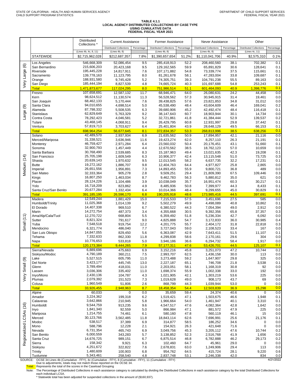#### **TABLE 4.1.1 LOCAL AGENCY DISTRIBUTED COLLECTIONS BY CASE TYPE USING CUMULATIVE DATA FEDERAL FISCAL YEAR 2021**

|                         |                                                                                                                 | Distributed<br>Collections *             | <b>Current Assistance</b>      |              | Former Assistance                               |              | Never Assistance                 |              | Other                          |                |
|-------------------------|-----------------------------------------------------------------------------------------------------------------|------------------------------------------|--------------------------------|--------------|-------------------------------------------------|--------------|----------------------------------|--------------|--------------------------------|----------------|
|                         |                                                                                                                 |                                          | <b>Distributed Collections</b> | Percentage   | <b>Distributed Collections</b><br>(Lines 4b, 8) | Percentage   | <b>Distributed Collections</b>   | Percentage   | <b>Distributed Collections</b> | Percentage     |
|                         | <b>STATEWIDE</b>                                                                                                | (Lines 4b, 4c, 8, 11)<br>\$2,715,962,028 | (Lines 4b, 8)<br>\$212,687,357 | 7.8%         | \$1,390,657,654                                 | 51.2%        | (Lines 4b, 8)<br>\$1,110,041,706 | 40.9%        | (Lines 4c, 11)<br>\$2,575,310  | 0.1%           |
|                         |                                                                                                                 |                                          |                                |              |                                                 |              |                                  |              |                                |                |
| $\circledcirc$          | Los Angeles<br>San Bernardino                                                                                   | 546,668,309<br>215,606,203               | 52,086,454<br>20,423,168       | 9.5<br>9.5   | 285,418,913<br>129,162,565                      | 52.2<br>59.9 | 208,460,560<br>65,891,829        | 38.1<br>30.6 | 702.382<br>128,641             | 0.1<br>0.1     |
|                         | Riverside                                                                                                       | 195,445,228                              | 14,817,911                     | 7.6          | 107,171,882                                     | 54.8         | 73,339,774                       | 37.5         | 115,661                        | 0.1            |
|                         | Sacramento                                                                                                      | 139,778,163                              | 11,123,795                     | 8.0          | 81,261,678                                      | 58.1         | 47,283,004                       | 33.8         | 109,687                        | 0.1            |
|                         | Orange                                                                                                          | 188,931,580                              | 9,745,428                      | 5.2          | 74,305,751                                      | 39.3         | 104,791,238                      | 55.5         | 89,163                         | 0.0            |
| Very Large              | San Diego                                                                                                       | 185,444,194                              | 8,827,539                      | 4.8          | 74,665,724                                      | 40.3         | 101,697,688                      | 54.8         | 253,243                        | 0.1            |
|                         | <b>Total</b><br>Fresno                                                                                          | 1,471,873,677<br>107,658,691             | 117,024,295                    | 8.0          | 751,986,514<br>68,946,471                       | 51.1         | 601,464,093                      | 40.9         | 1,398,776                      | 0.1<br>0.0     |
|                         | Kern                                                                                                            | 98,624,512                               | 12,587,132<br>11,130,574       | 11.7<br>11.3 | 56,528,562                                      | 64.0<br>57.3 | 26,080,631<br>30,945,915         | 24.2<br>31.4 | 44,458<br>19,461               | 0.0            |
|                         | San Joaquin                                                                                                     | 68,462,133                               | 5,170,444                      | 7.6          | 39,438,825                                      | 57.6         | 23,821,853                       | 34.8         | 31,012                         | 0.0            |
| ම                       | Santa Clara                                                                                                     | 94,010,655                               | 4,698,514                      | 5.0          | 45,538,490                                      | 48.4         | 43,604,609                       | 46.4         | 169,041                        | 0.2            |
|                         | Alameda                                                                                                         | 87,798,332                               | 5,508,535                      | 6.3          | 39,680,906                                      | 45.2         | 42,492,474                       | 48.4         | 116,418                        | 0.1            |
| Large                   | <b>Stanislaus</b>                                                                                               | 62,829,649                               | 5,763,329                      | 9.2          | 38,147,643                                      | 60.7         | 18,903,944                       | 30.1         | 14,734                         | 0.0            |
|                         | Contra Costa                                                                                                    | 78,292,423<br>43,468,145                 | 4,046,581                      | 5.2          | 32,721,861                                      | 41.8         | 41,384,444                       | 52.9         | 139,537                        | 0.2            |
|                         | Tulare<br>Ventura                                                                                               | 57,819,713                               | 4,068,911<br>3,703,627         | 9.4<br>6.4   | 26,429,795<br>25,401,804                        | 60.8<br>43.9 | 12,931,997<br>28,648,129         | 29.8<br>49.5 | 37,442<br>66,153               | 0.1<br>0.1     |
|                         | <b>Total</b>                                                                                                    | 698,964,254                              | 56,677,645                     | 8.1          | 372,834,357                                     | 53.3         | 268,813,996                      | 38.5         | 638,256                        | 0.1            |
|                         | Solano                                                                                                          | 42,489,570                               | 2,937,934                      | 6.9          | 21,635,562                                      | 50.9         | 17,894,957                       | 42.1         | 21,116                         | 0.0            |
|                         | Merced/Mariposa                                                                                                 | 31,338,521                               | 3,636,946                      | 11.6         | 19,423,274                                      | 62.0         | 8,257,110                        | 26.3         | 21,191                         | 0.1            |
|                         | Monterev                                                                                                        | 46,759,427                               | 2,971,284                      | 6.4          | 23,560,032                                      | 50.4         | 20,176,451                       | 43.1         | 51,660                         | 0.1            |
|                         | Sonoma                                                                                                          | 32,900,793<br>30,768,490                 | 1,457,449                      | 4.4          | 12,670,562                                      | 38.5         | 18,762,123                       | 57.0         | 10,659                         | 0.0            |
|                         | Santa Barbara<br>San Francisco                                                                                  | 25,705,198                               | 2,539,685<br>1,609,549         | 8.3<br>6.3   | 15,187,963<br>10,906,377                        | 49.4<br>42.4 | 13,021,635<br>13,115,548         | 42.3<br>51.0 | 19,208<br>73,725               | 0.1<br>0.3     |
|                         | Shasta                                                                                                          | 20,639,143                               | 1,970,632                      | 9.5          | 12,013,545                                      | 58.2         | 6,637,735                        | 32.2         | 17,231                         | 0.1            |
| Vledium (14)            | <b>Butte</b>                                                                                                    | 19,272,162                               | 1,886,707                      | 9.8          | 12,404,763                                      | 64.4         | 4,977,827                        | 25.8         | 2,865                          | 0.0            |
|                         | Imperial                                                                                                        | 26,651,556                               | 1,956,891                      | 7.3          | 14,893,455                                      | 55.9         | 9,800,721                        | 36.8         | 489                            | 0.0            |
|                         | San Mateo                                                                                                       | 32,333,364                               | 905,278                        | 2.8          | 9,509,251                                       | 29.4         | 21,809,390                       | 67.5         | 109,446                        | 0.3            |
|                         | Kings<br>Placer                                                                                                 | 16,807,250<br>28,124,226                 | 1,463,034<br>1,104,486         | 8.7<br>3.9   | 9,462,783<br>10,038,049                         | 56.3<br>35.7 | 5,880,812<br>16,951,474          | 35.0<br>60.3 | 621<br>30,217                  | 0.0<br>0.1     |
|                         | Yolo                                                                                                            | 16,718,209                               | 823,862                        | 4.9          | 8,485,936                                       | 50.8         | 7,399,977                        | 44.3         | 8,433                          | 0.1            |
|                         | Santa Cruz/San Benito                                                                                           | 20,677,284                               | 1,332,434                      | 6.4          | 10,014,366                                      | 48.4         | 9,299,655                        | 45.0         | 30,829                         | 0.1            |
|                         | <b>Total</b>                                                                                                    | 391,185,195                              | 26,596,170                     | 6.8          | 190,205,918                                     | 48.6         | 173,985,416                      | 44.5         | 397,691                        | 0.1            |
|                         | Madera                                                                                                          | 12,549,244                               | 1,881,429                      | 15.0         | 7,215,533                                       | 57.5         | 3,451,696                        | 27.5         | 585                            | 0.0            |
|                         | Humboldt/Trinity                                                                                                | 11,025,368                               | 1,014,139                      | 9.2          | 5,502,279                                       | 49.9         | 4,498,089                        | 40.8         | 10,862                         | 0.1            |
|                         | El Dorado<br>Marin                                                                                              | 14,407,338<br>14,272,754                 | 969,510<br>487,373             | 6.7<br>3.4   | 6,380,522<br>4,355,668                          | 44.3<br>30.5 | 7,054,394<br>9,392,356           | 49.0<br>65.8 | 2,912<br>37,357                | 0.0<br>0.3     |
|                         | Ama/Alp/Cala/Tuol                                                                                               | 12,270,722                               | 668,804                        | 5.5          | 6,359,492                                       | 51.8         | 5,236,334                        | 42.7         | 6,092                          | 0.0            |
| (11)                    | Sutter                                                                                                          | 8,821,324                                | 791,617                        | 9.0          | 4,825,888                                       | 54.7         | 3,172,833                        | 36.0         | 30,985                         | 0.4            |
| Small                   | Yuba                                                                                                            | 7,548,518                                | 919,754                        | 12.2         | 4,201,775                                       | 55.7         | 2,404,172                        | 31.8         | 22,818                         | 0.3            |
|                         | Mendocino                                                                                                       | 6,321,774                                | 486,040                        | 7.7          | 3,727,043                                       | 59.0         | 2,108,523                        | 33.4         | 167                            | 0.0            |
|                         | San Luis Obispo<br>Tehama                                                                                       | 14,847,055<br>7,332,633                  | 829,450<br>862,330             | 5.6<br>11.8  | 6,363,087<br>4,299,838                          | 42.9<br>58.6 | 7,643,411<br>2,170,161           | 51.5<br>29.6 | 11,107<br>304                  | 0.1<br>0.0     |
|                         | Napa                                                                                                            | 10,776,653                               | 533,818                        | 5.0          | 3,946,186                                       | 36.6         | 6,294,732                        | 58.4         | 1,917                          | 0.0            |
|                         | <b>Total</b>                                                                                                    | 120, 173, 384                            | 9,444,265                      | 7.9          | 57,177,311                                      | 47.6         | 53,426,701                       | 44.5         | 125,107                        | 0.1            |
|                         | Sierra/Nevada                                                                                                   | 6,889,696                                | 475,663                        | 6.9          | 3,152,216                                       | 45.8         | 3,251,073                        | 47.2         | 10,744                         | 0.2            |
|                         | Siskiyou/Modoc                                                                                                  | 4,790,189                                | 360,211                        | 7.5          | 2,993,707                                       | 62.5         | 1,436,158                        | 30.0         | 113                            | 0.0            |
| $\circledcirc$          | Lake                                                                                                            | 5,527,515                                | 605,795                        | 11.0         | 3,273,488                                       | 59.2         | 1,647,907                        | 29.8         | 325                            | $0.0\,$        |
| Small                   | Del Norte<br>Glenn                                                                                              | 3,423,177<br>3,789,494                   | 445,745<br>418,031             | 13.0<br>11.0 | 2,227,187<br>2,203,051                          | 65.1<br>58.1 | 746,708<br>1,168,319             | 21.8<br>30.8 | 3,538<br>92                    | 0.1<br>$0.0\,$ |
|                         | Lassen                                                                                                          | 3,036,306                                | 335,402                        | 11.0         | 1,698,374                                       | 55.9         | 1,002,338                        | 33.0         | 192                            | 0.0            |
| δĀ                      | Inyo/Mono                                                                                                       | 2,430,136                                | 104,787                        | 4.3          | 1,021,905                                       | 42.1         | 1,303,219                        | 53.6         | 225                            | 0.0            |
|                         | Plumas                                                                                                          | 2,079,392                                | 151,523                        | 7.3          | 1,019,628                                       | 49.0         | 908,173                          | 43.7         | 69                             | 0.0            |
|                         | Colusa                                                                                                          | 1,960,549<br>33,926,455                  | 51,806                         | 2.6          | 868,799                                         | 44.3         | 1,039,944                        | 53.0         | 0                              | 0.0<br>0.0     |
|                         | <b>Total</b><br>Alpine                                                                                          | 60,033                                   | 2,948,963<br>0                 | 8.7<br>0.0   | 18,458,354<br>35,659                            | 54.4<br>59.4 | 12,503,839<br>24,374             | 36.9<br>40.6 | 15,298<br>$\mathbf 0$          | 0.0            |
|                         | Amador                                                                                                          | 3,224,362                                | 199,318                        | 6.2          | 1,519,421                                       | 47.1         | 1,503,675                        | 46.6         | 1,948                          | 0.1            |
|                         | Calaveras                                                                                                       | 3,642,866                                | 210,945                        | 5.8          | 1,966,664                                       | 54.0         | 1,461,947                        | 40.1         | 3,310                          | 0.1            |
|                         | Humboldt                                                                                                        | 9,544,759                                | 913,235                        | 9.6          | 4,547,517                                       | 47.6         | 4,082,364                        | 42.8         | 1,642                          | 0.0            |
|                         | Inyo                                                                                                            | 1,841,340                                | 92,559                         | 5.0          | 866,984                                         | 47.1         | 881,572                          | 47.9         | 225                            | 0.0            |
| Regionalized LCSAs (16) | Mariposa<br>Merced                                                                                              | 1,214,755<br>30,123,766                  | 74,461<br>3,562,485            | 6.1<br>11.8  | 580,160<br>18,843,114                           | 47.8<br>62.6 | 560,119<br>7,696,991             | 46.1<br>25.6 | 15<br>21,176                   | 0.0<br>0.1     |
|                         | Modoc                                                                                                           | 538,517                                  | 37,389                         | 6.9          | 314,877                                         | 58.5         | 186,252                          | 34.6         | 0                              | 0.0            |
|                         | Mono                                                                                                            | 588,796                                  | 12,228                         | 2.1          | 154,921                                         | 26.3         | 421,648                          | 71.6         | 0                              | 0.0            |
|                         | Nevada                                                                                                          | 6,731,354                                | 465,743                        | 6.9          | 3,049,756                                       | 45.3         | 3,205,112                        | 47.6         | 10,744                         | 0.2            |
|                         | San Benito                                                                                                      | 6,000,559                                | 343,283                        | 5.7          | 3,138,852                                       | 52.3         | 2,516,768                        | 41.9         | 1,656                          | 0.0            |
|                         | Santa Cruz                                                                                                      | 14,676,725<br>158,342                    | 989,151                        | 6.7          | 6,875,514                                       | 46.8         | 6,782,888                        | 46.2         | 29,173                         | 0.2            |
|                         | Sierra<br>Siskiyou                                                                                              | 4,251,672                                | 9,921<br>322,822               | 6.3<br>7.6   | 102,460<br>2,678,831                            | 64.7<br>63.0 | 45,961<br>1,249,906              | 29.0<br>29.4 | $\pmb{0}$<br>113               | 0.0<br>0.0     |
|                         | Trinity                                                                                                         | 1,480,609                                | 100,903                        | 6.8          | 954,762                                         | 64.5         | 415,724                          | 28.1         | 9,220                          | 0.6            |
|                         | Tuolumne                                                                                                        | 5,343,461                                | 258,540                        | 4.8          | 2,837,748                                       | 53.1         | 2,246,338                        | 42.0         | 834                            | 0.0            |
|                         | SOURCE: OCSE 34 Lines 4b (Cumulative - FFY), 4c (Cumulative - FFY), 8 (Cumulative - FFY), 11 (Cumulative - FFY) |                                          |                                |              |                                                 |              |                                  |              |                                | 4/21/2022      |

SOURCE: OCSE 34 Lines 4b (Cumulative - FFY), 4c (Cumulative - FFY), 8 (Cumulative - FFY), 11 (Cumulative - FFY)<br>Due to adjustments, totals may not match those reported on the OCSE 34.<br>Total: Represents the total of the sco

Note: The Percentage of Distributed Collections in each assistance category is calculated by dividing the Distributed Collections in each assistance category by the total Distributed Collections for<br>each individual LCSA.<br>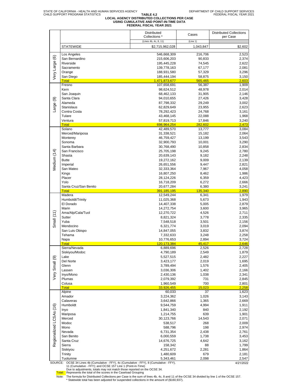# TABLE 4.2<br>LOCAL AGENCY DISTRIBUTED COLLECTIONS PER CASE<br>USING CUMULATIVE AND POINT-IN-TIME DATA<br>FEDERAL FISCAL YEAR 2021

|                         |                                                                                   | <b>Distributed</b>    |           | <b>Distributed Collections</b> |
|-------------------------|-----------------------------------------------------------------------------------|-----------------------|-----------|--------------------------------|
|                         |                                                                                   | Collections *         | Cases     | per Case                       |
|                         |                                                                                   | (Lines 4b, 4c, 8, 11) | (Line 1)  |                                |
|                         |                                                                                   |                       |           |                                |
|                         | <b>STATEWIDE</b>                                                                  | \$2,715,962,028       | 1,043,847 | \$2,602                        |
|                         |                                                                                   |                       |           |                                |
|                         | Los Angeles                                                                       | 546,668,309           | 216,706   | 2,523                          |
|                         | San Bernardino                                                                    | 215,606,203           | 90,833    | 2,374                          |
|                         | Riverside                                                                         | 195,445,228           | 74,545    | 2,622                          |
|                         | Sacramento                                                                        | 139,778,163           | 67,177    | 2,081                          |
|                         | Orange                                                                            | 188,931,580           | 57,329    | 3,296                          |
| Very Large (6)          | San Diego                                                                         | 185,444,194           | 58,875    | 3,150                          |
|                         | <b>Total</b>                                                                      | 1,471,873,677         | 565,465   | 2,603                          |
|                         | Fresno                                                                            | 107,658,691           | 56,387    | 1,909                          |
|                         | Kern                                                                              | 98,624,512            | 48,978    | 2,014                          |
|                         | San Joaquin                                                                       | 68,462,133            | 31,905    | 2,146                          |
|                         |                                                                                   |                       |           |                                |
|                         | Santa Clara                                                                       | 94,010,655            | 27,426    | 3,428                          |
| Large (9)               | Alameda                                                                           | 87,798,332            | 29,249    | 3,002                          |
|                         | Stanislaus                                                                        | 62,829,649            | 23,955    | 2,623                          |
|                         | Contra Costa                                                                      | 78,292,423            | 24,768    | 3,161                          |
|                         | Tulare                                                                            | 43,468,145            | 22,088    | 1,968                          |
|                         | Ventura                                                                           | 57,819,713            | 17,846    | 3,240                          |
|                         | <b>Total</b>                                                                      | 698,964,254           | 282,602   | 2,473                          |
|                         | Solano                                                                            | 42,489,570            | 13,777    | 3,084                          |
|                         | Merced/Mariposa                                                                   | 31,338,521            | 15,182    | 2,064                          |
|                         | Monterey                                                                          | 46,759,427            | 13,199    | 3,543                          |
|                         |                                                                                   |                       |           |                                |
|                         | Sonoma                                                                            | 32,900,793            | 10,001    | 3,290                          |
|                         | Santa Barbara                                                                     | 30,768,490            | 10,858    | 2,834                          |
|                         | San Francisco                                                                     | 25,705,198            | 9,245     | 2,780                          |
| Vledium (14)            | Shasta                                                                            | 20,639,143            | 9,182     | 2,248                          |
|                         | <b>Butte</b>                                                                      | 19,272,162            | 9,009     | 2,139                          |
|                         | Imperial                                                                          | 26,651,556            | 9,447     | 2,821                          |
|                         | San Mateo                                                                         | 32,333,364            | 7,967     | 4,058                          |
|                         | Kings                                                                             | 16,807,250            | 8,462     | 1,986                          |
|                         | Placer                                                                            |                       |           | 4,423                          |
|                         |                                                                                   | 28,124,226            | 6,359     |                                |
|                         | Yolo                                                                              | 16,718,209            | 6,272     | 2,666                          |
|                         | Santa Cruz/San Benito                                                             | 20,677,284            | 6,380     | 3,241                          |
|                         | <b>Total</b>                                                                      | 391,185,195           | 135,340   | 2,890                          |
|                         | Madera                                                                            | 12,549,244            | 6,341     | 1,979                          |
|                         | Humboldt/Trinity                                                                  | 11,025,368            | 5,673     | 1,943                          |
|                         | El Dorado                                                                         | 14,407,338            | 5,005     | 2,879                          |
|                         | Marin                                                                             | 14,272,754            | 3,600     | 3,965                          |
|                         | Ama/Alp/Cala/Tuol                                                                 | 12,270,722            | 4,526     | 2,711                          |
| Small $(11)$            | Sutter                                                                            | 8,821,324             | 3,778     | 2,335                          |
|                         | Yuba                                                                              | 7,548,518             | 3,501     | 2,156                          |
|                         | Mendocino                                                                         | 6,321,774             | 3,019     | 2,094                          |
|                         |                                                                                   |                       |           |                                |
|                         | San Luis Obispo                                                                   | 14,847,055            | 3,832     | 3,874                          |
|                         | Tehama                                                                            | 7,332,633             | 3,248     | 2,258                          |
|                         | Napa                                                                              | 10,776,653            | 2,894     | 3,724                          |
|                         | Total                                                                             | 120.173.384           | 45.417    | 2.646                          |
|                         | Sierra/Nevada                                                                     | 6,889,696             | 2,526     | 2,728                          |
|                         | Siskiyou/Modoc                                                                    | 4,790,189             | 2,549     | 1,879                          |
|                         | Lake                                                                              | 5,527,515             | 2,482     | 2,227                          |
| Very Small (9)          | Del Norte                                                                         | 3,423,177             | 2,019     | 1,695                          |
|                         | Glenn                                                                             | 3,789,494             | 1,576     | 2,405                          |
|                         | Lassen                                                                            | 3,036,306             | 1,402     | 2,166                          |
|                         | Inyo/Mono                                                                         |                       |           | 2,341                          |
|                         |                                                                                   | 2,430,136             | 1,038     |                                |
|                         | Plumas                                                                            | 2,079,392             | 731       | 2,845                          |
|                         | Colusa                                                                            | 1,960,549             | 700       | 2,801                          |
|                         | <b>Total</b>                                                                      | 33,926,455            | 15,023    | 2,258                          |
|                         | Alpine                                                                            | 60,033                | 37        | 1,623                          |
|                         | Amador                                                                            | 3,224,362             | 1,026     | 3,143                          |
|                         | Calaveras                                                                         | 3,642,866             | 1,365     | 2,669                          |
|                         | Humboldt                                                                          | 9,544,759             | 4,994     | 1,911                          |
|                         | Inyo                                                                              | 1,841,340             | 840       | 2,192                          |
| Regionalized LCSAs (16) | Mariposa                                                                          | 1,214,755             | 639       | 1,901                          |
|                         | Merced                                                                            | 30,123,766            | 14,543    | 2,071                          |
|                         | Modoc                                                                             |                       | 268       |                                |
|                         |                                                                                   | 538,517               |           | 2,009                          |
|                         | Mono                                                                              | 588,796               | 198       | 2,974                          |
|                         | Nevada                                                                            | 6,731,354             | 2,438     | 2,761                          |
|                         | San Benito                                                                        | 6,000,559             | 1,738     | 3,453                          |
|                         | Santa Cruz                                                                        | 14,676,725            | 4,642     | 3,162                          |
|                         | Sierra                                                                            | 158,342               | 88        | 1,799                          |
|                         | Siskiyou                                                                          | 4,251,672             | 2,281     | 1,864                          |
|                         | Trinity                                                                           | 1,480,609             | 679       | 2,181                          |
|                         | Tuolumne                                                                          | 5,343,461             | 2,098     | 2,547                          |
| SOURCE:                 | OCSE 34 Lines 4b (Cumulative - FFY), 4c (Cumulative - FFY), 8 (Cumulative - FFY), |                       |           | 4/21/2022                      |
|                         |                                                                                   |                       |           |                                |

SOURCE: OCSE 34 Lines 4b (Cumulative - FFY), 4c (Cumulative - FFY), 8 (Cumulative - FFY),<br>11 (Cumulative - FFY); and OCSE 157 Line 1 (Point-in-Time)<br>Due to adjustments, totals may not match those reported on the OCSE 34.<br>T

Note: The formula for Distributed Collections per Case is the sum of lines 4b, 4c, 8 and 11 of the OCSE 34 divided by line 1 of the OCSE 157.<br>\* Statewide total has been adjusted for suspended collections in the amount of (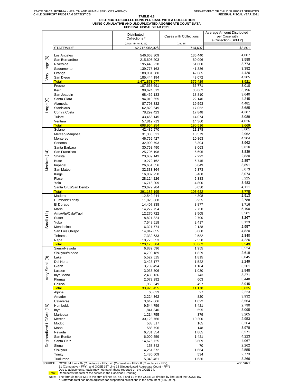# TABLE 4.3<br>DISTRIBUTED COLLECTIONS PER CASE WITH A COLLECTION<br>FEDERAL FISCAL YEAR 2021<br>FEDERAL FISCAL YEAR 2021

|                         |                                                                                                                                                                       | <b>Distributed</b>                       | Cases with Collections | Average Amount Distributed<br>per Case with |
|-------------------------|-----------------------------------------------------------------------------------------------------------------------------------------------------------------------|------------------------------------------|------------------------|---------------------------------------------|
|                         |                                                                                                                                                                       | Collections *                            |                        | a Collection (SPM 2)                        |
|                         | <b>STATEWIDE</b>                                                                                                                                                      | (Lines 4b, 4c, 8, 11)<br>\$2,715,962,028 | (Line 18)<br>714,607   | \$3,801                                     |
|                         | Los Angeles                                                                                                                                                           |                                          | 136,440                | 4,007                                       |
|                         | San Bernardino                                                                                                                                                        | 546,668,309<br>215,606,203               | 60,096                 | 3,588                                       |
| Very Large (6)          | Riverside                                                                                                                                                             | 195,445,228                              | 51,800                 | 3,773                                       |
|                         | Sacramento                                                                                                                                                            | 139,778,163                              | 41,336                 | 3,382                                       |
|                         | Orange                                                                                                                                                                | 188,931,580                              | 42,685                 | 4,426<br>4,305                              |
|                         | San Diego<br><b>Total</b>                                                                                                                                             | 185,444,194<br>1,471,873,677             | 43,072<br>375,429      | 3,921                                       |
|                         | Fresno                                                                                                                                                                | 107,658,691                              | 35,771                 | 3,010                                       |
|                         | Kern                                                                                                                                                                  | 98,624,512                               | 30,862                 | 3,196                                       |
|                         | San Joaquin<br>Santa Clara                                                                                                                                            | 68,462,133<br>94,010,655                 | 18,810<br>22,146       | 3,640<br>4,245                              |
|                         | Alameda                                                                                                                                                               | 87,798,332                               | 19,593                 | 4,481                                       |
| Large (9)               | <b>Stanislaus</b>                                                                                                                                                     | 62,829,649                               | 17,052                 | 3,685                                       |
|                         | Contra Costa                                                                                                                                                          | 78,292,423                               | 17,848                 | 4,387                                       |
|                         | Tulare                                                                                                                                                                | 43,468,145                               | 14,074                 | 3,089                                       |
|                         | Ventura<br><b>Total</b>                                                                                                                                               | 57,819,713<br>698,964,254                | 14,360<br>190,516      | 4,026<br>3,669                              |
|                         | Solano                                                                                                                                                                | 42,489,570                               | 11,178                 | 3,801                                       |
|                         | Merced/Mariposa                                                                                                                                                       | 31,338,521                               | 10,579                 | 2,962                                       |
|                         | Monterey                                                                                                                                                              | 46,759,427                               | 10,863                 | 4,304                                       |
|                         | Sonoma<br>Santa Barbara                                                                                                                                               | 32,900,793<br>30,768,490                 | 8,304<br>8,063         | 3,962<br>3,816                              |
|                         | San Francisco                                                                                                                                                         | 25,705,198                               | 6,695                  | 3,839                                       |
| Medium (14)             | Shasta                                                                                                                                                                | 20,639,143                               | 7,292                  | 2,830                                       |
|                         | <b>Butte</b>                                                                                                                                                          | 19,272,162                               | 6,745                  | 2,857                                       |
|                         | Imperial<br>San Mateo                                                                                                                                                 | 26,651,556                               | 6,849                  | 3,891<br>5,073                              |
|                         | Kings                                                                                                                                                                 | 32,333,364<br>16,807,250                 | 6,373<br>5,468         | 3,074                                       |
|                         | Placer                                                                                                                                                                | 28,124,226                               | 5,383                  | 5,225                                       |
|                         | Yolo                                                                                                                                                                  | 16,718,209                               | 4,800                  | 3,483                                       |
|                         | Santa Cruz/San Benito                                                                                                                                                 | 20,677,284                               | 5,030                  | 4,111                                       |
|                         | <b>Total</b><br>Madera                                                                                                                                                | 391,185,195<br>12,549,244                | 103,622<br>4,308       | 3,775<br>2,913                              |
|                         | Humboldt/Trinity                                                                                                                                                      | 11,025,368                               | 3,955                  | 2,788                                       |
|                         | El Dorado                                                                                                                                                             | 14,407,338                               | 3,877                  | 3,716                                       |
|                         | Marin<br>Ama/Alp/Cala/Tuol                                                                                                                                            | 14,272,754                               | 2,750                  | 5,190<br>3,501                              |
| Small $(11)$            | Sutter                                                                                                                                                                | 12,270,722<br>8,821,324                  | 3,505<br>2,700         | 3,267                                       |
|                         | Yuba                                                                                                                                                                  | 7,548,518                                | 2,417                  | 3,123                                       |
|                         | Mendocino                                                                                                                                                             | 6,321,774                                | 2,138                  | 2,957                                       |
|                         | San Luis Obispo                                                                                                                                                       | 14,847,055                               | 3,080                  | 4,820                                       |
|                         | Tehama<br>Napa                                                                                                                                                        | 7,332,633<br>10,776,653                  | 2,582<br>2,550         | 2,840<br>4,226                              |
|                         | <b>Total</b>                                                                                                                                                          | 120, 173, 384                            | 33,862                 | 3,549                                       |
|                         | Sierra/Nevada                                                                                                                                                         | 6,889,696                                | 1,955                  | 3,524                                       |
|                         | Siskiyou/Modoc                                                                                                                                                        | 4,790,189                                | 1,829                  | 2,619<br>3,045                              |
|                         | Lake<br>Del Norte                                                                                                                                                     | 5,527,515<br>3,423,177                   | 1,815<br>1,522         | 2,249                                       |
|                         | Glenn                                                                                                                                                                 | 3,789,494                                | 1,184                  | 3,201                                       |
|                         | Lassen                                                                                                                                                                | 3,036,306                                | 1,030                  | 2,948                                       |
| Very Small (9)          | Inyo/Mono                                                                                                                                                             | 2,430,136                                | 743                    | 3,271                                       |
|                         | Plumas<br>Colusa                                                                                                                                                      | 2,079,392<br>1,960,549                   | 603<br>497             | 3,448<br>3,945                              |
|                         | <b>Total</b>                                                                                                                                                          | 33,926,455                               | 11,178                 | 3,035                                       |
|                         | Alpine                                                                                                                                                                | 60,033                                   | 27                     | 2,223                                       |
|                         | Amador<br>Calaveras                                                                                                                                                   | 3,224,362<br>3,642,866                   | 820<br>1,022           | 3,932<br>3,564                              |
|                         | Humboldt                                                                                                                                                              | 9,544,759                                | 3,421                  | 2,790                                       |
| Regionalized LCSAs (16) | Inyo                                                                                                                                                                  | 1,841,340                                | 595                    | 3,095                                       |
|                         | Mariposa                                                                                                                                                              | 1,214,755                                | 379                    | 3,205                                       |
|                         | Merced                                                                                                                                                                | 30,123,766                               | 10,200                 | 2,953                                       |
|                         | Modoc<br>Mono                                                                                                                                                         | 538,517<br>588,796                       | 165<br>148             | 3,264<br>3,978                              |
|                         | Nevada                                                                                                                                                                | 6,731,354                                | 1,885                  | 3,571                                       |
|                         | San Benito                                                                                                                                                            | 6,000,559                                | 1,421                  | 4,223                                       |
|                         | Santa Cruz                                                                                                                                                            | 14,676,725                               | 3,609                  | 4,067                                       |
|                         | Sierra<br>Siskiyou                                                                                                                                                    | 158,342<br>4,251,672                     | 70<br>1,664            | 2,262<br>2,555                              |
|                         | Trinity                                                                                                                                                               | 1,480,609                                | 534                    | 2,773                                       |
|                         | Tuolumne                                                                                                                                                              | 5,343,461                                | 1,636                  | 3,266                                       |
| SOURCE:                 | OCSE 34 Lines 4b (Cumulative - FFY), 4c (Cumulative - FFY), 8 (Cumulative - FFY),<br>11 (Cumulative - FFY); and OCSE 157 Line 18 (Unduplicated Aggregate Count - FFY) |                                          |                        | 4/21/2022                                   |

11 (Cumulative - FFY); and OCSE 157 Line 18 (Unduplicated Aggregate Count - FFY)<br>Due to adjustments, totals may not match those reported on the OCSE 34.<br>
Total: Represents the total of the scores in the Caseload Grouping<br>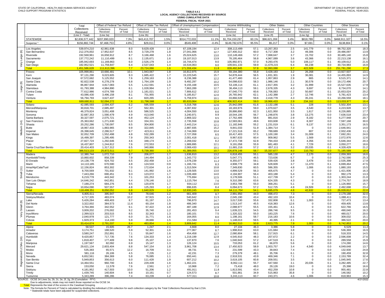### TABLE 4.4.1<br>LOCAL AGENCY COLLECTIONS RECEIVED BY SOURCE<br>USING CUMULATIVE DATA<br>FEDERAL FISCAL YEAR 2021

|                    |                                                                                                                                                                                                                                                  | Total                      | Offset of Federal Tax Refund |            | Offset of State Tax Refund |            | Offset of Unemployment Compensation |              | Income Withholding        |              | Other States           |            | <b>Other Countries</b> |            | <b>Other Sources</b>     |              |
|--------------------|--------------------------------------------------------------------------------------------------------------------------------------------------------------------------------------------------------------------------------------------------|----------------------------|------------------------------|------------|----------------------------|------------|-------------------------------------|--------------|---------------------------|--------------|------------------------|------------|------------------------|------------|--------------------------|--------------|
|                    |                                                                                                                                                                                                                                                  | Collections                | Collections                  | Percent    | Collections                | Percent    | Collections                         | Percent      | Collections               | Percent      | Collections            | Percent    | Collections            | Percent    | Collections              | Percent      |
|                    |                                                                                                                                                                                                                                                  | Received                   | Received                     | of Total   | Received                   | of Total   | Received                            | of Total     | Received                  | of Total     | Received               | of Total   | Received               | of Total   | Received                 | of Total     |
|                    |                                                                                                                                                                                                                                                  | (Line 2 - Total)           | (Line 2a)                    |            | (Line 2b)                  |            | (Line 2c)                           |              | (Line 2e)                 |              | (Line 2f)              |            | (Line 2g)              |            | (Line 2h)                |              |
|                    | <b>STATEWIDE</b>                                                                                                                                                                                                                                 | \$2,836,577,442            | \$207,890,020                | 7.3%       | \$43,413,707               | 1.5%       | \$314,772,033                       | 11.1%        | \$1,704,150,297           | 60.1%        | \$96,621,269           | 3.4%       | \$818,789              | 0.0%       | \$468,911,327            | 16.5%        |
|                    | Suspense *                                                                                                                                                                                                                                       | \$156,882,744              | \$7,468,753                  | 4.8%       | \$29,011                   | 0.0%       | $-$549,408$                         | $-0.4%$      | \$149,782,676             | 95.5%        | \$5,217                | 0.0%       | \$7,691                | 0.0%       | \$138,804                | 0.1%         |
|                    | Los Angeles                                                                                                                                                                                                                                      | 539,974,210                | 42,961,638                   | 8.0        | 9,629,428                  | 1.8        | 67,108,194                          | 12.4         | 308,113,499               | 57.1         | 13,267,353             | 2.5        | 141,779                | 0.0        | 98,752,320               | 18.3         |
| ©                  | San Bernardino                                                                                                                                                                                                                                   | 212,376,002                | 17,952,637                   | 8.5        | 3,729,278                  | 1.8        | 27,041,066                          | 12.7         | 127,400,312               | 60.0         | 6,717,308              | 3.2        | 49,306                 | 0.0        | 29,486,097               | 13.9         |
| Large              | Riverside                                                                                                                                                                                                                                        | 192,568,961                | 16,658,912                   | 8.7<br>8.1 | 3,166,468                  | 1.6<br>1.6 | 25,024,625                          | 13.0         | 110,149,466               | 57.2<br>56.8 | 7,068,647              | 3.7<br>3.6 | 15,702<br>43,366       | 0.0<br>0.0 | 30,485,140               | 15.8<br>16.1 |
|                    | Sacramento<br>Orange                                                                                                                                                                                                                             | 137,772,242<br>185,942,693 | 11,110,499<br>11,169,863     | 6.0        | 2,135,671<br>2,526,179     | 1.4        | 19,107,013<br>16,744,474            | 13.9<br>9.0  | 78,195,464<br>105,992,971 | 57.0         | 4,967,089<br>9,293,476 | 5.0        | 106,117                | 0.1        | 22,213,138<br>40,109,612 | 21.6         |
| Very               | San Diego                                                                                                                                                                                                                                        | 182,952,521                | 11,759,847                   | 6.4        | 2,537,043                  | 1.4        | 16,534,063                          | 9.0          | 109,641,133               | 59.9         | 11,679,215             | 6.4        | 66,238                 | 0.0        | 30,734,983               | 16.8         |
|                    | <b>Total</b>                                                                                                                                                                                                                                     | ,451,586,628               | 111,613,396                  | 7.7        | 23,724,066                 | 1.6        | 171,559,434                         | 11.8         | 839,492,845               | 57.8         | 52,993,088             | 3.7        | 422,509                | 0.0        | 251,781,290              | 17.3         |
|                    | Fresno                                                                                                                                                                                                                                           | 105,998,86                 | 10,666,481                   | 10.1       | 1,943,067                  | 1.8        | 16,812,975                          | 15.9         | 59.194.380                | 55.8         | 3,428,183              | 3.2        | 26,268                 | 0.0        | 13,927,507               | 13.1         |
|                    | Kern                                                                                                                                                                                                                                             | 97,131,290                 | 9,023,605                    | 9.3        | 1,685,422                  | 1.7        | 15,220,545                          | 15.7         | 54,878,444                | 56.5         | 1,831,301              | 1.9        | 36,081                 | 0.0        | 14,455,893               | 14.9         |
|                    | San Joaquin                                                                                                                                                                                                                                      | 67,572,682                 | 5,125,552                    | 7.6        | 1,259,163                  | 1.9        | 8,236,388                           | 12.2         | 41,477,480                | 61.4         | 1,957,863              | 2.9        | 865                    | 0.0        | 9,515,371                | 14.1         |
| $\circledcirc$     | Santa Clara<br>Alameda                                                                                                                                                                                                                           | 92,822,538<br>86,867,944   | 6,278,278<br>4,817,083       | 6.8<br>5.5 | 1,764,109<br>1,412,591     | 1.9<br>1.6 | 9,492,297<br>9,155,168              | 10.2<br>10.5 | 54,098,633<br>53,106,114  | 58.3<br>61.1 | 1,986,146<br>2,817,355 | 2.1<br>3.2 | 30,578<br>31,999       | 0.0<br>0.0 | 19,172,496<br>15,527,635 | 20.7<br>17.9 |
| Large              | Stanislaus                                                                                                                                                                                                                                       | 61,793,388                 | 4,984,890                    | 8.1        | 1,028,994                  | 1.7        | 7,863,289                           | 12.7         | 36,494,113                | 59.1         | 2,678,335              | 4.3        | 9,697                  | 0.0        | 8,734,070                | 14.1         |
|                    | Contra Costa                                                                                                                                                                                                                                     | 77.612.986                 | 4,074,789                    | 5.3        | 1,181,021                  | 1.5        | 7,906,612                           | 10.2         | 47.040.770                | 60.6         | 1,706,083              | 2.2        | 50,687                 | 0.1        | 15,653,024               | 20.2         |
|                    | Tulare                                                                                                                                                                                                                                           | 43,086,430                 | 3,496,158                    | 8.1        | 701,955                    | 1.6        | 5,185,817                           | 12.0         | 26,765,942                | 62.1         | 1,142,388              | 2.7        | 12,746                 | 0.0        | 5,781,423                | 13.4         |
|                    | Ventura                                                                                                                                                                                                                                          | 56,794,793                 | 3,627,437                    | 6.4        | 820,265                    | 1.4        | 5,759,974                           | 10.1         | 33,866,539                | 59.6         | 2,418,778              | 4.3        | 35,241                 | 0.1        | 10,266,559               | 18.1         |
|                    | <b>Total</b>                                                                                                                                                                                                                                     | 689,680,911                | 52,094,272                   | 7.6        | 11,796,588                 | 1.7        | 85,633,064                          | 12.4         | 406,922,414               | 59.0         | 19,966,433             | 2.9        | 234,162                | 0.0        | 113,033,977              | 16.4         |
|                    | Solano<br>Merced/Mariposa                                                                                                                                                                                                                        | 42,085,593<br>30,818,701   | 2,594,437<br>2,685,497       | 6.2<br>8.7 | 595,559<br>562,301         | 1.4<br>1.8 | 5,318,768<br>4,087,832              | 12.6<br>13.3 | 25,942,099<br>18,183,976  | 61.6<br>59.0 | 2,132,198<br>1,070,627 | 5.1<br>3.5 | 228<br>4,540           | 0.0<br>0.0 | 5,502,304<br>4,223,928   | 13.1<br>13.7 |
|                    | Monterey                                                                                                                                                                                                                                         | 46,379,824                 | 3,051,408                    | 6.6        | 586,525                    | 1.3        | 4,004,550                           | 8.6          | 28,886,890                | 62.3         | 1,621,950              | 3.5        | 1,617                  | 0.0        | 8,226,885                | 17.7         |
|                    | Sonoma                                                                                                                                                                                                                                           | 32,687,353                 | 1,590,479                    | 4.9        | 413,040                    | 1.3        | 3,240,971                           | 9.9          | 18,544,195                | 56.7         | 1,248,876              | 3.8        | 13,275                 | 0.0        | 7,636,518                | 23.4         |
|                    | Santa Barbara                                                                                                                                                                                                                                    | 30,327,597                 | 2,075,721                    | 6.8        | 452,124                    | 1.5        | 2,869,322                           | 9.5          | 17,762,486                | 58.6         | 881,816                | 2.9        | 8,182                  | 0.0        | 6,277,948                | 20.7         |
| (14)               | San Francisco                                                                                                                                                                                                                                    | 25,363,662                 | 1,271,630                    | 5.0        | 334,331                    | 1.3        | 2,735,558                           | 10.8         | 12,583,061                | 49.6         | 833,608                | 3.3        | 8,307                  | 0.0        | 7,597,168                | 30.0         |
|                    | Shasta                                                                                                                                                                                                                                           | 20,252,286                 | 1,730,097                    | 8.5        | 304,800                    | 1.5        | 2,443,214                           | 12.1         | 11,182,846                | 55.2         | 1,231,019              | 6.1        | 9,137                  | 0.0        | 3,351,173                | 16.5         |
| Medium             | Butte<br>Imperial                                                                                                                                                                                                                                | 18,967,433<br>26,398,645   | 1,883,965<br>2,286,517       | 9.9<br>8.7 | 322,845<br>423,611         | 1.7<br>1.6 | 2,887,935<br>2,744,069              | 15.2<br>10.4 | 9,841,033<br>17,221,516   | 51.9<br>65.2 | 1,384,714<br>789,689   | 7.3<br>3.0 | 0<br>807               | 0.0<br>0.0 | 2,646,941<br>2,932,436   | 14.0<br>11.1 |
|                    | San Mateo                                                                                                                                                                                                                                        | 32,052,709                 | 1,552,498                    | 4.8        | 532,289                    | 1.7        | 2,727,058                           | 8.5          | 18,417,403                | 57.5         | 1,100,190              | 3.4        | 31,009                 | 0.1        | 7,692,261                | 24.0         |
|                    | Kings                                                                                                                                                                                                                                            | 16,499,397                 | 1,295,495                    | 7.9        | 250,343                    | 1.5        | 2,001,418                           | 12.1         | 9,967,633                 | 60.4         | 909,962                | 5.5        | 1,569                  | 0.0        | 2,072,976                | 12.6         |
|                    | Placer                                                                                                                                                                                                                                           | 27,827,724                 | 1,292,646                    | 4.6        | 348,174                    | 1.3        | 2,269,032                           | 8.2          | 17,472,738                | 62.8         | 794,433                | 2.9        | 4,356                  | 0.0        | 5,646,344                | 20.3         |
|                    | Yolo                                                                                                                                                                                                                                             | 16,437,807                 | 1,244,812                    | 7.6        | 272,553                    | 1.7        | 1,989,895                           | 12.1         | 9,191,058                 | 55.9         | 681,483                | 4.1        | 7,729                  | 0.0        | 3,050,277                | 18.6         |
|                    | Santa Cruz/San Benito<br><b>Total</b>                                                                                                                                                                                                            | 20,414,403<br>386.513.133  | 1,317,312<br>25,872,511      | 6.5<br>6.7 | 340,866<br>5.739.360       | 1.7<br>1.5 | 2,069,433<br>41,389,055             | 10.1<br>10.7 | 11,681,216<br>226,878,148 | 57.2<br>58.7 | 657,111<br>15,337,677  | 3.2<br>4.0 | 20,035<br>110.792      | 0.1<br>0.0 | 4,328,429<br>71.185.589  | 21.2<br>18.4 |
|                    | Madera                                                                                                                                                                                                                                           | 12,380,744                 | 1,072,710                    | 8.7        | 206,077                    | 1.7        | 1,636,810                           | 13.2         | 6,818,455                 | 55.1         | 585,130                | 4.7        | 2,170                  | 0.0        | 2,059,393                | 16.6         |
|                    | Humboldt/Trinity                                                                                                                                                                                                                                 | 10,860,602                 | 858,339                      | 7.9        | 144,494                    | 1.3        | 1,343,772                           | 12.4         | 5,047,771                 | 46.5         | 723,636                | 6.7        | $\Omega$               | 0.0        | 2,742,590                | 25.3         |
|                    | El Dorado                                                                                                                                                                                                                                        | 14,138,778                 | 924,702                      | 6.5        | 202,458                    | 1.4        | 1,578,239                           | 11.2         | 8,355,077                 | 59.1         | 539,426                | 3.8        | 3,478                  | 0.0        | 2,535,398                | 17.9         |
|                    | Marin                                                                                                                                                                                                                                            | 14,110,185                 | 670,590                      | 4.8        | 124,533                    | 0.9        | 1,166,741                           | 8.3          | 4,908,779                 | 34.8         | 528,609                | 3.7        | 11,470                 | 0.1        | 6,699,464                | 47.5         |
| Small (11)         | Ama/Alp/Cala/Tuol                                                                                                                                                                                                                                | 12,156,824                 | 853,302                      | 7.0        | 172,634                    | 1.4        | 1,313,504                           | 10.8         | 7,349,830                 | 60.5         | 586,355                | 4.8        | 1,006<br>$\Omega$      | 0.0        | 1,880,193                | 15.5         |
|                    | Sutter<br>Yuba                                                                                                                                                                                                                                   | 8,700,569<br>7,443,266     | 701,932<br>690,451           | 8.1<br>9.3 | 141,992<br>123,072         | 1.6<br>1.7 | 1,129,505<br>1,039,469              | 13.0<br>14.0 | 4,899,529<br>4,194,907    | 56.3<br>56.4 | 405,675<br>403,188     | 4.7<br>5.4 | $\Omega$               | 0.0<br>0.0 | 1,421,936<br>992,179     | 16.3<br>13.3 |
|                    | Mendocino                                                                                                                                                                                                                                        | 6,219,778                  | 443,342                      | 7.1        | 101,253                    | 1.6        | 775,694                             | 12.5         | 3,178,506                 | 51.1         | 417,739                | 6.7        | $\Omega$               | 0.0        | 1,303,244                | 21.0         |
|                    | San Luis Obispo                                                                                                                                                                                                                                  | 14,646,242                 | 642,851                      | 4.4        | 178,146                    | 1.2        | 1,115,764                           | 7.6          | 9,310,390                 | 63.6         | 624,335                | 4.3        | $\Omega$               | 0.0        | 2,774,757                | 18.9         |
|                    | Tehama                                                                                                                                                                                                                                           | 7,188,274                  | 684,276                      | 9.5        | 120,878                    | 1.7        | 934,112                             | 13.0         | 3,953,788                 | 55.0         | 368,261                | 5.1        | $\Omega$               | 0.0        | 1,126,960                | 15.7         |
|                    | Napa                                                                                                                                                                                                                                             | 10,654,090                 | 507,557                      | 4.8        | 125,293                    | 1.2        | 896,635                             | 8.4          | 6,094,673                 | 57.2         | 512,725                | 4.8        | 24,509                 | 0.2        | 2,492,698                | 23.4         |
|                    | Total<br>Sierra/Nevada                                                                                                                                                                                                                           | 118,499,351<br>6,805,611   | 8,050,052<br>395,947         | 6.8<br>5.8 | 1,640,829<br>78,646        | 1.4<br>1.2 | 12,930,245<br>661,409               | 10.9<br>9.7  | 64,111,704<br>2,991,950   | 54.1<br>44.0 | 5,695,079<br>498,472   | 4.8<br>7.3 | 42,632<br>$\Omega$     | 0.0<br>0.0 | 26,028,812<br>2,179,188  | 22.0<br>32.0 |
|                    | Siskiyou/Modoc                                                                                                                                                                                                                                   | 4,717,335                  | 483,074                      | 10.2       | 67,915                     | 1.4        | 540,642                             | 11.5         | 2,045,190                 | 43.4         | 492,103                | 10.4       | $\mathbf 0$            | 0.0        | 1,088,411                | 23.1         |
|                    | Lake                                                                                                                                                                                                                                             | 5,426,284                  | 469,403                      | 8.7        | 81,197                     | 1.5        | 796,870                             | 14.7         | 3,017,530                 | 55.6         | 332,808                | 6.1        | 1,003                  | 0.0        | 727,473                  | 13.4         |
| @                  | Del Norte                                                                                                                                                                                                                                        | 3,322,002                  | 384,573                      | 11.6       | 60,154                     | 1.8        | 486,340                             | 14.6         | 1,513,147                 | 45.5         | 418,383                | 12.6       | $\mathbf 0$            | 0.0        | 459,405                  | 13.8         |
| Small              | Glenn                                                                                                                                                                                                                                            | 3,764,366                  | 342,552                      | 9.1        | 67,422                     | 1.8        | 487,188                             | 12.9         | 2,088,977                 | 55.5         | 155,461                | 4.1        | $\Omega$               | 0.0        | 622,766                  | 16.5         |
|                    | Lassen                                                                                                                                                                                                                                           | 3,009,202<br>2,399,523     | 276,002<br>203,515           | 9.2<br>8.5 | 35,740<br>32,343           | 1.2<br>1.3 | 281,453<br>180,101                  | 9.4          | 1,639,221                 | 54.5<br>55.0 | 286,746                | 9.5<br>7.6 | $\Omega$<br>$\Omega$   | 0.0<br>0.0 | 490,040<br>480,017       | 16.3<br>20.0 |
| Very               | Inyo/Mono<br>Plumas                                                                                                                                                                                                                              | 2,040,978                  | 121,777                      | 6.0        | 31,771                     | 1.6        | 164,055                             | 7.5<br>8.0   | 1,320,322<br>1,198,161    | 58.7         | 183,225<br>216,183     | 10.6       | $\mathbf 0$            | 0.0        | 309,032                  | 15.7         |
|                    | Colusa                                                                                                                                                                                                                                           | 1,929,373                  | 114,193                      | 5.9        | 28,666                     | 1.5        | 211,584                             | 11.0         | 1,148,013                 | 59.5         | 40,395                 | 2.1        | $\mathbf 0$            | 0.0        | 386,522                  | 20.0         |
|                    | Total                                                                                                                                                                                                                                            | 33,414,674                 | 2,791,037                    | 8.4        | 483,854                    | 1.4        | 3,809,642                           | 11.4         | 16.962.510                | 50.8         | 2,623,775              | 7.9        | 1,003                  | 0.0        | 6,742,853                | 20.2         |
|                    | Alpine                                                                                                                                                                                                                                           | 58,537                     | 15,605                       | 26.7       | 1,247                      | 2.1        | 4,668                               | 8.0          | 27,104                    | 46.3         | 3,386                  | 5.8        | 0                      | 0.0        | 6,529                    | 11.2         |
|                    | Amador                                                                                                                                                                                                                                           | 3,174,751                  | 188,520                      | 5.9        | 52,301                     | 1.6        | 277,067                             | 8.7          | 1,998,810                 | 63.0         | 121,684                | 3.8        | $\mathbf 0$            | 0.0        | 536,369                  | 16.9         |
|                    | Calaveras<br>Humboldt                                                                                                                                                                                                                            | 3,580,247<br>9,420,857     | 252,891<br>717,735           | 7.1<br>7.6 | 55,847<br>134,333          | 1.6<br>1.4 | 454,458<br>1,219,199                | 12.7<br>12.9 | 2,080,804<br>4,545,910    | 58.1<br>48.3 | 217,915<br>207,672     | 6.1<br>2.2 | $\Omega$<br>$\Omega$   | 0.0<br>0.0 | 518,333<br>2,596,008     | 14.5<br>27.6 |
| 6                  | nyo                                                                                                                                                                                                                                              | 1,818,407                  | 177,409                      | 9.8        | 25,107                     | 1.4        | 137,870                             | 7.6          | 1,040,943                 | 57.2         | 147,519                | 8.1        | $\Omega$               | 0.0        | 289,558                  | 15.9         |
|                    | Mariposa                                                                                                                                                                                                                                         | 1,197,567                  | 82,092                       | 6.9        | 15,147                     | 1.3        | 126,124                             | 10.5         | 733,053                   | 61.2         | 66,870                 | 5.6        | $\Omega$               | 0.0        | 174,280                  | 14.6         |
|                    | Merced                                                                                                                                                                                                                                           | 29,621,134                 | 2,603,404                    | 8.8        | 547,154                    | 1.8        | 3,961,708                           | 13.4         | 17,450,923                | 58.9         | 1,003,757              | 3.4        | 4,540                  | 0.0        | 4,049,648                | 13.7         |
| Regionalized LCSAs | Modoc                                                                                                                                                                                                                                            | 535,383                    | 65,571                       | 12.2       | 16,709                     | 3.1        | 48,731                              | 9.1          | 231,599                   | 43.3         | 39,843                 | 7.4        | $\Omega$               | 0.0        | 132,930                  | 24.8         |
|                    | Mono                                                                                                                                                                                                                                             | 581,116                    | 26,106                       | 4.5        | 7,235                      | 1.2        | 42,231                              | 7.3          | 279,379                   | 48.1         | 35,706                 | 6.1        | $\mathbf 0$            | 0.0        | 190,459                  | 32.8         |
|                    | Nevada                                                                                                                                                                                                                                           | 6,652,561<br>5,949,853     | 384,369<br>356,613           | 5.8<br>6.0 | 76,085<br>111,428          | 1.1<br>1.9 | 650,441<br>607,212                  | 9.8<br>10.2  | 2,918,531<br>3,619,105    | 43.9<br>60.8 | 469,346<br>209,551     | 7.1<br>3.5 | $\Omega$<br>$\Omega$   | 0.0<br>0.0 | 2,153,789<br>1,045,945   | 32.4<br>17.6 |
|                    | San Benito<br>Santa Cruz                                                                                                                                                                                                                         | 14,464,551                 | 960,700                      | 6.6        | 229,439                    | 1.6        | 1,462,221                           | 10.1         | 8,062,111                 | 55.7         | 447,560                | 3.1        | 20,035                 | 0.1        | 3,282,485                | 22.7         |
|                    | Sierra                                                                                                                                                                                                                                           | 153,050                    | 11,578                       | 7.6        | 2,561                      | 1.7        | 10,968                              | 7.2          | 73,418                    | 48.0         | 29,126                 | 19.0       | 0                      | 0.0        | 25,398                   | 16.6         |
|                    | Siskiyou                                                                                                                                                                                                                                         | 4,181,952                  | 417,503                      | 10.0       | 51,206                     | 1.2        | 491,911                             | 11.8         | 1,813,591                 | 43.4         | 452,259                | 10.8       | $\mathbf 0$            | 0.0        | 955,481                  | 22.8         |
|                    | Trinity                                                                                                                                                                                                                                          | 1,439,745                  | 140,604                      | 9.8        | 10,161                     | 0.7        | 124,573                             | 8.7          | 501,861                   | 34.9         | 515,963                | 35.8       | $\Omega$               | 0.0        | 146,582                  | 10.2         |
|                    | Tuolumne                                                                                                                                                                                                                                         | 5,343,289                  | 396,286                      | 7.4        | 63,239                     | 1.2        | 577,311                             | 10.8         | 3,243,113                 | 60.7         | 243,371                | 4.6        | 1,006                  | 0.0        | 818,963                  | 15.3         |
|                    | SOURCE: OCSE 34 Lines 2a, 2b, 2c, 2e, 2f, 2g, 2h (Cumulative - FFY)<br>Due to adjustments, totals may not match those reported on the OCSE 34.                                                                                                   |                            |                              |            |                            |            |                                     |              |                           |              |                        |            |                        |            |                          | 4/21/2022    |
|                    | Total: Represents the total of the scores in the Caseload Grouping                                                                                                                                                                               |                            |                              |            |                            |            |                                     |              |                           |              |                        |            |                        |            |                          |              |
|                    | Note: The formula for Percent of Total is calculated by dividing the individual LCSA collection for each collection category by the Total Collections Received by that LCSA.<br>* Statewide totals have been adjusted for suspended collections. |                            |                              |            |                            |            |                                     |              |                           |              |                        |            |                        |            |                          |              |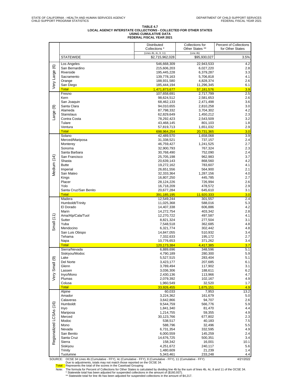# TABLE 4.7<br>LOCAL AGENCY INTERSTATE COLLECTIONS - COLLECTED FOR OTHER STATES<br>FEDERAL FISCAL YEAR 2021<br>FEDERAL FISCAL YEAR 2021

|                         |                                                                                                         | Distributed<br>Collections *             | Collections for<br>Other States ** | <b>Percent of Collections</b><br>for Other States |
|-------------------------|---------------------------------------------------------------------------------------------------------|------------------------------------------|------------------------------------|---------------------------------------------------|
|                         | <b>STATEWIDE</b>                                                                                        | (Lines 4b, 4c, 8, 11)<br>\$2,715,962,028 | (Line 4b)<br>\$95,930,027          | 3.5%                                              |
|                         | Los Angeles                                                                                             | 546,668,309                              | 22,943,533                         | 4.2                                               |
|                         | San Bernardino                                                                                          | 215,606,203                              | 6,027,220                          | 2.8                                               |
|                         | Riverside                                                                                               | 195,445,228                              | 6,379,287                          | 3.3                                               |
| Very Large (6)          | Sacramento                                                                                              | 139,778,163                              | 5,706,818                          | 4.1                                               |
|                         | Orange<br>San Diego                                                                                     | 188,931,580                              | 4,828,374<br>11,296,345            | 2.6<br>6.1                                        |
|                         | <b>Total</b>                                                                                            | 185,444,194<br>1,471,873,677             | 57,181,576                         | 3.9                                               |
|                         | Fresno                                                                                                  | 107,658,691                              | 2,717,799                          | 2.5                                               |
|                         | Kern                                                                                                    | 98,624,512                               | 2,581,653                          | 2.6                                               |
|                         | San Joaquin                                                                                             | 68,462,133                               | 2,471,498                          | 3.6                                               |
|                         | Santa Clara                                                                                             | 94,010,655                               | 2,810,258                          | 3.0                                               |
| Large (9)               | Alameda                                                                                                 | 87,798,332                               | 3,704,302                          | 4.2                                               |
|                         | Stanislaus                                                                                              | 62,829,649                               | 1,450,212                          | 2.3                                               |
|                         | Contra Costa                                                                                            | 78,292,423                               | 2,543,509                          | 3.2                                               |
|                         | Tulare<br>Ventura                                                                                       | 43,468,145<br>57,819,713                 | 801,103<br>1,651,032               | 1.8<br>2.9                                        |
|                         | <b>Total</b>                                                                                            | 698,964,254                              | 20,731,365                         | 3.0                                               |
|                         | Solano                                                                                                  | 42,489,570                               | 1,658,068                          | 3.9                                               |
|                         | Merced/Mariposa                                                                                         | 31,338,521                               | 737,157                            | 2.4                                               |
|                         | Monterey                                                                                                | 46,759,427                               | 1,241,525                          | 2.7                                               |
|                         | Sonoma                                                                                                  | 32,900,793                               | 767,324                            | 2.3                                               |
|                         | Santa Barbara                                                                                           | 30,768,490                               | 752,090                            | 2.4                                               |
|                         | San Francisco                                                                                           | 25,705,198                               | 962,983                            | 3.7                                               |
|                         | Shasta                                                                                                  | 20,639,143                               | 868,560                            | 4.2                                               |
|                         | <b>Butte</b>                                                                                            | 19,272,162                               | 783,607                            | 4.1                                               |
| Medium (14)             | Imperial<br>San Mateo                                                                                   | 26,651,556                               | 564,900                            | 2.1                                               |
|                         | Kings                                                                                                   | 32,333,364<br>16,807,250                 | 1,287,156<br>445,785               | 4.0<br>2.7                                        |
|                         | Placer                                                                                                  | 28,124,226                               | 726,994                            | 2.6                                               |
|                         | Yolo                                                                                                    | 16,718,209                               | 478,572                            | 2.9                                               |
|                         | Santa Cruz/San Benito                                                                                   | 20,677,284                               | 645,610                            | 3.1                                               |
|                         | <b>Total</b>                                                                                            | 391,185,195                              | 11,920,333                         | 3.0                                               |
|                         | Madera                                                                                                  | 12,549,244                               | 301,557                            | 2.4                                               |
|                         | Humboldt/Trinity                                                                                        | 11,025,368                               | 588,016                            | 5.3                                               |
|                         | El Dorado                                                                                               | 14,407,338                               | 606,886                            | 4.2                                               |
|                         | Marin                                                                                                   | 14,272,754                               | 403,342                            | 2.8<br>4.1                                        |
| Small $(11)$            | Ama/Alp/Cala/Tuol<br>Sutter                                                                             | 12,270,722<br>8,821,324                  | 497,587<br>277,504                 | 3.1                                               |
|                         | Yuba                                                                                                    | 7,548,518                                | 362,685                            | 4.8                                               |
|                         | Mendocino                                                                                               | 6,321,774                                | 302,442                            | 4.8                                               |
|                         | San Luis Obispo                                                                                         | 14,847,055                               | 510,932                            | 3.4                                               |
|                         | Tehama                                                                                                  | 7,332,633                                | 195,172                            | 2.7                                               |
|                         | Napa                                                                                                    | 10,776,653                               | 371,262                            | 3.4                                               |
|                         | <b>Total</b>                                                                                            | 120,173,384                              | 4,417,385                          | 3.7                                               |
|                         | Sierra/Nevada                                                                                           | 6,889,696                                | 348,596                            | 5.1                                               |
|                         | Siskiyou/Modoc<br>Lake                                                                                  | 4,790,189<br>5,527,515                   | 280,300<br>283,404                 | 5.9<br>5.1                                        |
| ெ                       | Del Norte                                                                                               | 3,423,177                                | 207,685                            | 6.1                                               |
|                         | Glenn                                                                                                   | 3,789,494                                | 117,902                            | 3.1                                               |
|                         | Lassen                                                                                                  | 3,036,306                                | 188,611                            | 6.2                                               |
| Very Small              | Inyo/Mono                                                                                               | 2,430,136                                | 113,966                            | 4.7                                               |
|                         | Plumas                                                                                                  | 2,079,392                                | 102,167                            | 4.9                                               |
|                         | Colusa                                                                                                  | 1,960,549                                | 32,520                             | 1.7                                               |
|                         | <b>Total</b>                                                                                            | 33,926,455                               | 1,675,151                          | 4.9                                               |
|                         | Alpine<br>Amador                                                                                        | 60,033<br>3,224,362                      | 7,953<br>161,679                   | 13.2                                              |
|                         | Calaveras                                                                                               | 3,642,866                                | 94,707                             | 5.0<br>2.6                                        |
|                         | Humboldt                                                                                                | 9,544,759                                | 566,776                            | 5.9                                               |
|                         | Inyo                                                                                                    | 1,841,340                                | 81,470                             | 4.4                                               |
|                         | Mariposa                                                                                                | 1,214,755                                | 59,355                             | 4.9                                               |
|                         | Merced                                                                                                  | 30,123,766                               | 677,802                            | 2.3                                               |
|                         | Modoc                                                                                                   | 538,517                                  | 40,183                             | 7.5                                               |
|                         | Mono                                                                                                    | 588,796                                  | 32,496                             | 5.5                                               |
|                         | Nevada                                                                                                  | 6,731,354                                | 332,595                            | 4.9                                               |
|                         | San Benito                                                                                              | 6,000,559                                | 145,259                            | 2.4                                               |
| Regionalized LCSAs (16) | Santa Cruz                                                                                              | 14,676,725                               | 500,351                            | 3.4                                               |
|                         | Sierra<br>Siskiyou                                                                                      | 158,342<br>4,251,672                     | 16,001<br>240,117                  | 10.1<br>5.6                                       |
|                         | Trinity                                                                                                 | 1,480,609                                | 21,239                             | 1.4                                               |
|                         | Tuolumne                                                                                                | 5,343,461                                | 233,248                            | 4.4                                               |
| SOURCE:                 | OCSE 34 Lines 4b (Cumulative - FFY), 4c (Cumulative - FFY), 8 (Cumulative - FFY), 11 (Cumulative - FFY) |                                          |                                    | 4/21/2022                                         |

SOURCE: OCSE 34 Lines 4b (Cumulative - FFY), 4c (Cumulative - FFY), 8 (Cumulative - FFY), 11 (Cumulative - FFY)<br>Due to adjustments, totals may not meatch those reported on the OCSE 34.<br>Total: Represents the total of the sc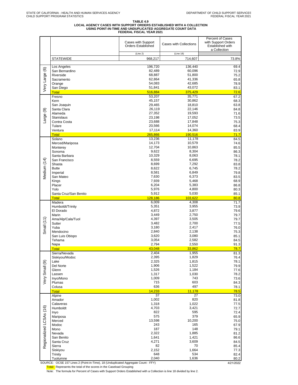# TABLE 4.9<br>LOCAL AGENCY CASES WITH SUPPORT ORDERS ESTABLISHED WITH A COLLECTION<br>ISING POINT-IN-TIME AND UNDUPLICATED AGGREGATE COUNT DATA<br>FEDERAL FISCAL YEAR 2021

|                         |                                 | Cases with Support<br><b>Orders Established</b> | <b>Cases with Collections</b> | <b>Percent of Cases</b><br>with Support Orders<br>Established with |
|-------------------------|---------------------------------|-------------------------------------------------|-------------------------------|--------------------------------------------------------------------|
|                         |                                 | (Line 2)                                        | (Line 18)                     | a Collection                                                       |
|                         | <b>STATEWIDE</b>                | 968,217                                         | 714,607                       | 73.8%                                                              |
|                         | Los Angeles                     | 196,720                                         | 136,440                       | 69.4                                                               |
| Very Large (6)          | San Bernardino                  | 82,489                                          | 60,096                        | 72.9                                                               |
|                         | Riverside                       | 68,887                                          | 51,800                        | 75.2                                                               |
|                         | Sacramento                      | 62,864                                          | 41,336                        | 65.8                                                               |
|                         | Orange<br>San Diego             | 54,083<br>51,841                                | 42,685<br>43,072              | 78.9                                                               |
|                         | <b>Total</b>                    | 516,884                                         | 375,429                       | 83.1<br>72.6                                                       |
|                         | Fresno                          | 53,207                                          | 35,771                        | 67.2                                                               |
|                         | Kern                            | 45,157                                          | 30,862                        | 68.3                                                               |
|                         | San Joaquin                     | 29,465                                          | 18,810                        | 63.8                                                               |
| Large (9)               | Santa Clara                     | 26,119                                          | 22,146                        | 84.8                                                               |
|                         | Alameda<br><b>Stanislaus</b>    | 27,352<br>23,198                                | 19,593<br>17,052              | 71.6<br>73.5                                                       |
|                         | Contra Costa                    | 23,688                                          | 17,848                        | 75.3                                                               |
|                         | Tulare                          | 20,566                                          | 14,074                        | 68.4                                                               |
|                         | Ventura                         | 17,114                                          | 14,360                        | 83.9                                                               |
|                         | <b>Total</b>                    | 265,866                                         | 190,516                       | 71.7                                                               |
|                         | Solano                          | 13,236<br>14,173                                | 11,178<br>10,579              | 84.5                                                               |
|                         | Merced/Mariposa<br>Monterey     | 12,704                                          | 10,863                        | 74.6<br>85.5                                                       |
|                         | Sonoma                          | 9,622                                           | 8,304                         | 86.3                                                               |
|                         | Santa Barbara                   | 10,329                                          | 8,063                         | 78.1                                                               |
|                         | San Francisco                   | 8,559                                           | 6,695                         | 78.2                                                               |
| Medium (14)             | Shasta                          | 8,699                                           | 7,292                         | 83.8                                                               |
|                         | <b>Butte</b>                    | 8,622<br>8,581                                  | 6,745<br>6,849                | 78.2                                                               |
|                         | Imperial<br>San Mateo           | 7,630                                           | 6,373                         | 79.8<br>83.5                                                       |
|                         | Kings                           | 7,939                                           | 5,468                         | 68.9                                                               |
|                         | Placer                          | 6,204                                           | 5,383                         | 86.8                                                               |
|                         | Yolo                            | 5,976                                           | 4,800                         | 80.3                                                               |
|                         | Santa Cruz/San Benito           | 5,912                                           | 5,030                         | 85.1                                                               |
|                         | <b>Total</b><br>Madera          | 128,186<br>6,009                                | 103,622<br>4,308              | 80.8<br>71.7                                                       |
|                         | Humboldt/Trinity                | 5,351                                           | 3,955                         | 73.9                                                               |
|                         | El Dorado                       | 4,872                                           | 3,877                         | 79.6                                                               |
|                         | Marin                           | 3,449                                           | 2,750                         | 79.7                                                               |
|                         | Ama/Alp/Cala/Tuol               | 4,397                                           | 3,505                         | 79.7                                                               |
| Small $(11)$            | Sutter<br>Yuba                  | 3,482<br>3,180                                  | 2,700<br>2,417                | 77.5<br>76.0                                                       |
|                         | Mendocino                       | 2,840                                           | 2,138                         | 75.3                                                               |
|                         | San Luis Obispo                 | 3,620                                           | 3,080                         | 85.1                                                               |
|                         | Tehama                          | 3,054                                           | 2,582                         | 84.5                                                               |
|                         | Napa                            | 2,794                                           | 2,550                         | 91.3                                                               |
|                         | <b>Total</b>                    | 43,048                                          | 33,862                        | 78.7                                                               |
|                         | Sierra/Nevada<br>Siskiyou/Modoc | 2,404<br>2,395                                  | 1,955<br>1,829                | 81.3<br>76.4                                                       |
|                         | Lake                            | 2,325                                           | 1,815                         | 78.1                                                               |
|                         | Del Norte                       | 1,906                                           | 1,522                         | 79.9                                                               |
| Very Small (9)          | Glenn                           | 1,526                                           | 1,184                         | 77.6                                                               |
|                         | Lassen                          | 1,317<br>1,009                                  | 1,030<br>743                  | 78.2                                                               |
|                         | Inyo/Mono<br>Plumas             | 715                                             | 603                           | 73.6<br>84.3                                                       |
|                         | Colusa                          | 636                                             | 497                           | 78.1                                                               |
|                         | <b>Total</b>                    | 14,233                                          | 11,178                        | 78.5                                                               |
|                         | Alpine                          | $\overline{37}$                                 | $\overline{27}$               | 73.0                                                               |
|                         | Amador                          | 1,002                                           | 820                           | 81.8                                                               |
|                         | Calaveras<br>Humboldt           | 1,318<br>4,703                                  | 1,022<br>3,421                | 77.5<br>72.7                                                       |
|                         | Inyo                            | 822                                             | 595                           | 72.4                                                               |
|                         | Mariposa                        | 575                                             | 379                           | 65.9                                                               |
|                         | Merced                          | 13,598                                          | 10,200                        | 75.0                                                               |
|                         | Modoc                           | 243                                             | 165                           | 67.9                                                               |
|                         | Mono<br>Nevada                  | 187<br>2,322                                    | 148<br>1,885                  | 79.1<br>81.2                                                       |
|                         | San Benito                      | 1,641                                           | 1,421                         | 86.6                                                               |
| Regionalized LCSAs (16) | Santa Cruz                      | 4,271                                           | 3,609                         | 84.5                                                               |
|                         | Sierra                          | 82                                              | 70                            | 85.4                                                               |
|                         | Siskiyou                        | 2,152                                           | 1,664                         | 77.3                                                               |
|                         | Trinity<br>Tuolumne             | 648<br>2,040                                    | 534<br>1,636                  | 82.4<br>80.2                                                       |
|                         |                                 |                                                 |                               |                                                                    |

SOURCE: OCSE 157 Lines 2 (Point-in-Time), 18 (Unduplicated Aggregate Count - FFY) 4/21/2022

Total: Represents the total of the scores in the Caseload Grouping

Note: The formula for Percent of Cases with Support Orders Established with a Collection is line 18 divided by line 2.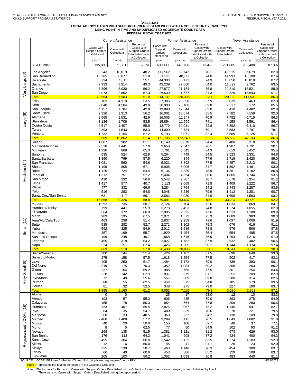# TABLE 4.9.1<br>LOCAL AGENCY CASES WITH SUPPORT ORDERS ESTABLISHED WITH A COLLECTION BY CASE TYPE<br>FEDERAL FISCAL YEAR 2021<br>FEDERAL FISCAL YEAR 2021

|                   |                                                                                   |                                      | <b>Current Assistance</b> |                                                  |                                  | Former Assistance         |                                           |                                      | Never Assistance          |                                           |
|-------------------|-----------------------------------------------------------------------------------|--------------------------------------|---------------------------|--------------------------------------------------|----------------------------------|---------------------------|-------------------------------------------|--------------------------------------|---------------------------|-------------------------------------------|
|                   |                                                                                   | Cases with                           |                           | Percent of<br>Cases with                         | Cases with                       |                           | Percent of<br>Cases with                  | Cases with                           |                           | Percent of<br>Cases with                  |
|                   |                                                                                   | <b>Support Orders</b><br>Established | Cases with<br>Collections | <b>Support Orders</b><br><b>Established with</b> | Support<br>Orders<br>Established | Cases with<br>Collections | <b>Support Orders</b><br>Established with | <b>Support Orders</b><br>Established | Cases with<br>Collections | <b>Support Orders</b><br>Established with |
|                   |                                                                                   | (Line 2)                             | (Line 18)                 | a Collection                                     | (Line 2)                         | (Line 18)                 | a Collection                              | (Line 2)                             | (Line 18)                 | a Collection                              |
|                   | <b>STATEWIDE</b>                                                                  | 135,995                              | 71,361                    | 52.5%                                            | 600,417                          | 440,766                   | 73.4%                                     | 231,805                              | 202,480                   | 87.3%                                     |
|                   |                                                                                   |                                      |                           |                                                  |                                  |                           |                                           |                                      |                           |                                           |
| $\circledcirc$    | Los Angeles<br>San Bernardino                                                     | 33,243<br>13,285                     | 16,019<br>6,877           | 48.2<br>51.8                                     | 117,962<br>54,211                | 82,742<br>40,111          | 70.1<br>74.0                              | 45,515<br>14,993                     | 37,679<br>13,108          | 82.8<br>87.4                              |
| Large             | Riverside                                                                         | 8,734                                | 4,811                     | 55.1                                             | 44,303                           | 33,171                    | 74.9                                      | 15,850                               | 13,818                    | 87.2                                      |
|                   | Sacramento                                                                        | 7,933                                | 3,914                     | 49.3                                             | 43,239                           | 27,660                    | 64.0                                      | 11,692                               | 9,762                     | 83.5                                      |
| ΘŊ                | Orange                                                                            | 5,396                                | 3,030                     | 56.2                                             | 27,877                           | 21,134                    | 75.8                                      | 20,810                               | 18,521                    | 89.0                                      |
|                   | San Diego                                                                         | 4,973                                | 2,852                     | 57.3                                             | 26,539                           | 21,577                    | 81.3                                      | 20,329                               | 18,643                    | 91.7                                      |
|                   | <b>Total</b><br>Fresno                                                            | 73,564<br>9,183                      | 37,503<br>4,910           | 51.0<br>53.5                                     | 314,131<br>37,385                | 226,395<br>25,398         | 72.1<br>67.9                              | 129,189<br>6,639                     | 111,531<br>5,463          | 86.3<br>82.3                              |
|                   | Kern                                                                              | 9,040                                | 4,504                     | 49.8                                             | 28,900                           | 20,186                    | 69.8                                      | 7,217                                | 6,172                     | 85.5                                      |
|                   | San Joaquin                                                                       | 4,157                                | 1,784                     | 42.9                                             | 19,898                           | 12,544                    | 63.0                                      | 5,410                                | 4,482                     | 82.8                                      |
| ම                 | Santa Clara<br>Alameda                                                            | 2,336                                | 1,313                     | 56.2                                             | 16,001                           | 13,674                    | 85.5                                      | 7,782                                | 7,159                     | 92.0<br>86.3                              |
| arge              | Stanislaus                                                                        | 3,565<br>3,186                       | 1,531<br>1,706            | 42.9<br>53.5                                     | 16,005<br>15,854                 | 11,347<br>11,755          | 70.9<br>74.1                              | 7,782<br>4,158                       | 6,715<br>3,591            | 86.4                                      |
|                   | Contra Costa                                                                      | 2,517                                | 1,407                     | 55.9                                             | 13,779                           | 10,031                    | 72.8                                      | 7,392                                | 6,410                     | 86.7                                      |
|                   | Tulare                                                                            | 2,893                                | 1,543                     | 53.3                                             | 14,090                           | 9,734                     | 69.1                                      | 3,583                                | 2,797                     | 78.1                                      |
|                   | Ventura                                                                           | 1,732                                | 1,164                     | 67.2                                             | 9,793                            | 8,071                     | 82.4                                      | 5,589                                | 5,125                     | 91.7                                      |
|                   | <b>Total</b><br>Solano                                                            | 38,609<br>1,607                      | 19,862<br>982             | 51.4<br>61.1                                     | 171,705<br>8,149                 | 122,740<br>6,878          | 71.5<br>84.4                              | 55,552<br>3,480                      | 47,914<br>3,318           | 86.3<br>95.3                              |
|                   | Merced/Mariposa                                                                   | 2,528                                | 1,441                     | 57.0                                             | 9,658                            | 7,347                     | 76.1                                      | 1,987                                | 1,791                     | 90.1                                      |
|                   | Monterey                                                                          | 1,330                                | 869                       | 65.3                                             | 7,761                            | 6,542                     | 84.3                                      | 3,613                                | 3,452                     | 95.5                                      |
|                   | Sonoma                                                                            | 835                                  | 524                       | 62.8                                             | 5,264                            | 4,449                     | 84.5                                      | 3,523                                | 3,331                     | 94.6                                      |
|                   | Santa Barbara<br>San Francisco                                                    | 1,390<br>1,081                       | 799<br>590                | 57.5<br>54.6                                     | 6,220<br>5,021                   | 4,844<br>3,892            | 77.9<br>77.5                              | 2,719<br>2,457                       | 2,420<br>2,213            | 89.0<br>90.1                              |
|                   | Shasta                                                                            | 1,199                                | 805                       | 67.1                                             | 5,908                            | 5,006                     | 84.7                                      | 1,592                                | 1,481                     | 93.0                                      |
| Medium (14)       | <b>Butte</b>                                                                      | 1,125                                | 724                       | 64.4                                             | 6,136                            | 4,839                     | 78.9                                      | 1,361                                | 1,182                     | 86.8                                      |
|                   | Imperial                                                                          | 1,312                                | 751                       | 57.2                                             | 5,404                            | 4,354                     | 80.6                                      | 1,865                                | 1,744                     | 93.5                                      |
|                   | San Mateo<br>Kings                                                                | 410<br>1,417                         | 232<br>577                | 56.6<br>40.7                                     | 3,542<br>5,113                   | 2,787<br>3,669            | 78.7<br>71.8                              | 3,678<br>1,409                       | 3,354<br>1,222            | 91.2<br>86.7                              |
|                   | Placer                                                                            | 477                                  | 332                       | 69.6                                             | 3,284                            | 2,764                     | 84.2                                      | 2,443                                | 2,287                     | 93.6                                      |
|                   | Yolo                                                                              | 516                                  | 283                       | 54.8                                             | 4,048                            | 3,236                     | 79.9                                      | 1,412                                | 1,281                     | 90.7                                      |
|                   | Santa Cruz/San Benito                                                             | 631                                  | 417                       | 66.1                                             | 3,583                            | 3,030                     | 84.6                                      | 1,698                                | 1,583                     | 93.2                                      |
|                   | <b>Total</b><br>Madera                                                            | 15,858<br>1,252                      | 9,326<br>735              | 58.8<br>58.7                                     | 79,091<br>3,724                  | 63,637<br>2,704           | 80.5<br>72.6                              | 33,237<br>1,033                      | 30,659<br>869             | 92.2<br>84.1                              |
|                   | Humboldt/Trinity                                                                  | 799                                  | 447                       | 55.9                                             | 3,278                            | 2,453                     | 74.8                                      | 1,274                                | 1,055                     | 82.8                                      |
|                   | El Dorado                                                                         | 564                                  | 372                       | 66.0                                             | 2,995                            | 2,325                     | 77.6                                      | 1,313                                | 1,180                     | 89.9                                      |
|                   | Marin                                                                             | 289                                  | 195                       | 67.5                                             | 2,071                            | 1,572                     | 75.9                                      | 1,089                                | 983                       | 90.3                                      |
| Small $(11)$      | Ama/Alp/Cala/Tuol<br>Sutter                                                       | 463<br>535                           | 238<br>282                | 51.4<br>52.7                                     | 2,837<br>2,271                   | 2,259<br>1,802            | 79.6<br>79.3                              | 1,097<br>676                         | 1,008<br>616              | 91.9<br>91.1                              |
|                   | Yuba                                                                              | 592                                  | 325                       | 54.9                                             | 2,012                            | 1,586                     | 78.8                                      | 576                                  | 506                       | 87.8                                      |
|                   | Mendocino                                                                         | 357                                  | 199                       | 55.7                                             | 1,929                            | 1,454                     | 75.4                                      | 554                                  | 485                       | 87.5                                      |
|                   | San Luis Obispo                                                                   | 499                                  | 248                       | 49.7                                             | 1,868                            | 1,616                     | 86.5                                      | 1,253                                | 1,216                     | 97.0                                      |
|                   | Tehama<br>Napa                                                                    | 495<br>224                           | 318<br>151                | 64.2<br>67.4                                     | 2,027<br>1,426                   | 1,782<br>1,285            | 87.9<br>90.1                              | 532<br>1,144                         | 482<br>1,114              | 90.6<br>97.4                              |
|                   | <b>Total</b>                                                                      | 6,069                                | 3,510                     | 57.8                                             | 26.438                           | 20,838                    | 78.8                                      | 10,541                               | 9,514                     | 90.3                                      |
|                   | Sierra/Nevada                                                                     | 280                                  | 144                       | 51.4                                             | 1.426                            | 1.162                     | 81.5                                      | 698                                  | 649                       | 93.0                                      |
|                   | Siskiyou/Modoc<br>Lake                                                            | 275                                  | 158                       | 57.5                                             | 1,618                            | 1,254                     | 77.5                                      | 502                                  | 417                       | 83.1                                      |
| ම                 | Del Norte                                                                         | 405<br>249                           | 250<br>175                | 61.7<br>70.3                                     | 1,484<br>1,352                   | 1,172<br>1,084            | 79.0<br>80.2                              | 436<br>305                           | 393<br>263                | 90.1<br>86.2                              |
| Small             | Glenn                                                                             | 237                                  | 164                       | 69.2                                             | 988                              | 766                       | 77.5                                      | 301                                  | 254                       | 84.4                                      |
|                   | Lassen                                                                            | 228                                  | 142                       | 62.3                                             | 837                              | 679                       | 81.1                                      | 252                                  | 209                       | 82.9                                      |
| ΘŊ                | Inyo/Mono<br>Plumas                                                               | 72<br>88                             | 40<br>55                  | 55.6<br>62.5                                     | 557<br>442                       | 389<br>375                | 69.8<br>84.8                              | 380<br>185                           | 314<br>173                | 82.6<br>93.5                              |
|                   | Colusa                                                                            | 61                                   | 32                        | 52.5                                             | 348                              | 275                       | 79.0                                      | 227                                  | 190                       | 83.7                                      |
|                   | <b>Total</b>                                                                      | 1,895                                | 1,160                     | 61.2                                             | 9,052                            | 7,156                     | 79.1                                      | 3,286                                | 2,862                     | 87.1                                      |
|                   | Alpine                                                                            | 0                                    | $\overline{0}$            |                                                  | 25                               | 17                        | 68.0                                      | $\overline{12}$                      | 10                        | 83.3                                      |
|                   | Amador<br>Calaveras                                                               | 103<br>155                           | 57<br>78                  | 55.3<br>50.3                                     | 606<br>854                       | 485<br>664                | 80.0<br>77.8                              | 293<br>309                           | 278<br>280                | 94.9<br>90.6                              |
| (16)              | Humboldt                                                                          | 733                                  | 407                       | 55.5                                             | 2,825                            | 2,067                     | 73.2                                      | 1,145                                | 947                       | 82.7                                      |
|                   | Inyo                                                                              | 64                                   | 35                        | 54.7                                             | 480                              | 339                       | 70.6                                      | 278                                  | 221                       | 79.5                                      |
|                   | Mariposa                                                                          | 68                                   | 33                        | 48.5                                             | 369                              | 237                       | 64.2                                      | 138                                  | 109                       | 79.0                                      |
|                   | Merced<br>Modoc                                                                   | 2,460<br>40                          | 1,408<br>20               | 57.2<br>50.0                                     | 9,289<br>155                     | 7,110<br>108              | 76.5<br>69.7                              | 1,849<br>48                          | 1,682<br>37               | 91.0<br>77.1                              |
|                   | Mono                                                                              | 8                                    | 5                         | 62.5                                             | 77                               | 50                        | 64.9                                      | 102                                  | 93                        | 91.2                                      |
|                   | Nevada                                                                            | 268                                  | 138                       | 51.5                                             | 1,381                            | 1,121                     | 81.2                                      | 673                                  | 626                       | 93.0                                      |
| egionalized LCSAs | San Benito                                                                        | 176                                  | 113                       | 64.2                                             | 1,041                            | 908                       | 87.2                                      | 424                                  | 400                       | 94.3                                      |
|                   | Santa Cruz<br>Sierra                                                              | 455<br>12                            | 304<br>6                  | 66.8<br>50.0                                     | 2,542<br>45                      | 2,122<br>41               | 83.5<br>91.1                              | 1,274<br>25                          | 1,183<br>23               | 92.9<br>92.0                              |
| $\alpha$          | Siskiyou                                                                          | 235                                  | 138                       | 58.7                                             | 1,463                            | 1,146                     | 78.3                                      | 454                                  | 380                       | 83.7                                      |
|                   | Trinity                                                                           | 66                                   | 40                        | 60.6                                             | 453                              | 386                       | 85.2                                      | 129                                  | 108                       | 83.7                                      |
|                   | Tuolumne                                                                          | 205                                  | 103                       | 50.2                                             | 1,352                            | 1,093                     | 80.8                                      | 483                                  | 440                       | 91.1                                      |
|                   | SOURCE: OCSE 157 Lines 2 (Point-in-Time), 18 (Unduplicated Aggregate Count - FFY) |                                      |                           |                                                  |                                  |                           |                                           |                                      |                           | 4/21/2022                                 |

Total: Represents the total of the scores in the Caseload Grouping

Note: The formula for Percent of Cases with Support Orders Established with a Collection for each assistance category is line 18 divided by line 2.<br>There were no Cases with Support Orders Established during the report peri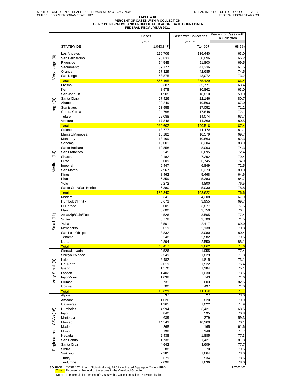# **TABLE 4.10 PERCENT OF CASES WITH A COLLECTION USING POINT-IN-TIME AND UNDUPLICATED AGGREGATE COUNT DATA FEDERAL FISCAL YEAR 2021**

|                         |                               | Cases                 | <b>Cases with Collections</b> | Percent of Cases with<br>a Collection |
|-------------------------|-------------------------------|-----------------------|-------------------------------|---------------------------------------|
|                         | <b>STATEWIDE</b>              | (Line 1)<br>1,043,847 | (Line 18)<br>714,607          | 68.5%                                 |
|                         |                               |                       |                               |                                       |
|                         | Los Angeles<br>San Bernardino | 216,706<br>90,833     | 136,440<br>60,096             | 63.0<br>66.2                          |
|                         | Riverside                     | 74,545                | 51,800                        | 69.5                                  |
|                         | Sacramento                    | 67,177                | 41,336                        | 61.5                                  |
| Very Large (6)          | Orange                        | 57,329                | 42,685                        | 74.5                                  |
|                         | San Diego<br><b>Total</b>     | 58,875<br>565,465     | 43,072<br>375,429             | 73.2<br>66.4                          |
|                         | Fresno                        | 56,387                | 35,771                        | 63.4                                  |
|                         | Kern                          | 48,978                | 30,862                        | 63.0                                  |
|                         | San Joaquin<br>Santa Clara    | 31,905                | 18,810                        | 59.0                                  |
|                         | Alameda                       | 27,426<br>29,249      | 22,146<br>19,593              | 80.7<br>67.0                          |
| Large (9)               | <b>Stanislaus</b>             | 23,955                | 17,052                        | 71.2                                  |
|                         | Contra Costa                  | 24,768                | 17,848                        | 72.1                                  |
|                         | Tulare                        | 22,088                | 14,074                        | 63.7                                  |
|                         | Ventura<br><b>Total</b>       | 17,846<br>282,602     | 14,360<br>190,516             | 80.5<br>67.4                          |
|                         | Solano                        | 13,777                | 11,178                        | 81.1                                  |
|                         | Merced/Mariposa               | 15,182                | 10,579                        | 69.7                                  |
|                         | Monterey                      | 13,199                | 10,863                        | 82.3                                  |
|                         | Sonoma<br>Santa Barbara       | 10,001                | 8,304                         | 83.0                                  |
|                         | San Francisco                 | 10,858<br>9,245       | 8,063<br>6,695                | 74.3<br>72.4                          |
| Medium (14)             | Shasta                        | 9,182                 | 7,292                         | 79.4                                  |
|                         | <b>Butte</b>                  | 9,009                 | 6,745                         | 74.9                                  |
|                         | Imperial                      | 9,447                 | 6,849                         | 72.5                                  |
|                         | San Mateo<br>Kings            | 7,967<br>8,462        | 6,373<br>5,468                | 80.0<br>64.6                          |
|                         | Placer                        | 6,359                 | 5,383                         | 84.7                                  |
|                         | Yolo                          | 6,272                 | 4,800                         | 76.5                                  |
|                         | Santa Cruz/San Benito         | 6,380                 | 5,030                         | 78.8                                  |
|                         | <b>Total</b><br>Madera        | 135,340               | 103,622                       | 76.6<br>67.9                          |
|                         | Humboldt/Trinity              | 6,341<br>5,673        | 4,308<br>3,955                | 69.7                                  |
|                         | El Dorado                     | 5,005                 | 3,877                         | 77.5                                  |
|                         | Marin                         | 3,600                 | 2,750                         | 76.4                                  |
|                         | Ama/Alp/Cala/Tuol<br>Sutter   | 4,526<br>3,778        | 3,505                         | 77.4                                  |
| Small $(11)$            | Yuba                          | 3,501                 | 2,700<br>2,417                | 71.5<br>69.0                          |
|                         | Mendocino                     | 3,019                 | 2,138                         | 70.8                                  |
|                         | San Luis Obispo               | 3,832                 | 3,080                         | 80.4                                  |
|                         | Tehama                        | 3,248                 | 2,582                         | 79.5                                  |
|                         | Napa<br><b>Total</b>          | 2,894<br>45,417       | 2,550<br>33,862               | 88.1<br>74.6                          |
|                         | Sierra/Nevada                 | 2,526                 | 1,955                         | 77.4                                  |
|                         | Siskiyou/Modoc                | 2,549                 | 1,829                         | 71.8                                  |
|                         | Lake                          | 2,482                 | 1,815                         | 73.1                                  |
|                         | Del Norte<br>Glenn            | 2,019<br>1,576        | 1,522<br>1,184                | 75.4<br>75.1                          |
|                         | Lassen                        | 1,402                 | 1,030                         | 73.5                                  |
| Very Small (9)          | Inyo/Mono                     | 1,038                 | 743                           | 71.6                                  |
|                         | Plumas                        | 731                   | 603                           | 82.5                                  |
|                         | Colusa<br><b>Total</b>        | 700<br>15,023         | 497<br>11,178                 | 71.0<br>74.4                          |
|                         | Alpine                        | 37                    | 27                            | 73.0                                  |
|                         | Amador                        | 1,026                 | 820                           | 79.9                                  |
|                         | Calaveras                     | 1,365                 | 1,022                         | 74.9                                  |
|                         | Humboldt<br>Inyo              | 4,994<br>840          | 3,421<br>595                  | 68.5<br>70.8                          |
| Regionalized LCSAs (16) | Mariposa                      | 639                   | 379                           | 59.3                                  |
|                         | Merced                        | 14,543                | 10,200                        | 70.1                                  |
|                         | Modoc                         | 268                   | 165                           | 61.6                                  |
|                         | Mono<br>Nevada                | 198<br>2,438          | 148<br>1,885                  | 74.7<br>77.3                          |
|                         | San Benito                    | 1,738                 | 1,421                         | 81.8                                  |
|                         | Santa Cruz                    | 4,642                 | 3,609                         | 77.7                                  |
|                         | Sierra                        | 88                    | 70                            | 79.5                                  |
|                         | Siskiyou<br>Trinity           | 2,281<br>679          | 1,664<br>534                  | 73.0<br>78.6                          |
|                         | Tuolumne                      | 2,098                 | 1,636                         | 78.0                                  |
|                         |                               |                       |                               | 10410000                              |

SOURCE: OCSE 157 Lines 1 (Point-in-Time), 18 (Unduplicated Aggregate Count - FFY) 4/21/2022 Total: Represents the total of the scores in the Caseload Grouping

Note: The formula for Percent of Cases with a Collection is line 18 divided by line 1.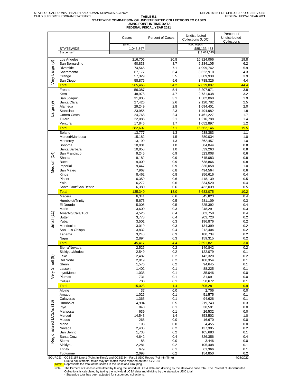### **TABLE 5.1 STATEWIDE COMPARISON OF UNDISTRIBUTED COLLECTIONS TO CASES USING POINT-IN-TIME DATA FEDERAL FISCAL YEAR 2021**

|                                                                                                      |                  |                  |                                    | Percent of       |
|------------------------------------------------------------------------------------------------------|------------------|------------------|------------------------------------|------------------|
|                                                                                                      | Cases            | Percent of Cases | Undistributed<br>Collections (UDC) | Undistributed    |
|                                                                                                      | (Line 1)         |                  | (UDC Report)                       | Collections      |
| <b>STATEWIDE</b>                                                                                     | 1,043,847        |                  | \$85,133,433                       |                  |
| Suspense <sup>*</sup>                                                                                |                  |                  | \$18,662,025                       |                  |
| Los Angeles                                                                                          | 216,706          | 20.8             | 16,824,066                         | 19.8             |
| San Bernardino                                                                                       | 90.833           | 8.7              | 5,284,105                          | 6.2              |
| Riverside                                                                                            | 74,545           | 7.1              | 4,999,742                          | 5.9              |
| Sacramento                                                                                           | 67,177           | 6.4              | 3,622,910                          | 4.3              |
| Orange                                                                                               | 57,329           | 5.5              | 3,309,938                          | 3.9              |
| Very Large (6)<br>San Diego                                                                          | 58,875           | 5.6              | 3,788,326                          | 4.4              |
| <b>Total</b>                                                                                         | 565,465          | 54.2             | 37,829,087                         | 44.4             |
| Fresno                                                                                               | 56,387           | 5.4              | 3,207,971                          | 3.8              |
| Kern                                                                                                 | 48,978           | 4.7              | 2,731,038                          | 3.2              |
| San Joaquin<br>Santa Clara                                                                           | 31,905           | 3.1<br>2.6       | 1,582,060                          | 1.9<br>2.5       |
| Large (9)<br>Alameda                                                                                 | 27,426<br>29,249 | 2.8              | 2,120,782<br>1,694,401             | 2.0              |
| <b>Stanislaus</b>                                                                                    | 23,955           | 2.3              | 1,494,982                          | 1.8              |
| Contra Costa                                                                                         | 24,768           | 2.4              | 1,461,227                          | 1.7              |
| Tulare                                                                                               | 22,088           | 2.1              | 1,216,788                          | 1.4              |
| Ventura                                                                                              | 17,846           | 1.7              | 1,052,897                          | 1.2              |
| <b>Total</b>                                                                                         | 282,602          | 27.1             | 16,562,146                         | 19.5             |
| Solano                                                                                               | 13,777           | 1.3              | 938,383                            | 1.1              |
| Merced/Mariposa                                                                                      | 15,182           | 1.5              | 880,034                            | 1.0              |
| Monterey                                                                                             | 13,199           | 1.3              | 862,457                            | 1.0              |
| Sonoma<br>Santa Barbara                                                                              | 10,001           | 1.0<br>1.0       | 684,044                            | 0.8<br>0.8       |
| San Francisco                                                                                        | 10,858<br>9,245  | 0.9              | 639,263<br>523,008                 | 0.6              |
| Medium (14)<br>Shasta                                                                                | 9,182            | 0.9              | 645,083                            | 0.8              |
| <b>Butte</b>                                                                                         | 9,009            | 0.9              | 638,866                            | 0.8              |
| Imperial                                                                                             | 9,447            | 0.9              | 836,058                            | 1.0              |
| San Mateo                                                                                            | 7,967            | 0.8              | 494,564                            | 0.6              |
| Kings                                                                                                | 8,462            | 0.8              | 356,616                            | 0.4              |
| Placer                                                                                               | 6,359            | 0.6              | 418,139                            | 0.5              |
| Yolo                                                                                                 | 6,272            | 0.6              | 334,520                            | 0.4              |
| Santa Cruz/San Benito<br><b>Total</b>                                                                | 6,380<br>135,340 | 0.6<br>13.0      | 432,039<br>8,683,075               | 0.5<br>10.2      |
| Madera                                                                                               | 6,341            | 0.6              | 345,823                            | 0.4              |
| Humboldt/Trinity                                                                                     | 5,673            | 0.5              | 281,109                            | 0.3              |
| El Dorado                                                                                            | 5,005            | 0.5              | 325,392                            | 0.4              |
| Marin                                                                                                | 3,600            | 0.3              | 248,291                            | 0.3              |
| Ama/Alp/Cala/Tuol                                                                                    | 4,526            | 0.4              | 303,758                            | 0.4              |
| Small $(11)$<br>Sutter                                                                               | 3,778            | 0.4              | 203,720                            | 0.2              |
| Yuba                                                                                                 | 3,501            | 0.3              | 196,876                            | 0.2              |
| Mendocino                                                                                            | 3,019            | 0.3              | 134,399                            | 0.2              |
| San Luis Obispo<br>Tehama                                                                            | 3,832<br>3,248   | 0.4<br>0.3       | 212,404<br>180,734                 | 0.2<br>0.2       |
| Napa                                                                                                 | 2,894            | 0.3              | 159,315                            | 0.2              |
| <b>Total</b>                                                                                         | 45,417           | 4.4              | 2,591,821                          | 3.0              |
| Sierra/Nevada                                                                                        | 2,526            | 0.2              | 140,842                            | 0.2              |
| Siskiyou/Modoc                                                                                       | 2,549            | 0.2              | 122,079                            | 0.1              |
| Lake                                                                                                 | 2,482            | 0.2              | 142,328                            | 0.2              |
| Del Norte                                                                                            | 2,019            | 0.2              | 100,354                            | 0.1              |
| Very Small (9)<br>Glenn                                                                              | 1,576            | 0.2              | 94,645                             | 0.1              |
| Lassen                                                                                               | 1,402            | 0.1              | 88,225                             | 0.1              |
| Inyo/Mono<br>Plumas                                                                                  | 1,038<br>731     | 0.1<br>0.1       | 35,046<br>31,091                   | 0.0<br>0.0       |
| Colusa                                                                                               | 700              | 0.1              | 50,672                             | 0.1              |
| <b>Total</b>                                                                                         | 15,023           | 1.4              | 805,281                            | 0.9              |
| Alpine                                                                                               | 37               | 0.0              | 2,706                              | 0.0              |
| Amador                                                                                               | 1,026            | 0.1              | 51,575                             | 0.1              |
| Calaveras                                                                                            | 1,365            | 0.1              | 94,626                             | 0.1              |
| Humboldt                                                                                             | 4,994            | 0.5              | 219,743                            | 0.3              |
| Inyo                                                                                                 | 840              | 0.1              | 30,591                             | 0.0              |
| Mariposa                                                                                             | 639              | 0.1              | 26,532                             | 0.0              |
| Merced<br>Modoc                                                                                      | 14,543<br>268    | 1.4<br>0.0       | 853,502<br>16,670                  | 1.0<br>0.0       |
| Mono                                                                                                 | 198              | 0.0              | 4,455                              | 0.0              |
| Nevada                                                                                               | 2,438            | 0.2              | 137,395                            | 0.2              |
| Regionalized LCSAs (16)<br>San Benito                                                                | 1,738            | 0.2              | 105,683                            | 0.1              |
| Santa Cruz                                                                                           | 4,642            | 0.4              | 326,356                            | 0.4              |
| Sierra                                                                                               | 88               | 0.0              | 3,446                              | 0.0              |
| Siskiyou                                                                                             | 2,281            | 0.2              | 105,408                            | 0.1              |
| Trinity                                                                                              | 679              | 0.1              | 61,366                             | 0.1              |
| Tuolumne<br>SOURCE: OCSE 157 Line 1 (Point-in-Time); and OCSE 34 - Part 2 UDC Report (Point-in-Time) | 2,098            | 0.2              | 154,850                            | 0.2<br>4/21/2022 |

SOURCE: OCSE 157 Line 1 (Point-in-Time); and OCSE 34 - Part 2 UDC Report (Point-in-Time)<br>Due to adjustments, totals may not match those reported on the OCSE 34.<br>Total: Represents the total of the scores in the Caseload Gro

Note: The Percent of Cases is calculated by taking the individual LCSA data and dividing by the statewide case total. The Percent of Undistributed<br>Collections is calculated by taking the individual LCSA data and dividing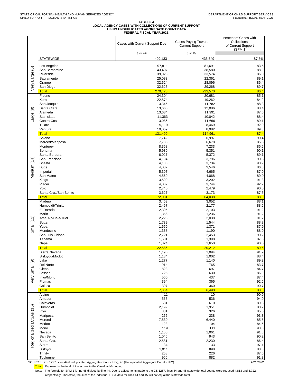#### **TABLE 6.4 LOCAL AGENCY CASES WITH COLLECTIONS OF CURRENT SUPPORT USING UNDUPLICATED AGGREGATE COUNT DATA FEDERAL FISCAL YEAR 2021**

|                         |                                                                                                        | Cases with Current Support Due | <b>Cases Paying Toward</b><br><b>Current Support</b> | Percent of Cases with<br>Collections<br>of Current Support<br>(SPM 1) |
|-------------------------|--------------------------------------------------------------------------------------------------------|--------------------------------|------------------------------------------------------|-----------------------------------------------------------------------|
|                         |                                                                                                        | (Line 44)                      | (Line 45)                                            |                                                                       |
|                         | <b>STATEWIDE</b>                                                                                       | 499,133                        | 435,549                                              | 87.3%                                                                 |
| $\circlede$             | Los Angeles<br>San Bernardino                                                                          | 97,811<br>43,407               | 81,691<br>38,580                                     | 83.5<br>88.9                                                          |
|                         | Riverside                                                                                              | 39,026                         | 33,574                                               | 86.0                                                                  |
| Very Large              | Sacramento                                                                                             | 25,083                         | 22,361                                               | 89.1                                                                  |
|                         | Orange<br>San Diego                                                                                    | 32,524<br>32,625               | 28,096<br>29,268                                     | 86.4<br>89.7                                                          |
|                         | <b>Total</b>                                                                                           | 270,476                        | 233,570                                              | 86.4                                                                  |
|                         | Fresno                                                                                                 | 24,304                         | 20,681                                               | 85.1                                                                  |
|                         | Kern<br>San Joaquin                                                                                    | 22,874<br>13,345               | 19,262<br>11,782                                     | 84.2<br>88.3                                                          |
| ම                       | Santa Clara                                                                                            | 13,665                         | 12,086                                               | 88.4                                                                  |
|                         | Alameda                                                                                                | 13,684                         | 11,991                                               | 87.6                                                                  |
| Large (                 | Stanislaus<br>Contra Costa                                                                             | 11,363<br>13,086               | 10,042<br>11,666                                     | 88.4<br>89.1                                                          |
|                         | Tulare                                                                                                 | 9,119                          | 8,469                                                | 92.9                                                                  |
|                         | Ventura                                                                                                | 10,059                         | 8,982                                                | 89.3                                                                  |
|                         | <b>Total</b><br>Solano                                                                                 | 131,499<br>7,742               | 114,961<br>6,997                                     | 87.4<br>90.4                                                          |
|                         | Merced/Mariposa                                                                                        | 7,785                          | 6,678                                                | 85.8                                                                  |
|                         | Monterey                                                                                               | 8,358                          | 7,233                                                | 86.5                                                                  |
|                         | Sonoma<br>Santa Barbara                                                                                | 5,939<br>6,027                 | 5,351<br>5,372                                       | 90.1<br>89.1                                                          |
|                         | San Francisco                                                                                          | 4,194                          | 3,796                                                | 90.5                                                                  |
| Medium (14)             | Shasta                                                                                                 | 4,108                          | 3,734                                                | 90.9                                                                  |
|                         | <b>Butte</b><br>Imperial                                                                               | 4,087<br>5,307                 | 3,546<br>4,665                                       | 86.8<br>87.9                                                          |
|                         | San Mateo                                                                                              | 4,569                          | 4,068                                                | 89.0                                                                  |
|                         | Kings                                                                                                  | 3,509                          | 3,202                                                | 91.3                                                                  |
|                         | Placer<br>Yolo                                                                                         | 4,039<br>2,740                 | 3,744<br>2,479                                       | 92.7<br>90.5                                                          |
|                         | Santa Cruz/San Benito                                                                                  | 3,627                          | 3,173                                                | 87.5                                                                  |
|                         | <b>Total</b>                                                                                           | 72,031                         | 64,038                                               | 88.9                                                                  |
|                         | Madera<br>Humboldt/Trinity                                                                             | 3,463<br>2,457                 | 3,052<br>2,177                                       | 88.1<br>88.6                                                          |
|                         | El Dorado                                                                                              | 2,305                          | 2,103                                                | 91.2                                                                  |
|                         | Marin                                                                                                  | 1,356                          | 1,236                                                | 91.2                                                                  |
| Small (11)              | Ama/Alp/Cala/Tuol<br>Sutter                                                                            | 2,223<br>1,739                 | 2,038<br>1,544                                       | 91.7<br>88.8                                                          |
|                         | Yuba                                                                                                   | 1,559                          | 1,371                                                | 87.9                                                                  |
|                         | Mendocino                                                                                              | 1,338                          | 1,190                                                | 88.9                                                                  |
|                         | San Luis Obispo<br>Tehama                                                                              | 2,721<br>1,601                 | 2,453<br>1,398                                       | 90.2<br>87.3                                                          |
|                         | Napa                                                                                                   | 1,824                          | 1,650                                                | 90.5                                                                  |
|                         | <b>Total</b>                                                                                           | 22,586                         | 20,212                                               | 89.5                                                                  |
|                         | Sierra/Nevada<br>Siskiyou/Modoc                                                                        | 1,190<br>1,134                 | 1,094<br>1,002                                       | 91.9<br>88.4                                                          |
|                         | Lake                                                                                                   | 1,277                          | 1,140                                                | 89.3                                                                  |
|                         | Del Norte                                                                                              | 914                            | 765                                                  | 83.7                                                                  |
| Very Small (9)          | Glenn<br>Lassen                                                                                        | 823<br>725                     | 697<br>630                                           | 84.7<br>86.9                                                          |
|                         | Inyo/Mono                                                                                              | 500                            | 437                                                  | 87.4                                                                  |
|                         | Plumas<br>Colusa                                                                                       | 394<br>397                     | 365<br>360                                           | 92.6<br>90.7                                                          |
|                         | <b>Total</b>                                                                                           | 7,354                          | 6,490                                                | 88.3                                                                  |
|                         | Alpine                                                                                                 | 11                             | 10                                                   | 90.9                                                                  |
|                         | Amador<br>Calaveras                                                                                    | 565<br>681                     | 536<br>610                                           | 94.9<br>89.6                                                          |
|                         | Humboldt                                                                                               | 2,199                          | 1,951                                                | 88.7                                                                  |
|                         | Inyo                                                                                                   | 381                            | 326                                                  | 85.6                                                                  |
|                         | Mariposa<br>Merced                                                                                     | 255<br>7,530                   | 238<br>6,440                                         | 93.3<br>85.5                                                          |
|                         | Modoc                                                                                                  | 123                            | 104                                                  | 84.6                                                                  |
| Regionalized LCSAs (16) | Mono                                                                                                   | 119                            | 111                                                  | 93.3                                                                  |
|                         | Nevada<br>San Benito                                                                                   | 1,156<br>1,046                 | 1,061<br>943                                         | 91.8<br>90.2                                                          |
|                         | Santa Cruz                                                                                             | 2,581                          | 2,230                                                | 86.4                                                                  |
|                         | Sierra                                                                                                 | 34                             | 33                                                   | 97.1                                                                  |
|                         | Siskiyou<br>Trinity                                                                                    | 1,011<br>258                   | 898<br>226                                           | 88.8<br>87.6                                                          |
|                         | Tuolumne                                                                                               | 966                            | 882                                                  | 91.3                                                                  |
|                         | SOURCE: CS 1257 Lines 44 (Unduplicated Aggregate Count - FFY), 45 (Unduplicated Aggregate Count - FFY) |                                |                                                      | 4/21/2022                                                             |

SOURCE: CS 1257 Lines 44 (Unduplicated Aggregate Count - FFY), 45 (Unduplicated Aggregate Count - FFY)

Total: Represents the total of the scores in the Caseload Grouping

respectively. Therefore, the sum of the individual LCSA data for lines 44 and 45 will not equal the statewide total. Note: The formula for SPM 1 is line 45 divided by line 44. Due to adjustments made to the CS 1257, lines 44 and 45 statewide total counts were reduced 4,813 and 3,722,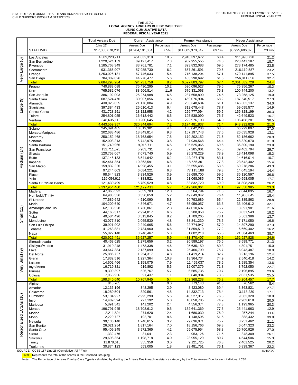# TABLE 7.2<br>LOCAL AGENCY ARREARS DUE BY CASE TYPE<br>USING CUMULATIVE DATA<br>FEDERAL FISCAL YEAR 2021

|                         |                                                 | <b>Total Arrears Due</b>     | <b>Current Assistance</b> |             | <b>Former Assistance</b>     |              | Never Assistance            |              |
|-------------------------|-------------------------------------------------|------------------------------|---------------------------|-------------|------------------------------|--------------|-----------------------------|--------------|
|                         |                                                 | (Line 26)                    | Arrears Due               | Percentage  | Arrears Due                  | Percentage   | Arrears Due                 | Percentage   |
|                         | <b>STATEWIDE</b>                                | \$17,085,078,231             | \$1,284,101,064           | 7.5%        | \$11,805,370,342             | 69.1%        | \$3,995,606,825             | 23.4%        |
|                         | Los Angeles                                     | 4,309,223,711                | 451,832,319               | 10.5        | 2,945,397,672                | 68.4         | 911,993,720                 | 21.2         |
| Very Large (6)          | San Bernardino                                  | 1,220,524,159                | 89,127,417                | 7.3         | 902,955,555                  | 74.0         | 228,441,187                 | 18.7         |
|                         | Riverside                                       | 1,185,768,349                | 83,761,781                | 7.1         | 823,832,083                  | 69.5         | 278,174,485                 | 23.5         |
|                         | Sacramento                                      | 931,366,907                  | 57,985,730                | 6.2         | 657,261,591                  | 70.6         | 216,119,587                 | 23.2         |
|                         | Orange                                          | 1,253,026,131                | 67,746,033                | 5.4         | 715,138,204                  | 57.1         | 470,141,895                 | 37.5         |
|                         | San Diego                                       | 784,389,026                  | 44,278,477                | 5.6         | 483,298,692                  | 61.6         | 256,811,856                 | 32.7         |
|                         | <b>Total</b>                                    | 9,684,298,284<br>740,883,088 | 794,731,758               | 8.2<br>10.2 | 6,527,883,797<br>590,096,527 | 67.4<br>79.6 | 2,361,682,729<br>75,356,267 | 24.4         |
|                         | Fresno<br>Kern                                  | 765,582,076                  | 75,430,295<br>88,506,814  | 11.6        | 576,331,063                  | 75.3         | 100,744,200                 | 10.2<br>13.2 |
|                         | San Joaquin                                     | 386,192,003                  | 25,274,988                | 6.5         | 287,658,890                  | 74.5         | 73,258,125                  | 19.0         |
| Large (9)               | Santa Clara                                     | 687,524,476                  | 30,907,056                | 4.5         | 469,076,904                  | 68.2         | 187,540,517                 | 27.3         |
|                         | Alameda                                         | 430,828,855                  | 21,178,084                | 4.9         | 263,348,634                  | 61.1         | 146,302,137                 | 34.0         |
|                         | <b>Stanislaus</b>                               | 397,384,433                  | 25,610,413                | 6.4         | 312,678,443                  | 78.7         | 59,095,577                  | 14.9         |
|                         | Contra Costa                                    | 431,728,251                  | 18,122,958                | 4.2         | 256,777,094                  | 59.5         | 156,828,199                 | 36.3         |
|                         | Tulare                                          | 254,801,055                  | 16,613,442                | 6.5         | 195,538,090                  | 76.7         | 42,649,523                  | 16.7         |
|                         | Ventura<br><b>Total</b>                         | 348,635,119<br>4.443.559.357 | 19,200,645<br>320,844,694 | 5.5<br>7.2  | 222,976,193<br>3,174,481,837 | 64.0<br>71.4 | 106,458,281<br>948,232,826  | 30.5<br>21.3 |
|                         | Solano                                          | 245,091,485                  | 10,819,301                | 4.4         | 168,042,286                  | 68.6         | 66,229,897                  | 27.0         |
|                         | Merced/Mariposa                                 | 202,683,486                  | 18,849,814                | 9.3         | 157, 197, 743                | 77.6         | 26,635,928                  | 13.1         |
|                         | Monterey                                        | 250, 152, 468                | 18,763,654                | 7.5         | 179,202,152                  | 71.6         | 52,186,662                  | 20.9         |
| Medium (14)             | Sonoma                                          | 152,003,213                  | 5,742,975                 | 3.8         | 97,939,568                   | 64.4         | 48,320,670                  | 31.8         |
|                         | Santa Barbara                                   | 151,740,966                  | 9,915,711                 | 6.5         | 105,525,065                  | 69.5         | 36,300,190                  | 23.9         |
|                         | San Francisco                                   | 132,711,525                  | 5,963,731                 | 4.5         | 87,285,001                   | 65.8         | 39,462,794                  | 29.7         |
|                         | Shasta                                          | 120,758,067                  | 7,073,740                 | 5.9         | 95,270,229                   | 78.9         | 18,414,098                  | 15.2         |
|                         | <b>Butte</b><br>Imperial                        | 137, 145, 133<br>152,461,354 | 8,541,642<br>10,363,591   | 6.2<br>6.8  | 113,987,478<br>118,555,361   | 83.1<br>77.8 | 14,616,014<br>23,542,402    | 10.7<br>15.4 |
|                         | San Mateo                                       | 159,832,226                  | 4,998,455                 | 3.1         | 85,555,486                   | 53.5         | 69,278,286                  | 43.3         |
|                         | Kings                                           | 97,244,603                   | 6,084,221                 | 6.3         | 77,115,188                   | 79.3         | 14,045,194                  | 14.4         |
|                         | Placer                                          | 98,644,823                   | 3,834,526                 | 3.9         | 58,689,700                   | 59.5         | 36,120,597                  | 36.6         |
|                         | Yolo                                            | 116,054,611                  | 4,388,521                 | 3.8         | 91,068,085                   | 78.5         | 20,598,005                  | 17.7         |
|                         | Santa Cruz/San Benito                           | 121,430,499                  | 5,789,529                 | 4.8         | 83,832,720                   | 69.0         | 31,808,249                  | 26.2         |
|                         | <b>Total</b>                                    | 2,137,954,460                | 121,129,411               | 5.7         | 1,519,266,064                | 71.1         | 497,558,985                 | 23.3         |
|                         | Madera                                          | 47,068,592<br>64,983,536     | 5,659,703<br>3,350,650    | 12.0<br>5.2 | 33,564,794<br>49,649,042     | 71.3<br>76.4 | 7,844,095<br>11,983,845     | 16.7         |
|                         | Humboldt/Trinity<br>El Dorado                   | 77,689,642                   | 4,510,090                 | 5.8         | 50,793,689                   | 65.4         | 22,385,863                  | 18.4<br>28.8 |
|                         | Marin                                           | 104,209,640                  | 4,846,671                 | 4.7         | 65,956,057                   | 63.3         | 33,406,912                  | 32.1         |
|                         | Ama/Alp/Cala/Tuol                               | 62,133,528                   | 1,730,861                 | 2.8         | 47,010,687                   | 75.7         | 13,391,981                  | 21.6         |
| Small $(11)$            | Sutter                                          | 44, 165, 317                 | 2,924,817                 | 6.6         | 33,208,958                   | 75.2         | 8,031,543                   | 18.2         |
|                         | Yuba                                            | 40,584,496                   | 3,313,845                 | 8.2         | 31,709,265                   | 78.1         | 5,561,386                   | 13.7         |
|                         | Mendocino                                       | 43,077,810                   | 2,065,530                 | 4.8         | 33,841,230                   | 78.6         | 7,171,050                   | 16.6         |
|                         | San Luis Obispo                                 | 39,921,902                   | 2,249,665                 | 5.6         | 22,774,947                   | 57.0         | 14,897,290                  | 37.3         |
|                         | Tehama<br>Napa                                  | 41,263,881<br>55,827,148     | 2,734,960<br>3,240,467    | 6.6<br>5.8  | 31,859,519<br>31,002,218     | 77.2<br>55.5 | 6,669,402<br>21,584,463     | 16.2<br>38.7 |
|                         | <b>Total</b>                                    | 620,925,491                  | 36,627,257                | 5.9         | 431,370,407                  | 69.5         | 152,927,828                 | 24.6         |
|                         | Sierra/Nevada                                   | 40,468,625                   | 1,279,656                 | 3.2         | 30,589,197                   | 75.6         | 8,599,771                   | 21.3         |
|                         | Siskiyou/Modoc                                  | 31,910,248                   | 1,473,338                 | 4.6         | 25,635,159                   | 80.3         | 4,801,751                   | 15.0         |
| $\circledcirc$          | Lake                                            | 33,647,384                   | 2,137,099                 | 6.4         | 25,466,799                   | 75.7         | 6,043,487                   | 18.0         |
|                         | Del Norte                                       | 25,886,727                   | 1,254,317                 | 4.8         | 21,419,214                   | 82.7         | 3,213,196                   | 12.4         |
| Small (                 | Glenn                                           | 17,832,516                   | 1,927,364                 | 10.8        | 13,364,734                   | 74.9         | 2,540,418                   | 14.2         |
|                         | Lassen<br>Inyo/Mono                             | 14,602,466<br>16,719,321     | 1,158,075<br>919,892      | 7.9<br>5.5  | 11,459,037<br>12,007,379     | 78.5<br>71.8 | 1,985,354<br>3,792,050      | 13.6<br>22.7 |
| ΘŅ<br>>                 | Plumas                                          | 9,309,397                    | 526,767                   | 5.7         | 6,585,735                    | 70.7         | 2,196,895                   | 23.6         |
|                         | Colusa                                          | 7,963,956                    | 91,437                    | 1.1         | 5,840,984                    | 73.3         | 2,031,535                   | 25.5         |
|                         | <b>Total</b>                                    | 198,340,640                  | 10,767,945                | 5.4         | 152.368.238                  | 76.8         | 35,204,457                  | 17.7         |
|                         | Alpine                                          | 843,705                      | 0                         | 0.0         | 773,143                      | 91.6         | 70,562                      | 8.4          |
|                         | Amador                                          | 12,135,196                   | 348,295                   | 2.9         | 8,423,080                    | 69.4         | 3,363,821                   | 27.7         |
|                         | Calaveras                                       | 18,280,504                   | 829,561                   | 4.5         | 14,332,713                   | 78.4         | 3,118,230                   | 17.1         |
|                         | Humboldt<br>Inyo                                | 53,104,927<br>14,489,594     | 2,995,290<br>727,192      | 5.6<br>5.0  | 40,527,317<br>10,858,785     | 76.3<br>74.9 | 9,582,320<br>2,903,618      | 18.0<br>20.0 |
|                         | Mariposa                                        | 5,891,541                    | 141,202                   | 2.4         | 4,556,374                    | 77.3         | 1,193,965                   | 20.3         |
| Regionalized LCSAs (16) | Merced                                          | 196,791,945                  | 18,708,612                | 9.5         | 152,641,369                  | 77.6         | 25,441,963                  | 12.9         |
|                         | Modoc                                           | 2,211,894                    | 274,620                   | 12.4        | 1,680,030                    | 76.0         | 257,244                     | 11.6         |
|                         | Mono                                            | 2,229,727                    | 192,701                   | 8.6         | 1,148,595                    | 51.5         | 888,432                     | 39.8         |
|                         | Nevada                                          | 39,136,148                   | 1,248,615                 | 3.2         | 29,636,071                   | 75.7         | 8,251,462                   | 21.1         |
|                         | San Benito                                      | 26,021,254                   | 1,817,164                 | 7.0         | 18,156,766                   | 69.8         | 6,047,323                   | 23.2         |
|                         | Santa Cruz                                      | 95,409,245                   | 3,972,365                 | 4.2         | 65,675,954                   | 68.8         | 25,760,926                  | 27.0         |
|                         | Sierra<br>Siskiyou                              | 1,332,476<br>29,698,354      | 31,041<br>1,198,718       | 2.3<br>4.0  | 953,126<br>23,955,129        | 71.5<br>80.7 | 348,309<br>4,544,506        | 26.1<br>15.3 |
|                         | Trinity                                         | 11,878,610                   | 355,359                   | 3.0         | 9,121,725                    | 76.8         | 2,401,525                   | 20.2         |
|                         | Tuolumne                                        | 30,874,123                   | 553,005                   | 1.8         | 23,481,751                   | 76.1         | 6,839,367                   | 22.2         |
|                         | SOURCE: OCSE 157 Line 26 (Cumulative -All FFYs) |                              |                           |             |                              |              |                             | 4/21/2022    |

Total: Represents the total of the scores in the Caseload Grouping

Note: The Percentage of Arrears Due by Case Type is calculated by dividing the Arrears Due in each assistance category by the Total Arrears Due for each individual LCSA.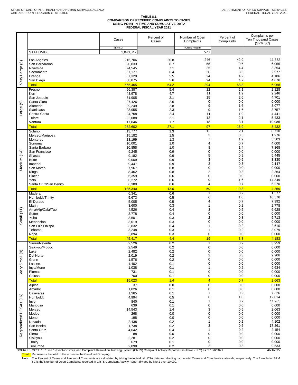#### **TABLE 8.1 COMPARISON OF RECEIVED COMPLAINTS TO CASES USING POINT-IN-TIME AND CUMULATIVE DATA FEDERAL FISCAL YEAR 2021**

|                                 |                              | Cases                    | Percent of<br>Cases | Number of Open<br>Complaints  | Percent of<br>Complaints | Complaints per<br><b>Ten Thousand Cases</b><br>(SPM 5C) |
|---------------------------------|------------------------------|--------------------------|---------------------|-------------------------------|--------------------------|---------------------------------------------------------|
|                                 | <b>STATEWIDE</b>             | (Line 1)<br>1,043,847    |                     | (CRTS Report)<br>573          |                          |                                                         |
|                                 | Los Angeles                  | 216,706                  | 20.8                | 246                           | 42.9                     | 11.352                                                  |
| $\circledcirc$<br>Large<br>Very | San Bernardino               | 90,833                   | 8.7                 | 55                            | 9.6                      | 6.055                                                   |
|                                 | Riverside<br>Sacramento      | 74,545<br>67,177         | 7.1<br>6.4          | 25<br>20                      | 4.4<br>3.5               | 3.354<br>2.977                                          |
|                                 | Orange                       | 57,329                   | 5.5                 | 24                            | 4.2                      | 4.186                                                   |
|                                 | San Diego<br><b>Total</b>    | 58,875<br>565,465        | 5.6<br>54.2         | 24<br>394                     | 4.2<br>68.8              | 4.076<br>6.968                                          |
|                                 | Fresno                       | 56,387                   | 5.4                 | $\overline{12}$               | 2.1                      | 2.128                                                   |
|                                 | Kern<br>San Joaquin          | 48,978<br>31,905         | 4.7<br>3.1          | 11<br>15                      | 1.9<br>2.6               | 2.246<br>4.701                                          |
|                                 | Santa Clara                  | 27,426                   | 2.6                 | $\mathbf 0$                   | 0.0                      | 0.000                                                   |
| Large (9)                       | Alameda<br><b>Stanislaus</b> | 29,249<br>23,955         | 2.8<br>2.3          | 9<br>9                        | 1.6<br>1.6               | 3.077<br>3.757                                          |
|                                 | Contra Costa                 | 24,768                   | 2.4                 | 11                            | 1.9                      | 4.441                                                   |
|                                 | Tulare                       | 22,088                   | 2.1                 | 12                            | 2.1                      | 5.433                                                   |
|                                 | Ventura<br><b>Total</b>      | 17,846<br>282.602        | 1.7<br>27.1         | 18<br>97                      | 3.1<br>16.9              | 10.086<br>3.432                                         |
|                                 | Solano                       | 13,777                   | 1.3                 | $\overline{12}$               | 2.1                      | 8.710                                                   |
|                                 | Merced/Mariposa<br>Monterey  | 15,182<br>13,199         | 1.5<br>1.3          | 3<br>$\overline{7}$           | 0.5<br>1.2               | 1.976<br>5.303                                          |
|                                 | Sonoma                       | 10,001                   | 1.0                 | 4                             | 0.7                      | 4.000                                                   |
|                                 | Santa Barbara                | 10,858                   | 1.0                 | 8<br>$\pmb{0}$                | 1.4<br>0.0               | 7.368<br>0.000                                          |
|                                 | San Francisco<br>Shasta      | 9,245<br>9,182           | 0.9<br>0.9          | 5                             | 0.9                      | 5.445                                                   |
| Medium (14)                     | <b>Butte</b>                 | 9,009                    | 0.9                 | 3                             | 0.5                      | 3.330                                                   |
|                                 | Imperial<br>San Mateo        | 9,447<br>7,967           | 0.9<br>0.8          | $\overline{2}$<br>$\pmb{0}$   | 0.3<br>0.0               | 2.117<br>0.000                                          |
|                                 | Kings                        | 8,462                    | 0.8                 | $\overline{2}$                | 0.3                      | 2.364                                                   |
|                                 | Placer<br>Yolo               | 6,359<br>6,272           | 0.6<br>0.6          | 0<br>9                        | 0.0<br>1.6               | 0.000<br>14.349                                         |
|                                 | Santa Cruz/San Benito        | 6,380                    | 0.6                 | 4                             | 0.7                      | 6.270                                                   |
|                                 | <b>Total</b>                 | 135,340                  | 13.0                | 59                            | 10.3                     | 4.359                                                   |
|                                 | Madera<br>Humboldt/Trinity   | 6,341<br>5,673           | 0.6<br>0.5          | $\overline{1}$<br>6           | 0.2<br>1.0               | 1.577<br>10.576                                         |
|                                 | El Dorado                    | 5,005                    | 0.5                 | 4                             | 0.7                      | 7.992                                                   |
|                                 | Marin<br>Ama/Alp/Cala/Tuol   | 3,600<br>4,526           | 0.3<br>0.4          | 1<br>3                        | 0.2<br>0.5               | 2.778<br>6.628                                          |
|                                 | Sutter                       | 3,778                    | 0.4                 | $\mathbf 0$                   | 0.0                      | 0.000                                                   |
| Small (11)                      | Yuba<br>Mendocino            | 3,501<br>3,019           | 0.3<br>0.3          | 2<br>$\pmb{0}$                | 0.3<br>0.0               | 5.713<br>0.000                                          |
|                                 | San Luis Obispo              | 3,832                    | 0.4                 | 1                             | 0.2                      | 2.610                                                   |
|                                 | Tehama<br>Napa               | 3,248<br>2,894           | 0.3<br>0.3          | 1<br>$\pmb{0}$                | 0.2<br>0.0               | 3.079<br>0.000                                          |
|                                 | <b>Total</b>                 | 45,417                   | 4.4                 | 19                            | 3.3                      | 4.183                                                   |
|                                 | Sierra/Nevada                | 2,526                    | 0.2                 | $\overline{1}$<br>$\mathbf 0$ | 0.2                      | 3.959                                                   |
|                                 | Siskiyou/Modoc<br>Lake       | 2,549<br>2,482           | 0.2<br>0.2          | 0                             | 0.0<br>0.0               | 0.000<br>0.000                                          |
| Small (9)                       | Del Norte                    | 2,019                    | $0.2\,$             | $\mathbf 2$                   | 0.3                      | 9.906                                                   |
|                                 | Glenn<br>Lassen              | 1,576<br>1,402           | 0.2<br>0.1          | $\pmb{0}$<br>0                | 0.0<br>0.0               | 0.000<br>0.000                                          |
| ery                             | Inyo/Mono                    | 1,038                    | 0.1                 | 1                             | 0.2                      | 9.634                                                   |
| >                               | Plumas<br>Colusa             | 731<br>700               | 0.1<br>0.1          | 0<br>$\pmb{0}$                | 0.0<br>0.0               | 0.000<br>0.000                                          |
|                                 | <b>Total</b>                 | 15,023                   | 1.4                 | $\overline{4}$                | 0.7                      | 2.663                                                   |
|                                 | Alpine<br>Amador             | $\overline{37}$<br>1,026 | 0.0<br>0.1          | $\overline{0}$<br>0           | 0.0<br>0.0               | 0.000<br>0.000                                          |
| Regionalized LCSAs (16)         | Calaveras                    | 1,365                    | 0.1                 | $\mathbf{1}$                  | 0.2                      | 7.326                                                   |
|                                 | Humboldt                     | 4,994                    | 0.5                 | 6                             | 1.0<br>0.2               | 12.014<br>11.905                                        |
|                                 | Inyo<br>Mariposa             | 840<br>639               | 0.1<br>0.1          | 1<br>$\pmb{0}$                | 0.0                      | 0.000                                                   |
|                                 | Merced                       | 14,543                   | 1.4                 | 3                             | 0.5                      | 2.063                                                   |
|                                 | Modoc<br>Mono                | 268<br>198               | 0.0<br>0.0          | $\pmb{0}$<br>0                | 0.0<br>0.0               | 0.000<br>0.000                                          |
|                                 | Nevada                       | 2,438                    | 0.2                 | 1                             | 0.2                      | 4.102                                                   |
|                                 | San Benito<br>Santa Cruz     | 1,738<br>4,642           | 0.2<br>0.4          | 3<br>1                        | 0.5<br>0.2               | 17.261<br>2.154                                         |
|                                 | Sierra                       | 88                       | 0.0                 | $\pmb{0}$                     | 0.0                      | 0.000                                                   |
|                                 | Siskiyou<br>Trinity          | 2,281<br>679             | 0.2<br>0.1          | 0<br>0                        | 0.0<br>0.0               | 0.000<br>0.000                                          |
|                                 | Tuolumne                     | 2,098                    | 0.2                 | $\overline{2}$                | 0.3                      | 9.533                                                   |

SOURCE: OCSE 157 Line 1 (Point-in-Time); and Complaint Resolution Tracking System (CRTS) Complaint Activity Report (Cumulative - FFY) as of 10/6/2021 4/21/2022

**Total:** Represents the total of the scores in the Caseload Grouping

Note: The Percent of Cases and Percent of Complaints are calculated by taking the individual LCSA data and dividing by the total Cases and Complaints statewide, respectively. The formula for SPM<br>5C is the Number of Open Co